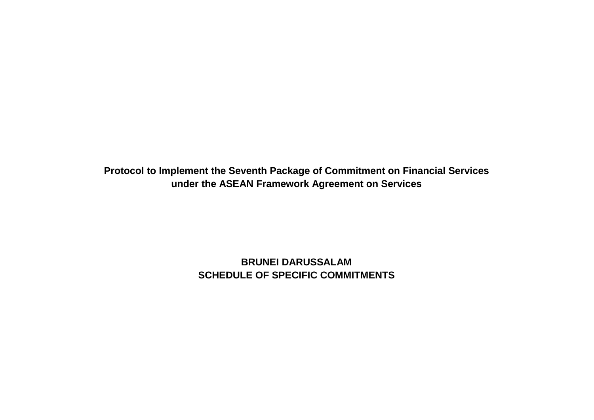**Protocol to Implement the Seventh Package of Commitment on Financial Services under the ASEAN Framework Agreement on Services**

> **BRUNEI DARUSSALAM SCHEDULE OF SPECIFIC COMMITMENTS**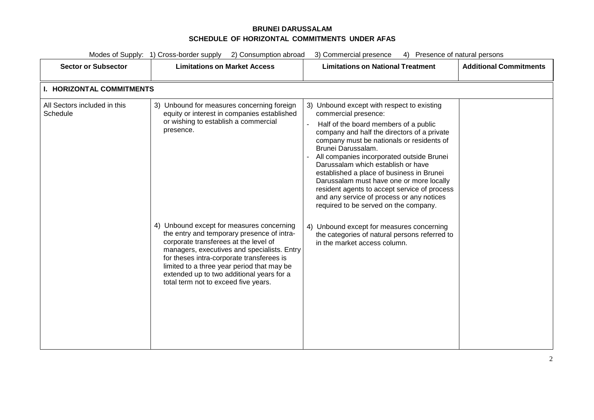### **BRUNEI DARUSSALAM SCHEDULE OF HORIZONTAL COMMITMENTS UNDER AFAS**

| Modes of Supply: 1) Cross-border supply<br>2) Consumption abroad<br>3) Commercial presence<br>4) Presence of natural persons |                                                                                                                                                                                                                                                                                                                                                                 |                                                                                                                                                                                                                                                                                                                                                                                                                                                                                                                                                 |                               |
|------------------------------------------------------------------------------------------------------------------------------|-----------------------------------------------------------------------------------------------------------------------------------------------------------------------------------------------------------------------------------------------------------------------------------------------------------------------------------------------------------------|-------------------------------------------------------------------------------------------------------------------------------------------------------------------------------------------------------------------------------------------------------------------------------------------------------------------------------------------------------------------------------------------------------------------------------------------------------------------------------------------------------------------------------------------------|-------------------------------|
| <b>Sector or Subsector</b>                                                                                                   | <b>Limitations on Market Access</b>                                                                                                                                                                                                                                                                                                                             | <b>Limitations on National Treatment</b>                                                                                                                                                                                                                                                                                                                                                                                                                                                                                                        | <b>Additional Commitments</b> |
| <b>I. HORIZONTAL COMMITMENTS</b>                                                                                             |                                                                                                                                                                                                                                                                                                                                                                 |                                                                                                                                                                                                                                                                                                                                                                                                                                                                                                                                                 |                               |
| All Sectors included in this<br>Schedule                                                                                     | 3) Unbound for measures concerning foreign<br>equity or interest in companies established<br>or wishing to establish a commercial<br>presence.                                                                                                                                                                                                                  | 3) Unbound except with respect to existing<br>commercial presence:<br>Half of the board members of a public<br>company and half the directors of a private<br>company must be nationals or residents of<br>Brunei Darussalam.<br>All companies incorporated outside Brunei<br>Darussalam which establish or have<br>established a place of business in Brunei<br>Darussalam must have one or more locally<br>resident agents to accept service of process<br>and any service of process or any notices<br>required to be served on the company. |                               |
|                                                                                                                              | 4) Unbound except for measures concerning<br>the entry and temporary presence of intra-<br>corporate transferees at the level of<br>managers, executives and specialists. Entry<br>for theses intra-corporate transferees is<br>limited to a three year period that may be<br>extended up to two additional years for a<br>total term not to exceed five years. | 4) Unbound except for measures concerning<br>the categories of natural persons referred to<br>in the market access column.                                                                                                                                                                                                                                                                                                                                                                                                                      |                               |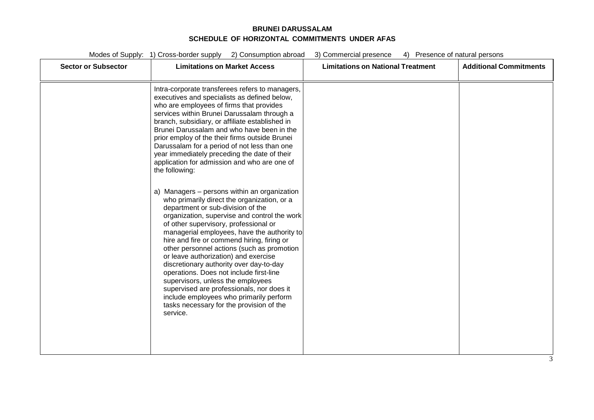#### **BRUNEI DARUSSALAM SCHEDULE OF HORIZONTAL COMMITMENTS UNDER AFAS**

| <b>Sector or Subsector</b> | <b>Limitations on Market Access</b>                                                                                                                                                                                                                                                                                                                                                                                                                                                                                                                                                                                                                                                     | <b>Limitations on National Treatment</b> | <b>Additional Commitments</b> |
|----------------------------|-----------------------------------------------------------------------------------------------------------------------------------------------------------------------------------------------------------------------------------------------------------------------------------------------------------------------------------------------------------------------------------------------------------------------------------------------------------------------------------------------------------------------------------------------------------------------------------------------------------------------------------------------------------------------------------------|------------------------------------------|-------------------------------|
|                            | Intra-corporate transferees refers to managers,<br>executives and specialists as defined below,<br>who are employees of firms that provides<br>services within Brunei Darussalam through a<br>branch, subsidiary, or affiliate established in<br>Brunei Darussalam and who have been in the<br>prior employ of the their firms outside Brunei<br>Darussalam for a period of not less than one<br>year immediately preceding the date of their<br>application for admission and who are one of<br>the following:                                                                                                                                                                         |                                          |                               |
|                            | a) Managers - persons within an organization<br>who primarily direct the organization, or a<br>department or sub-division of the<br>organization, supervise and control the work<br>of other supervisory, professional or<br>managerial employees, have the authority to<br>hire and fire or commend hiring, firing or<br>other personnel actions (such as promotion<br>or leave authorization) and exercise<br>discretionary authority over day-to-day<br>operations. Does not include first-line<br>supervisors, unless the employees<br>supervised are professionals, nor does it<br>include employees who primarily perform<br>tasks necessary for the provision of the<br>service. |                                          |                               |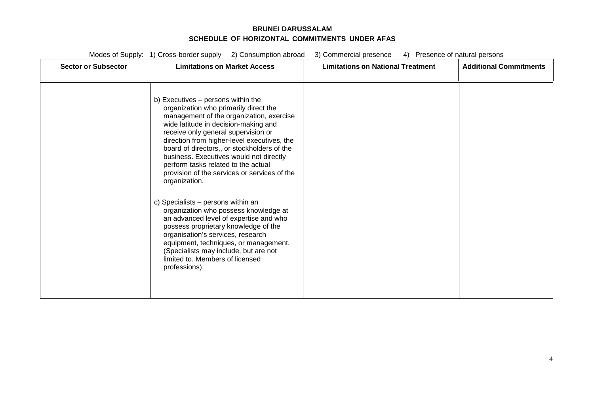#### **BRUNEI DARUSSALAM SCHEDULE OF HORIZONTAL COMMITMENTS UNDER AFAS**

| <b>Sector or Subsector</b> | <b>Limitations on Market Access</b>                                                                                                                                                                                                                                                                                                                                                                                                                     | <b>Limitations on National Treatment</b> | <b>Additional Commitments</b> |
|----------------------------|---------------------------------------------------------------------------------------------------------------------------------------------------------------------------------------------------------------------------------------------------------------------------------------------------------------------------------------------------------------------------------------------------------------------------------------------------------|------------------------------------------|-------------------------------|
|                            | b) Executives - persons within the<br>organization who primarily direct the<br>management of the organization, exercise<br>wide latitude in decision-making and<br>receive only general supervision or<br>direction from higher-level executives, the<br>board of directors,, or stockholders of the<br>business. Executives would not directly<br>perform tasks related to the actual<br>provision of the services or services of the<br>organization. |                                          |                               |
|                            | c) Specialists - persons within an<br>organization who possess knowledge at<br>an advanced level of expertise and who<br>possess proprietary knowledge of the<br>organisation's services, research<br>equipment, techniques, or management.<br>(Specialists may include, but are not<br>limited to. Members of licensed<br>professions).                                                                                                                |                                          |                               |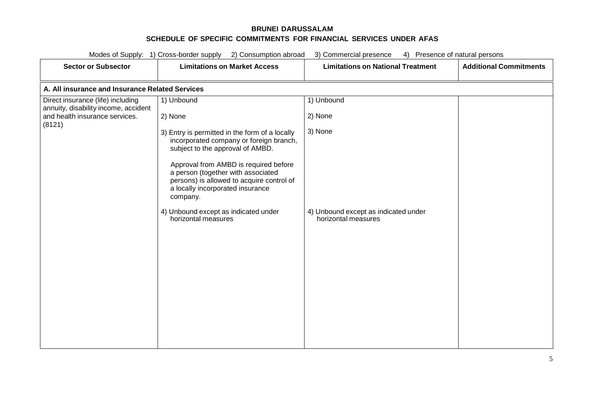| Modes of Supply: 1) Cross-border supply<br>3) Commercial presence<br>2) Consumption abroad<br>4) Presence of natural persons |                                                                                                                                                                                                                                                                                                           |                                                             |                               |  |
|------------------------------------------------------------------------------------------------------------------------------|-----------------------------------------------------------------------------------------------------------------------------------------------------------------------------------------------------------------------------------------------------------------------------------------------------------|-------------------------------------------------------------|-------------------------------|--|
| <b>Sector or Subsector</b>                                                                                                   | <b>Limitations on Market Access</b>                                                                                                                                                                                                                                                                       | <b>Limitations on National Treatment</b>                    | <b>Additional Commitments</b> |  |
| A. All insurance and Insurance Related Services                                                                              |                                                                                                                                                                                                                                                                                                           |                                                             |                               |  |
| Direct insurance (life) including<br>annuity, disability income, accident                                                    | 1) Unbound                                                                                                                                                                                                                                                                                                | 1) Unbound                                                  |                               |  |
| and health insurance services.<br>(8121)                                                                                     | 2) None                                                                                                                                                                                                                                                                                                   | 2) None                                                     |                               |  |
|                                                                                                                              | 3) Entry is permitted in the form of a locally<br>incorporated company or foreign branch,<br>subject to the approval of AMBD.<br>Approval from AMBD is required before<br>a person (together with associated<br>persons) is allowed to acquire control of<br>a locally incorporated insurance<br>company. | 3) None                                                     |                               |  |
|                                                                                                                              | 4) Unbound except as indicated under<br>horizontal measures                                                                                                                                                                                                                                               | 4) Unbound except as indicated under<br>horizontal measures |                               |  |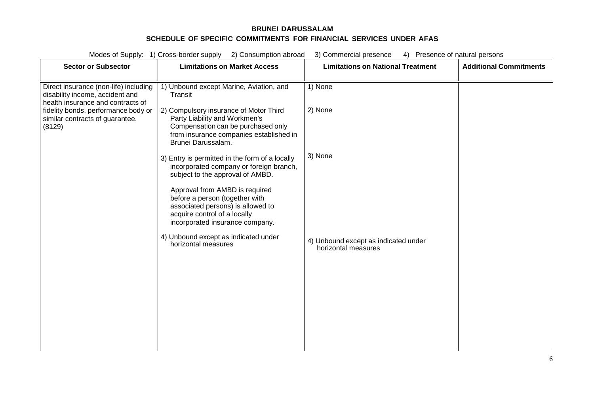| Modes of Supply: 1) Cross-border supply<br>2) Consumption abroad<br>3) Commercial presence<br>4) Presence of natural persons |                                                                                                                                                                                |                                                             |                               |
|------------------------------------------------------------------------------------------------------------------------------|--------------------------------------------------------------------------------------------------------------------------------------------------------------------------------|-------------------------------------------------------------|-------------------------------|
| <b>Sector or Subsector</b>                                                                                                   | <b>Limitations on Market Access</b>                                                                                                                                            | <b>Limitations on National Treatment</b>                    | <b>Additional Commitments</b> |
| Direct insurance (non-life) including<br>disability income, accident and<br>health insurance and contracts of                | 1) Unbound except Marine, Aviation, and<br>Transit                                                                                                                             | 1) None                                                     |                               |
| fidelity bonds, performance body or<br>similar contracts of guarantee.<br>(8129)                                             | 2) Compulsory insurance of Motor Third<br>Party Liability and Workmen's<br>Compensation can be purchased only<br>from insurance companies established in<br>Brunei Darussalam. | 2) None                                                     |                               |
|                                                                                                                              | 3) Entry is permitted in the form of a locally<br>incorporated company or foreign branch,<br>subject to the approval of AMBD.<br>Approval from AMBD is required                | 3) None                                                     |                               |
|                                                                                                                              | before a person (together with<br>associated persons) is allowed to<br>acquire control of a locally<br>incorporated insurance company.                                         |                                                             |                               |
|                                                                                                                              | 4) Unbound except as indicated under<br>horizontal measures                                                                                                                    | 4) Unbound except as indicated under<br>horizontal measures |                               |
|                                                                                                                              |                                                                                                                                                                                |                                                             |                               |
|                                                                                                                              |                                                                                                                                                                                |                                                             |                               |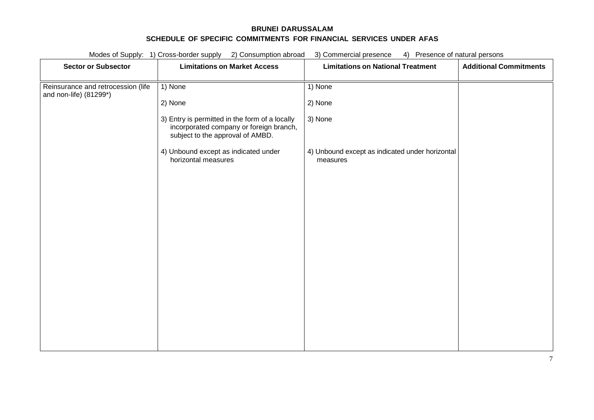| Modes of Supply: 1) Cross-border supply<br>2) Consumption abroad<br>3) Commercial presence<br>4) Presence of natural persons |                                                                                                                               |                                                             |                               |
|------------------------------------------------------------------------------------------------------------------------------|-------------------------------------------------------------------------------------------------------------------------------|-------------------------------------------------------------|-------------------------------|
| <b>Sector or Subsector</b>                                                                                                   | <b>Limitations on Market Access</b>                                                                                           | <b>Limitations on National Treatment</b>                    | <b>Additional Commitments</b> |
| Reinsurance and retrocession (life<br>and non-life) (81299*)                                                                 | 1) None                                                                                                                       | 1) None                                                     |                               |
|                                                                                                                              | 2) None                                                                                                                       | 2) None                                                     |                               |
|                                                                                                                              | 3) Entry is permitted in the form of a locally<br>incorporated company or foreign branch,<br>subject to the approval of AMBD. | 3) None                                                     |                               |
|                                                                                                                              | 4) Unbound except as indicated under<br>horizontal measures                                                                   | 4) Unbound except as indicated under horizontal<br>measures |                               |
|                                                                                                                              |                                                                                                                               |                                                             |                               |
|                                                                                                                              |                                                                                                                               |                                                             |                               |
|                                                                                                                              |                                                                                                                               |                                                             |                               |
|                                                                                                                              |                                                                                                                               |                                                             |                               |
|                                                                                                                              |                                                                                                                               |                                                             |                               |
|                                                                                                                              |                                                                                                                               |                                                             |                               |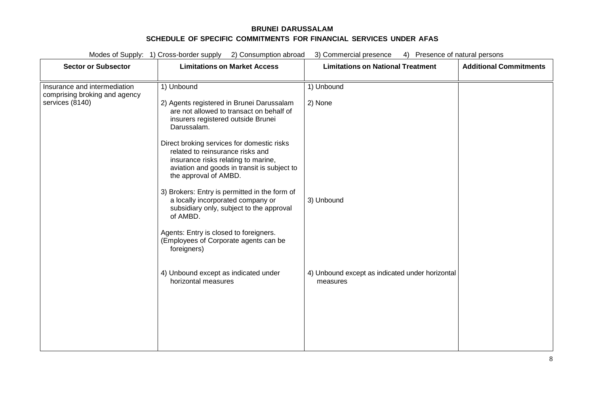| <b>Sector or Subsector</b>                                                       | <b>Limitations on Market Access</b>                                                                                                                                                                                                                                                                                                                       | <b>Limitations on National Treatment</b>                    | <b>Additional Commitments</b> |
|----------------------------------------------------------------------------------|-----------------------------------------------------------------------------------------------------------------------------------------------------------------------------------------------------------------------------------------------------------------------------------------------------------------------------------------------------------|-------------------------------------------------------------|-------------------------------|
| Insurance and intermediation<br>comprising broking and agency<br>services (8140) | 1) Unbound<br>2) Agents registered in Brunei Darussalam<br>are not allowed to transact on behalf of<br>insurers registered outside Brunei<br>Darussalam.<br>Direct broking services for domestic risks<br>related to reinsurance risks and<br>insurance risks relating to marine,<br>aviation and goods in transit is subject to<br>the approval of AMBD. | 1) Unbound<br>2) None                                       |                               |
|                                                                                  | 3) Brokers: Entry is permitted in the form of<br>a locally incorporated company or<br>subsidiary only, subject to the approval<br>of AMBD.<br>Agents: Entry is closed to foreigners.<br>(Employees of Corporate agents can be<br>foreigners)                                                                                                              | 3) Unbound                                                  |                               |
|                                                                                  | 4) Unbound except as indicated under<br>horizontal measures                                                                                                                                                                                                                                                                                               | 4) Unbound except as indicated under horizontal<br>measures |                               |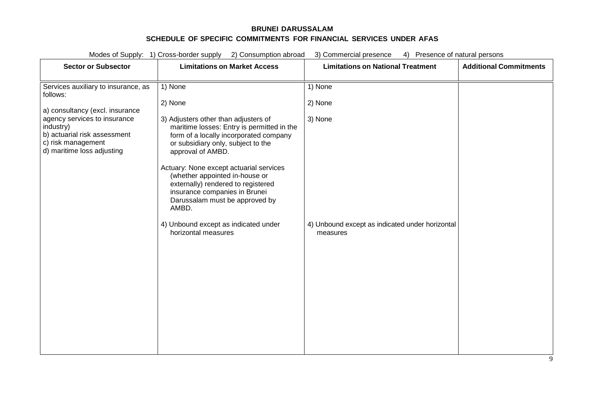| <b>Sector or Subsector</b>                                                                                                    | <b>Limitations on Market Access</b>                                                                                                                                                                                                                                                                                                                                                    | <b>Limitations on National Treatment</b>                    | <b>Additional Commitments</b> |
|-------------------------------------------------------------------------------------------------------------------------------|----------------------------------------------------------------------------------------------------------------------------------------------------------------------------------------------------------------------------------------------------------------------------------------------------------------------------------------------------------------------------------------|-------------------------------------------------------------|-------------------------------|
| Services auxiliary to insurance, as<br>follows:                                                                               | 1) None                                                                                                                                                                                                                                                                                                                                                                                | 1) None                                                     |                               |
| a) consultancy (excl. insurance                                                                                               | 2) None                                                                                                                                                                                                                                                                                                                                                                                | 2) None                                                     |                               |
| agency services to insurance<br>industry)<br>b) actuarial risk assessment<br>c) risk management<br>d) maritime loss adjusting | 3) Adjusters other than adjusters of<br>maritime losses: Entry is permitted in the<br>form of a locally incorporated company<br>or subsidiary only, subject to the<br>approval of AMBD.<br>Actuary: None except actuarial services<br>(whether appointed in-house or<br>externally) rendered to registered<br>insurance companies in Brunei<br>Darussalam must be approved by<br>AMBD. | 3) None                                                     |                               |
|                                                                                                                               | 4) Unbound except as indicated under<br>horizontal measures                                                                                                                                                                                                                                                                                                                            | 4) Unbound except as indicated under horizontal<br>measures |                               |
|                                                                                                                               |                                                                                                                                                                                                                                                                                                                                                                                        |                                                             |                               |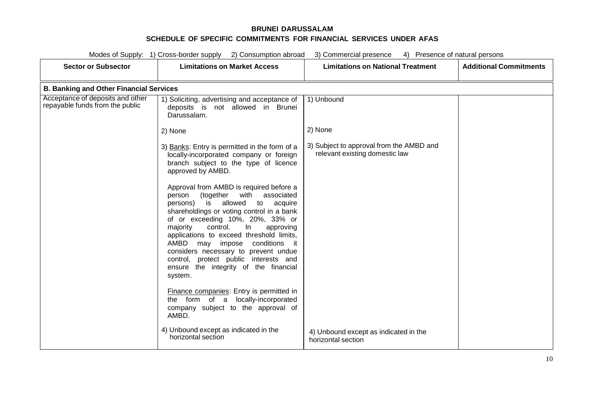| Modes of Supply: 1) Cross-border supply 2) Consumption abroad<br>3) Commercial presence<br>4) Presence of natural persons |                                                                                                                                                                                                                                                                                                                                                                                                                                                                                |                                                                            |                               |
|---------------------------------------------------------------------------------------------------------------------------|--------------------------------------------------------------------------------------------------------------------------------------------------------------------------------------------------------------------------------------------------------------------------------------------------------------------------------------------------------------------------------------------------------------------------------------------------------------------------------|----------------------------------------------------------------------------|-------------------------------|
| <b>Sector or Subsector</b>                                                                                                | <b>Limitations on Market Access</b>                                                                                                                                                                                                                                                                                                                                                                                                                                            | <b>Limitations on National Treatment</b>                                   | <b>Additional Commitments</b> |
| <b>B. Banking and Other Financial Services</b>                                                                            |                                                                                                                                                                                                                                                                                                                                                                                                                                                                                |                                                                            |                               |
| Acceptance of deposits and other<br>repayable funds from the public                                                       | 1) Soliciting, advertising and acceptance of<br>deposits is not allowed in Brunei<br>Darussalam.                                                                                                                                                                                                                                                                                                                                                                               | 1) Unbound                                                                 |                               |
|                                                                                                                           | 2) None                                                                                                                                                                                                                                                                                                                                                                                                                                                                        | 2) None                                                                    |                               |
|                                                                                                                           | 3) Banks: Entry is permitted in the form of a<br>locally-incorporated company or foreign<br>branch subject to the type of licence<br>approved by AMBD.                                                                                                                                                                                                                                                                                                                         | 3) Subject to approval from the AMBD and<br>relevant existing domestic law |                               |
|                                                                                                                           | Approval from AMBD is required before a<br>(together with<br>associated<br>person<br>is allowed<br>persons)<br>to<br>acquire<br>shareholdings or voting control in a bank<br>of or exceeding 10%, 20%, 33% or<br>control.<br>approving<br>majority<br>In.<br>applications to exceed threshold limits,<br>AMBD<br>may impose conditions it<br>considers necessary to prevent undue<br>control, protect public interests and<br>ensure the integrity of the financial<br>system. |                                                                            |                               |
|                                                                                                                           | Finance companies: Entry is permitted in<br>locally-incorporated<br>the form of a<br>company subject to the approval of<br>AMBD.                                                                                                                                                                                                                                                                                                                                               |                                                                            |                               |
|                                                                                                                           | 4) Unbound except as indicated in the<br>horizontal section                                                                                                                                                                                                                                                                                                                                                                                                                    | 4) Unbound except as indicated in the<br>horizontal section                |                               |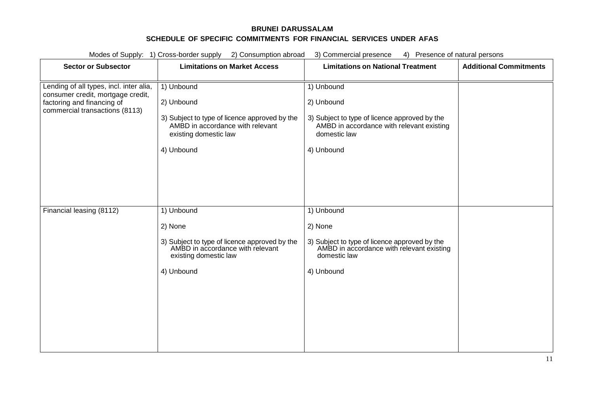| Modes of Supply: 1) Cross-border supply<br>2) Consumption abroad<br>3) Commercial presence<br>4) Presence of natural persons                 |                                                                                                                                                      |                                                                                                                                                      |                               |
|----------------------------------------------------------------------------------------------------------------------------------------------|------------------------------------------------------------------------------------------------------------------------------------------------------|------------------------------------------------------------------------------------------------------------------------------------------------------|-------------------------------|
| <b>Sector or Subsector</b>                                                                                                                   | <b>Limitations on Market Access</b>                                                                                                                  | <b>Limitations on National Treatment</b>                                                                                                             | <b>Additional Commitments</b> |
| Lending of all types, incl. inter alia,<br>consumer credit, mortgage credit,<br>factoring and financing of<br>commercial transactions (8113) | 1) Unbound<br>2) Unbound<br>3) Subject to type of licence approved by the<br>AMBD in accordance with relevant<br>existing domestic law<br>4) Unbound | 1) Unbound<br>2) Unbound<br>3) Subject to type of licence approved by the<br>AMBD in accordance with relevant existing<br>domestic law<br>4) Unbound |                               |
| Financial leasing (8112)                                                                                                                     | 1) Unbound<br>2) None<br>3) Subject to type of licence approved by the<br>AMBD in accordance with relevant<br>existing domestic law<br>4) Unbound    | 1) Unbound<br>2) None<br>3) Subject to type of licence approved by the<br>AMBD in accordance with relevant existing<br>domestic law<br>4) Unbound    |                               |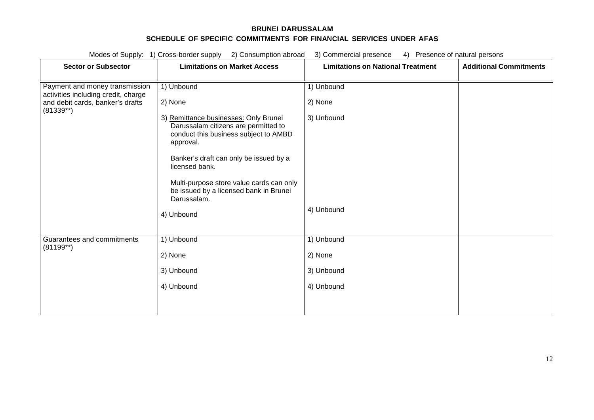| Modes of Supply: 1) Cross-border supply<br>2) Consumption abroad<br>3) Commercial presence<br>4) Presence of natural persons |                                                                                                                                                                                                                                                                                                      |                                          |                               |
|------------------------------------------------------------------------------------------------------------------------------|------------------------------------------------------------------------------------------------------------------------------------------------------------------------------------------------------------------------------------------------------------------------------------------------------|------------------------------------------|-------------------------------|
| <b>Sector or Subsector</b>                                                                                                   | <b>Limitations on Market Access</b>                                                                                                                                                                                                                                                                  | <b>Limitations on National Treatment</b> | <b>Additional Commitments</b> |
| Payment and money transmission<br>activities including credit, charge                                                        | 1) Unbound                                                                                                                                                                                                                                                                                           | 1) Unbound                               |                               |
| and debit cards, banker's drafts<br>$(81339**)$                                                                              | 2) None                                                                                                                                                                                                                                                                                              | 2) None                                  |                               |
|                                                                                                                              | 3) Remittance businesses: Only Brunei<br>Darussalam citizens are permitted to<br>conduct this business subject to AMBD<br>approval.<br>Banker's draft can only be issued by a<br>licensed bank.<br>Multi-purpose store value cards can only<br>be issued by a licensed bank in Brunei<br>Darussalam. | 3) Unbound<br>4) Unbound                 |                               |
|                                                                                                                              | 4) Unbound                                                                                                                                                                                                                                                                                           |                                          |                               |
| Guarantees and commitments<br>$(81199**)$                                                                                    | 1) Unbound                                                                                                                                                                                                                                                                                           | 1) Unbound                               |                               |
|                                                                                                                              | 2) None                                                                                                                                                                                                                                                                                              | 2) None                                  |                               |
|                                                                                                                              | 3) Unbound                                                                                                                                                                                                                                                                                           | 3) Unbound                               |                               |
|                                                                                                                              | 4) Unbound                                                                                                                                                                                                                                                                                           | 4) Unbound                               |                               |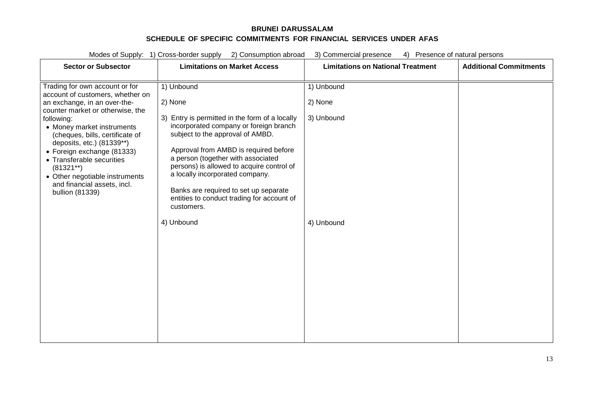Modes of Supply: 1) Cross-border supply 2) Consumption abroad 3) Commercial presence 4) Presence of natural persons **Sector or Subsector Limitations on Market Access Limitations on National Treatment Additional Commitments** Trading for own account or for account of customers, whether on an exchange, in an over-thecounter market or otherwise, the following: • Money market instruments 1) Unbound 2) None 3) Entry is permitted in the form of a locally incorporated company or foreign branch 1) Unbound 2) None 3) Unbound

| • Money market instruments<br>(cheques, bills, certificate of<br>deposits, etc.) (81339**)<br>• Foreign exchange (81333)<br>• Transferable securities<br>$(81321**)$<br>• Other negotiable instruments<br>and financial assets, incl.<br>bullion (81339) | incorporated company or foreign branch<br>subject to the approval of AMBD.<br>Approval from AMBD is required before<br>a person (together with associated<br>persons) is allowed to acquire control of<br>a locally incorporated company.<br>Banks are required to set up separate<br>entities to conduct trading for account of<br>customers. |            |  |
|----------------------------------------------------------------------------------------------------------------------------------------------------------------------------------------------------------------------------------------------------------|------------------------------------------------------------------------------------------------------------------------------------------------------------------------------------------------------------------------------------------------------------------------------------------------------------------------------------------------|------------|--|
|                                                                                                                                                                                                                                                          | 4) Unbound                                                                                                                                                                                                                                                                                                                                     | 4) Unbound |  |
|                                                                                                                                                                                                                                                          |                                                                                                                                                                                                                                                                                                                                                |            |  |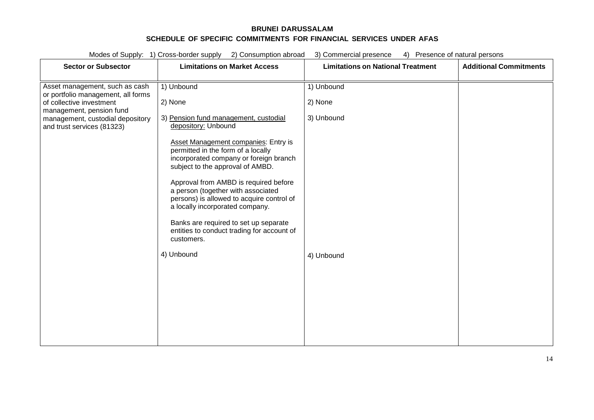|                                                                                                                              | Modes of Supply: 1) Cross-border supply<br>2) Consumption abroad<br>3) Commercial presence<br>Presence of natural persons<br>4)                                                                                                                                                                                                                                                                                                                                                              |                                          |                               |
|------------------------------------------------------------------------------------------------------------------------------|----------------------------------------------------------------------------------------------------------------------------------------------------------------------------------------------------------------------------------------------------------------------------------------------------------------------------------------------------------------------------------------------------------------------------------------------------------------------------------------------|------------------------------------------|-------------------------------|
| <b>Sector or Subsector</b>                                                                                                   | <b>Limitations on Market Access</b>                                                                                                                                                                                                                                                                                                                                                                                                                                                          | <b>Limitations on National Treatment</b> | <b>Additional Commitments</b> |
| Asset management, such as cash<br>or portfolio management, all forms<br>of collective investment<br>management, pension fund | 1) Unbound<br>2) None                                                                                                                                                                                                                                                                                                                                                                                                                                                                        | 1) Unbound<br>2) None                    |                               |
| management, custodial depository<br>and trust services (81323)                                                               | 3) Pension fund management, custodial<br>depository: Unbound<br>Asset Management companies: Entry is<br>permitted in the form of a locally<br>incorporated company or foreign branch<br>subject to the approval of AMBD.<br>Approval from AMBD is required before<br>a person (together with associated<br>persons) is allowed to acquire control of<br>a locally incorporated company.<br>Banks are required to set up separate<br>entities to conduct trading for account of<br>customers. | 3) Unbound                               |                               |
|                                                                                                                              | 4) Unbound                                                                                                                                                                                                                                                                                                                                                                                                                                                                                   | 4) Unbound                               |                               |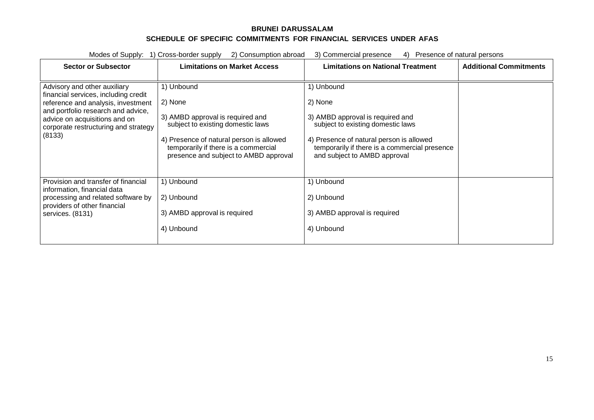| <b>Sector or Subsector</b>                                                                                                                                                                                                          | <b>Limitations on Market Access</b>                                                                                                                                                                                         | <b>Limitations on National Treatment</b>                                                                                                                                                                                    | <b>Additional Commitments</b> |
|-------------------------------------------------------------------------------------------------------------------------------------------------------------------------------------------------------------------------------------|-----------------------------------------------------------------------------------------------------------------------------------------------------------------------------------------------------------------------------|-----------------------------------------------------------------------------------------------------------------------------------------------------------------------------------------------------------------------------|-------------------------------|
| Advisory and other auxiliary<br>financial services, including credit<br>reference and analysis, investment<br>and portfolio research and advice,<br>advice on acquisitions and on<br>corporate restructuring and strategy<br>(8133) | 1) Unbound<br>2) None<br>3) AMBD approval is required and<br>subject to existing domestic laws<br>4) Presence of natural person is allowed<br>temporarily if there is a commercial<br>presence and subject to AMBD approval | 1) Unbound<br>2) None<br>3) AMBD approval is required and<br>subject to existing domestic laws<br>4) Presence of natural person is allowed<br>temporarily if there is a commercial presence<br>and subject to AMBD approval |                               |
| Provision and transfer of financial<br>information, financial data<br>processing and related software by<br>providers of other financial<br>services. (8131)                                                                        | 1) Unbound<br>2) Unbound<br>3) AMBD approval is required<br>4) Unbound                                                                                                                                                      | 1) Unbound<br>2) Unbound<br>3) AMBD approval is required<br>4) Unbound                                                                                                                                                      |                               |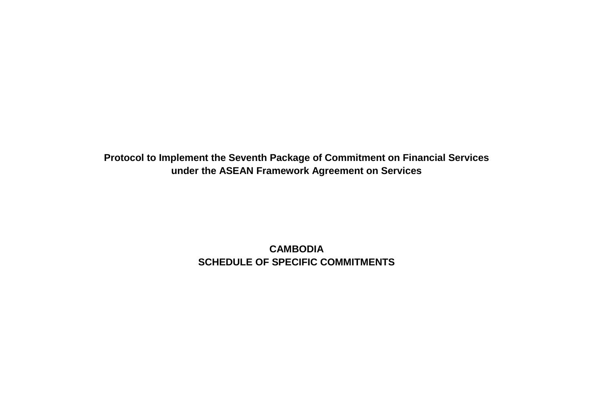**Protocol to Implement the Seventh Package of Commitment on Financial Services under the ASEAN Framework Agreement on Services**

> **CAMBODIA SCHEDULE OF SPECIFIC COMMITMENTS**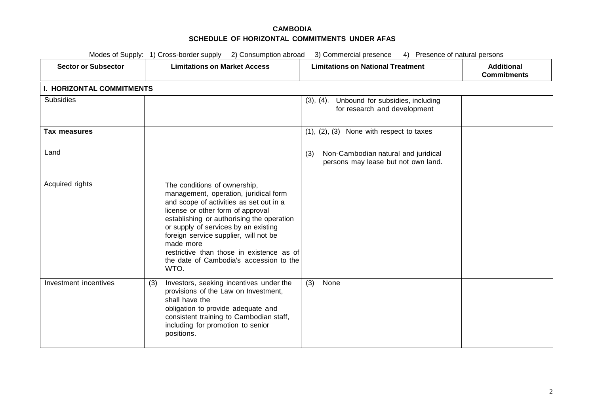| Modes of Supply: 1) Cross-border supply 2) Consumption abroad<br>3) Commercial presence<br>4) Presence of natural persons |                                                                                                                                                                                                                                                                                                                                                                                                  |                                                                                   |                                         |  |
|---------------------------------------------------------------------------------------------------------------------------|--------------------------------------------------------------------------------------------------------------------------------------------------------------------------------------------------------------------------------------------------------------------------------------------------------------------------------------------------------------------------------------------------|-----------------------------------------------------------------------------------|-----------------------------------------|--|
| <b>Sector or Subsector</b>                                                                                                | <b>Limitations on Market Access</b>                                                                                                                                                                                                                                                                                                                                                              | <b>Limitations on National Treatment</b>                                          | <b>Additional</b><br><b>Commitments</b> |  |
| <b>I. HORIZONTAL COMMITMENTS</b>                                                                                          |                                                                                                                                                                                                                                                                                                                                                                                                  |                                                                                   |                                         |  |
| <b>Subsidies</b>                                                                                                          |                                                                                                                                                                                                                                                                                                                                                                                                  | (3), (4). Unbound for subsidies, including<br>for research and development        |                                         |  |
| Tax measures                                                                                                              |                                                                                                                                                                                                                                                                                                                                                                                                  | $(1), (2), (3)$ None with respect to taxes                                        |                                         |  |
| Land                                                                                                                      |                                                                                                                                                                                                                                                                                                                                                                                                  | Non-Cambodian natural and juridical<br>(3)<br>persons may lease but not own land. |                                         |  |
| Acquired rights                                                                                                           | The conditions of ownership,<br>management, operation, juridical form<br>and scope of activities as set out in a<br>license or other form of approval<br>establishing or authorising the operation<br>or supply of services by an existing<br>foreign service supplier, will not be<br>made more<br>restrictive than those in existence as of<br>the date of Cambodia's accession to the<br>WTO. |                                                                                   |                                         |  |
| Investment incentives                                                                                                     | Investors, seeking incentives under the<br>(3)<br>provisions of the Law on Investment,<br>shall have the<br>obligation to provide adequate and<br>consistent training to Cambodian staff,<br>including for promotion to senior<br>positions.                                                                                                                                                     | None<br>(3)                                                                       |                                         |  |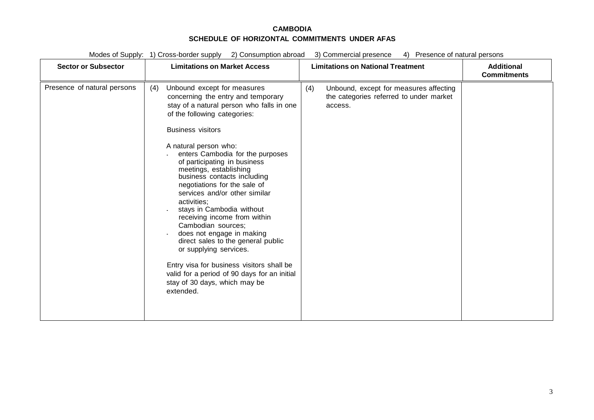| <b>Sector or Subsector</b>  | <b>Limitations on Market Access</b>                                                                                                                                                                                                                                                                                                                                                                                                                                                                                                                                                                                                                                                                                                                | <b>Limitations on National Treatment</b>                                                            | <b>Additional</b><br><b>Commitments</b> |
|-----------------------------|----------------------------------------------------------------------------------------------------------------------------------------------------------------------------------------------------------------------------------------------------------------------------------------------------------------------------------------------------------------------------------------------------------------------------------------------------------------------------------------------------------------------------------------------------------------------------------------------------------------------------------------------------------------------------------------------------------------------------------------------------|-----------------------------------------------------------------------------------------------------|-----------------------------------------|
| Presence of natural persons | Unbound except for measures<br>(4)<br>concerning the entry and temporary<br>stay of a natural person who falls in one<br>of the following categories:<br><b>Business visitors</b><br>A natural person who:<br>enters Cambodia for the purposes<br>of participating in business<br>meetings, establishing<br>business contacts including<br>negotiations for the sale of<br>services and/or other similar<br>activities;<br>stays in Cambodia without<br>receiving income from within<br>Cambodian sources;<br>does not engage in making<br>direct sales to the general public<br>or supplying services.<br>Entry visa for business visitors shall be<br>valid for a period of 90 days for an initial<br>stay of 30 days, which may be<br>extended. | (4)<br>Unbound, except for measures affecting<br>the categories referred to under market<br>access. |                                         |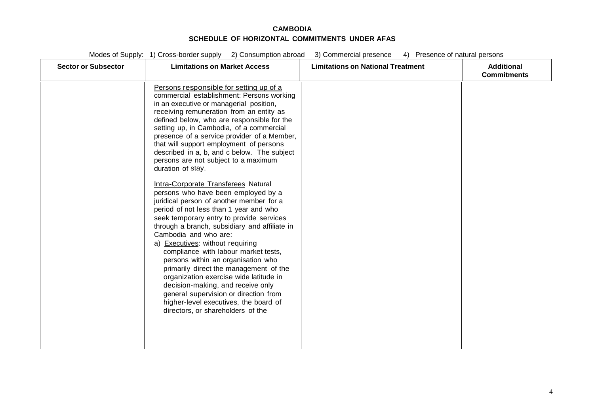| <b>Sector or Subsector</b> | <b>Limitations on Market Access</b>                                                                                                                                                                                                                                                                                                                                                                                                                                                                                                                                                                                                                                                                                                                                                                                                                                                                                                                                                                                                                                                                                                     | <b>Limitations on National Treatment</b> | <b>Additional</b><br><b>Commitments</b> |
|----------------------------|-----------------------------------------------------------------------------------------------------------------------------------------------------------------------------------------------------------------------------------------------------------------------------------------------------------------------------------------------------------------------------------------------------------------------------------------------------------------------------------------------------------------------------------------------------------------------------------------------------------------------------------------------------------------------------------------------------------------------------------------------------------------------------------------------------------------------------------------------------------------------------------------------------------------------------------------------------------------------------------------------------------------------------------------------------------------------------------------------------------------------------------------|------------------------------------------|-----------------------------------------|
|                            | Persons responsible for setting up of a<br>commercial establishment: Persons working<br>in an executive or managerial position,<br>receiving remuneration from an entity as<br>defined below, who are responsible for the<br>setting up, in Cambodia, of a commercial<br>presence of a service provider of a Member,<br>that will support employment of persons<br>described in a, b, and c below. The subject<br>persons are not subject to a maximum<br>duration of stay.<br>Intra-Corporate Transferees Natural<br>persons who have been employed by a<br>juridical person of another member for a<br>period of not less than 1 year and who<br>seek temporary entry to provide services<br>through a branch, subsidiary and affiliate in<br>Cambodia and who are:<br>a) Executives: without requiring<br>compliance with labour market tests,<br>persons within an organisation who<br>primarily direct the management of the<br>organization exercise wide latitude in<br>decision-making, and receive only<br>general supervision or direction from<br>higher-level executives, the board of<br>directors, or shareholders of the |                                          |                                         |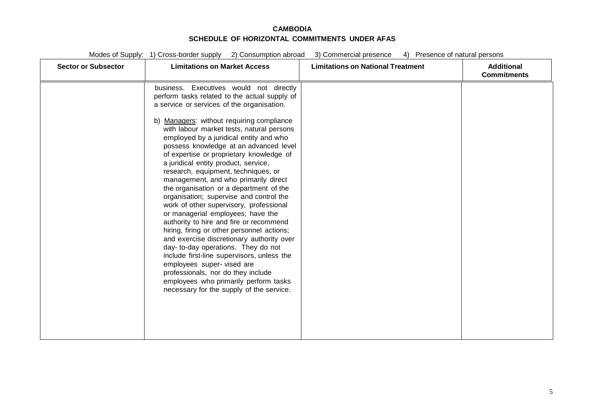| <b>Sector or Subsector</b> | <b>Limitations on Market Access</b>                                                                                                                                                                                                                                                                                                                                                                                                                                                                                                                                                                                                                                                                                                                                                                                                                                                                    | <b>Limitations on National Treatment</b> | <b>Additional</b><br><b>Commitments</b> |
|----------------------------|--------------------------------------------------------------------------------------------------------------------------------------------------------------------------------------------------------------------------------------------------------------------------------------------------------------------------------------------------------------------------------------------------------------------------------------------------------------------------------------------------------------------------------------------------------------------------------------------------------------------------------------------------------------------------------------------------------------------------------------------------------------------------------------------------------------------------------------------------------------------------------------------------------|------------------------------------------|-----------------------------------------|
|                            | business. Executives would not directly<br>perform tasks related to the actual supply of<br>a service or services of the organisation.                                                                                                                                                                                                                                                                                                                                                                                                                                                                                                                                                                                                                                                                                                                                                                 |                                          |                                         |
|                            | b) Managers: without requiring compliance<br>with labour market tests, natural persons<br>employed by a juridical entity and who<br>possess knowledge at an advanced level<br>of expertise or proprietary knowledge of<br>a juridical entity product, service,<br>research, equipment, techniques, or<br>management, and who primarily direct<br>the organisation or a department of the<br>organisation; supervise and control the<br>work of other supervisory, professional<br>or managerial employees; have the<br>authority to hire and fire or recommend<br>hiring, firing or other personnel actions;<br>and exercise discretionary authority over<br>day- to-day operations. They do not<br>include first-line supervisors, unless the<br>employees super-vised are<br>professionals, nor do they include<br>employees who primarily perform tasks<br>necessary for the supply of the service. |                                          |                                         |
|                            |                                                                                                                                                                                                                                                                                                                                                                                                                                                                                                                                                                                                                                                                                                                                                                                                                                                                                                        |                                          |                                         |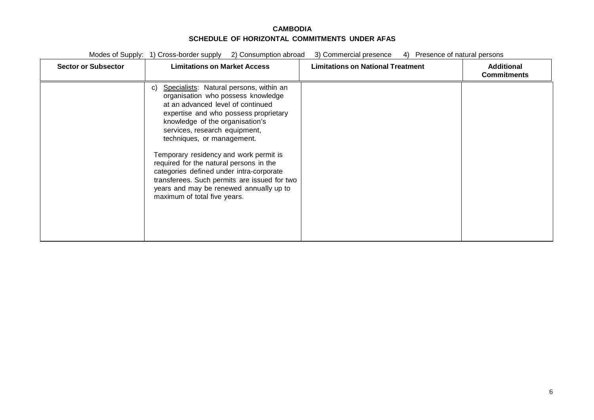| <b>Sector or Subsector</b> | <b>Limitations on Market Access</b>                                                                                                                                                                                                                                                                                                                                                                                                                                                                                             | <b>Limitations on National Treatment</b> | <b>Additional</b><br><b>Commitments</b> |
|----------------------------|---------------------------------------------------------------------------------------------------------------------------------------------------------------------------------------------------------------------------------------------------------------------------------------------------------------------------------------------------------------------------------------------------------------------------------------------------------------------------------------------------------------------------------|------------------------------------------|-----------------------------------------|
|                            | Specialists: Natural persons, within an<br>C)<br>organisation who possess knowledge<br>at an advanced level of continued<br>expertise and who possess proprietary<br>knowledge of the organisation's<br>services, research equipment,<br>techniques, or management.<br>Temporary residency and work permit is<br>required for the natural persons in the<br>categories defined under intra-corporate<br>transferees. Such permits are issued for two<br>years and may be renewed annually up to<br>maximum of total five years. |                                          |                                         |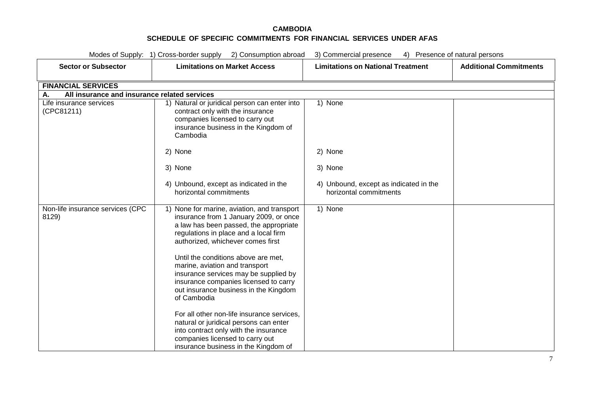| Modes of Supply: 1) Cross-border supply 2) Consumption abroad<br>3) Commercial presence<br>4) Presence of natural persons |                                                                                                                                                                                                                                                                                                                                                                                                                                                                                |                                                                  |                               |  |
|---------------------------------------------------------------------------------------------------------------------------|--------------------------------------------------------------------------------------------------------------------------------------------------------------------------------------------------------------------------------------------------------------------------------------------------------------------------------------------------------------------------------------------------------------------------------------------------------------------------------|------------------------------------------------------------------|-------------------------------|--|
| <b>Sector or Subsector</b>                                                                                                | <b>Limitations on Market Access</b>                                                                                                                                                                                                                                                                                                                                                                                                                                            | <b>Limitations on National Treatment</b>                         | <b>Additional Commitments</b> |  |
| <b>FINANCIAL SERVICES</b>                                                                                                 |                                                                                                                                                                                                                                                                                                                                                                                                                                                                                |                                                                  |                               |  |
| All insurance and insurance related services<br>Α.                                                                        |                                                                                                                                                                                                                                                                                                                                                                                                                                                                                |                                                                  |                               |  |
| Life insurance services<br>(CPC81211)                                                                                     | 1) Natural or juridical person can enter into<br>contract only with the insurance<br>companies licensed to carry out<br>insurance business in the Kingdom of<br>Cambodia                                                                                                                                                                                                                                                                                                       | 1) None                                                          |                               |  |
|                                                                                                                           | 2) None                                                                                                                                                                                                                                                                                                                                                                                                                                                                        | 2) None                                                          |                               |  |
|                                                                                                                           | 3) None                                                                                                                                                                                                                                                                                                                                                                                                                                                                        | 3) None                                                          |                               |  |
|                                                                                                                           | 4) Unbound, except as indicated in the<br>horizontal commitments                                                                                                                                                                                                                                                                                                                                                                                                               | 4) Unbound, except as indicated in the<br>horizontal commitments |                               |  |
| Non-life insurance services (CPC<br>8129)                                                                                 | 1) None for marine, aviation, and transport<br>insurance from 1 January 2009, or once<br>a law has been passed, the appropriate<br>regulations in place and a local firm<br>authorized, whichever comes first<br>Until the conditions above are met,<br>marine, aviation and transport<br>insurance services may be supplied by<br>insurance companies licensed to carry<br>out insurance business in the Kingdom<br>of Cambodia<br>For all other non-life insurance services, | 1) None                                                          |                               |  |
|                                                                                                                           | natural or juridical persons can enter<br>into contract only with the insurance<br>companies licensed to carry out<br>insurance business in the Kingdom of                                                                                                                                                                                                                                                                                                                     |                                                                  |                               |  |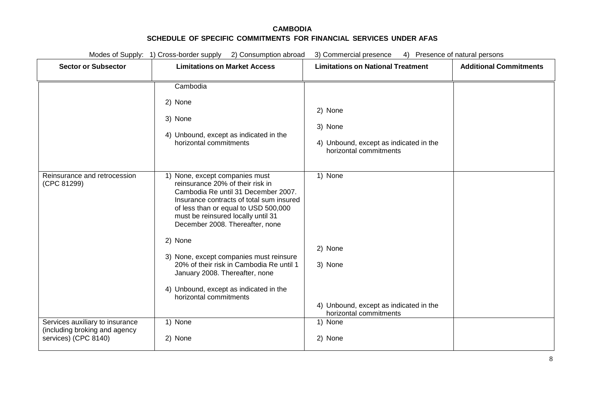|                                                                                          | Modes of Supply: 1) Cross-border supply 2) Consumption abroad                                                                                                                                                                                                                                                                                                                                                                                                                  | 3) Commercial presence<br>4) Presence of natural persons                               |                               |
|------------------------------------------------------------------------------------------|--------------------------------------------------------------------------------------------------------------------------------------------------------------------------------------------------------------------------------------------------------------------------------------------------------------------------------------------------------------------------------------------------------------------------------------------------------------------------------|----------------------------------------------------------------------------------------|-------------------------------|
| <b>Sector or Subsector</b>                                                               | <b>Limitations on Market Access</b>                                                                                                                                                                                                                                                                                                                                                                                                                                            | <b>Limitations on National Treatment</b>                                               | <b>Additional Commitments</b> |
|                                                                                          | Cambodia<br>2) None<br>3) None<br>4) Unbound, except as indicated in the<br>horizontal commitments                                                                                                                                                                                                                                                                                                                                                                             | 2) None<br>3) None<br>4) Unbound, except as indicated in the<br>horizontal commitments |                               |
| Reinsurance and retrocession<br>(CPC 81299)                                              | 1) None, except companies must<br>reinsurance 20% of their risk in<br>Cambodia Re until 31 December 2007.<br>Insurance contracts of total sum insured<br>of less than or equal to USD 500,000<br>must be reinsured locally until 31<br>December 2008. Thereafter, none<br>2) None<br>3) None, except companies must reinsure<br>20% of their risk in Cambodia Re until 1<br>January 2008. Thereafter, none<br>4) Unbound, except as indicated in the<br>horizontal commitments | 1) None<br>2) None<br>3) None<br>4) Unbound, except as indicated in the                |                               |
| Services auxiliary to insurance<br>(including broking and agency<br>services) (CPC 8140) | 1) None<br>2) None                                                                                                                                                                                                                                                                                                                                                                                                                                                             | horizontal commitments<br>1) None<br>2) None                                           |                               |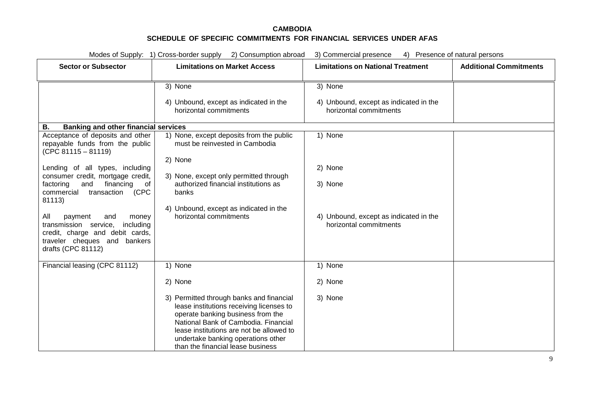|                                                                                                                                                                                                                                                                                                                             | Modes of Supply: 1) Cross-border supply 2) Consumption abroad                                                                                                                                                                       | 3) Commercial presence<br>4) Presence of natural persons                               |                               |
|-----------------------------------------------------------------------------------------------------------------------------------------------------------------------------------------------------------------------------------------------------------------------------------------------------------------------------|-------------------------------------------------------------------------------------------------------------------------------------------------------------------------------------------------------------------------------------|----------------------------------------------------------------------------------------|-------------------------------|
| <b>Sector or Subsector</b>                                                                                                                                                                                                                                                                                                  | <b>Limitations on Market Access</b>                                                                                                                                                                                                 | <b>Limitations on National Treatment</b>                                               | <b>Additional Commitments</b> |
|                                                                                                                                                                                                                                                                                                                             | 3) None<br>4) Unbound, except as indicated in the<br>horizontal commitments                                                                                                                                                         | 3) None<br>4) Unbound, except as indicated in the<br>horizontal commitments            |                               |
| <b>Banking and other financial services</b><br>В.                                                                                                                                                                                                                                                                           |                                                                                                                                                                                                                                     |                                                                                        |                               |
| Acceptance of deposits and other<br>repayable funds from the public<br>$(CPC 81115 - 81119)$                                                                                                                                                                                                                                | 1) None, except deposits from the public<br>must be reinvested in Cambodia                                                                                                                                                          | 1) None                                                                                |                               |
| Lending of all types, including<br>consumer credit, mortgage credit,<br>financing<br>factoring<br>and<br>of<br>transaction<br>(CPC<br>commercial<br>81113)<br>All<br>payment<br>and<br>money<br>transmission service,<br>including<br>credit, charge and debit cards,<br>traveler cheques and bankers<br>drafts (CPC 81112) | 2) None<br>3) None, except only permitted through<br>authorized financial institutions as<br>banks<br>4) Unbound, except as indicated in the<br>horizontal commitments                                                              | 2) None<br>3) None<br>4) Unbound, except as indicated in the<br>horizontal commitments |                               |
| Financial leasing (CPC 81112)                                                                                                                                                                                                                                                                                               | 1) None<br>2) None<br>3) Permitted through banks and financial<br>lease institutions receiving licenses to<br>operate banking business from the<br>National Bank of Cambodia. Financial<br>lease institutions are not be allowed to | 1) None<br>2) None<br>3) None                                                          |                               |
|                                                                                                                                                                                                                                                                                                                             | undertake banking operations other<br>than the financial lease business                                                                                                                                                             |                                                                                        |                               |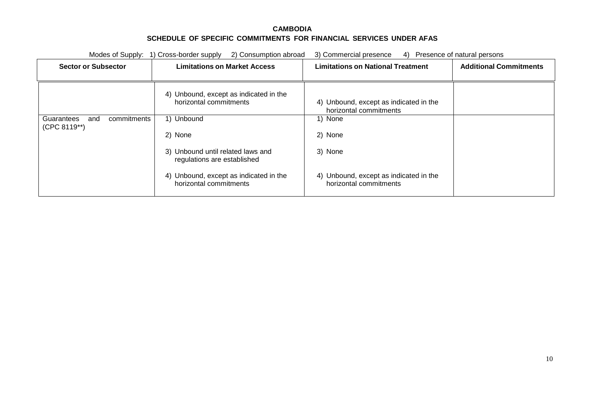| Modes of Supply: 1) Cross-border supply<br>2) Consumption abroad |                                                                  | 3) Commercial presence<br>4)<br>Presence of natural persons      |                               |
|------------------------------------------------------------------|------------------------------------------------------------------|------------------------------------------------------------------|-------------------------------|
| <b>Sector or Subsector</b>                                       | <b>Limitations on Market Access</b>                              | <b>Limitations on National Treatment</b>                         | <b>Additional Commitments</b> |
|                                                                  | 4) Unbound, except as indicated in the<br>horizontal commitments | 4) Unbound, except as indicated in the<br>horizontal commitments |                               |
| Guarantees<br>commitments<br>and                                 | 1) Unbound                                                       | 1) None                                                          |                               |
| (CPC 8119**)                                                     | 2) None                                                          | 2) None                                                          |                               |
|                                                                  | 3) Unbound until related laws and<br>regulations are established | 3) None                                                          |                               |
|                                                                  | 4) Unbound, except as indicated in the<br>horizontal commitments | 4) Unbound, except as indicated in the<br>horizontal commitments |                               |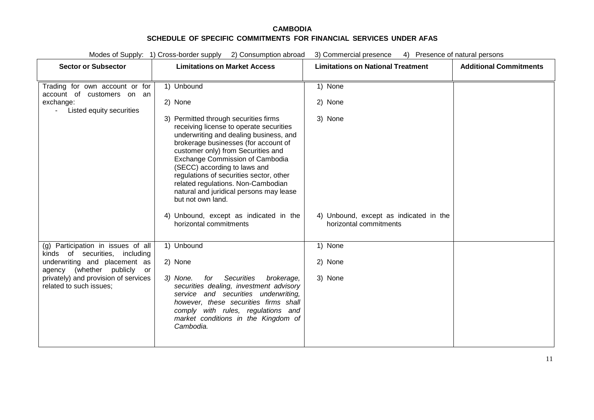| Modes of Supply: 1) Cross-border supply 2) Consumption abroad<br>3) Commercial presence<br>4) Presence of natural persons |                                                                                                                                                                                                                                                                                                                                                                                                                              |                                                                  |                               |
|---------------------------------------------------------------------------------------------------------------------------|------------------------------------------------------------------------------------------------------------------------------------------------------------------------------------------------------------------------------------------------------------------------------------------------------------------------------------------------------------------------------------------------------------------------------|------------------------------------------------------------------|-------------------------------|
| <b>Sector or Subsector</b>                                                                                                | <b>Limitations on Market Access</b>                                                                                                                                                                                                                                                                                                                                                                                          | <b>Limitations on National Treatment</b>                         | <b>Additional Commitments</b> |
| Trading for own account or for<br>account of customers on an                                                              | 1) Unbound                                                                                                                                                                                                                                                                                                                                                                                                                   | 1) None                                                          |                               |
| exchange:<br>Listed equity securities<br>$\sim 100$                                                                       | 2) None                                                                                                                                                                                                                                                                                                                                                                                                                      | 2) None                                                          |                               |
|                                                                                                                           | 3) Permitted through securities firms<br>receiving license to operate securities<br>underwriting and dealing business, and<br>brokerage businesses (for account of<br>customer only) from Securities and<br>Exchange Commission of Cambodia<br>(SECC) according to laws and<br>regulations of securities sector, other<br>related regulations. Non-Cambodian<br>natural and juridical persons may lease<br>but not own land. | 3) None                                                          |                               |
|                                                                                                                           | 4) Unbound, except as indicated in the<br>horizontal commitments                                                                                                                                                                                                                                                                                                                                                             | 4) Unbound, except as indicated in the<br>horizontal commitments |                               |
| (g) Participation in issues of all<br>kinds of securities, including                                                      | 1) Unbound                                                                                                                                                                                                                                                                                                                                                                                                                   | 1) None                                                          |                               |
| underwriting and placement as<br>agency (whether publicly or                                                              | 2) None                                                                                                                                                                                                                                                                                                                                                                                                                      | 2) None                                                          |                               |
| privately) and provision of services<br>related to such issues;                                                           | 3) None.<br>Securities<br>brokerage,<br>for<br>securities dealing, investment advisory<br>service and securities underwriting,<br>however, these securities firms shall<br>comply with rules, regulations and<br>market conditions in the Kingdom of<br>Cambodia.                                                                                                                                                            | 3) None                                                          |                               |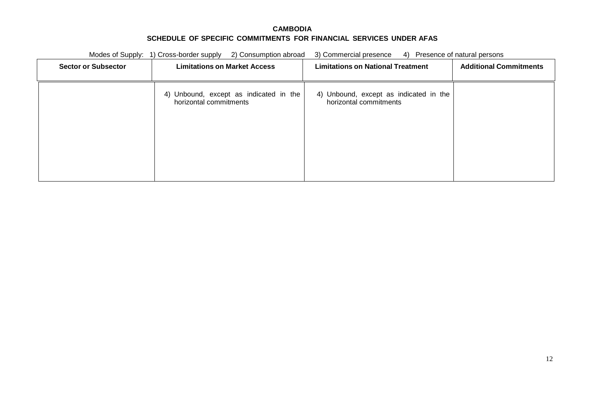| Modes of Supply: 1) Cross-border supply<br>2) Consumption abroad |                                                                  | 4) Presence of natural persons<br>3) Commercial presence         |                               |
|------------------------------------------------------------------|------------------------------------------------------------------|------------------------------------------------------------------|-------------------------------|
| <b>Sector or Subsector</b>                                       | <b>Limitations on Market Access</b>                              | <b>Limitations on National Treatment</b>                         | <b>Additional Commitments</b> |
|                                                                  | 4) Unbound, except as indicated in the<br>horizontal commitments | 4) Unbound, except as indicated in the<br>horizontal commitments |                               |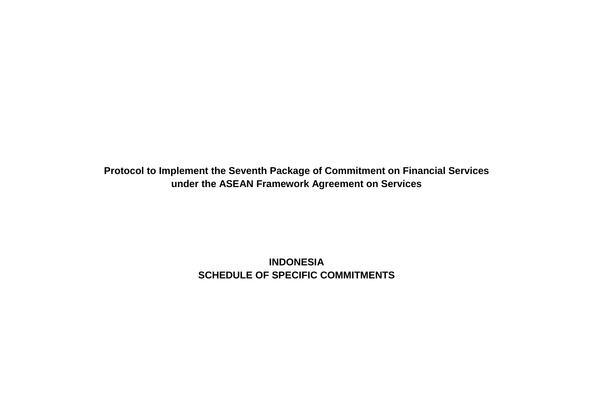**Protocol to Implement the Seventh Package of Commitment on Financial Services under the ASEAN Framework Agreement on Services**

> **INDONESIA SCHEDULE OF SPECIFIC COMMITMENTS**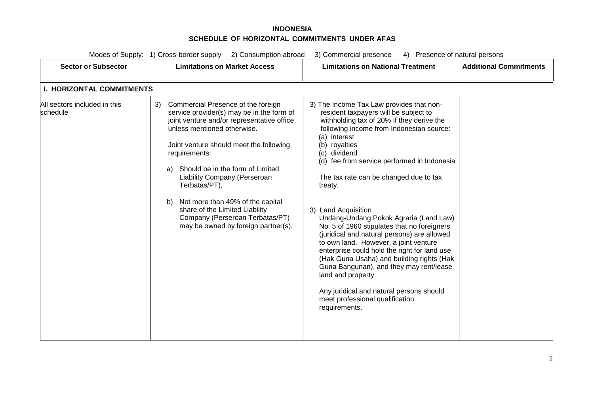# **INDONESIA SCHEDULE OF HORIZONTAL COMMITMENTS UNDER AFAS**

| Modes of Supply: 1) Cross-border supply<br>2) Consumption abroad<br>Presence of natural persons<br>3) Commercial presence<br>4)                                                                                                                                                                                                                                                                                                                                                  |                                                                                                                                                                                                                                                                                                                                                                                                                                                                                                                                                                                                                                                                                                                                                                                                       |                               |
|----------------------------------------------------------------------------------------------------------------------------------------------------------------------------------------------------------------------------------------------------------------------------------------------------------------------------------------------------------------------------------------------------------------------------------------------------------------------------------|-------------------------------------------------------------------------------------------------------------------------------------------------------------------------------------------------------------------------------------------------------------------------------------------------------------------------------------------------------------------------------------------------------------------------------------------------------------------------------------------------------------------------------------------------------------------------------------------------------------------------------------------------------------------------------------------------------------------------------------------------------------------------------------------------------|-------------------------------|
| <b>Limitations on Market Access</b>                                                                                                                                                                                                                                                                                                                                                                                                                                              | <b>Limitations on National Treatment</b>                                                                                                                                                                                                                                                                                                                                                                                                                                                                                                                                                                                                                                                                                                                                                              | <b>Additional Commitments</b> |
| <b>I. HORIZONTAL COMMITMENTS</b>                                                                                                                                                                                                                                                                                                                                                                                                                                                 |                                                                                                                                                                                                                                                                                                                                                                                                                                                                                                                                                                                                                                                                                                                                                                                                       |                               |
| Commercial Presence of the foreign<br>3)<br>service provider(s) may be in the form of<br>joint venture and/or representative office,<br>unless mentioned otherwise.<br>Joint venture should meet the following<br>requirements:<br>Should be in the form of Limited<br>a)<br>Liability Company (Perseroan<br>Terbatas/PT),<br>Not more than 49% of the capital<br>b)<br>share of the Limited Liability<br>Company (Perseroan Terbatas/PT)<br>may be owned by foreign partner(s). | 3) The Income Tax Law provides that non-<br>resident taxpayers will be subject to<br>withholding tax of 20% if they derive the<br>following income from Indonesian source:<br>(a) interest<br>(b) royalties<br>(c) dividend<br>(d) fee from service performed in Indonesia<br>The tax rate can be changed due to tax<br>treaty.<br>3) Land Acquisition<br>Undang-Undang Pokok Agraria (Land Law)<br>No. 5 of 1960 stipulates that no foreigners<br>(juridical and natural persons) are allowed<br>to own land. However, a joint venture<br>enterprise could hold the right for land use<br>(Hak Guna Usaha) and building rights (Hak<br>Guna Bangunan), and they may rent/lease<br>land and property.<br>Any juridical and natural persons should<br>meet professional qualification<br>requirements. |                               |
|                                                                                                                                                                                                                                                                                                                                                                                                                                                                                  |                                                                                                                                                                                                                                                                                                                                                                                                                                                                                                                                                                                                                                                                                                                                                                                                       |                               |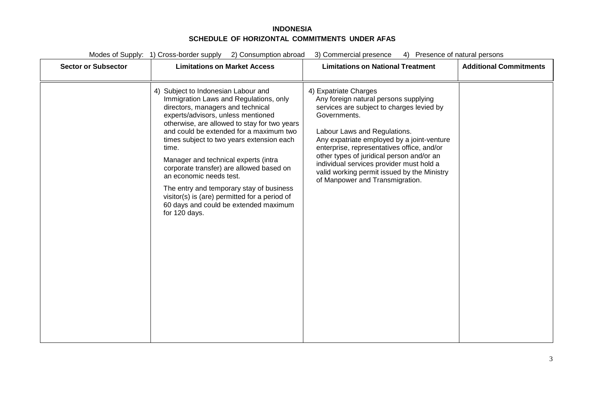### **INDONESIA SCHEDULE OF HORIZONTAL COMMITMENTS UNDER AFAS**

| Modes of Supply: 1) Cross-border supply<br>2) Consumption abroad<br>3) Commercial presence<br>4) Presence of natural persons |                                                                                                                                                                                                                                                                                                                                                                                                                                                                                                                                                                                 |                                                                                                                                                                                                                                                                                                                                                                                                                                    |                               |
|------------------------------------------------------------------------------------------------------------------------------|---------------------------------------------------------------------------------------------------------------------------------------------------------------------------------------------------------------------------------------------------------------------------------------------------------------------------------------------------------------------------------------------------------------------------------------------------------------------------------------------------------------------------------------------------------------------------------|------------------------------------------------------------------------------------------------------------------------------------------------------------------------------------------------------------------------------------------------------------------------------------------------------------------------------------------------------------------------------------------------------------------------------------|-------------------------------|
| <b>Sector or Subsector</b>                                                                                                   | <b>Limitations on Market Access</b>                                                                                                                                                                                                                                                                                                                                                                                                                                                                                                                                             | <b>Limitations on National Treatment</b>                                                                                                                                                                                                                                                                                                                                                                                           | <b>Additional Commitments</b> |
|                                                                                                                              | 4) Subject to Indonesian Labour and<br>Immigration Laws and Regulations, only<br>directors, managers and technical<br>experts/advisors, unless mentioned<br>otherwise, are allowed to stay for two years<br>and could be extended for a maximum two<br>times subject to two years extension each<br>time.<br>Manager and technical experts (intra<br>corporate transfer) are allowed based on<br>an economic needs test.<br>The entry and temporary stay of business<br>visitor(s) is (are) permitted for a period of<br>60 days and could be extended maximum<br>for 120 days. | 4) Expatriate Charges<br>Any foreign natural persons supplying<br>services are subject to charges levied by<br>Governments.<br>Labour Laws and Regulations.<br>Any expatriate employed by a joint-venture<br>enterprise, representatives office, and/or<br>other types of juridical person and/or an<br>individual services provider must hold a<br>valid working permit issued by the Ministry<br>of Manpower and Transmigration. |                               |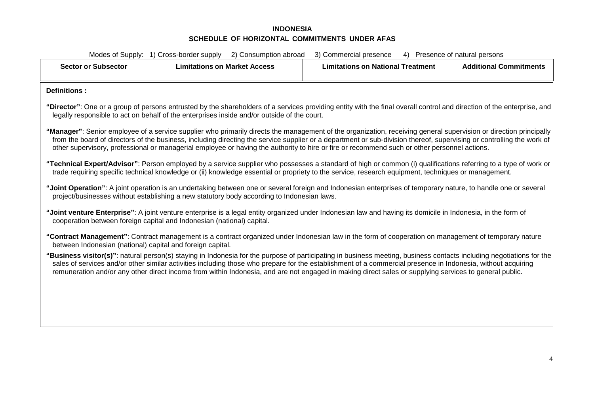# **INDONESIA SCHEDULE OF HORIZONTAL COMMITMENTS UNDER AFAS**

| Modes of Supply: 1) Cross-border supply<br>2) Consumption abroad<br>3) Commercial presence<br>4) Presence of natural persons                                                                                                                                                                                                                                                                                                                                                                   |                                                                                                                                                                                                                                                                       |                                          |                               |  |
|------------------------------------------------------------------------------------------------------------------------------------------------------------------------------------------------------------------------------------------------------------------------------------------------------------------------------------------------------------------------------------------------------------------------------------------------------------------------------------------------|-----------------------------------------------------------------------------------------------------------------------------------------------------------------------------------------------------------------------------------------------------------------------|------------------------------------------|-------------------------------|--|
| <b>Sector or Subsector</b>                                                                                                                                                                                                                                                                                                                                                                                                                                                                     | <b>Limitations on Market Access</b>                                                                                                                                                                                                                                   | <b>Limitations on National Treatment</b> | <b>Additional Commitments</b> |  |
| Definitions:                                                                                                                                                                                                                                                                                                                                                                                                                                                                                   |                                                                                                                                                                                                                                                                       |                                          |                               |  |
|                                                                                                                                                                                                                                                                                                                                                                                                                                                                                                | "Director": One or a group of persons entrusted by the shareholders of a services providing entity with the final overall control and direction of the enterprise, and<br>legally responsible to act on behalf of the enterprises inside and/or outside of the court. |                                          |                               |  |
| "Manager": Senior employee of a service supplier who primarily directs the management of the organization, receiving general supervision or direction principally<br>from the board of directors of the business, including directing the service supplier or a department or sub-division thereof, supervising or controlling the work of<br>other supervisory, professional or managerial employee or having the authority to hire or fire or recommend such or other personnel actions.     |                                                                                                                                                                                                                                                                       |                                          |                               |  |
| "Technical Expert/Advisor": Person employed by a service supplier who possesses a standard of high or common (i) qualifications referring to a type of work or<br>trade requiring specific technical knowledge or (ii) knowledge essential or propriety to the service, research equipment, techniques or management.                                                                                                                                                                          |                                                                                                                                                                                                                                                                       |                                          |                               |  |
| "Joint Operation": A joint operation is an undertaking between one or several foreign and Indonesian enterprises of temporary nature, to handle one or several<br>project/businesses without establishing a new statutory body according to Indonesian laws.                                                                                                                                                                                                                                   |                                                                                                                                                                                                                                                                       |                                          |                               |  |
| "Joint venture Enterprise": A joint venture enterprise is a legal entity organized under Indonesian law and having its domicile in Indonesia, in the form of<br>cooperation between foreign capital and Indonesian (national) capital.                                                                                                                                                                                                                                                         |                                                                                                                                                                                                                                                                       |                                          |                               |  |
| "Contract Management": Contract management is a contract organized under Indonesian law in the form of cooperation on management of temporary nature<br>between Indonesian (national) capital and foreign capital.                                                                                                                                                                                                                                                                             |                                                                                                                                                                                                                                                                       |                                          |                               |  |
| "Business visitor(s)": natural person(s) staying in Indonesia for the purpose of participating in business meeting, business contacts including negotiations for the<br>sales of services and/or other similar activities including those who prepare for the establishment of a commercial presence in Indonesia, without acquiring<br>remuneration and/or any other direct income from within Indonesia, and are not engaged in making direct sales or supplying services to general public. |                                                                                                                                                                                                                                                                       |                                          |                               |  |
|                                                                                                                                                                                                                                                                                                                                                                                                                                                                                                |                                                                                                                                                                                                                                                                       |                                          |                               |  |
|                                                                                                                                                                                                                                                                                                                                                                                                                                                                                                |                                                                                                                                                                                                                                                                       |                                          |                               |  |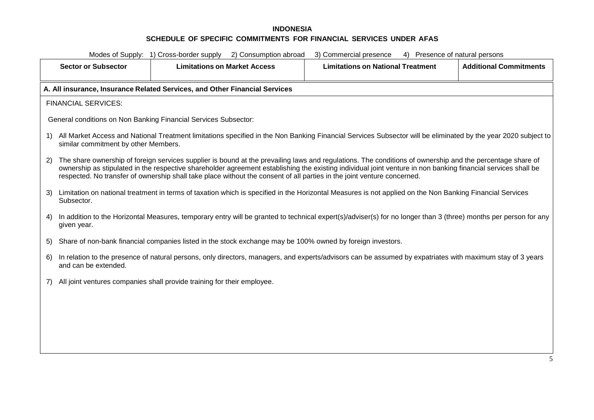| Modes of Supply: 1) Cross-border supply 2) Consumption abroad<br>3) Commercial presence<br>4) Presence of natural persons                                                                                                                                                                                                                                                                                                                                   |                                                                                                                                                                                                       |                                          |                               |  |  |
|-------------------------------------------------------------------------------------------------------------------------------------------------------------------------------------------------------------------------------------------------------------------------------------------------------------------------------------------------------------------------------------------------------------------------------------------------------------|-------------------------------------------------------------------------------------------------------------------------------------------------------------------------------------------------------|------------------------------------------|-------------------------------|--|--|
| <b>Sector or Subsector</b>                                                                                                                                                                                                                                                                                                                                                                                                                                  | <b>Limitations on Market Access</b>                                                                                                                                                                   | <b>Limitations on National Treatment</b> | <b>Additional Commitments</b> |  |  |
|                                                                                                                                                                                                                                                                                                                                                                                                                                                             | A. All insurance, Insurance Related Services, and Other Financial Services                                                                                                                            |                                          |                               |  |  |
| <b>FINANCIAL SERVICES:</b>                                                                                                                                                                                                                                                                                                                                                                                                                                  |                                                                                                                                                                                                       |                                          |                               |  |  |
|                                                                                                                                                                                                                                                                                                                                                                                                                                                             | General conditions on Non Banking Financial Services Subsector:                                                                                                                                       |                                          |                               |  |  |
| 1)                                                                                                                                                                                                                                                                                                                                                                                                                                                          | All Market Access and National Treatment limitations specified in the Non Banking Financial Services Subsector will be eliminated by the year 2020 subject to<br>similar commitment by other Members. |                                          |                               |  |  |
| The share ownership of foreign services supplier is bound at the prevailing laws and regulations. The conditions of ownership and the percentage share of<br>2)<br>ownership as stipulated in the respective shareholder agreement establishing the existing individual joint venture in non banking financial services shall be<br>respected. No transfer of ownership shall take place without the consent of all parties in the joint venture concerned. |                                                                                                                                                                                                       |                                          |                               |  |  |
| 3)<br>Subsector.                                                                                                                                                                                                                                                                                                                                                                                                                                            | Limitation on national treatment in terms of taxation which is specified in the Horizontal Measures is not applied on the Non Banking Financial Services                                              |                                          |                               |  |  |
| In addition to the Horizontal Measures, temporary entry will be granted to technical expert(s)/adviser(s) for no longer than 3 (three) months per person for any<br>4)<br>given year.                                                                                                                                                                                                                                                                       |                                                                                                                                                                                                       |                                          |                               |  |  |
| 5)                                                                                                                                                                                                                                                                                                                                                                                                                                                          | Share of non-bank financial companies listed in the stock exchange may be 100% owned by foreign investors.                                                                                            |                                          |                               |  |  |
| In relation to the presence of natural persons, only directors, managers, and experts/advisors can be assumed by expatriates with maximum stay of 3 years<br>6)<br>and can be extended.                                                                                                                                                                                                                                                                     |                                                                                                                                                                                                       |                                          |                               |  |  |
| All joint ventures companies shall provide training for their employee.<br>7)                                                                                                                                                                                                                                                                                                                                                                               |                                                                                                                                                                                                       |                                          |                               |  |  |
|                                                                                                                                                                                                                                                                                                                                                                                                                                                             |                                                                                                                                                                                                       |                                          |                               |  |  |
|                                                                                                                                                                                                                                                                                                                                                                                                                                                             |                                                                                                                                                                                                       |                                          |                               |  |  |
|                                                                                                                                                                                                                                                                                                                                                                                                                                                             |                                                                                                                                                                                                       |                                          |                               |  |  |
|                                                                                                                                                                                                                                                                                                                                                                                                                                                             |                                                                                                                                                                                                       |                                          |                               |  |  |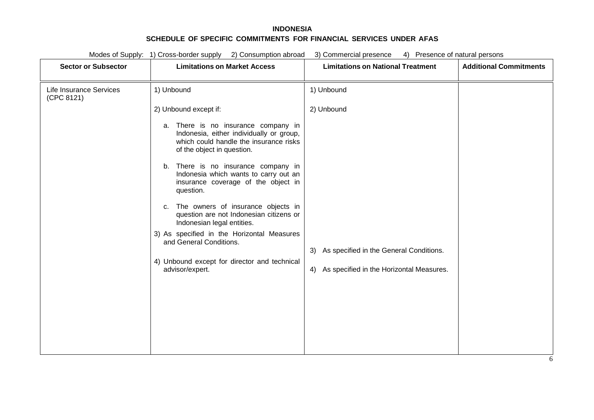| <b>Sector or Subsector</b>            | <b>Limitations on Market Access</b>                                                                                                                                                                                                                                                                                               | <b>Limitations on National Treatment</b>                                                  | <b>Additional Commitments</b> |
|---------------------------------------|-----------------------------------------------------------------------------------------------------------------------------------------------------------------------------------------------------------------------------------------------------------------------------------------------------------------------------------|-------------------------------------------------------------------------------------------|-------------------------------|
| Life Insurance Services<br>(CPC 8121) | 1) Unbound                                                                                                                                                                                                                                                                                                                        | 1) Unbound                                                                                |                               |
|                                       | 2) Unbound except if:<br>a. There is no insurance company in<br>Indonesia, either individually or group,<br>which could handle the insurance risks                                                                                                                                                                                | 2) Unbound                                                                                |                               |
|                                       | of the object in question.<br>b. There is no insurance company in<br>Indonesia which wants to carry out an<br>insurance coverage of the object in<br>question.<br>The owners of insurance objects in<br>C.<br>question are not Indonesian citizens or<br>Indonesian legal entities.<br>3) As specified in the Horizontal Measures |                                                                                           |                               |
|                                       | and General Conditions.<br>4) Unbound except for director and technical<br>advisor/expert.                                                                                                                                                                                                                                        | 3) As specified in the General Conditions.<br>4) As specified in the Horizontal Measures. |                               |
|                                       |                                                                                                                                                                                                                                                                                                                                   |                                                                                           |                               |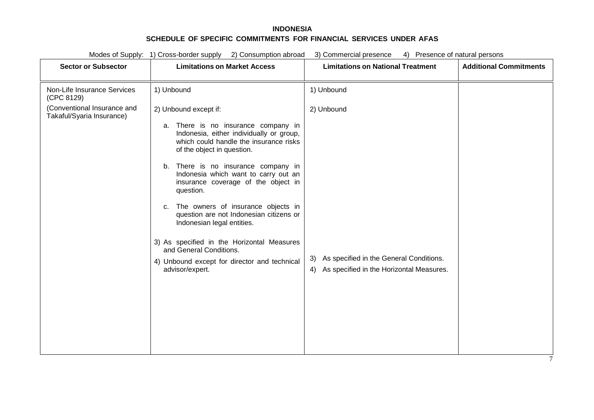Modes of Supply: 1) Cross-border supply 2) Consumption abroad 3) Commercial presence 4) Presence of natural persons **Sector or Subsector Limitations on Market Access Limitations on National Treatment Additional Commitments** Non-Life Insurance Services (CPC 8129) (Conventional Insurance and Takaful/Syaria Insurance) 1) Unbound 2) Unbound except if: a. There is no insurance company in Indonesia, either individually or group, which could handle the insurance risks of the object in question. b. There is no insurance company in Indonesia which want to carry out an insurance coverage of the object in question. c. The owners of insurance objects in question are not Indonesian citizens or Indonesian legal entities. 3) As specified in the Horizontal Measures and General Conditions. 4) Unbound except for director and technical advisor/expert. 1) Unbound 2) Unbound 3) As specified in the General Conditions. 4) As specified in the Horizontal Measures.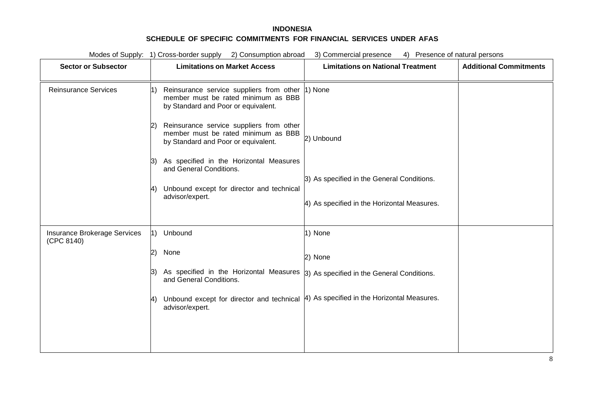| Modes of Supply: 1) Cross-border supply 2) Consumption abroad<br>3) Commercial presence<br>4) Presence of natural persons |                                                                                                                            |                                             |                               |
|---------------------------------------------------------------------------------------------------------------------------|----------------------------------------------------------------------------------------------------------------------------|---------------------------------------------|-------------------------------|
| <b>Sector or Subsector</b>                                                                                                | <b>Limitations on Market Access</b>                                                                                        | <b>Limitations on National Treatment</b>    | <b>Additional Commitments</b> |
| <b>Reinsurance Services</b>                                                                                               | Reinsurance service suppliers from other<br>member must be rated minimum as BBB<br>by Standard and Poor or equivalent.     | 1) None                                     |                               |
|                                                                                                                           | Reinsurance service suppliers from other<br>member must be rated minimum as BBB<br>by Standard and Poor or equivalent.     | 2) Unbound                                  |                               |
|                                                                                                                           | As specified in the Horizontal Measures<br>13)<br>and General Conditions.<br>Unbound except for director and technical     | 3) As specified in the General Conditions.  |                               |
|                                                                                                                           | advisor/expert.                                                                                                            | 4) As specified in the Horizontal Measures. |                               |
| Insurance Brokerage Services<br>(CPC 8140)                                                                                | 1) Unbound                                                                                                                 | 1) None                                     |                               |
|                                                                                                                           | None<br>2)                                                                                                                 | 2) None                                     |                               |
|                                                                                                                           | As specified in the Horizontal Measures $\beta$ ) As specified in the General Conditions.<br>3)<br>and General Conditions. |                                             |                               |
|                                                                                                                           | Unbound except for director and technical<br>advisor/expert.                                                               | 4) As specified in the Horizontal Measures. |                               |
|                                                                                                                           |                                                                                                                            |                                             |                               |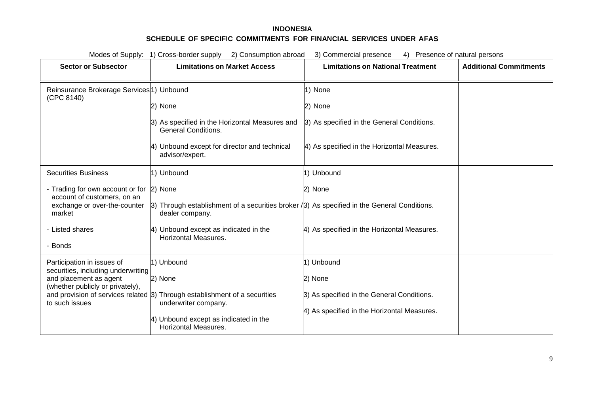| Modes of Supply: 1) Cross-border supply<br>2) Consumption abroad<br>3) Commercial presence<br>4) Presence of natural persons |                                                                                                                 |                                             |                               |  |
|------------------------------------------------------------------------------------------------------------------------------|-----------------------------------------------------------------------------------------------------------------|---------------------------------------------|-------------------------------|--|
| <b>Sector or Subsector</b>                                                                                                   | <b>Limitations on Market Access</b>                                                                             | <b>Limitations on National Treatment</b>    | <b>Additional Commitments</b> |  |
|                                                                                                                              |                                                                                                                 |                                             |                               |  |
| Reinsurance Brokerage Services <sup>1</sup> ) Unbound<br>(CPC 8140)                                                          |                                                                                                                 | 1) None                                     |                               |  |
|                                                                                                                              | 2) None                                                                                                         | 2) None                                     |                               |  |
|                                                                                                                              | 3) As specified in the Horizontal Measures and<br><b>General Conditions.</b>                                    | 3) As specified in the General Conditions.  |                               |  |
|                                                                                                                              | Unbound except for director and technical<br>advisor/expert.                                                    | 4) As specified in the Horizontal Measures. |                               |  |
| <b>Securities Business</b>                                                                                                   | 1) Unbound                                                                                                      | 1) Unbound                                  |                               |  |
| - Trading for own account or for 2) None                                                                                     |                                                                                                                 | 2) None                                     |                               |  |
| account of customers, on an<br>exchange or over-the-counter<br>market                                                        | [3] Through establishment of a securities broker (3) As specified in the General Conditions.<br>dealer company. |                                             |                               |  |
| - Listed shares                                                                                                              | Unbound except as indicated in the<br><b>Horizontal Measures.</b>                                               | 4) As specified in the Horizontal Measures. |                               |  |
| - Bonds                                                                                                                      |                                                                                                                 |                                             |                               |  |
| Participation in issues of<br>securities, including underwriting                                                             | 1) Unbound                                                                                                      | 1) Unbound                                  |                               |  |
| and placement as agent<br>(whether publicly or privately),                                                                   | 2) None                                                                                                         | 2) None                                     |                               |  |
| to such issues                                                                                                               | and provision of services related $ 3 $ Through establishment of a securities<br>underwriter company.           | 3) As specified in the General Conditions.  |                               |  |
|                                                                                                                              |                                                                                                                 | 4) As specified in the Horizontal Measures. |                               |  |
|                                                                                                                              | 4) Unbound except as indicated in the<br><b>Horizontal Measures.</b>                                            |                                             |                               |  |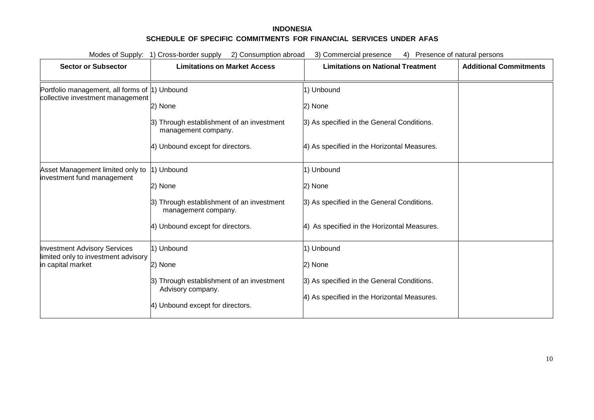| Modes of Supply: 1) Cross-border supply<br>3) Commercial presence<br>2) Consumption abroad<br>Presence of natural persons<br>4) |                                                                  |                                             |                               |
|---------------------------------------------------------------------------------------------------------------------------------|------------------------------------------------------------------|---------------------------------------------|-------------------------------|
| <b>Sector or Subsector</b>                                                                                                      | <b>Limitations on Market Access</b>                              | <b>Limitations on National Treatment</b>    | <b>Additional Commitments</b> |
| Portfolio management, all forms of  1) Unbound<br>collective investment management                                              |                                                                  | 1) Unbound                                  |                               |
|                                                                                                                                 | 2) None                                                          | 2) None                                     |                               |
|                                                                                                                                 | 3) Through establishment of an investment<br>management company. | 3) As specified in the General Conditions.  |                               |
|                                                                                                                                 | 4) Unbound except for directors.                                 | 4) As specified in the Horizontal Measures. |                               |
| Asset Management limited only to                                                                                                | 1) Unbound                                                       | 1) Unbound                                  |                               |
| investment fund management                                                                                                      | 2) None                                                          | 2) None                                     |                               |
|                                                                                                                                 | 3) Through establishment of an investment<br>management company. | 3) As specified in the General Conditions.  |                               |
|                                                                                                                                 | 4) Unbound except for directors.                                 | 4) As specified in the Horizontal Measures. |                               |
| <b>Investment Advisory Services</b>                                                                                             | 1) Unbound                                                       | 1) Unbound                                  |                               |
| limited only to investment advisory<br>in capital market                                                                        | 2) None                                                          | 2) None                                     |                               |
|                                                                                                                                 | 3) Through establishment of an investment                        | 3) As specified in the General Conditions.  |                               |
|                                                                                                                                 | Advisory company.<br>4) Unbound except for directors.            | 4) As specified in the Horizontal Measures. |                               |
|                                                                                                                                 |                                                                  |                                             |                               |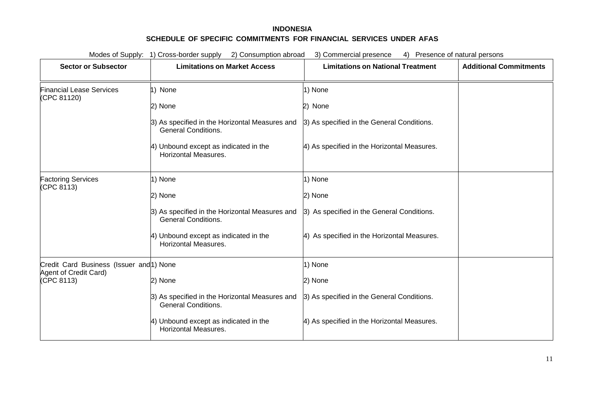| Modes of Supply: 1) Cross-border supply 2) Consumption abroad<br>3) Commercial presence<br>4) Presence of natural persons |                                                                              |                                             |                               |  |
|---------------------------------------------------------------------------------------------------------------------------|------------------------------------------------------------------------------|---------------------------------------------|-------------------------------|--|
| <b>Sector or Subsector</b>                                                                                                | <b>Limitations on Market Access</b>                                          | <b>Limitations on National Treatment</b>    | <b>Additional Commitments</b> |  |
| <b>Financial Lease Services</b><br>(CPC 81120)                                                                            | 1) None                                                                      | 1) None                                     |                               |  |
|                                                                                                                           | 2) None                                                                      | 2) None                                     |                               |  |
|                                                                                                                           | 3) As specified in the Horizontal Measures and<br><b>General Conditions.</b> | 3) As specified in the General Conditions.  |                               |  |
|                                                                                                                           | 4) Unbound except as indicated in the<br><b>Horizontal Measures.</b>         | 4) As specified in the Horizontal Measures. |                               |  |
| <b>Factoring Services</b><br>(CPC 8113)                                                                                   | 1) None                                                                      | 1) None                                     |                               |  |
|                                                                                                                           | 2) None                                                                      | 2) None                                     |                               |  |
|                                                                                                                           | 3) As specified in the Horizontal Measures and<br><b>General Conditions.</b> | 3) As specified in the General Conditions.  |                               |  |
|                                                                                                                           | 4) Unbound except as indicated in the<br><b>Horizontal Measures.</b>         | 4) As specified in the Horizontal Measures. |                               |  |
| Credit Card Business (Issuer and 1) None                                                                                  |                                                                              | 1) None                                     |                               |  |
| Agent of Credit Card)<br>(CPC 8113)                                                                                       | 2) None                                                                      | 2) None                                     |                               |  |
|                                                                                                                           | 3) As specified in the Horizontal Measures and<br><b>General Conditions.</b> | 3) As specified in the General Conditions.  |                               |  |
|                                                                                                                           | 4) Unbound except as indicated in the<br><b>Horizontal Measures.</b>         | 4) As specified in the Horizontal Measures. |                               |  |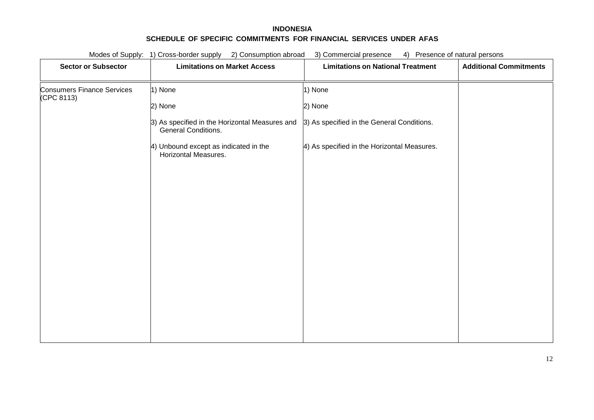| Modes of Supply: 1) Cross-border supply<br>2) Consumption abroad<br>Presence of natural persons<br>3) Commercial presence<br>4) |                                                                       |                                             |                               |
|---------------------------------------------------------------------------------------------------------------------------------|-----------------------------------------------------------------------|---------------------------------------------|-------------------------------|
| <b>Sector or Subsector</b>                                                                                                      | <b>Limitations on Market Access</b>                                   | <b>Limitations on National Treatment</b>    | <b>Additional Commitments</b> |
| <b>Consumers Finance Services</b><br>(CPC 8113)                                                                                 | 1) None                                                               | 1) None                                     |                               |
|                                                                                                                                 | 2) None                                                               | 2) None                                     |                               |
|                                                                                                                                 | 3) As specified in the Horizontal Measures and<br>General Conditions. | 3) As specified in the General Conditions.  |                               |
|                                                                                                                                 | 4) Unbound except as indicated in the<br>Horizontal Measures.         | 4) As specified in the Horizontal Measures. |                               |
|                                                                                                                                 |                                                                       |                                             |                               |
|                                                                                                                                 |                                                                       |                                             |                               |
|                                                                                                                                 |                                                                       |                                             |                               |
|                                                                                                                                 |                                                                       |                                             |                               |
|                                                                                                                                 |                                                                       |                                             |                               |
|                                                                                                                                 |                                                                       |                                             |                               |
|                                                                                                                                 |                                                                       |                                             |                               |
|                                                                                                                                 |                                                                       |                                             |                               |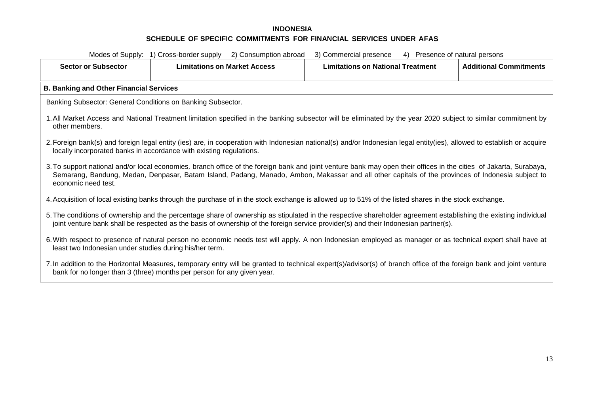| Modes of Supply: 1) Cross-border supply<br>2) Consumption abroad<br>3) Commercial presence<br>4) Presence of natural persons                                                                                                                                                                                                                   |                                                                                                                                                                                                                                               |                                          |                               |  |
|------------------------------------------------------------------------------------------------------------------------------------------------------------------------------------------------------------------------------------------------------------------------------------------------------------------------------------------------|-----------------------------------------------------------------------------------------------------------------------------------------------------------------------------------------------------------------------------------------------|------------------------------------------|-------------------------------|--|
| <b>Sector or Subsector</b>                                                                                                                                                                                                                                                                                                                     | <b>Limitations on Market Access</b>                                                                                                                                                                                                           | <b>Limitations on National Treatment</b> | <b>Additional Commitments</b> |  |
| <b>B. Banking and Other Financial Services</b>                                                                                                                                                                                                                                                                                                 |                                                                                                                                                                                                                                               |                                          |                               |  |
| Banking Subsector: General Conditions on Banking Subsector.                                                                                                                                                                                                                                                                                    |                                                                                                                                                                                                                                               |                                          |                               |  |
| other members.                                                                                                                                                                                                                                                                                                                                 | 1. All Market Access and National Treatment limitation specified in the banking subsector will be eliminated by the year 2020 subject to similar commitment by                                                                                |                                          |                               |  |
|                                                                                                                                                                                                                                                                                                                                                | 2. Foreign bank(s) and foreign legal entity (ies) are, in cooperation with Indonesian national(s) and/or Indonesian legal entity(ies), allowed to establish or acquire<br>locally incorporated banks in accordance with existing regulations. |                                          |                               |  |
| 3. To support national and/or local economies, branch office of the foreign bank and joint venture bank may open their offices in the cities of Jakarta, Surabaya,<br>Semarang, Bandung, Medan, Denpasar, Batam Island, Padang, Manado, Ambon, Makassar and all other capitals of the provinces of Indonesia subject to<br>economic need test. |                                                                                                                                                                                                                                               |                                          |                               |  |
|                                                                                                                                                                                                                                                                                                                                                | 4. Acquisition of local existing banks through the purchase of in the stock exchange is allowed up to 51% of the listed shares in the stock exchange.                                                                                         |                                          |                               |  |
| 5. The conditions of ownership and the percentage share of ownership as stipulated in the respective shareholder agreement establishing the existing individual<br>joint venture bank shall be respected as the basis of ownership of the foreign service provider(s) and their Indonesian partner(s).                                         |                                                                                                                                                                                                                                               |                                          |                               |  |
| 6. With respect to presence of natural person no economic needs test will apply. A non Indonesian employed as manager or as technical expert shall have at<br>least two Indonesian under studies during his/her term.                                                                                                                          |                                                                                                                                                                                                                                               |                                          |                               |  |
| 7. In addition to the Horizontal Measures, temporary entry will be granted to technical expert(s)/advisor(s) of branch office of the foreign bank and joint venture<br>bank for no longer than 3 (three) months per person for any given year.                                                                                                 |                                                                                                                                                                                                                                               |                                          |                               |  |
|                                                                                                                                                                                                                                                                                                                                                |                                                                                                                                                                                                                                               |                                          |                               |  |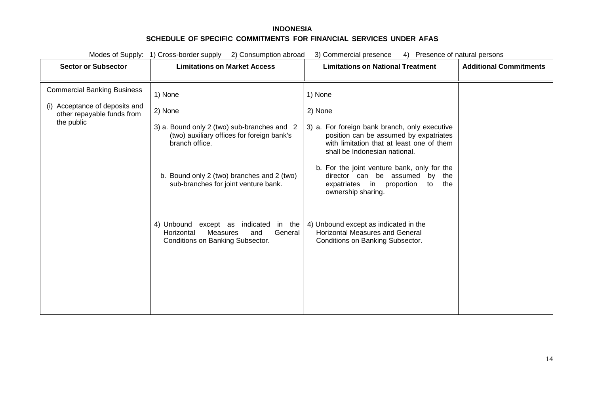| Modes of Supply: 1) Cross-border supply 2) Consumption abroad<br>3) Commercial presence<br>4) Presence of natural persons |                                                                                                                             |                                                                                                                                                                       |                               |
|---------------------------------------------------------------------------------------------------------------------------|-----------------------------------------------------------------------------------------------------------------------------|-----------------------------------------------------------------------------------------------------------------------------------------------------------------------|-------------------------------|
| <b>Sector or Subsector</b>                                                                                                | <b>Limitations on Market Access</b>                                                                                         | <b>Limitations on National Treatment</b>                                                                                                                              | <b>Additional Commitments</b> |
| <b>Commercial Banking Business</b>                                                                                        | 1) None                                                                                                                     | 1) None                                                                                                                                                               |                               |
| (i) Acceptance of deposits and<br>other repayable funds from                                                              | 2) None                                                                                                                     | 2) None                                                                                                                                                               |                               |
| the public                                                                                                                | 3) a. Bound only 2 (two) sub-branches and 2<br>(two) auxiliary offices for foreign bank's<br>branch office.                 | 3) a. For foreign bank branch, only executive<br>position can be assumed by expatriates<br>with limitation that at least one of them<br>shall be Indonesian national. |                               |
|                                                                                                                           | b. Bound only 2 (two) branches and 2 (two)<br>sub-branches for joint venture bank.                                          | b. For the joint venture bank, only for the<br>director can be assumed by<br>the<br>expatriates in<br>proportion<br>the<br>to<br>ownership sharing.                   |                               |
|                                                                                                                           | indicated<br>4) Unbound except as<br>in the<br>General<br>Horizontal<br>Measures<br>and<br>Conditions on Banking Subsector. | 4) Unbound except as indicated in the<br><b>Horizontal Measures and General</b><br>Conditions on Banking Subsector.                                                   |                               |
|                                                                                                                           |                                                                                                                             |                                                                                                                                                                       |                               |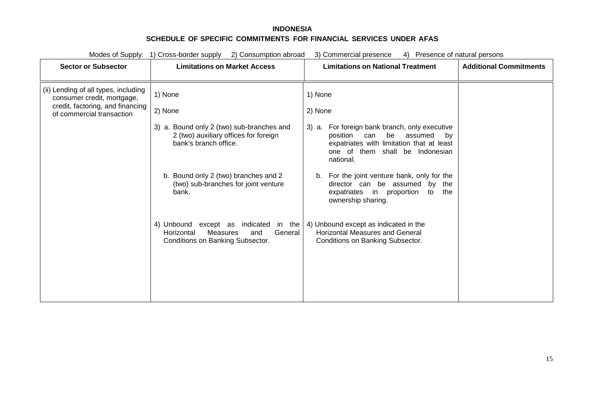| Modes of Supply: 1) Cross-border supply<br>2) Consumption abroad<br>3) Commercial presence<br>4) Presence of natural persons        |                                                                                                                                                                                                                                                                                                                                                     |                                                                                                                                                                                                                                                                                                                                                                                                                                                                                       |                               |
|-------------------------------------------------------------------------------------------------------------------------------------|-----------------------------------------------------------------------------------------------------------------------------------------------------------------------------------------------------------------------------------------------------------------------------------------------------------------------------------------------------|---------------------------------------------------------------------------------------------------------------------------------------------------------------------------------------------------------------------------------------------------------------------------------------------------------------------------------------------------------------------------------------------------------------------------------------------------------------------------------------|-------------------------------|
| <b>Sector or Subsector</b>                                                                                                          | <b>Limitations on Market Access</b>                                                                                                                                                                                                                                                                                                                 | <b>Limitations on National Treatment</b>                                                                                                                                                                                                                                                                                                                                                                                                                                              | <b>Additional Commitments</b> |
| (ii) Lending of all types, including<br>consumer credit, mortgage,<br>credit, factoring, and financing<br>of commercial transaction | 1) None<br>2) None<br>3) a. Bound only 2 (two) sub-branches and<br>2 (two) auxiliary offices for foreign<br>bank's branch office.<br>b. Bound only 2 (two) branches and 2<br>(two) sub-branches for joint venture<br>bank.<br>4) Unbound except as indicated in the<br>Measures<br>General<br>and<br>Horizontal<br>Conditions on Banking Subsector. | 1) None<br>2) None<br>3) a. For foreign bank branch, only executive<br>position<br>be<br>can<br>assumed<br>by<br>expatriates with limitation that at least<br>one of them shall be Indonesian<br>national.<br>For the joint venture bank, only for the<br>b.<br>director can be assumed by the<br>expatriates in proportion<br>to<br>the<br>ownership sharing.<br>4) Unbound except as indicated in the<br><b>Horizontal Measures and General</b><br>Conditions on Banking Subsector. |                               |
|                                                                                                                                     |                                                                                                                                                                                                                                                                                                                                                     |                                                                                                                                                                                                                                                                                                                                                                                                                                                                                       |                               |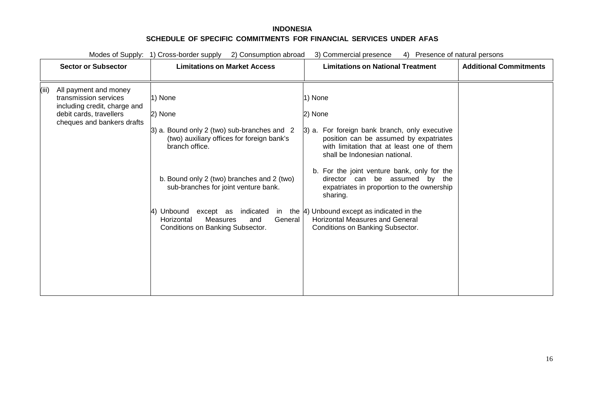| Modes of Supply:<br>1) Cross-border supply<br>2) Consumption abroad<br>3) Commercial presence<br>4)<br>Presence of natural persons               |                                                                                                                                                                                                                                                                                                                                              |                                                                                                                                                                                                                                                                                                                                                                                                                                                                          |                               |
|--------------------------------------------------------------------------------------------------------------------------------------------------|----------------------------------------------------------------------------------------------------------------------------------------------------------------------------------------------------------------------------------------------------------------------------------------------------------------------------------------------|--------------------------------------------------------------------------------------------------------------------------------------------------------------------------------------------------------------------------------------------------------------------------------------------------------------------------------------------------------------------------------------------------------------------------------------------------------------------------|-------------------------------|
| <b>Sector or Subsector</b>                                                                                                                       | <b>Limitations on Market Access</b>                                                                                                                                                                                                                                                                                                          | <b>Limitations on National Treatment</b>                                                                                                                                                                                                                                                                                                                                                                                                                                 | <b>Additional Commitments</b> |
| (iii)<br>All payment and money<br>transmission services<br>including credit, charge and<br>debit cards, travellers<br>cheques and bankers drafts | 1) None<br>2) None<br>3) a. Bound only 2 (two) sub-branches and 2<br>(two) auxiliary offices for foreign bank's<br>branch office.<br>b. Bound only 2 (two) branches and 2 (two)<br>sub-branches for joint venture bank.<br>Unbound<br>except as<br>indicated<br>General<br>Measures<br>Horizontal<br>and<br>Conditions on Banking Subsector. | 1) None<br>2) None<br>3) a. For foreign bank branch, only executive<br>position can be assumed by expatriates<br>with limitation that at least one of them<br>shall be Indonesian national.<br>b. For the joint venture bank, only for the<br>director can be assumed by the<br>expatriates in proportion to the ownership<br>sharing.<br>in the $ 4$ ) Unbound except as indicated in the<br><b>Horizontal Measures and General</b><br>Conditions on Banking Subsector. |                               |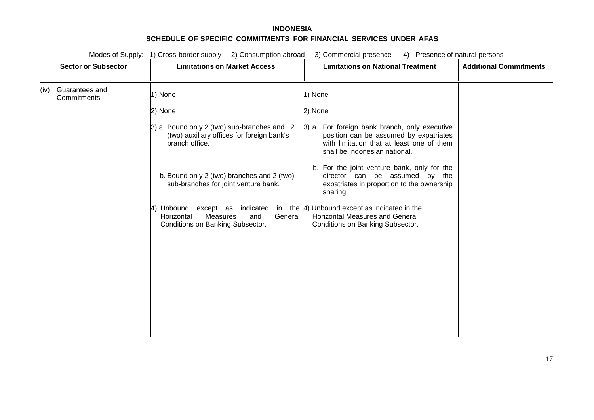Modes of Supply: 1) Cross-border supply 2) Consumption abroad 3) Commercial presence 4) Presence of natural persons

|      | <b>Sector or Subsector</b>    | <b>Limitations on Market Access</b>                                                                               | <b>Limitations on National Treatment</b>                                                                                                                              | <b>Additional Commitments</b> |
|------|-------------------------------|-------------------------------------------------------------------------------------------------------------------|-----------------------------------------------------------------------------------------------------------------------------------------------------------------------|-------------------------------|
| (iv) | Guarantees and<br>Commitments | 1) None                                                                                                           | 1) None                                                                                                                                                               |                               |
|      |                               | 2) None                                                                                                           | 2) None                                                                                                                                                               |                               |
|      |                               | 3) a. Bound only 2 (two) sub-branches and 2<br>(two) auxiliary offices for foreign bank's<br>branch office.       | 3) a. For foreign bank branch, only executive<br>position can be assumed by expatriates<br>with limitation that at least one of them<br>shall be Indonesian national. |                               |
|      |                               | b. Bound only 2 (two) branches and 2 (two)<br>sub-branches for joint venture bank.                                | b. For the joint venture bank, only for the<br>director can be assumed by the<br>expatriates in proportion to the ownership<br>sharing.                               |                               |
|      |                               | Unbound<br>except as<br>indicated<br>General<br>Measures<br>Horizontal<br>and<br>Conditions on Banking Subsector. | in the $\vert 4$ ) Unbound except as indicated in the<br><b>Horizontal Measures and General</b><br>Conditions on Banking Subsector.                                   |                               |
|      |                               |                                                                                                                   |                                                                                                                                                                       |                               |
|      |                               |                                                                                                                   |                                                                                                                                                                       |                               |
|      |                               |                                                                                                                   |                                                                                                                                                                       |                               |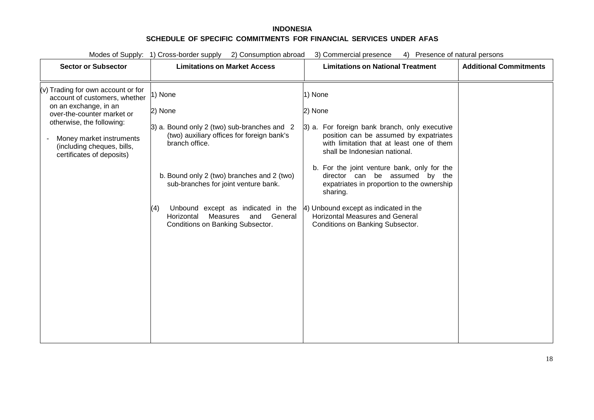| Modes of Supply: 1) Cross-border supply 2) Consumption abroad<br>3) Commercial presence<br>Presence of natural persons<br>4)                                                                                                                     |                                                                                                                                                                                                                                                                                                                                                      |                                                                                                                                                                                                                                                                                                                                                                                                                                                               |                               |
|--------------------------------------------------------------------------------------------------------------------------------------------------------------------------------------------------------------------------------------------------|------------------------------------------------------------------------------------------------------------------------------------------------------------------------------------------------------------------------------------------------------------------------------------------------------------------------------------------------------|---------------------------------------------------------------------------------------------------------------------------------------------------------------------------------------------------------------------------------------------------------------------------------------------------------------------------------------------------------------------------------------------------------------------------------------------------------------|-------------------------------|
| <b>Sector or Subsector</b>                                                                                                                                                                                                                       | <b>Limitations on Market Access</b>                                                                                                                                                                                                                                                                                                                  | <b>Limitations on National Treatment</b>                                                                                                                                                                                                                                                                                                                                                                                                                      | <b>Additional Commitments</b> |
| $(v)$ Trading for own account or for<br>account of customers, whether<br>on an exchange, in an<br>over-the-counter market or<br>otherwise, the following:<br>Money market instruments<br>(including cheques, bills,<br>certificates of deposits) | 1) None<br>2) None<br>3) a. Bound only 2 (two) sub-branches and 2<br>(two) auxiliary offices for foreign bank's<br>branch office.<br>b. Bound only 2 (two) branches and 2 (two)<br>sub-branches for joint venture bank.<br>Unbound except as indicated in the<br>(4)<br>General<br>Measures<br>and<br>Horizontal<br>Conditions on Banking Subsector. | 1) None<br>2) None<br>3) a. For foreign bank branch, only executive<br>position can be assumed by expatriates<br>with limitation that at least one of them<br>shall be Indonesian national.<br>b. For the joint venture bank, only for the<br>director can be assumed by the<br>expatriates in proportion to the ownership<br>sharing.<br>4) Unbound except as indicated in the<br><b>Horizontal Measures and General</b><br>Conditions on Banking Subsector. |                               |
|                                                                                                                                                                                                                                                  |                                                                                                                                                                                                                                                                                                                                                      |                                                                                                                                                                                                                                                                                                                                                                                                                                                               |                               |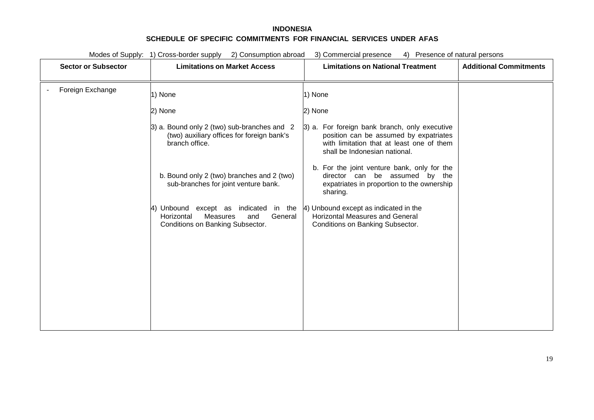Modes of Supply: 1) Cross-border supply 2) Consumption abroad 3) Commercial presence 4) Presence of natural persons

| <b>Sector or Subsector</b> | <b>Limitations on Market Access</b>                                                                                       | <b>Limitations on National Treatment</b>                                                                                                                              | <b>Additional Commitments</b> |
|----------------------------|---------------------------------------------------------------------------------------------------------------------------|-----------------------------------------------------------------------------------------------------------------------------------------------------------------------|-------------------------------|
| Foreign Exchange           | 1) None                                                                                                                   | 1) None                                                                                                                                                               |                               |
|                            | 2) None                                                                                                                   | 2) None                                                                                                                                                               |                               |
|                            | 3) a. Bound only 2 (two) sub-branches and 2<br>(two) auxiliary offices for foreign bank's<br>branch office.               | 3) a. For foreign bank branch, only executive<br>position can be assumed by expatriates<br>with limitation that at least one of them<br>shall be Indonesian national. |                               |
|                            | b. Bound only 2 (two) branches and 2 (two)<br>sub-branches for joint venture bank.                                        | b. For the joint venture bank, only for the<br>director can be assumed by the<br>expatriates in proportion to the ownership<br>sharing.                               |                               |
|                            | Unbound except as indicated in the<br>I4)<br>Measures<br>General<br>Horizontal<br>and<br>Conditions on Banking Subsector. | 4) Unbound except as indicated in the<br><b>Horizontal Measures and General</b><br>Conditions on Banking Subsector.                                                   |                               |
|                            |                                                                                                                           |                                                                                                                                                                       |                               |
|                            |                                                                                                                           |                                                                                                                                                                       |                               |
|                            |                                                                                                                           |                                                                                                                                                                       |                               |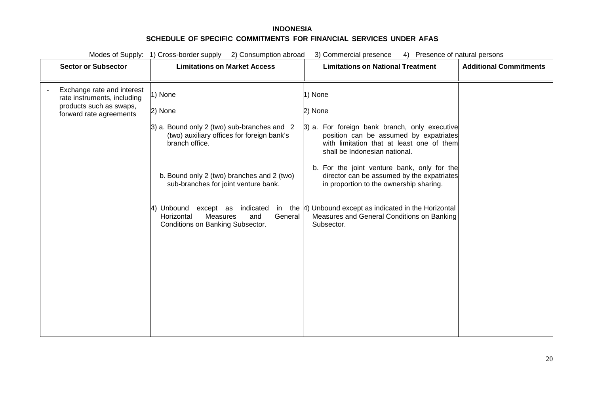| Modes of Supply: 1) Cross-border supply<br>2) Consumption abroad<br>3) Commercial presence<br>4) Presence of natural persons |                                                                                                                   |                                                                                                                                                                       |                               |
|------------------------------------------------------------------------------------------------------------------------------|-------------------------------------------------------------------------------------------------------------------|-----------------------------------------------------------------------------------------------------------------------------------------------------------------------|-------------------------------|
| <b>Sector or Subsector</b>                                                                                                   | <b>Limitations on Market Access</b>                                                                               | <b>Limitations on National Treatment</b>                                                                                                                              | <b>Additional Commitments</b> |
| Exchange rate and interest<br>rate instruments, including                                                                    | 1) None                                                                                                           | 1) None                                                                                                                                                               |                               |
| products such as swaps,<br>forward rate agreements                                                                           | 2) None                                                                                                           | 2) None                                                                                                                                                               |                               |
|                                                                                                                              | 3) a. Bound only 2 (two) sub-branches and 2<br>(two) auxiliary offices for foreign bank's<br>branch office.       | 3) a. For foreign bank branch, only executive<br>position can be assumed by expatriates<br>with limitation that at least one of them<br>shall be Indonesian national. |                               |
|                                                                                                                              | b. Bound only 2 (two) branches and 2 (two)<br>sub-branches for joint venture bank.                                | b. For the joint venture bank, only for the<br>director can be assumed by the expatriates<br>in proportion to the ownership sharing.                                  |                               |
|                                                                                                                              | Unbound<br>except as<br>indicated<br>Measures<br>General<br>Horizontal<br>and<br>Conditions on Banking Subsector. | in the $ 4$ ) Unbound except as indicated in the Horizontal<br>Measures and General Conditions on Banking<br>Subsector.                                               |                               |
|                                                                                                                              |                                                                                                                   |                                                                                                                                                                       |                               |
|                                                                                                                              |                                                                                                                   |                                                                                                                                                                       |                               |
|                                                                                                                              |                                                                                                                   |                                                                                                                                                                       |                               |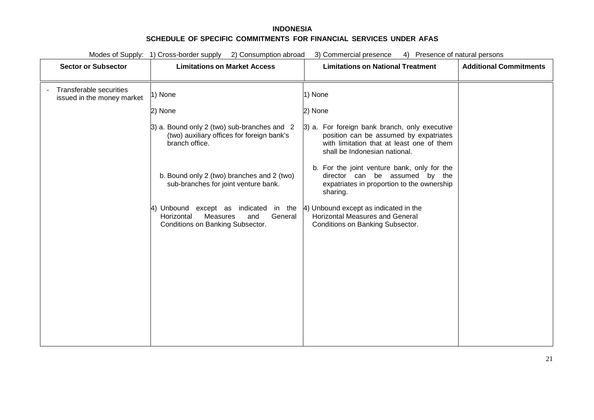| Modes of Supply: 1) Cross-border supply<br>2) Consumption abroad<br>3) Commercial presence<br>4) Presence of natural persons |                                                                                                                                 |                                                                                                                                                                       |                               |
|------------------------------------------------------------------------------------------------------------------------------|---------------------------------------------------------------------------------------------------------------------------------|-----------------------------------------------------------------------------------------------------------------------------------------------------------------------|-------------------------------|
| <b>Sector or Subsector</b>                                                                                                   | <b>Limitations on Market Access</b>                                                                                             | <b>Limitations on National Treatment</b>                                                                                                                              | <b>Additional Commitments</b> |
| <b>Transferable securities</b><br>issued in the money market                                                                 | 1) None                                                                                                                         | 1) None                                                                                                                                                               |                               |
|                                                                                                                              | 2) None                                                                                                                         | 2) None                                                                                                                                                               |                               |
|                                                                                                                              | 3) a. Bound only 2 (two) sub-branches and 2<br>(two) auxiliary offices for foreign bank's<br>branch office.                     | 3) a. For foreign bank branch, only executive<br>position can be assumed by expatriates<br>with limitation that at least one of them<br>shall be Indonesian national. |                               |
|                                                                                                                              | b. Bound only 2 (two) branches and 2 (two)<br>sub-branches for joint venture bank.                                              | b. For the joint venture bank, only for the<br>director can be assumed by the<br>expatriates in proportion to the ownership<br>sharing.                               |                               |
|                                                                                                                              | 4) Unbound except as indicated<br>in the<br>Horizontal<br><b>Measures</b><br>and<br>General<br>Conditions on Banking Subsector. | 4) Unbound except as indicated in the<br><b>Horizontal Measures and General</b><br>Conditions on Banking Subsector.                                                   |                               |
|                                                                                                                              |                                                                                                                                 |                                                                                                                                                                       |                               |
|                                                                                                                              |                                                                                                                                 |                                                                                                                                                                       |                               |
|                                                                                                                              |                                                                                                                                 |                                                                                                                                                                       |                               |
|                                                                                                                              |                                                                                                                                 |                                                                                                                                                                       |                               |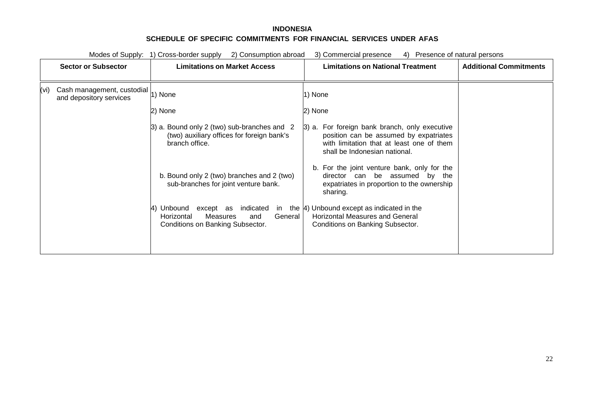|      |                                                                | Modes of Supply: 1) Cross-border supply<br>2) Consumption abroad                                                     | 3) Commercial presence<br>4)                                                                                                                                          | Presence of natural persons   |
|------|----------------------------------------------------------------|----------------------------------------------------------------------------------------------------------------------|-----------------------------------------------------------------------------------------------------------------------------------------------------------------------|-------------------------------|
|      | <b>Sector or Subsector</b>                                     | <b>Limitations on Market Access</b>                                                                                  | <b>Limitations on National Treatment</b>                                                                                                                              | <b>Additional Commitments</b> |
| (vi) | Cash management, custodial  1) None<br>and depository services |                                                                                                                      | 1) None                                                                                                                                                               |                               |
|      |                                                                | 2) None                                                                                                              | 2) None                                                                                                                                                               |                               |
|      |                                                                | 3) a. Bound only 2 (two) sub-branches and 2<br>(two) auxiliary offices for foreign bank's<br>branch office.          | 3) a. For foreign bank branch, only executive<br>position can be assumed by expatriates<br>with limitation that at least one of them<br>shall be Indonesian national. |                               |
|      |                                                                | b. Bound only 2 (two) branches and 2 (two)<br>sub-branches for joint venture bank.                                   | b. For the joint venture bank, only for the<br>director can be assumed by the<br>expatriates in proportion to the ownership<br>sharing.                               |                               |
|      |                                                                | Unbound<br>except as indicated<br>in<br>General<br>Measures<br>Horizontal<br>and<br>Conditions on Banking Subsector. | the [4] Unbound except as indicated in the<br><b>Horizontal Measures and General</b><br>Conditions on Banking Subsector.                                              |                               |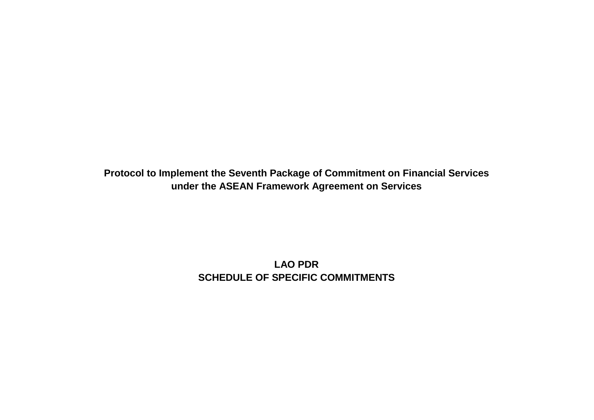**Protocol to Implement the Seventh Package of Commitment on Financial Services under the ASEAN Framework Agreement on Services**

> **LAO PDR SCHEDULE OF SPECIFIC COMMITMENTS**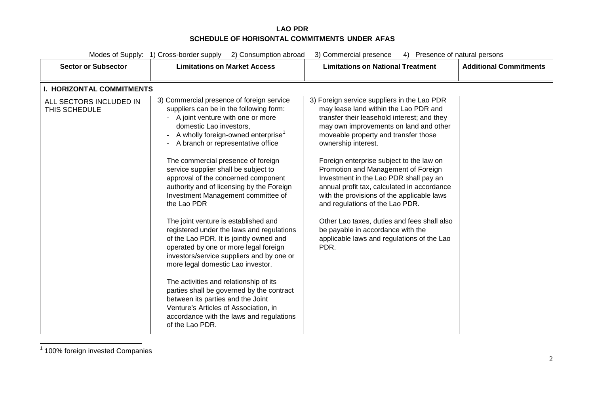<span id="page-50-0"></span>

|                                          | Modes of Supply: 1) Cross-border supply 2) Consumption abroad                                                                                                                                                                                                                                                                                                                                                                                                                                                                                                                                                                                                                                                                                                                                                                                                                                                                                                      | 3) Commercial presence<br>4) Presence of natural persons                                                                                                                                                                                                                                                                                                                                                                                                                                                                                                                                                                                            |                               |
|------------------------------------------|--------------------------------------------------------------------------------------------------------------------------------------------------------------------------------------------------------------------------------------------------------------------------------------------------------------------------------------------------------------------------------------------------------------------------------------------------------------------------------------------------------------------------------------------------------------------------------------------------------------------------------------------------------------------------------------------------------------------------------------------------------------------------------------------------------------------------------------------------------------------------------------------------------------------------------------------------------------------|-----------------------------------------------------------------------------------------------------------------------------------------------------------------------------------------------------------------------------------------------------------------------------------------------------------------------------------------------------------------------------------------------------------------------------------------------------------------------------------------------------------------------------------------------------------------------------------------------------------------------------------------------------|-------------------------------|
| <b>Sector or Subsector</b>               | <b>Limitations on Market Access</b>                                                                                                                                                                                                                                                                                                                                                                                                                                                                                                                                                                                                                                                                                                                                                                                                                                                                                                                                | <b>Limitations on National Treatment</b>                                                                                                                                                                                                                                                                                                                                                                                                                                                                                                                                                                                                            | <b>Additional Commitments</b> |
| <b>I. HORIZONTAL COMMITMENTS</b>         |                                                                                                                                                                                                                                                                                                                                                                                                                                                                                                                                                                                                                                                                                                                                                                                                                                                                                                                                                                    |                                                                                                                                                                                                                                                                                                                                                                                                                                                                                                                                                                                                                                                     |                               |
| ALL SECTORS INCLUDED IN<br>THIS SCHEDULE | 3) Commercial presence of foreign service<br>suppliers can be in the following form:<br>- A joint venture with one or more<br>domestic Lao investors,<br>A wholly foreign-owned enterprise <sup>1</sup><br>A branch or representative office<br>The commercial presence of foreign<br>service supplier shall be subject to<br>approval of the concerned component<br>authority and of licensing by the Foreign<br>Investment Management committee of<br>the Lao PDR<br>The joint venture is established and<br>registered under the laws and regulations<br>of the Lao PDR. It is jointly owned and<br>operated by one or more legal foreign<br>investors/service suppliers and by one or<br>more legal domestic Lao investor.<br>The activities and relationship of its<br>parties shall be governed by the contract<br>between its parties and the Joint<br>Venture's Articles of Association, in<br>accordance with the laws and regulations<br>of the Lao PDR. | 3) Foreign service suppliers in the Lao PDR<br>may lease land within the Lao PDR and<br>transfer their leasehold interest; and they<br>may own improvements on land and other<br>moveable property and transfer those<br>ownership interest.<br>Foreign enterprise subject to the law on<br>Promotion and Management of Foreign<br>Investment in the Lao PDR shall pay an<br>annual profit tax, calculated in accordance<br>with the provisions of the applicable laws<br>and regulations of the Lao PDR.<br>Other Lao taxes, duties and fees shall also<br>be payable in accordance with the<br>applicable laws and regulations of the Lao<br>PDR. |                               |

<sup>1</sup> 100% foreign invested Companies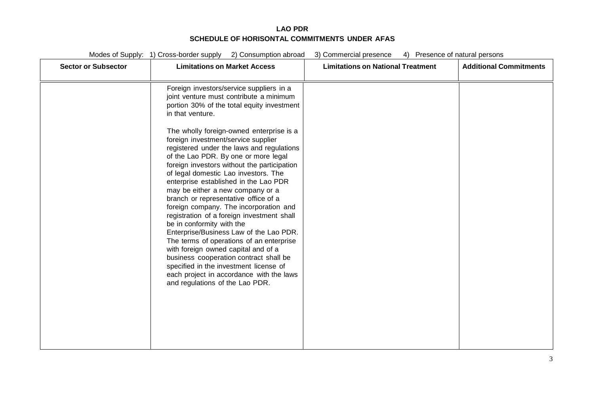Modes of Supply: 1) Cross-border supply 2) Consumption abroad 3) Commercial presence 4) Presence of natural persons

| <b>Sector or Subsector</b> | <b>Limitations on Market Access</b>                                                                                                                                                                                                                                                                                                                                                                                                                                                                                                                                                                                                                                                                                                                                                                    | <b>Limitations on National Treatment</b> | <b>Additional Commitments</b> |
|----------------------------|--------------------------------------------------------------------------------------------------------------------------------------------------------------------------------------------------------------------------------------------------------------------------------------------------------------------------------------------------------------------------------------------------------------------------------------------------------------------------------------------------------------------------------------------------------------------------------------------------------------------------------------------------------------------------------------------------------------------------------------------------------------------------------------------------------|------------------------------------------|-------------------------------|
|                            | Foreign investors/service suppliers in a<br>joint venture must contribute a minimum<br>portion 30% of the total equity investment<br>in that venture.                                                                                                                                                                                                                                                                                                                                                                                                                                                                                                                                                                                                                                                  |                                          |                               |
|                            | The wholly foreign-owned enterprise is a<br>foreign investment/service supplier<br>registered under the laws and regulations<br>of the Lao PDR. By one or more legal<br>foreign investors without the participation<br>of legal domestic Lao investors. The<br>enterprise established in the Lao PDR<br>may be either a new company or a<br>branch or representative office of a<br>foreign company. The incorporation and<br>registration of a foreign investment shall<br>be in conformity with the<br>Enterprise/Business Law of the Lao PDR.<br>The terms of operations of an enterprise<br>with foreign owned capital and of a<br>business cooperation contract shall be<br>specified in the investment license of<br>each project in accordance with the laws<br>and regulations of the Lao PDR. |                                          |                               |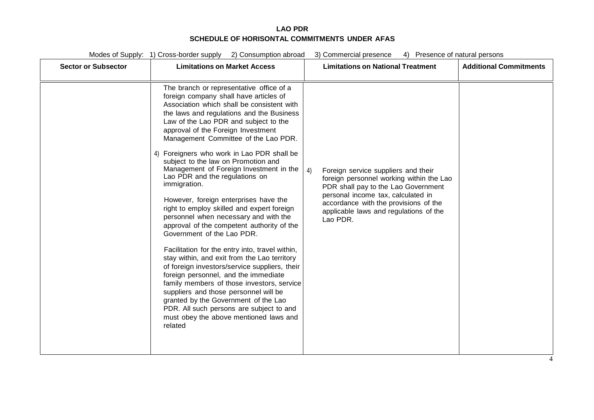Modes of Supply: 1) Cross-border supply 2) Consumption abroad 3) Commercial presence 4) Presence of natural persons

| <b>Sector or Subsector</b> | <b>Limitations on Market Access</b>                                                                                                                                                                                                                                                                                                                                                                                                                                                                                                                                                                                                                                                                                                                                                                                                                                                                                                                                                                                                                                                                                            | <b>Limitations on National Treatment</b>                                                                                                                                                                                                                          | <b>Additional Commitments</b> |
|----------------------------|--------------------------------------------------------------------------------------------------------------------------------------------------------------------------------------------------------------------------------------------------------------------------------------------------------------------------------------------------------------------------------------------------------------------------------------------------------------------------------------------------------------------------------------------------------------------------------------------------------------------------------------------------------------------------------------------------------------------------------------------------------------------------------------------------------------------------------------------------------------------------------------------------------------------------------------------------------------------------------------------------------------------------------------------------------------------------------------------------------------------------------|-------------------------------------------------------------------------------------------------------------------------------------------------------------------------------------------------------------------------------------------------------------------|-------------------------------|
|                            | The branch or representative office of a<br>foreign company shall have articles of<br>Association which shall be consistent with<br>the laws and regulations and the Business<br>Law of the Lao PDR and subject to the<br>approval of the Foreign Investment<br>Management Committee of the Lao PDR.<br>4) Foreigners who work in Lao PDR shall be<br>subject to the law on Promotion and<br>Management of Foreign Investment in the<br>Lao PDR and the regulations on<br>immigration.<br>However, foreign enterprises have the<br>right to employ skilled and expert foreign<br>personnel when necessary and with the<br>approval of the competent authority of the<br>Government of the Lao PDR.<br>Facilitation for the entry into, travel within,<br>stay within, and exit from the Lao territory<br>of foreign investors/service suppliers, their<br>foreign personnel, and the immediate<br>family members of those investors, service<br>suppliers and those personnel will be<br>granted by the Government of the Lao<br>PDR. All such persons are subject to and<br>must obey the above mentioned laws and<br>related | Foreign service suppliers and their<br>4)<br>foreign personnel working within the Lao<br>PDR shall pay to the Lao Government<br>personal income tax, calculated in<br>accordance with the provisions of the<br>applicable laws and regulations of the<br>Lao PDR. |                               |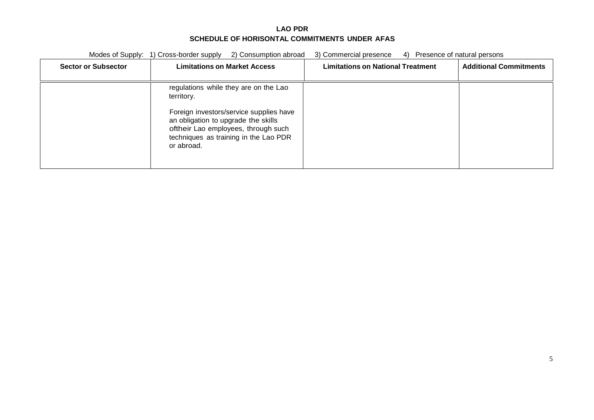|                            | Modes of Supply: 1) Cross-border supply<br>2) Consumption abroad                                                                                                             | 3) Commercial presence<br>4)             | Presence of natural persons   |
|----------------------------|------------------------------------------------------------------------------------------------------------------------------------------------------------------------------|------------------------------------------|-------------------------------|
| <b>Sector or Subsector</b> | <b>Limitations on Market Access</b>                                                                                                                                          | <b>Limitations on National Treatment</b> | <b>Additional Commitments</b> |
|                            | regulations while they are on the Lao<br>territory.                                                                                                                          |                                          |                               |
|                            | Foreign investors/service supplies have<br>an obligation to upgrade the skills<br>oftheir Lao employees, through such<br>techniques as training in the Lao PDR<br>or abroad. |                                          |                               |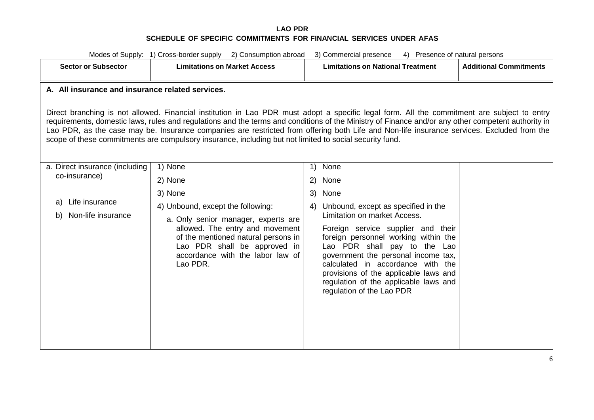| Modes of Supply: 1) Cross-border supply 2) Consumption abroad<br>3) Commercial presence<br>4) Presence of natural persons                                                                                                                                                                                                                                                                                                                                                                                                                                                                                      |                                                                                                                                                                                                                                                                     |                                                                                                                                                                                                                                                                                                                                                                                                                               |  |  |  |  |  |
|----------------------------------------------------------------------------------------------------------------------------------------------------------------------------------------------------------------------------------------------------------------------------------------------------------------------------------------------------------------------------------------------------------------------------------------------------------------------------------------------------------------------------------------------------------------------------------------------------------------|---------------------------------------------------------------------------------------------------------------------------------------------------------------------------------------------------------------------------------------------------------------------|-------------------------------------------------------------------------------------------------------------------------------------------------------------------------------------------------------------------------------------------------------------------------------------------------------------------------------------------------------------------------------------------------------------------------------|--|--|--|--|--|
| <b>Sector or Subsector</b>                                                                                                                                                                                                                                                                                                                                                                                                                                                                                                                                                                                     | <b>Limitations on Market Access</b>                                                                                                                                                                                                                                 | <b>Additional Commitments</b><br><b>Limitations on National Treatment</b>                                                                                                                                                                                                                                                                                                                                                     |  |  |  |  |  |
| A. All insurance and insurance related services.<br>Direct branching is not allowed. Financial institution in Lao PDR must adopt a specific legal form. All the commitment are subject to entry<br>requirements, domestic laws, rules and regulations and the terms and conditions of the Ministry of Finance and/or any other competent authority in<br>Lao PDR, as the case may be. Insurance companies are restricted from offering both Life and Non-life insurance services. Excluded from the<br>scope of these commitments are compulsory insurance, including but not limited to social security fund. |                                                                                                                                                                                                                                                                     |                                                                                                                                                                                                                                                                                                                                                                                                                               |  |  |  |  |  |
| a. Direct insurance (including<br>co-insurance)<br>Life insurance<br>a)<br>Non-life insurance<br>b)                                                                                                                                                                                                                                                                                                                                                                                                                                                                                                            | 1) None<br>2) None<br>3) None<br>4) Unbound, except the following:<br>a. Only senior manager, experts are<br>allowed. The entry and movement<br>of the mentioned natural persons in<br>Lao PDR shall be approved in<br>accordance with the labor law of<br>Lao PDR. | None<br>1)<br>(2)<br>None<br>None<br>3)<br>Unbound, except as specified in the<br>4)<br>Limitation on market Access.<br>Foreign service supplier and their<br>foreign personnel working within the<br>Lao PDR shall pay to the Lao<br>government the personal income tax,<br>calculated in accordance with the<br>provisions of the applicable laws and<br>regulation of the applicable laws and<br>regulation of the Lao PDR |  |  |  |  |  |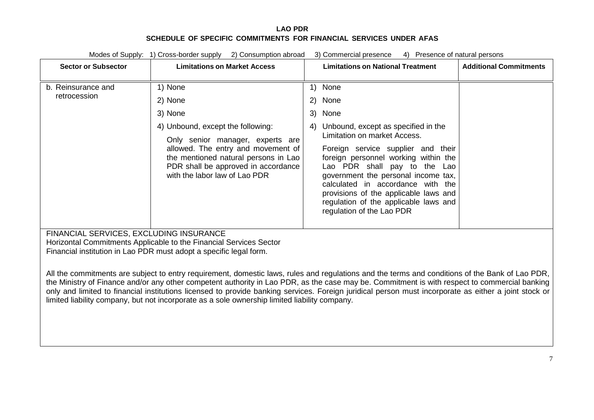| Modes of Supply: 1) Cross-border supply<br>2) Consumption abroad<br>3) Commercial presence<br>4) Presence of natural persons                                                                                                                                                                                                                                                                                                                                                                                                                               |                                                                                                                                                    |    |                                                                                                                                                                                                                                                                                                       |                               |  |
|------------------------------------------------------------------------------------------------------------------------------------------------------------------------------------------------------------------------------------------------------------------------------------------------------------------------------------------------------------------------------------------------------------------------------------------------------------------------------------------------------------------------------------------------------------|----------------------------------------------------------------------------------------------------------------------------------------------------|----|-------------------------------------------------------------------------------------------------------------------------------------------------------------------------------------------------------------------------------------------------------------------------------------------------------|-------------------------------|--|
| <b>Sector or Subsector</b>                                                                                                                                                                                                                                                                                                                                                                                                                                                                                                                                 | <b>Limitations on Market Access</b>                                                                                                                |    | <b>Limitations on National Treatment</b>                                                                                                                                                                                                                                                              | <b>Additional Commitments</b> |  |
|                                                                                                                                                                                                                                                                                                                                                                                                                                                                                                                                                            |                                                                                                                                                    |    |                                                                                                                                                                                                                                                                                                       |                               |  |
| b. Reinsurance and<br>retrocession                                                                                                                                                                                                                                                                                                                                                                                                                                                                                                                         | 1) None                                                                                                                                            | 1) | None                                                                                                                                                                                                                                                                                                  |                               |  |
|                                                                                                                                                                                                                                                                                                                                                                                                                                                                                                                                                            | 2) None                                                                                                                                            | 2) | None                                                                                                                                                                                                                                                                                                  |                               |  |
|                                                                                                                                                                                                                                                                                                                                                                                                                                                                                                                                                            | 3) None                                                                                                                                            | 3) | None                                                                                                                                                                                                                                                                                                  |                               |  |
|                                                                                                                                                                                                                                                                                                                                                                                                                                                                                                                                                            | 4) Unbound, except the following:                                                                                                                  | 4) | Unbound, except as specified in the                                                                                                                                                                                                                                                                   |                               |  |
|                                                                                                                                                                                                                                                                                                                                                                                                                                                                                                                                                            | Only senior manager, experts are                                                                                                                   |    | Limitation on market Access.                                                                                                                                                                                                                                                                          |                               |  |
|                                                                                                                                                                                                                                                                                                                                                                                                                                                                                                                                                            | allowed. The entry and movement of<br>the mentioned natural persons in Lao<br>PDR shall be approved in accordance<br>with the labor law of Lao PDR |    | Foreign service supplier and their<br>foreign personnel working within the<br>Lao PDR shall pay to the Lao<br>government the personal income tax,<br>calculated in accordance with the<br>provisions of the applicable laws and<br>regulation of the applicable laws and<br>regulation of the Lao PDR |                               |  |
| FINANCIAL SERVICES, EXCLUDING INSURANCE<br>Horizontal Commitments Applicable to the Financial Services Sector<br>Financial institution in Lao PDR must adopt a specific legal form.                                                                                                                                                                                                                                                                                                                                                                        |                                                                                                                                                    |    |                                                                                                                                                                                                                                                                                                       |                               |  |
| All the commitments are subject to entry requirement, domestic laws, rules and regulations and the terms and conditions of the Bank of Lao PDR,<br>the Ministry of Finance and/or any other competent authority in Lao PDR, as the case may be. Commitment is with respect to commercial banking<br>only and limited to financial institutions licensed to provide banking services. Foreign juridical person must incorporate as either a joint stock or<br>limited liability company, but not incorporate as a sole ownership limited liability company. |                                                                                                                                                    |    |                                                                                                                                                                                                                                                                                                       |                               |  |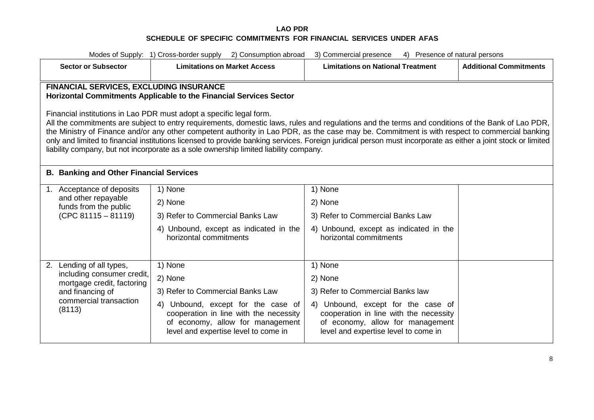| Modes of Supply: 1) Cross-border supply 2) Consumption abroad<br>3) Commercial presence<br>4) Presence of natural persons                                                                                                                                                                                                                                                                                                                                                                                                                                                                                                                                                                                                                                  |                                                                                                                                                             |                                                                                                                                                          |                               |  |  |  |
|------------------------------------------------------------------------------------------------------------------------------------------------------------------------------------------------------------------------------------------------------------------------------------------------------------------------------------------------------------------------------------------------------------------------------------------------------------------------------------------------------------------------------------------------------------------------------------------------------------------------------------------------------------------------------------------------------------------------------------------------------------|-------------------------------------------------------------------------------------------------------------------------------------------------------------|----------------------------------------------------------------------------------------------------------------------------------------------------------|-------------------------------|--|--|--|
| <b>Sector or Subsector</b>                                                                                                                                                                                                                                                                                                                                                                                                                                                                                                                                                                                                                                                                                                                                 | <b>Limitations on Market Access</b>                                                                                                                         | <b>Limitations on National Treatment</b>                                                                                                                 | <b>Additional Commitments</b> |  |  |  |
| <b>FINANCIAL SERVICES, EXCLUDING INSURANCE</b><br>Horizontal Commitments Applicable to the Financial Services Sector<br>Financial institutions in Lao PDR must adopt a specific legal form.<br>All the commitments are subject to entry requirements, domestic laws, rules and regulations and the terms and conditions of the Bank of Lao PDR,<br>the Ministry of Finance and/or any other competent authority in Lao PDR, as the case may be. Commitment is with respect to commercial banking<br>only and limited to financial institutions licensed to provide banking services. Foreign juridical person must incorporate as either a joint stock or limited<br>liability company, but not incorporate as a sole ownership limited liability company. |                                                                                                                                                             |                                                                                                                                                          |                               |  |  |  |
| <b>B. Banking and Other Financial Services</b>                                                                                                                                                                                                                                                                                                                                                                                                                                                                                                                                                                                                                                                                                                             |                                                                                                                                                             |                                                                                                                                                          |                               |  |  |  |
| 1. Acceptance of deposits                                                                                                                                                                                                                                                                                                                                                                                                                                                                                                                                                                                                                                                                                                                                  | 1) None                                                                                                                                                     | 1) None                                                                                                                                                  |                               |  |  |  |
| and other repayable<br>funds from the public                                                                                                                                                                                                                                                                                                                                                                                                                                                                                                                                                                                                                                                                                                               | 2) None                                                                                                                                                     | 2) None                                                                                                                                                  |                               |  |  |  |
| $(CPC 81115 - 81119)$                                                                                                                                                                                                                                                                                                                                                                                                                                                                                                                                                                                                                                                                                                                                      | 3) Refer to Commercial Banks Law                                                                                                                            | 3) Refer to Commercial Banks Law                                                                                                                         |                               |  |  |  |
|                                                                                                                                                                                                                                                                                                                                                                                                                                                                                                                                                                                                                                                                                                                                                            | 4) Unbound, except as indicated in the<br>horizontal commitments                                                                                            | 4) Unbound, except as indicated in the<br>horizontal commitments                                                                                         |                               |  |  |  |
| 2. Lending of all types,                                                                                                                                                                                                                                                                                                                                                                                                                                                                                                                                                                                                                                                                                                                                   | 1) None                                                                                                                                                     | 1) None                                                                                                                                                  |                               |  |  |  |
| including consumer credit,<br>mortgage credit, factoring                                                                                                                                                                                                                                                                                                                                                                                                                                                                                                                                                                                                                                                                                                   | 2) None                                                                                                                                                     | 2) None                                                                                                                                                  |                               |  |  |  |
| and financing of                                                                                                                                                                                                                                                                                                                                                                                                                                                                                                                                                                                                                                                                                                                                           | 3) Refer to Commercial Banks Law                                                                                                                            | 3) Refer to Commercial Banks law                                                                                                                         |                               |  |  |  |
| commercial transaction<br>(8113)                                                                                                                                                                                                                                                                                                                                                                                                                                                                                                                                                                                                                                                                                                                           | Unbound, except for the case of<br>4)<br>cooperation in line with the necessity<br>of economy, allow for management<br>level and expertise level to come in | 4) Unbound, except for the case of<br>cooperation in line with the necessity<br>of economy, allow for management<br>level and expertise level to come in |                               |  |  |  |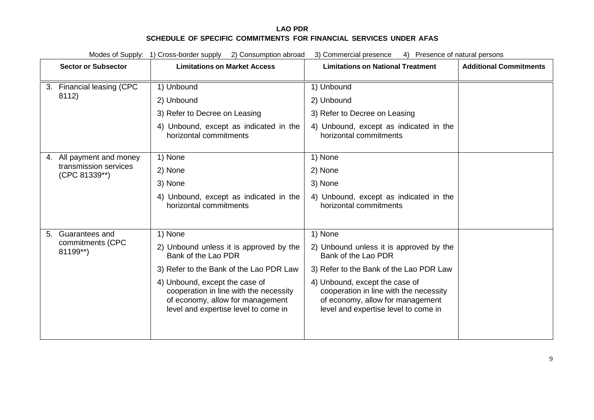|  |                                                                    | Modes of Supply: 1) Cross-border supply 2) Consumption abroad                                                                                        | 3) Commercial presence<br>4) Presence of natural persons                                                                                             |                               |
|--|--------------------------------------------------------------------|------------------------------------------------------------------------------------------------------------------------------------------------------|------------------------------------------------------------------------------------------------------------------------------------------------------|-------------------------------|
|  | <b>Sector or Subsector</b>                                         | <b>Limitations on Market Access</b>                                                                                                                  | <b>Limitations on National Treatment</b>                                                                                                             | <b>Additional Commitments</b> |
|  | 3. Financial leasing (CPC                                          | 1) Unbound                                                                                                                                           | 1) Unbound                                                                                                                                           |                               |
|  | 8112)                                                              | 2) Unbound                                                                                                                                           | 2) Unbound                                                                                                                                           |                               |
|  |                                                                    | 3) Refer to Decree on Leasing                                                                                                                        | 3) Refer to Decree on Leasing                                                                                                                        |                               |
|  |                                                                    | 4) Unbound, except as indicated in the<br>horizontal commitments                                                                                     | 4) Unbound, except as indicated in the<br>horizontal commitments                                                                                     |                               |
|  | 4. All payment and money<br>transmission services<br>(CPC 81339**) | 1) None                                                                                                                                              | 1) None                                                                                                                                              |                               |
|  |                                                                    | 2) None                                                                                                                                              | 2) None                                                                                                                                              |                               |
|  |                                                                    | 3) None                                                                                                                                              | 3) None                                                                                                                                              |                               |
|  |                                                                    | 4) Unbound, except as indicated in the<br>horizontal commitments                                                                                     | 4) Unbound, except as indicated in the<br>horizontal commitments                                                                                     |                               |
|  | 5. Guarantees and                                                  | 1) None                                                                                                                                              | 1) None                                                                                                                                              |                               |
|  | commitments (CPC<br>81199**)                                       | 2) Unbound unless it is approved by the<br>Bank of the Lao PDR                                                                                       | 2) Unbound unless it is approved by the<br>Bank of the Lao PDR                                                                                       |                               |
|  |                                                                    | 3) Refer to the Bank of the Lao PDR Law                                                                                                              | 3) Refer to the Bank of the Lao PDR Law                                                                                                              |                               |
|  |                                                                    | 4) Unbound, except the case of<br>cooperation in line with the necessity<br>of economy, allow for management<br>level and expertise level to come in | 4) Unbound, except the case of<br>cooperation in line with the necessity<br>of economy, allow for management<br>level and expertise level to come in |                               |
|  |                                                                    |                                                                                                                                                      |                                                                                                                                                      |                               |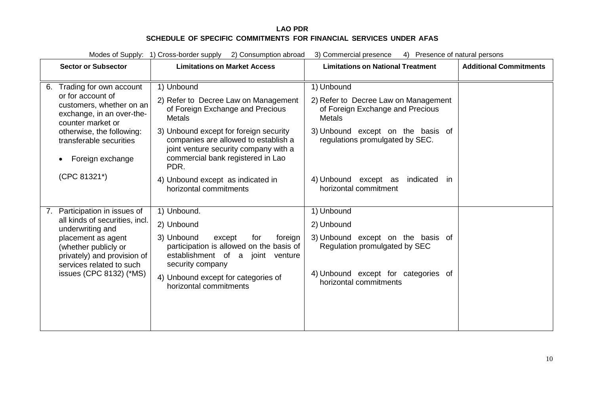|                                                                                                 | Modes of Supply: 1) Cross-border supply 2) Consumption abroad<br>3) Commercial presence<br>4) Presence of natural persons                                   |                                                                                                                                                                      |                                                                                    |                               |  |
|-------------------------------------------------------------------------------------------------|-------------------------------------------------------------------------------------------------------------------------------------------------------------|----------------------------------------------------------------------------------------------------------------------------------------------------------------------|------------------------------------------------------------------------------------|-------------------------------|--|
| <b>Sector or Subsector</b>                                                                      |                                                                                                                                                             | <b>Limitations on Market Access</b>                                                                                                                                  | <b>Limitations on National Treatment</b>                                           | <b>Additional Commitments</b> |  |
| Trading for own account<br>6.                                                                   |                                                                                                                                                             | 1) Unbound                                                                                                                                                           | 1) Unbound                                                                         |                               |  |
| or for account of<br>customers, whether on an<br>exchange, in an over-the-<br>counter market or |                                                                                                                                                             | 2) Refer to Decree Law on Management<br>of Foreign Exchange and Precious<br><b>Metals</b>                                                                            | 2) Refer to Decree Law on Management<br>of Foreign Exchange and Precious<br>Metals |                               |  |
| otherwise, the following:<br>transferable securities<br>Foreign exchange                        |                                                                                                                                                             | 3) Unbound except for foreign security<br>companies are allowed to establish a<br>joint venture security company with a<br>commercial bank registered in Lao<br>PDR. | 3) Unbound except on the basis of<br>regulations promulgated by SEC.               |                               |  |
| (CPC 81321*)                                                                                    |                                                                                                                                                             | 4) Unbound except as indicated in<br>horizontal commitments                                                                                                          | 4) Unbound except as<br>indicated<br>- in<br>horizontal commitment                 |                               |  |
| Participation in issues of<br>7.                                                                |                                                                                                                                                             | 1) Unbound.                                                                                                                                                          | 1) Unbound                                                                         |                               |  |
|                                                                                                 | all kinds of securities, incl.<br>underwriting and<br>placement as agent<br>(whether publicly or<br>privately) and provision of<br>services related to such | 2) Unbound                                                                                                                                                           | 2) Unbound                                                                         |                               |  |
|                                                                                                 |                                                                                                                                                             | 3) Unbound<br>except<br>for<br>foreign<br>participation is allowed on the basis of<br>establishment of a joint venture<br>security company                           | 3) Unbound except on the basis of<br>Regulation promulgated by SEC                 |                               |  |
| issues (CPC 8132) (*MS)                                                                         |                                                                                                                                                             | 4) Unbound except for categories of<br>horizontal commitments                                                                                                        | 4) Unbound except for categories of<br>horizontal commitments                      |                               |  |
|                                                                                                 |                                                                                                                                                             |                                                                                                                                                                      |                                                                                    |                               |  |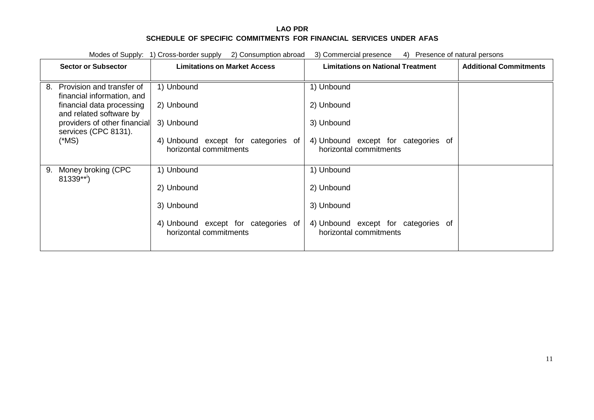| Modes of Supply: 1) Cross-border supply 2) Consumption abroad<br>3) Commercial presence<br>4) Presence of natural persons |                                                               |                                                               |                               |  |
|---------------------------------------------------------------------------------------------------------------------------|---------------------------------------------------------------|---------------------------------------------------------------|-------------------------------|--|
| <b>Sector or Subsector</b>                                                                                                | <b>Limitations on Market Access</b>                           | <b>Limitations on National Treatment</b>                      | <b>Additional Commitments</b> |  |
|                                                                                                                           |                                                               |                                                               |                               |  |
| Provision and transfer of<br>8.<br>financial information, and                                                             | 1) Unbound                                                    | 1) Unbound                                                    |                               |  |
| financial data processing<br>and related software by                                                                      | 2) Unbound                                                    | 2) Unbound                                                    |                               |  |
| providers of other financial<br>services (CPC 8131).                                                                      | 3) Unbound                                                    | 3) Unbound                                                    |                               |  |
| $(*MS)$                                                                                                                   | 4) Unbound except for categories of<br>horizontal commitments | 4) Unbound except for categories of<br>horizontal commitments |                               |  |
| Money broking (CPC<br>9.<br>$81339***$                                                                                    | 1) Unbound                                                    | 1) Unbound                                                    |                               |  |
|                                                                                                                           | 2) Unbound                                                    | 2) Unbound                                                    |                               |  |
|                                                                                                                           | 3) Unbound                                                    | 3) Unbound                                                    |                               |  |
|                                                                                                                           | 4) Unbound except for categories of<br>horizontal commitments | 4) Unbound except for categories of<br>horizontal commitments |                               |  |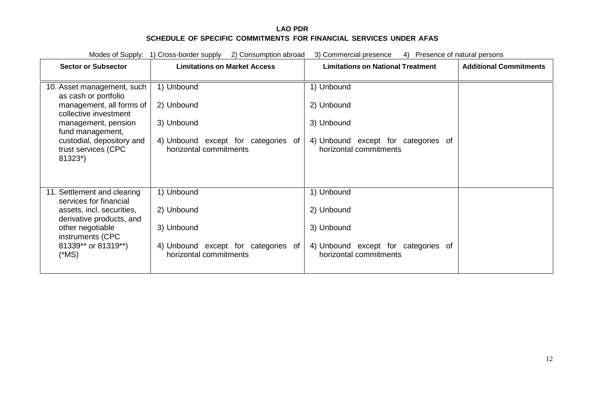| Modes of Supply: 1) Cross-border supply<br>2) Consumption abroad<br>3) Commercial presence<br>4) Presence of natural persons |                                                               |                                                               |                               |  |  |
|------------------------------------------------------------------------------------------------------------------------------|---------------------------------------------------------------|---------------------------------------------------------------|-------------------------------|--|--|
| <b>Sector or Subsector</b>                                                                                                   | <b>Limitations on Market Access</b>                           | <b>Limitations on National Treatment</b>                      | <b>Additional Commitments</b> |  |  |
| 10. Asset management, such<br>as cash or portfolio                                                                           | 1) Unbound                                                    | 1) Unbound                                                    |                               |  |  |
| management, all forms of<br>collective investment                                                                            | 2) Unbound                                                    | 2) Unbound                                                    |                               |  |  |
| management, pension<br>fund management,                                                                                      | 3) Unbound                                                    | 3) Unbound                                                    |                               |  |  |
| custodial, depository and<br>trust services (CPC<br>81323*)                                                                  | 4) Unbound except for categories of<br>horizontal commitments | 4) Unbound except for categories of<br>horizontal commitments |                               |  |  |
| 11. Settlement and clearing<br>services for financial                                                                        | 1) Unbound                                                    | 1) Unbound                                                    |                               |  |  |
| assets, incl. securities,<br>derivative products, and                                                                        | 2) Unbound                                                    | 2) Unbound                                                    |                               |  |  |
| other negotiable<br>instruments (CPC                                                                                         | 3) Unbound                                                    | 3) Unbound                                                    |                               |  |  |
| 81339** or 81319**)<br>(*MS)                                                                                                 | 4) Unbound except for categories of<br>horizontal commitments | 4) Unbound except for categories of<br>horizontal commitments |                               |  |  |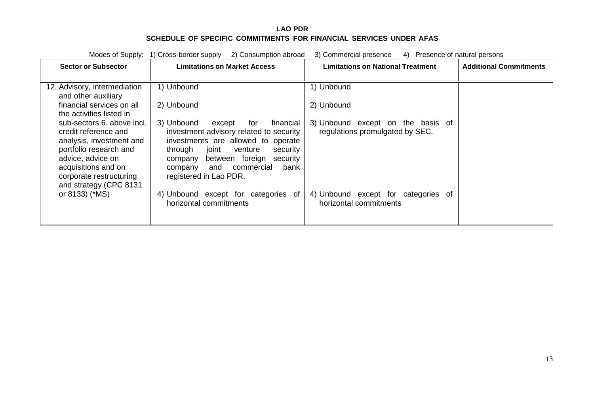|                                                                                                                                                                                                           | Modes of Supply: 1) Cross-border supply<br>2) Consumption abroad                                                                                                                                                                                                                 | 3) Commercial presence<br>4) Presence of natural persons             |                               |
|-----------------------------------------------------------------------------------------------------------------------------------------------------------------------------------------------------------|----------------------------------------------------------------------------------------------------------------------------------------------------------------------------------------------------------------------------------------------------------------------------------|----------------------------------------------------------------------|-------------------------------|
| <b>Sector or Subsector</b>                                                                                                                                                                                | <b>Limitations on Market Access</b>                                                                                                                                                                                                                                              | <b>Limitations on National Treatment</b>                             | <b>Additional Commitments</b> |
| 12. Advisory, intermediation<br>and other auxiliary                                                                                                                                                       | 1) Unbound                                                                                                                                                                                                                                                                       | 1) Unbound                                                           |                               |
| financial services on all<br>the activities listed in                                                                                                                                                     | 2) Unbound                                                                                                                                                                                                                                                                       | 2) Unbound                                                           |                               |
| sub-sectors 6. above incl.<br>credit reference and<br>analysis, investment and<br>portfolio research and<br>advice, advice on<br>acquisitions and on<br>corporate restructuring<br>and strategy (CPC 8131 | 3) Unbound<br>financial<br>except<br>for<br>investment advisory related to security<br>investments are allowed to operate<br>through<br>joint<br>venture<br>security<br>between foreign<br>security<br>company<br>commercial<br>bank<br>and<br>company<br>registered in Lao PDR. | 3) Unbound except on the basis of<br>regulations promulgated by SEC. |                               |
| or 8133) (*MS)                                                                                                                                                                                            | 4) Unbound except for categories of<br>horizontal commitments                                                                                                                                                                                                                    | 4) Unbound except for categories of<br>horizontal commitments        |                               |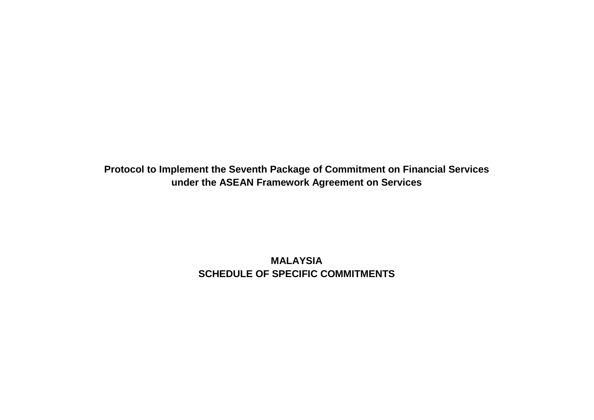**Protocol to Implement the Seventh Package of Commitment on Financial Services under the ASEAN Framework Agreement on Services**

> **MALAYSIA SCHEDULE OF SPECIFIC COMMITMENTS**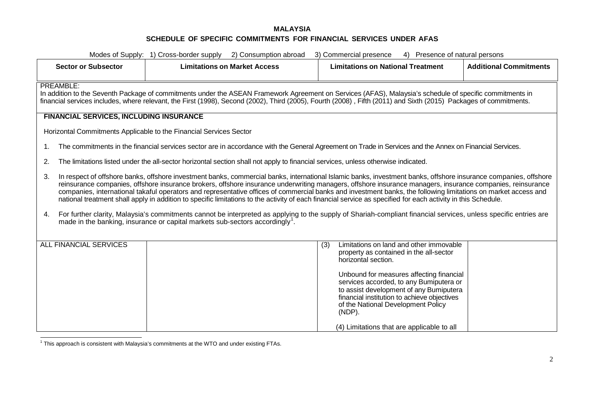<span id="page-63-0"></span>

| Modes of Supply: 1) Cross-border supply<br>2) Consumption abroad<br>3) Commercial presence<br>4) Presence of natural persons |                                                                                                                                                                                                                                                                                                                                                                                                                                                                                                                                                                                                                                                                   |                                                                                                                                                                                                                                                                                                                                                                                                    |                               |  |
|------------------------------------------------------------------------------------------------------------------------------|-------------------------------------------------------------------------------------------------------------------------------------------------------------------------------------------------------------------------------------------------------------------------------------------------------------------------------------------------------------------------------------------------------------------------------------------------------------------------------------------------------------------------------------------------------------------------------------------------------------------------------------------------------------------|----------------------------------------------------------------------------------------------------------------------------------------------------------------------------------------------------------------------------------------------------------------------------------------------------------------------------------------------------------------------------------------------------|-------------------------------|--|
| <b>Sector or Subsector</b>                                                                                                   | <b>Limitations on Market Access</b>                                                                                                                                                                                                                                                                                                                                                                                                                                                                                                                                                                                                                               | <b>Limitations on National Treatment</b>                                                                                                                                                                                                                                                                                                                                                           | <b>Additional Commitments</b> |  |
|                                                                                                                              |                                                                                                                                                                                                                                                                                                                                                                                                                                                                                                                                                                                                                                                                   |                                                                                                                                                                                                                                                                                                                                                                                                    |                               |  |
| PREAMBLE:                                                                                                                    | In addition to the Seventh Package of commitments under the ASEAN Framework Agreement on Services (AFAS), Malaysia's schedule of specific commitments in<br>financial services includes, where relevant, the First (1998), Second (2002), Third (2005), Fourth (2008), Fifth (2011) and Sixth (2015) Packages of commitments.                                                                                                                                                                                                                                                                                                                                     |                                                                                                                                                                                                                                                                                                                                                                                                    |                               |  |
| <b>FINANCIAL SERVICES, INCLUDING INSURANCE</b>                                                                               |                                                                                                                                                                                                                                                                                                                                                                                                                                                                                                                                                                                                                                                                   |                                                                                                                                                                                                                                                                                                                                                                                                    |                               |  |
|                                                                                                                              | Horizontal Commitments Applicable to the Financial Services Sector                                                                                                                                                                                                                                                                                                                                                                                                                                                                                                                                                                                                |                                                                                                                                                                                                                                                                                                                                                                                                    |                               |  |
| 1.                                                                                                                           | The commitments in the financial services sector are in accordance with the General Agreement on Trade in Services and the Annex on Financial Services.                                                                                                                                                                                                                                                                                                                                                                                                                                                                                                           |                                                                                                                                                                                                                                                                                                                                                                                                    |                               |  |
| 2.                                                                                                                           | The limitations listed under the all-sector horizontal section shall not apply to financial services, unless otherwise indicated.                                                                                                                                                                                                                                                                                                                                                                                                                                                                                                                                 |                                                                                                                                                                                                                                                                                                                                                                                                    |                               |  |
| 3.                                                                                                                           | In respect of offshore banks, offshore investment banks, commercial banks, international Islamic banks, investment banks, offshore insurance companies, offshore<br>reinsurance companies, offshore insurance brokers, offshore insurance underwriting managers, offshore insurance managers, insurance companies, reinsurance<br>companies, international takaful operators and representative offices of commercial banks and investment banks, the following limitations on market access and<br>national treatment shall apply in addition to specific limitations to the activity of each financial service as specified for each activity in this Schedule. |                                                                                                                                                                                                                                                                                                                                                                                                    |                               |  |
| 4.                                                                                                                           | For further clarity, Malaysia's commitments cannot be interpreted as applying to the supply of Shariah-compliant financial services, unless specific entries are<br>made in the banking, insurance or capital markets sub-sectors accordingly <sup>1</sup> .                                                                                                                                                                                                                                                                                                                                                                                                      |                                                                                                                                                                                                                                                                                                                                                                                                    |                               |  |
| <b>ALL FINANCIAL SERVICES</b>                                                                                                |                                                                                                                                                                                                                                                                                                                                                                                                                                                                                                                                                                                                                                                                   | Limitations on land and other immovable<br>(3)<br>property as contained in the all-sector<br>horizontal section.<br>Unbound for measures affecting financial<br>services accorded, to any Bumiputera or<br>to assist development of any Bumiputera<br>financial institution to achieve objectives<br>of the National Development Policy<br>$(NDP)$ .<br>(4) Limitations that are applicable to all |                               |  |

<sup>1</sup> This approach is consistent with Malaysia's commitments at the WTO and under existing FTAs.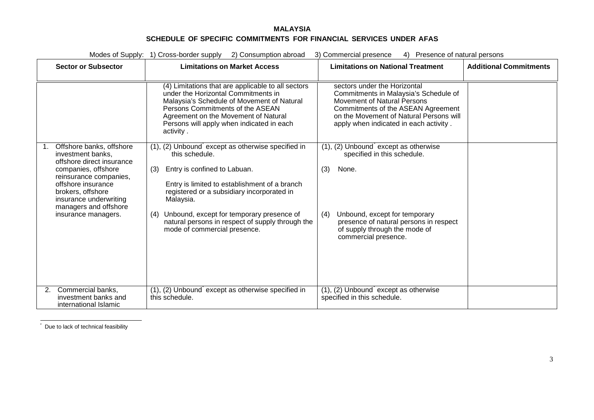<span id="page-64-1"></span><span id="page-64-0"></span>

|                                                                                                                                                                                                                                                        | Modes of Supply: 1) Cross-border supply<br>2) Consumption abroad                                                                                                                                                                                                                                                                                               | 3) Commercial presence<br>4) Presence of natural persons                                                                                                                                                                        |                               |
|--------------------------------------------------------------------------------------------------------------------------------------------------------------------------------------------------------------------------------------------------------|----------------------------------------------------------------------------------------------------------------------------------------------------------------------------------------------------------------------------------------------------------------------------------------------------------------------------------------------------------------|---------------------------------------------------------------------------------------------------------------------------------------------------------------------------------------------------------------------------------|-------------------------------|
| <b>Sector or Subsector</b>                                                                                                                                                                                                                             | <b>Limitations on Market Access</b>                                                                                                                                                                                                                                                                                                                            | <b>Limitations on National Treatment</b>                                                                                                                                                                                        | <b>Additional Commitments</b> |
|                                                                                                                                                                                                                                                        | (4) Limitations that are applicable to all sectors<br>under the Horizontal Commitments in<br>Malaysia's Schedule of Movement of Natural<br>Persons Commitments of the ASEAN<br>Agreement on the Movement of Natural<br>Persons will apply when indicated in each<br>activity.                                                                                  | sectors under the Horizontal<br>Commitments in Malaysia's Schedule of<br>Movement of Natural Persons<br>Commitments of the ASEAN Agreement<br>on the Movement of Natural Persons will<br>apply when indicated in each activity. |                               |
| Offshore banks, offshore<br>1.<br>investment banks,<br>offshore direct insurance<br>companies, offshore<br>reinsurance companies,<br>offshore insurance<br>brokers, offshore<br>insurance underwriting<br>managers and offshore<br>insurance managers. | (1), (2) Unbound except as otherwise specified in<br>this schedule.<br>Entry is confined to Labuan.<br>(3)<br>Entry is limited to establishment of a branch<br>registered or a subsidiary incorporated in<br>Malaysia.<br>Unbound, except for temporary presence of<br>(4)<br>natural persons in respect of supply through the<br>mode of commercial presence. | (1), (2) Unbound except as otherwise<br>specified in this schedule.<br>None.<br>(3)<br>Unbound, except for temporary<br>(4)<br>presence of natural persons in respect<br>of supply through the mode of<br>commercial presence.  |                               |
| Commercial banks,<br>2.<br>investment banks and<br>international Islamic                                                                                                                                                                               | (1), (2) Unbound except as otherwise specified in<br>this schedule.                                                                                                                                                                                                                                                                                            | $(1)$ , $(2)$ Unbound except as otherwise<br>specified in this schedule.                                                                                                                                                        |                               |

\* Due to lack of technical feasibility

\*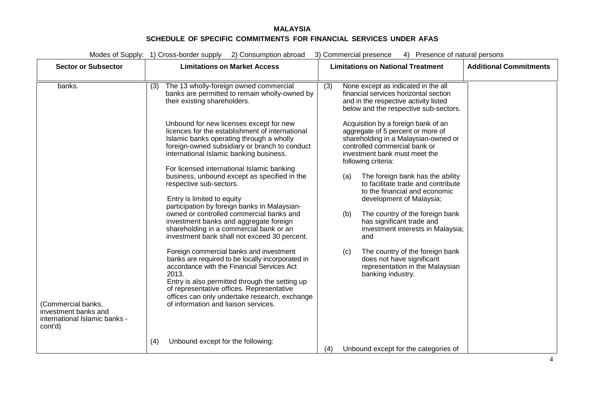|                                                                             | Modes of Supply: 1) Cross-border supply<br>2) Consumption abroad                                                                                                                                                                                                                                                                                                                                                                                                                                                                                                                                                                                                                                                                                                                                                                                                                                          | 3) Commercial presence<br>4) Presence of natural persons                                                                                                                                                                                                                                                                                                                                                                                                                                                                                                                                                                                                                                                                                                      |                               |
|-----------------------------------------------------------------------------|-----------------------------------------------------------------------------------------------------------------------------------------------------------------------------------------------------------------------------------------------------------------------------------------------------------------------------------------------------------------------------------------------------------------------------------------------------------------------------------------------------------------------------------------------------------------------------------------------------------------------------------------------------------------------------------------------------------------------------------------------------------------------------------------------------------------------------------------------------------------------------------------------------------|---------------------------------------------------------------------------------------------------------------------------------------------------------------------------------------------------------------------------------------------------------------------------------------------------------------------------------------------------------------------------------------------------------------------------------------------------------------------------------------------------------------------------------------------------------------------------------------------------------------------------------------------------------------------------------------------------------------------------------------------------------------|-------------------------------|
| <b>Sector or Subsector</b>                                                  | <b>Limitations on Market Access</b>                                                                                                                                                                                                                                                                                                                                                                                                                                                                                                                                                                                                                                                                                                                                                                                                                                                                       | <b>Limitations on National Treatment</b>                                                                                                                                                                                                                                                                                                                                                                                                                                                                                                                                                                                                                                                                                                                      | <b>Additional Commitments</b> |
| banks.                                                                      | The 13 wholly-foreign owned commercial<br>(3)<br>banks are permitted to remain wholly-owned by<br>their existing shareholders.<br>Unbound for new licenses except for new<br>licences for the establishment of international<br>Islamic banks operating through a wholly<br>foreign-owned subsidiary or branch to conduct<br>international Islamic banking business.<br>For licensed international Islamic banking<br>business, unbound except as specified in the<br>respective sub-sectors.<br>Entry is limited to equity<br>participation by foreign banks in Malaysian-<br>owned or controlled commercial banks and<br>investment banks and aggregate foreign<br>shareholding in a commercial bank or an<br>investment bank shall not exceed 30 percent.<br>Foreign commercial banks and investment<br>banks are required to be locally incorporated in<br>accordance with the Financial Services Act | (3)<br>None except as indicated in the all<br>financial services horizontal section<br>and in the respective activity listed<br>below and the respective sub-sectors.<br>Acquisition by a foreign bank of an<br>aggregate of 5 percent or more of<br>shareholding in a Malaysian-owned or<br>controlled commercial bank or<br>investment bank must meet the<br>following criteria:<br>The foreign bank has the ability<br>(a)<br>to facilitate trade and contribute<br>to the financial and economic<br>development of Malaysia;<br>(b)<br>The country of the foreign bank<br>has significant trade and<br>investment interests in Malaysia;<br>and<br>The country of the foreign bank<br>(c)<br>does not have significant<br>representation in the Malaysian |                               |
| (Commercial banks,<br>investment banks and<br>international Islamic banks - | 2013.<br>Entry is also permitted through the setting up<br>of representative offices. Representative<br>offices can only undertake research, exchange<br>of information and liaison services.                                                                                                                                                                                                                                                                                                                                                                                                                                                                                                                                                                                                                                                                                                             | banking industry.                                                                                                                                                                                                                                                                                                                                                                                                                                                                                                                                                                                                                                                                                                                                             |                               |
| cont'd)                                                                     | Unbound except for the following:<br>(4)                                                                                                                                                                                                                                                                                                                                                                                                                                                                                                                                                                                                                                                                                                                                                                                                                                                                  | Unbound except for the categories of<br>(4)                                                                                                                                                                                                                                                                                                                                                                                                                                                                                                                                                                                                                                                                                                                   |                               |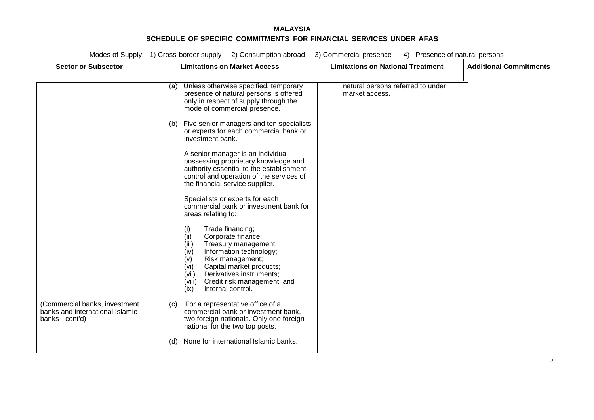| Modes of Supply: 1) Cross-border supply 2) Consumption abroad<br>4) Presence of natural persons<br>3) Commercial presence |                                                                                                                                                                                                                                                                                                                                                                                                                                                                                                                                                                                                                                                                                                                                                                                                                                                                                                                                                                                                                                                                  |                                                     |                               |
|---------------------------------------------------------------------------------------------------------------------------|------------------------------------------------------------------------------------------------------------------------------------------------------------------------------------------------------------------------------------------------------------------------------------------------------------------------------------------------------------------------------------------------------------------------------------------------------------------------------------------------------------------------------------------------------------------------------------------------------------------------------------------------------------------------------------------------------------------------------------------------------------------------------------------------------------------------------------------------------------------------------------------------------------------------------------------------------------------------------------------------------------------------------------------------------------------|-----------------------------------------------------|-------------------------------|
| <b>Sector or Subsector</b>                                                                                                | <b>Limitations on Market Access</b>                                                                                                                                                                                                                                                                                                                                                                                                                                                                                                                                                                                                                                                                                                                                                                                                                                                                                                                                                                                                                              | <b>Limitations on National Treatment</b>            | <b>Additional Commitments</b> |
| (Commercial banks, investment<br>banks and international Islamic<br>banks - cont'd)                                       | Unless otherwise specified, temporary<br>(a)<br>presence of natural persons is offered<br>only in respect of supply through the<br>mode of commercial presence.<br>(b) Five senior managers and ten specialists<br>or experts for each commercial bank or<br>investment bank.<br>A senior manager is an individual<br>possessing proprietary knowledge and<br>authority essential to the establishment,<br>control and operation of the services of<br>the financial service supplier.<br>Specialists or experts for each<br>commercial bank or investment bank for<br>areas relating to:<br>Trade financing;<br>(i)<br>(ii)<br>Corporate finance;<br>(iii)<br>Treasury management;<br>(iv)<br>Information technology;<br>(v)<br>Risk management;<br>(vi)<br>Capital market products;<br>(vii)<br>Derivatives instruments;<br>(viii)<br>Credit risk management; and<br>Internal control.<br>(ix)<br>For a representative office of a<br>(c)<br>commercial bank or investment bank,<br>two foreign nationals. Only one foreign<br>national for the two top posts. | natural persons referred to under<br>market access. |                               |
|                                                                                                                           | None for international Islamic banks.<br>(d)                                                                                                                                                                                                                                                                                                                                                                                                                                                                                                                                                                                                                                                                                                                                                                                                                                                                                                                                                                                                                     |                                                     |                               |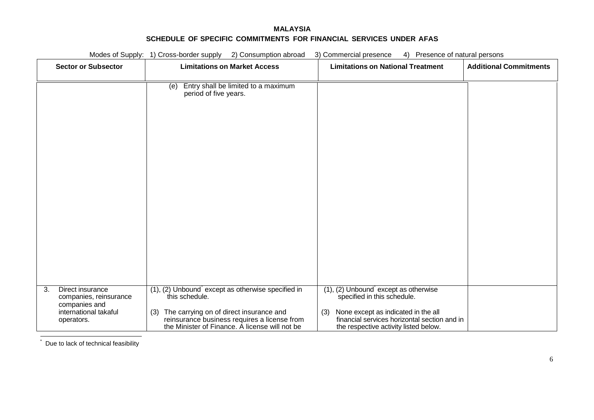<span id="page-67-0"></span>

|                                                                                                          | Modes of Supply: 1) Cross-border supply<br>2) Consumption abroad                                                                                                                                                             | 3) Commercial presence<br>4) Presence of natural persons                                                                                                                                                        |                               |
|----------------------------------------------------------------------------------------------------------|------------------------------------------------------------------------------------------------------------------------------------------------------------------------------------------------------------------------------|-----------------------------------------------------------------------------------------------------------------------------------------------------------------------------------------------------------------|-------------------------------|
| <b>Sector or Subsector</b>                                                                               | <b>Limitations on Market Access</b>                                                                                                                                                                                          | <b>Limitations on National Treatment</b>                                                                                                                                                                        | <b>Additional Commitments</b> |
|                                                                                                          | Entry shall be limited to a maximum<br>(e)<br>period of five years.                                                                                                                                                          |                                                                                                                                                                                                                 |                               |
| 3.<br>Direct insurance<br>companies, reinsurance<br>companies and<br>international takaful<br>operators. | $(1)$ , $(2)$ Unbound except as otherwise specified in<br>this schedule.<br>The carrying on of direct insurance and<br>(3)<br>reinsurance business requires a license from<br>the Minister of Finance. A license will not be | $(1)$ , $(2)$ Unbound except as otherwise<br>specified in this schedule.<br>None except as indicated in the all<br>(3)<br>financial services horizontal section and in<br>the respective activity listed below. |                               |

Due to lack of technical feasibility

\*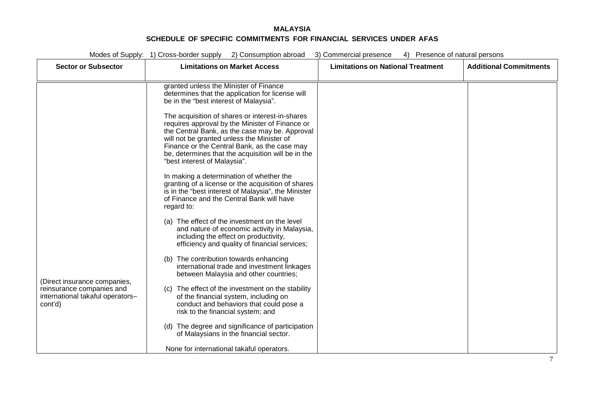| Modes of Supply: 1) Cross-border supply 2) Consumption abroad<br>3) Commercial presence<br>4) Presence of natural persons |                                                                                                                                                                                                                                                                                                                                          |                                          |                               |
|---------------------------------------------------------------------------------------------------------------------------|------------------------------------------------------------------------------------------------------------------------------------------------------------------------------------------------------------------------------------------------------------------------------------------------------------------------------------------|------------------------------------------|-------------------------------|
| <b>Sector or Subsector</b>                                                                                                | <b>Limitations on Market Access</b>                                                                                                                                                                                                                                                                                                      | <b>Limitations on National Treatment</b> | <b>Additional Commitments</b> |
|                                                                                                                           |                                                                                                                                                                                                                                                                                                                                          |                                          |                               |
|                                                                                                                           | granted unless the Minister of Finance<br>determines that the application for license will<br>be in the "best interest of Malaysia".                                                                                                                                                                                                     |                                          |                               |
|                                                                                                                           | The acquisition of shares or interest-in-shares<br>requires approval by the Minister of Finance or<br>the Central Bank, as the case may be. Approval<br>will not be granted unless the Minister of<br>Finance or the Central Bank, as the case may<br>be, determines that the acquisition will be in the<br>"best interest of Malaysia". |                                          |                               |
|                                                                                                                           | In making a determination of whether the<br>granting of a license or the acquisition of shares<br>is in the "best interest of Malaysia", the Minister<br>of Finance and the Central Bank will have<br>regard to:                                                                                                                         |                                          |                               |
|                                                                                                                           | (a) The effect of the investment on the level<br>and nature of economic activity in Malaysia,<br>including the effect on productivity,<br>efficiency and quality of financial services;                                                                                                                                                  |                                          |                               |
| (Direct insurance companies,                                                                                              | (b) The contribution towards enhancing<br>international trade and investment linkages<br>between Malaysia and other countries;                                                                                                                                                                                                           |                                          |                               |
| reinsurance companies and<br>international takaful operators-<br>cont'd)                                                  | (c) The effect of the investment on the stability<br>of the financial system, including on<br>conduct and behaviors that could pose a<br>risk to the financial system; and                                                                                                                                                               |                                          |                               |
|                                                                                                                           | (d) The degree and significance of participation<br>of Malaysians in the financial sector.                                                                                                                                                                                                                                               |                                          |                               |
|                                                                                                                           | None for international takaful operators.                                                                                                                                                                                                                                                                                                |                                          |                               |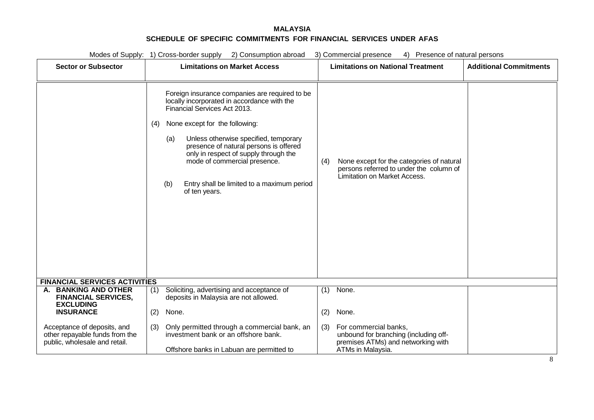| <b>Sector or Subsector</b><br><b>Limitations on Market Access</b><br><b>Limitations on National Treatment</b><br>Foreign insurance companies are required to be<br>locally incorporated in accordance with the<br>Financial Services Act 2013.<br>None except for the following:<br>(4)<br>Unless otherwise specified, temporary<br>(a)<br>presence of natural persons is offered<br>only in respect of supply through the<br>mode of commercial presence.<br>None except for the categories of natural<br>(4)<br>persons referred to under the column of<br>Limitation on Market Access.<br>Entry shall be limited to a maximum period<br>(b)<br>of ten years.<br><b>FINANCIAL SERVICES ACTIVITIES</b><br><b>BANKING AND OTHER</b><br>Soliciting, advertising and acceptance of<br>None.<br>(1)<br>А.<br>(1)<br><b>FINANCIAL SERVICES,</b><br>deposits in Malaysia are not allowed.<br><b>EXCLUDING</b><br><b>INSURANCE</b><br>(2)<br>None.<br>None.<br>(2)<br>Only permitted through a commercial bank, an<br>For commercial banks,<br>Acceptance of deposits, and<br>(3)<br>(3)<br>investment bank or an offshore bank.<br>other repayable funds from the<br>unbound for branching (including off- |                               | Modes of Supply: 1) Cross-border supply 2) Consumption abroad | 3) Commercial presence<br>4) Presence of natural persons |                               |
|-------------------------------------------------------------------------------------------------------------------------------------------------------------------------------------------------------------------------------------------------------------------------------------------------------------------------------------------------------------------------------------------------------------------------------------------------------------------------------------------------------------------------------------------------------------------------------------------------------------------------------------------------------------------------------------------------------------------------------------------------------------------------------------------------------------------------------------------------------------------------------------------------------------------------------------------------------------------------------------------------------------------------------------------------------------------------------------------------------------------------------------------------------------------------------------------------------|-------------------------------|---------------------------------------------------------------|----------------------------------------------------------|-------------------------------|
|                                                                                                                                                                                                                                                                                                                                                                                                                                                                                                                                                                                                                                                                                                                                                                                                                                                                                                                                                                                                                                                                                                                                                                                                       |                               |                                                               |                                                          | <b>Additional Commitments</b> |
|                                                                                                                                                                                                                                                                                                                                                                                                                                                                                                                                                                                                                                                                                                                                                                                                                                                                                                                                                                                                                                                                                                                                                                                                       |                               |                                                               |                                                          |                               |
|                                                                                                                                                                                                                                                                                                                                                                                                                                                                                                                                                                                                                                                                                                                                                                                                                                                                                                                                                                                                                                                                                                                                                                                                       |                               |                                                               |                                                          |                               |
|                                                                                                                                                                                                                                                                                                                                                                                                                                                                                                                                                                                                                                                                                                                                                                                                                                                                                                                                                                                                                                                                                                                                                                                                       |                               |                                                               |                                                          |                               |
|                                                                                                                                                                                                                                                                                                                                                                                                                                                                                                                                                                                                                                                                                                                                                                                                                                                                                                                                                                                                                                                                                                                                                                                                       |                               |                                                               |                                                          |                               |
| ATMs in Malaysia.<br>Offshore banks in Labuan are permitted to                                                                                                                                                                                                                                                                                                                                                                                                                                                                                                                                                                                                                                                                                                                                                                                                                                                                                                                                                                                                                                                                                                                                        | public, wholesale and retail. |                                                               | premises ATMs) and networking with                       |                               |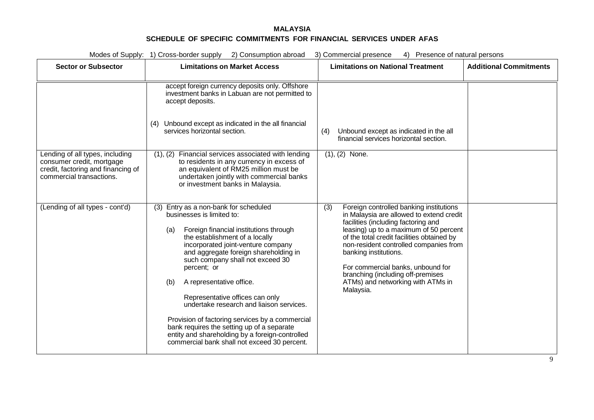|                                                                                                                                                                   | Modes of Supply: 1) Cross-border supply 2) Consumption abroad                                                                                                                                                                                                                                                                                                                                                                                                                                                                                                                                                                                                                                                                                                                                                                                                                                                                                                                                                                                                         | 3) Commercial presence<br>4) Presence of natural persons                                                                                                                                                                                                                                                                                                                                                                                                                                                                                |                               |
|-------------------------------------------------------------------------------------------------------------------------------------------------------------------|-----------------------------------------------------------------------------------------------------------------------------------------------------------------------------------------------------------------------------------------------------------------------------------------------------------------------------------------------------------------------------------------------------------------------------------------------------------------------------------------------------------------------------------------------------------------------------------------------------------------------------------------------------------------------------------------------------------------------------------------------------------------------------------------------------------------------------------------------------------------------------------------------------------------------------------------------------------------------------------------------------------------------------------------------------------------------|-----------------------------------------------------------------------------------------------------------------------------------------------------------------------------------------------------------------------------------------------------------------------------------------------------------------------------------------------------------------------------------------------------------------------------------------------------------------------------------------------------------------------------------------|-------------------------------|
| <b>Sector or Subsector</b>                                                                                                                                        | <b>Limitations on Market Access</b>                                                                                                                                                                                                                                                                                                                                                                                                                                                                                                                                                                                                                                                                                                                                                                                                                                                                                                                                                                                                                                   | <b>Limitations on National Treatment</b>                                                                                                                                                                                                                                                                                                                                                                                                                                                                                                | <b>Additional Commitments</b> |
| Lending of all types, including<br>consumer credit, mortgage<br>credit, factoring and financing of<br>commercial transactions.<br>(Lending of all types - cont'd) | accept foreign currency deposits only. Offshore<br>investment banks in Labuan are not permitted to<br>accept deposits.<br>Unbound except as indicated in the all financial<br>(4)<br>services horizontal section.<br>Financial services associated with lending<br>(1), (2)<br>to residents in any currency in excess of<br>an equivalent of RM25 million must be<br>undertaken jointly with commercial banks<br>or investment banks in Malaysia.<br>Entry as a non-bank for scheduled<br>(3)<br>businesses is limited to:<br>Foreign financial institutions through<br>(a)<br>the establishment of a locally<br>incorporated joint-venture company<br>and aggregate foreign shareholding in<br>such company shall not exceed 30<br>percent; or<br>A representative office.<br>(b)<br>Representative offices can only<br>undertake research and liaison services.<br>Provision of factoring services by a commercial<br>bank requires the setting up of a separate<br>entity and shareholding by a foreign-controlled<br>commercial bank shall not exceed 30 percent. | Unbound except as indicated in the all<br>(4)<br>financial services horizontal section.<br>$(1), (2)$ None.<br>(3)<br>Foreign controlled banking institutions<br>in Malaysia are allowed to extend credit<br>facilities (including factoring and<br>leasing) up to a maximum of 50 percent<br>of the total credit facilities obtained by<br>non-resident controlled companies from<br>banking institutions.<br>For commercial banks, unbound for<br>branching (including off-premises<br>ATMs) and networking with ATMs in<br>Malaysia. |                               |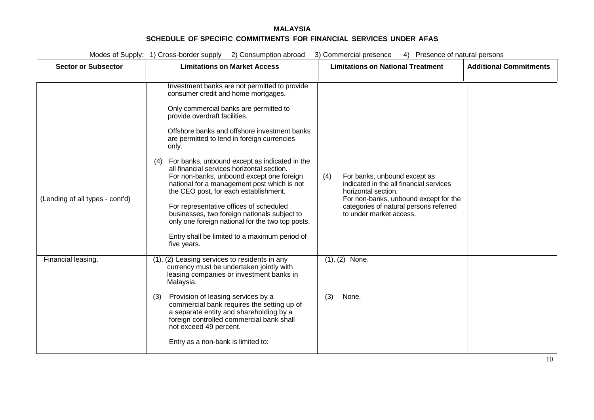|                                 | Modes of Supply: 1) Cross-border supply 2) Consumption abroad                                                                                                                                                                                                                                                                                                                                                                                                                                                                                                                                                                                                                                                      | 3) Commercial presence<br>4) Presence of natural persons                                                                                                                                                            |                               |
|---------------------------------|--------------------------------------------------------------------------------------------------------------------------------------------------------------------------------------------------------------------------------------------------------------------------------------------------------------------------------------------------------------------------------------------------------------------------------------------------------------------------------------------------------------------------------------------------------------------------------------------------------------------------------------------------------------------------------------------------------------------|---------------------------------------------------------------------------------------------------------------------------------------------------------------------------------------------------------------------|-------------------------------|
| <b>Sector or Subsector</b>      | <b>Limitations on Market Access</b>                                                                                                                                                                                                                                                                                                                                                                                                                                                                                                                                                                                                                                                                                | <b>Limitations on National Treatment</b>                                                                                                                                                                            | <b>Additional Commitments</b> |
| (Lending of all types - cont'd) | Investment banks are not permitted to provide<br>consumer credit and home mortgages.<br>Only commercial banks are permitted to<br>provide overdraft facilities.<br>Offshore banks and offshore investment banks<br>are permitted to lend in foreign currencies<br>only.<br>For banks, unbound except as indicated in the<br>(4)<br>all financial services horizontal section.<br>For non-banks, unbound except one foreign<br>national for a management post which is not<br>the CEO post, for each establishment.<br>For representative offices of scheduled<br>businesses, two foreign nationals subject to<br>only one foreign national for the two top posts.<br>Entry shall be limited to a maximum period of | For banks, unbound except as<br>(4)<br>indicated in the all financial services<br>horizontal section.<br>For non-banks, unbound except for the<br>categories of natural persons referred<br>to under market access. |                               |
| Financial leasing.              | five years.<br>(1), (2) Leasing services to residents in any<br>currency must be undertaken jointly with<br>leasing companies or investment banks in<br>Malaysia.<br>Provision of leasing services by a<br>(3)<br>commercial bank requires the setting up of<br>a separate entity and shareholding by a<br>foreign controlled commercial bank shall<br>not exceed 49 percent.<br>Entry as a non-bank is limited to:                                                                                                                                                                                                                                                                                                | $(1), (2)$ None.<br>(3)<br>None.                                                                                                                                                                                    |                               |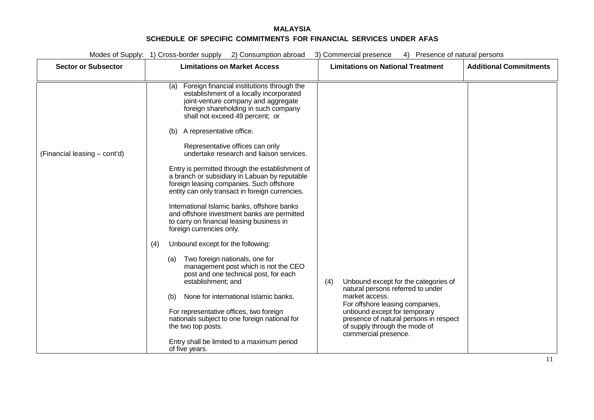| Modes of Supply: 1) Cross-border supply 2) Consumption abroad<br>3) Commercial presence<br>4) Presence of natural persons |                                                                                                                                                                                                                |                                                                                                                                 |                               |  |
|---------------------------------------------------------------------------------------------------------------------------|----------------------------------------------------------------------------------------------------------------------------------------------------------------------------------------------------------------|---------------------------------------------------------------------------------------------------------------------------------|-------------------------------|--|
| <b>Sector or Subsector</b>                                                                                                | <b>Limitations on Market Access</b>                                                                                                                                                                            | <b>Limitations on National Treatment</b>                                                                                        | <b>Additional Commitments</b> |  |
|                                                                                                                           |                                                                                                                                                                                                                |                                                                                                                                 |                               |  |
|                                                                                                                           | Foreign financial institutions through the<br>(a)<br>establishment of a locally incorporated<br>joint-venture company and aggregate<br>foreign shareholding in such company<br>shall not exceed 49 percent; or |                                                                                                                                 |                               |  |
|                                                                                                                           | A representative office.<br>(b)                                                                                                                                                                                |                                                                                                                                 |                               |  |
| (Financial leasing – cont'd)                                                                                              | Representative offices can only<br>undertake research and liaison services.                                                                                                                                    |                                                                                                                                 |                               |  |
|                                                                                                                           | Entry is permitted through the establishment of<br>a branch or subsidiary in Labuan by reputable<br>foreign leasing companies. Such offshore<br>entity can only transact in foreign currencies.                |                                                                                                                                 |                               |  |
|                                                                                                                           | International Islamic banks, offshore banks<br>and offshore investment banks are permitted<br>to carry on financial leasing business in<br>foreign currencies only.                                            |                                                                                                                                 |                               |  |
|                                                                                                                           | Unbound except for the following:<br>(4)                                                                                                                                                                       |                                                                                                                                 |                               |  |
|                                                                                                                           | (a) Two foreign nationals, one for<br>management post which is not the CEO<br>post and one technical post, for each<br>establishment; and                                                                      | Unbound except for the categories of<br>(4)<br>natural persons referred to under                                                |                               |  |
|                                                                                                                           | None for international Islamic banks.<br>(b)                                                                                                                                                                   | market access.<br>For offshore leasing companies,                                                                               |                               |  |
|                                                                                                                           | For representative offices, two foreign<br>nationals subject to one foreign national for<br>the two top posts.                                                                                                 | unbound except for temporary<br>presence of natural persons in respect<br>of supply through the mode of<br>commercial presence. |                               |  |
|                                                                                                                           | Entry shall be limited to a maximum period<br>of five years.                                                                                                                                                   |                                                                                                                                 |                               |  |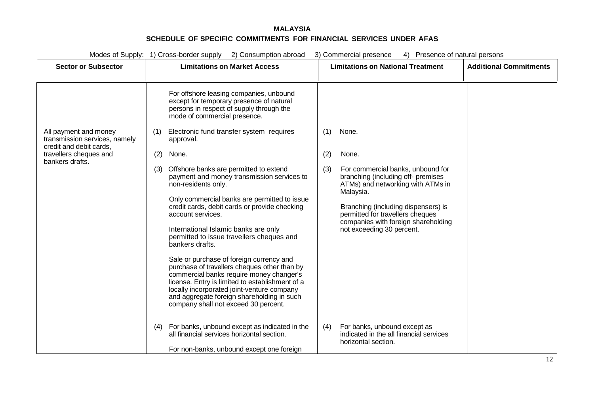| Modes of Supply: 1) Cross-border supply 2) Consumption abroad<br>3) Commercial presence<br>4) Presence of natural persons      |                                                                                                                                                                                                                                                                                                                                                                                                                                                                                                                                                                                                                                                                                                                                                                                                                                                                                            |                                                                                                                                                                                                                                                                                                                 |                               |
|--------------------------------------------------------------------------------------------------------------------------------|--------------------------------------------------------------------------------------------------------------------------------------------------------------------------------------------------------------------------------------------------------------------------------------------------------------------------------------------------------------------------------------------------------------------------------------------------------------------------------------------------------------------------------------------------------------------------------------------------------------------------------------------------------------------------------------------------------------------------------------------------------------------------------------------------------------------------------------------------------------------------------------------|-----------------------------------------------------------------------------------------------------------------------------------------------------------------------------------------------------------------------------------------------------------------------------------------------------------------|-------------------------------|
| <b>Sector or Subsector</b>                                                                                                     | <b>Limitations on Market Access</b>                                                                                                                                                                                                                                                                                                                                                                                                                                                                                                                                                                                                                                                                                                                                                                                                                                                        | <b>Limitations on National Treatment</b>                                                                                                                                                                                                                                                                        | <b>Additional Commitments</b> |
| All payment and money<br>transmission services, namely<br>credit and debit cards.<br>travellers cheques and<br>bankers drafts. | For offshore leasing companies, unbound<br>except for temporary presence of natural<br>persons in respect of supply through the<br>mode of commercial presence.<br>Electronic fund transfer system requires<br>(1)<br>approval.<br>None.<br>(2)<br>Offshore banks are permitted to extend<br>(3)<br>payment and money transmission services to<br>non-residents only.<br>Only commercial banks are permitted to issue<br>credit cards, debit cards or provide checking<br>account services.<br>International Islamic banks are only<br>permitted to issue travellers cheques and<br>bankers drafts.<br>Sale or purchase of foreign currency and<br>purchase of travellers cheques other than by<br>commercial banks require money changer's<br>license. Entry is limited to establishment of a<br>locally incorporated joint-venture company<br>and aggregate foreign shareholding in such | None.<br>(1)<br>(2)<br>None.<br>For commercial banks, unbound for<br>(3)<br>branching (including off- premises<br>ATMs) and networking with ATMs in<br>Malaysia.<br>Branching (including dispensers) is<br>permitted for travellers cheques<br>companies with foreign shareholding<br>not exceeding 30 percent. |                               |
|                                                                                                                                | company shall not exceed 30 percent.<br>For banks, unbound except as indicated in the<br>(4)<br>all financial services horizontal section.<br>For non-banks, unbound except one foreign                                                                                                                                                                                                                                                                                                                                                                                                                                                                                                                                                                                                                                                                                                    | For banks, unbound except as<br>(4)<br>indicated in the all financial services<br>horizontal section.                                                                                                                                                                                                           |                               |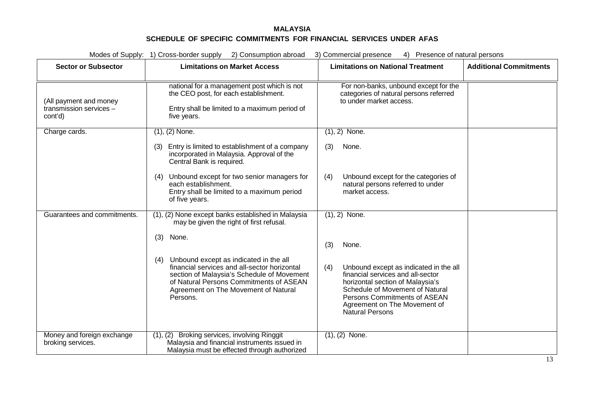| Modes of Supply: 1) Cross-border supply 2) Consumption abroad<br>3) Commercial presence<br>4) Presence of natural persons |                                                                                                                                                                                                                                            |                                                                                                                                                                                                                                                     |                               |
|---------------------------------------------------------------------------------------------------------------------------|--------------------------------------------------------------------------------------------------------------------------------------------------------------------------------------------------------------------------------------------|-----------------------------------------------------------------------------------------------------------------------------------------------------------------------------------------------------------------------------------------------------|-------------------------------|
| <b>Sector or Subsector</b>                                                                                                | <b>Limitations on Market Access</b>                                                                                                                                                                                                        | <b>Limitations on National Treatment</b>                                                                                                                                                                                                            | <b>Additional Commitments</b> |
| (All payment and money<br>transmission services -<br>cont'd)                                                              | national for a management post which is not<br>the CEO post, for each establishment.<br>Entry shall be limited to a maximum period of<br>five years.                                                                                       | For non-banks, unbound except for the<br>categories of natural persons referred<br>to under market access.                                                                                                                                          |                               |
| Charge cards.                                                                                                             | $(1), (2)$ None.                                                                                                                                                                                                                           | $(1), 2)$ None.                                                                                                                                                                                                                                     |                               |
|                                                                                                                           | Entry is limited to establishment of a company<br>(3)<br>incorporated in Malaysia. Approval of the<br>Central Bank is required.                                                                                                            | (3)<br>None.                                                                                                                                                                                                                                        |                               |
|                                                                                                                           | Unbound except for two senior managers for<br>(4)<br>each establishment.<br>Entry shall be limited to a maximum period<br>of five years.                                                                                                   | Unbound except for the categories of<br>(4)<br>natural persons referred to under<br>market access.                                                                                                                                                  |                               |
| Guarantees and commitments.                                                                                               | (1), (2) None except banks established in Malaysia<br>may be given the right of first refusal.                                                                                                                                             | $(1), 2)$ None.                                                                                                                                                                                                                                     |                               |
|                                                                                                                           | (3)<br>None.                                                                                                                                                                                                                               | (3)<br>None.                                                                                                                                                                                                                                        |                               |
|                                                                                                                           | Unbound except as indicated in the all<br>(4)<br>financial services and all-sector horizontal<br>section of Malaysia's Schedule of Movement<br>of Natural Persons Commitments of ASEAN<br>Agreement on The Movement of Natural<br>Persons. | (4)<br>Unbound except as indicated in the all<br>financial services and all-sector<br>horizontal section of Malaysia's<br>Schedule of Movement of Natural<br>Persons Commitments of ASEAN<br>Agreement on The Movement of<br><b>Natural Persons</b> |                               |
| Money and foreign exchange<br>broking services.                                                                           | (1), (2)<br>Broking services, involving Ringgit<br>Malaysia and financial instruments issued in<br>Malaysia must be effected through authorized                                                                                            | $(1), (2)$ None.                                                                                                                                                                                                                                    |                               |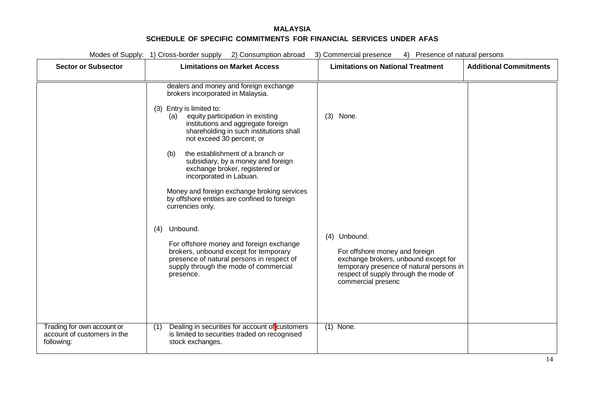| Modes of Supply: 1) Cross-border supply 2) Consumption abroad<br>3) Commercial presence<br>4) Presence of natural persons |                                                                                                                                                                                                                                                                                                                                                                                                                                                                                                                                   |                                                                                                                                                                                                                  |                               |
|---------------------------------------------------------------------------------------------------------------------------|-----------------------------------------------------------------------------------------------------------------------------------------------------------------------------------------------------------------------------------------------------------------------------------------------------------------------------------------------------------------------------------------------------------------------------------------------------------------------------------------------------------------------------------|------------------------------------------------------------------------------------------------------------------------------------------------------------------------------------------------------------------|-------------------------------|
| <b>Sector or Subsector</b>                                                                                                | <b>Limitations on Market Access</b>                                                                                                                                                                                                                                                                                                                                                                                                                                                                                               | <b>Limitations on National Treatment</b>                                                                                                                                                                         | <b>Additional Commitments</b> |
|                                                                                                                           | dealers and money and foreign exchange<br>brokers incorporated in Malaysia.<br>(3) Entry is limited to:<br>equity participation in existing<br>(a)<br>institutions and aggregate foreign<br>shareholding in such institutions shall<br>not exceed 30 percent; or<br>the establishment of a branch or<br>(b)<br>subsidiary, by a money and foreign<br>exchange broker, registered or<br>incorporated in Labuan.<br>Money and foreign exchange broking services<br>by offshore entities are confined to foreign<br>currencies only. | (3)<br>None.                                                                                                                                                                                                     |                               |
| Trading for own account or                                                                                                | Unbound.<br>(4)<br>For offshore money and foreign exchange<br>brokers, unbound except for temporary<br>presence of natural persons in respect of<br>supply through the mode of commercial<br>presence.<br>Dealing in securities for account of customers                                                                                                                                                                                                                                                                          | (4) Unbound.<br>For offshore money and foreign<br>exchange brokers, unbound except for<br>temporary presence of natural persons in<br>respect of supply through the mode of<br>commercial presenc<br>$(1)$ None. |                               |
| account of customers in the<br>following:                                                                                 | (1)<br>is limited to securities traded on recognised<br>stock exchanges.                                                                                                                                                                                                                                                                                                                                                                                                                                                          |                                                                                                                                                                                                                  |                               |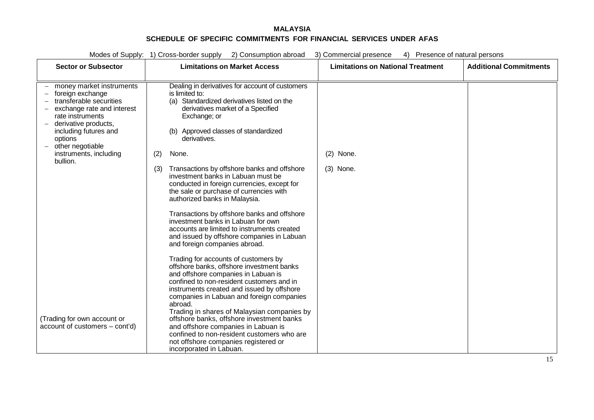| Modes of Supply: 1) Cross-border supply<br>4) Presence of natural persons<br>2) Consumption abroad<br>3) Commercial presence                                                                                                                    |                                                                                                                                                                                                                                                                                                                                                                                                                                                                                                                                 |                                          |                               |
|-------------------------------------------------------------------------------------------------------------------------------------------------------------------------------------------------------------------------------------------------|---------------------------------------------------------------------------------------------------------------------------------------------------------------------------------------------------------------------------------------------------------------------------------------------------------------------------------------------------------------------------------------------------------------------------------------------------------------------------------------------------------------------------------|------------------------------------------|-------------------------------|
| <b>Sector or Subsector</b>                                                                                                                                                                                                                      | <b>Limitations on Market Access</b>                                                                                                                                                                                                                                                                                                                                                                                                                                                                                             | <b>Limitations on National Treatment</b> | <b>Additional Commitments</b> |
| money market instruments<br>foreign exchange<br>transferable securities<br>exchange rate and interest<br>rate instruments<br>derivative products,<br>including futures and<br>options<br>other negotiable<br>instruments, including<br>bullion. | Dealing in derivatives for account of customers<br>is limited to:<br>Standardized derivatives listed on the<br>(a)<br>derivatives market of a Specified<br>Exchange; or<br>(b) Approved classes of standardized<br>derivatives.<br>None.<br>(2)<br>Transactions by offshore banks and offshore<br>(3)<br>investment banks in Labuan must be<br>conducted in foreign currencies, except for<br>the sale or purchase of currencies with<br>authorized banks in Malaysia.                                                          | $(2)$ None.<br>$(3)$ None.               |                               |
|                                                                                                                                                                                                                                                 | Transactions by offshore banks and offshore<br>investment banks in Labuan for own<br>accounts are limited to instruments created<br>and issued by offshore companies in Labuan<br>and foreign companies abroad.                                                                                                                                                                                                                                                                                                                 |                                          |                               |
| (Trading for own account or<br>account of customers - cont'd)                                                                                                                                                                                   | Trading for accounts of customers by<br>offshore banks, offshore investment banks<br>and offshore companies in Labuan is<br>confined to non-resident customers and in<br>instruments created and issued by offshore<br>companies in Labuan and foreign companies<br>abroad.<br>Trading in shares of Malaysian companies by<br>offshore banks, offshore investment banks<br>and offshore companies in Labuan is<br>confined to non-resident customers who are<br>not offshore companies registered or<br>incorporated in Labuan. |                                          |                               |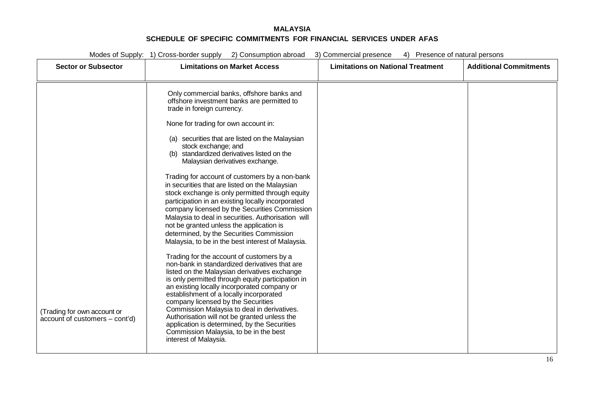| <b>Additional Commitments</b> |
|-------------------------------|
|                               |
|                               |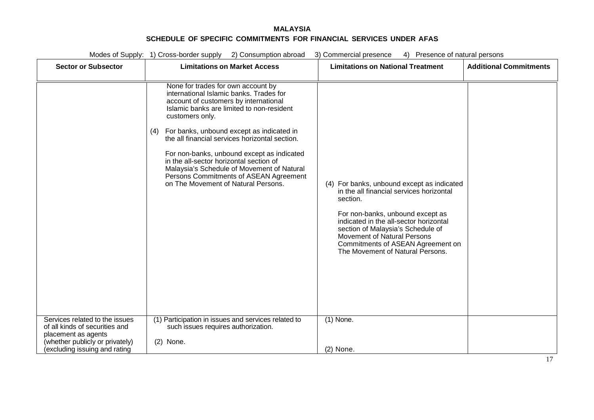|                                                                                                                            | Modes of Supply: 1) Cross-border supply 2) Consumption abroad<br>4) Presence of natural persons<br>3) Commercial presence                                                                                                                                                                                                                                                                                                                                                                                            |                                                                                                                                                                                                                                                                                                                                      |                               |  |
|----------------------------------------------------------------------------------------------------------------------------|----------------------------------------------------------------------------------------------------------------------------------------------------------------------------------------------------------------------------------------------------------------------------------------------------------------------------------------------------------------------------------------------------------------------------------------------------------------------------------------------------------------------|--------------------------------------------------------------------------------------------------------------------------------------------------------------------------------------------------------------------------------------------------------------------------------------------------------------------------------------|-------------------------------|--|
| <b>Sector or Subsector</b>                                                                                                 | <b>Limitations on Market Access</b>                                                                                                                                                                                                                                                                                                                                                                                                                                                                                  | <b>Limitations on National Treatment</b>                                                                                                                                                                                                                                                                                             | <b>Additional Commitments</b> |  |
|                                                                                                                            | None for trades for own account by<br>international Islamic banks. Trades for<br>account of customers by international<br>Islamic banks are limited to non-resident<br>customers only.<br>For banks, unbound except as indicated in<br>(4)<br>the all financial services horizontal section.<br>For non-banks, unbound except as indicated<br>in the all-sector horizontal section of<br>Malaysia's Schedule of Movement of Natural<br>Persons Commitments of ASEAN Agreement<br>on The Movement of Natural Persons. | (4) For banks, unbound except as indicated<br>in the all financial services horizontal<br>section.<br>For non-banks, unbound except as<br>indicated in the all-sector horizontal<br>section of Malaysia's Schedule of<br><b>Movement of Natural Persons</b><br>Commitments of ASEAN Agreement on<br>The Movement of Natural Persons. |                               |  |
| Services related to the issues<br>of all kinds of securities and<br>placement as agents<br>(whether publicly or privately) | (1) Participation in issues and services related to<br>such issues requires authorization.<br>$(2)$ None.                                                                                                                                                                                                                                                                                                                                                                                                            | $(1)$ None.                                                                                                                                                                                                                                                                                                                          |                               |  |
| excluding issuing and rating                                                                                               |                                                                                                                                                                                                                                                                                                                                                                                                                                                                                                                      | $(2)$ None.                                                                                                                                                                                                                                                                                                                          |                               |  |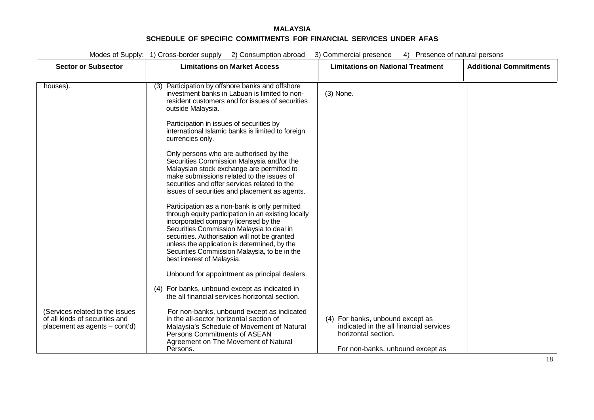| Modes of Supply: 1) Cross-border supply 2) Consumption abroad<br>4) Presence of natural persons<br>3) Commercial presence |                                                                                                                                                                                                                                                                                                                                                                          |                                                                                                                                        |                               |
|---------------------------------------------------------------------------------------------------------------------------|--------------------------------------------------------------------------------------------------------------------------------------------------------------------------------------------------------------------------------------------------------------------------------------------------------------------------------------------------------------------------|----------------------------------------------------------------------------------------------------------------------------------------|-------------------------------|
| <b>Sector or Subsector</b>                                                                                                | <b>Limitations on Market Access</b>                                                                                                                                                                                                                                                                                                                                      | <b>Limitations on National Treatment</b>                                                                                               | <b>Additional Commitments</b> |
|                                                                                                                           |                                                                                                                                                                                                                                                                                                                                                                          |                                                                                                                                        |                               |
| houses).                                                                                                                  | Participation by offshore banks and offshore<br>(3)<br>investment banks in Labuan is limited to non-<br>resident customers and for issues of securities<br>outside Malaysia.                                                                                                                                                                                             | (3) None.                                                                                                                              |                               |
|                                                                                                                           | Participation in issues of securities by<br>international Islamic banks is limited to foreign<br>currencies only.                                                                                                                                                                                                                                                        |                                                                                                                                        |                               |
|                                                                                                                           | Only persons who are authorised by the<br>Securities Commission Malaysia and/or the<br>Malaysian stock exchange are permitted to<br>make submissions related to the issues of<br>securities and offer services related to the<br>issues of securities and placement as agents.                                                                                           |                                                                                                                                        |                               |
|                                                                                                                           | Participation as a non-bank is only permitted<br>through equity participation in an existing locally<br>incorporated company licensed by the<br>Securities Commission Malaysia to deal in<br>securities. Authorisation will not be granted<br>unless the application is determined, by the<br>Securities Commission Malaysia, to be in the<br>best interest of Malaysia. |                                                                                                                                        |                               |
|                                                                                                                           | Unbound for appointment as principal dealers.                                                                                                                                                                                                                                                                                                                            |                                                                                                                                        |                               |
|                                                                                                                           | (4) For banks, unbound except as indicated in<br>the all financial services horizontal section.                                                                                                                                                                                                                                                                          |                                                                                                                                        |                               |
| (Services related to the issues<br>of all kinds of securities and<br>placement as agents - cont'd)                        | For non-banks, unbound except as indicated<br>in the all-sector horizontal section of<br>Malaysia's Schedule of Movement of Natural<br>Persons Commitments of ASEAN<br>Agreement on The Movement of Natural<br>Persons.                                                                                                                                                  | (4) For banks, unbound except as<br>indicated in the all financial services<br>horizontal section.<br>For non-banks, unbound except as |                               |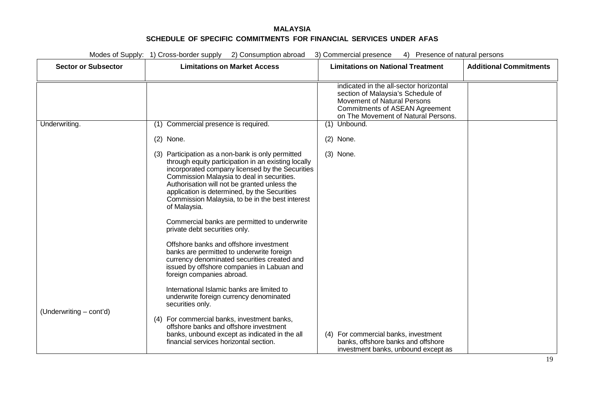| Modes of Supply: 1) Cross-border supply 2) Consumption abroad<br>3) Commercial presence<br>4) Presence of natural persons |                                                                                                                                                                                                                                                                                                                                                                                                                                                                                                                                                                                                                                                                                |                                                                                                                                                                                            |                               |  |
|---------------------------------------------------------------------------------------------------------------------------|--------------------------------------------------------------------------------------------------------------------------------------------------------------------------------------------------------------------------------------------------------------------------------------------------------------------------------------------------------------------------------------------------------------------------------------------------------------------------------------------------------------------------------------------------------------------------------------------------------------------------------------------------------------------------------|--------------------------------------------------------------------------------------------------------------------------------------------------------------------------------------------|-------------------------------|--|
| <b>Sector or Subsector</b>                                                                                                | <b>Limitations on Market Access</b>                                                                                                                                                                                                                                                                                                                                                                                                                                                                                                                                                                                                                                            | <b>Limitations on National Treatment</b>                                                                                                                                                   | <b>Additional Commitments</b> |  |
|                                                                                                                           |                                                                                                                                                                                                                                                                                                                                                                                                                                                                                                                                                                                                                                                                                | indicated in the all-sector horizontal<br>section of Malaysia's Schedule of<br>Movement of Natural Persons<br><b>Commitments of ASEAN Agreement</b><br>on The Movement of Natural Persons. |                               |  |
| Underwriting.                                                                                                             | Commercial presence is required.<br>(1)                                                                                                                                                                                                                                                                                                                                                                                                                                                                                                                                                                                                                                        | (1) Unbound.                                                                                                                                                                               |                               |  |
|                                                                                                                           | $(2)$ None.                                                                                                                                                                                                                                                                                                                                                                                                                                                                                                                                                                                                                                                                    | $(2)$ None.                                                                                                                                                                                |                               |  |
|                                                                                                                           | (3) Participation as a non-bank is only permitted<br>through equity participation in an existing locally<br>incorporated company licensed by the Securities<br>Commission Malaysia to deal in securities.<br>Authorisation will not be granted unless the<br>application is determined, by the Securities<br>Commission Malaysia, to be in the best interest<br>of Malaysia.<br>Commercial banks are permitted to underwrite<br>private debt securities only.<br>Offshore banks and offshore investment<br>banks are permitted to underwrite foreign<br>currency denominated securities created and<br>issued by offshore companies in Labuan and<br>foreign companies abroad. | $(3)$ None.                                                                                                                                                                                |                               |  |
| (Underwriting - cont'd)                                                                                                   | International Islamic banks are limited to<br>underwrite foreign currency denominated<br>securities only.<br>(4) For commercial banks, investment banks,                                                                                                                                                                                                                                                                                                                                                                                                                                                                                                                       |                                                                                                                                                                                            |                               |  |
|                                                                                                                           | offshore banks and offshore investment<br>banks, unbound except as indicated in the all<br>financial services horizontal section.                                                                                                                                                                                                                                                                                                                                                                                                                                                                                                                                              | (4) For commercial banks, investment<br>banks, offshore banks and offshore<br>investment banks, unbound except as                                                                          |                               |  |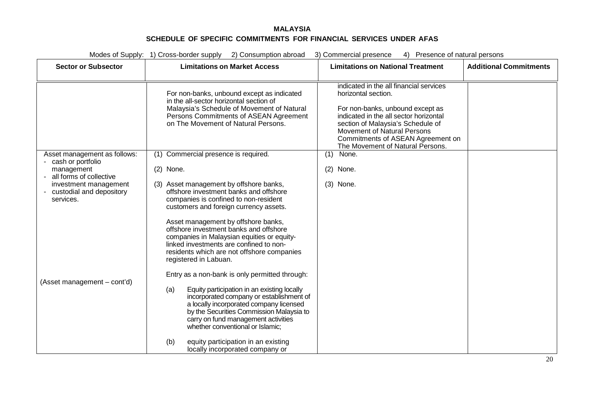| Modes of Supply: 1) Cross-border supply<br>2) Consumption abroad<br>3) Commercial presence<br>4) Presence of natural persons |                                                                                                                                                                                                                                                                  |                                                                                                                                                                                                                         |                               |
|------------------------------------------------------------------------------------------------------------------------------|------------------------------------------------------------------------------------------------------------------------------------------------------------------------------------------------------------------------------------------------------------------|-------------------------------------------------------------------------------------------------------------------------------------------------------------------------------------------------------------------------|-------------------------------|
| <b>Sector or Subsector</b>                                                                                                   | <b>Limitations on Market Access</b>                                                                                                                                                                                                                              | <b>Limitations on National Treatment</b>                                                                                                                                                                                | <b>Additional Commitments</b> |
|                                                                                                                              |                                                                                                                                                                                                                                                                  | indicated in the all financial services                                                                                                                                                                                 |                               |
|                                                                                                                              | For non-banks, unbound except as indicated<br>in the all-sector horizontal section of                                                                                                                                                                            | horizontal section.                                                                                                                                                                                                     |                               |
|                                                                                                                              | Malaysia's Schedule of Movement of Natural<br>Persons Commitments of ASEAN Agreement<br>on The Movement of Natural Persons.                                                                                                                                      | For non-banks, unbound except as<br>indicated in the all sector horizontal<br>section of Malaysia's Schedule of<br>Movement of Natural Persons<br>Commitments of ASEAN Agreement on<br>The Movement of Natural Persons. |                               |
| Asset management as follows:<br>- cash or portfolio                                                                          | Commercial presence is required.<br>(1)                                                                                                                                                                                                                          | None.<br>(1)                                                                                                                                                                                                            |                               |
| management<br>all forms of collective                                                                                        | $(2)$ None.                                                                                                                                                                                                                                                      | (2)<br>None.                                                                                                                                                                                                            |                               |
| investment management<br>- custodial and depository<br>services.                                                             | Asset management by offshore banks,<br>offshore investment banks and offshore<br>companies is confined to non-resident                                                                                                                                           | $(3)$ None.                                                                                                                                                                                                             |                               |
|                                                                                                                              | customers and foreign currency assets.                                                                                                                                                                                                                           |                                                                                                                                                                                                                         |                               |
|                                                                                                                              | Asset management by offshore banks,<br>offshore investment banks and offshore<br>companies in Malaysian equities or equity-<br>linked investments are confined to non-<br>residents which are not offshore companies<br>registered in Labuan.                    |                                                                                                                                                                                                                         |                               |
|                                                                                                                              | Entry as a non-bank is only permitted through:                                                                                                                                                                                                                   |                                                                                                                                                                                                                         |                               |
| (Asset management – cont'd)                                                                                                  | Equity participation in an existing locally<br>(a)<br>incorporated company or establishment of<br>a locally incorporated company licensed<br>by the Securities Commission Malaysia to<br>carry on fund management activities<br>whether conventional or Islamic; |                                                                                                                                                                                                                         |                               |
|                                                                                                                              | (b)<br>equity participation in an existing<br>locally incorporated company or                                                                                                                                                                                    |                                                                                                                                                                                                                         |                               |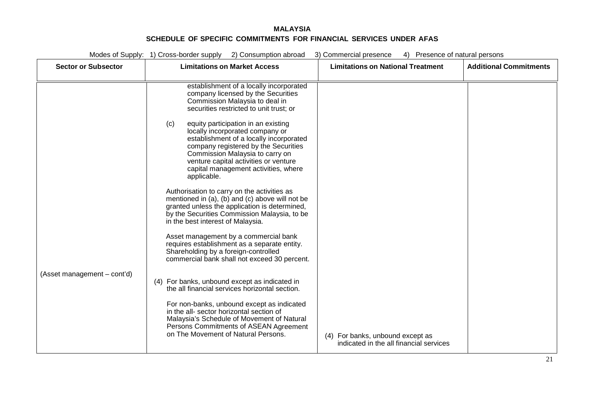| Modes of Supply: 1) Cross-border supply 2) Consumption abroad<br>3) Commercial presence<br>4) Presence of natural persons |                                                                                                                                                                                                                                                                                                                                                                                                                                                                                                                                                                                                                                                                                                                                                                                                                                                                                                                                                                                                                                                                                                                                                                                                                        |                                                                             |                               |
|---------------------------------------------------------------------------------------------------------------------------|------------------------------------------------------------------------------------------------------------------------------------------------------------------------------------------------------------------------------------------------------------------------------------------------------------------------------------------------------------------------------------------------------------------------------------------------------------------------------------------------------------------------------------------------------------------------------------------------------------------------------------------------------------------------------------------------------------------------------------------------------------------------------------------------------------------------------------------------------------------------------------------------------------------------------------------------------------------------------------------------------------------------------------------------------------------------------------------------------------------------------------------------------------------------------------------------------------------------|-----------------------------------------------------------------------------|-------------------------------|
| <b>Sector or Subsector</b>                                                                                                | <b>Limitations on Market Access</b>                                                                                                                                                                                                                                                                                                                                                                                                                                                                                                                                                                                                                                                                                                                                                                                                                                                                                                                                                                                                                                                                                                                                                                                    | <b>Limitations on National Treatment</b>                                    | <b>Additional Commitments</b> |
| (Asset management – cont'd)                                                                                               | establishment of a locally incorporated<br>company licensed by the Securities<br>Commission Malaysia to deal in<br>securities restricted to unit trust; or<br>equity participation in an existing<br>(c)<br>locally incorporated company or<br>establishment of a locally incorporated<br>company registered by the Securities<br>Commission Malaysia to carry on<br>venture capital activities or venture<br>capital management activities, where<br>applicable.<br>Authorisation to carry on the activities as<br>mentioned in (a), (b) and (c) above will not be<br>granted unless the application is determined,<br>by the Securities Commission Malaysia, to be<br>in the best interest of Malaysia.<br>Asset management by a commercial bank<br>requires establishment as a separate entity.<br>Shareholding by a foreign-controlled<br>commercial bank shall not exceed 30 percent.<br>(4) For banks, unbound except as indicated in<br>the all financial services horizontal section.<br>For non-banks, unbound except as indicated<br>in the all- sector horizontal section of<br>Malaysia's Schedule of Movement of Natural<br>Persons Commitments of ASEAN Agreement<br>on The Movement of Natural Persons. | (4) For banks, unbound except as<br>indicated in the all financial services |                               |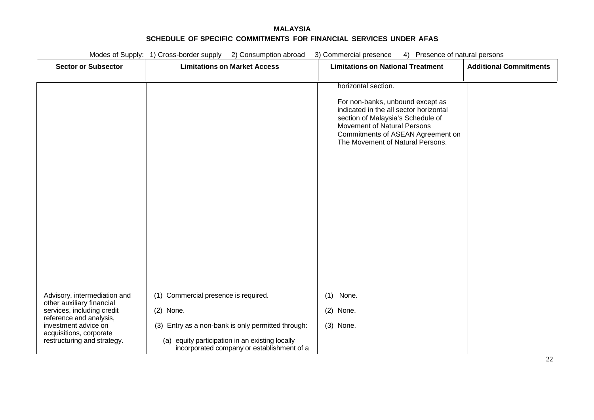|                                                           | Modes of Supply: 1) Cross-border supply 2) Consumption abroad                                 | 3) Commercial presence<br>4) Presence of natural persons                                                                                                                                                                                       |                               |
|-----------------------------------------------------------|-----------------------------------------------------------------------------------------------|------------------------------------------------------------------------------------------------------------------------------------------------------------------------------------------------------------------------------------------------|-------------------------------|
| <b>Sector or Subsector</b>                                | <b>Limitations on Market Access</b>                                                           | <b>Limitations on National Treatment</b>                                                                                                                                                                                                       | <b>Additional Commitments</b> |
|                                                           |                                                                                               | horizontal section.<br>For non-banks, unbound except as<br>indicated in the all sector horizontal<br>section of Malaysia's Schedule of<br>Movement of Natural Persons<br>Commitments of ASEAN Agreement on<br>The Movement of Natural Persons. |                               |
|                                                           |                                                                                               |                                                                                                                                                                                                                                                |                               |
| Advisory, intermediation and<br>other auxiliary financial | (1) Commercial presence is required.                                                          | $(1)$ None.                                                                                                                                                                                                                                    |                               |
| services, including credit<br>reference and analysis,     | $(2)$ None.                                                                                   | $(2)$ None.                                                                                                                                                                                                                                    |                               |
| investment advice on<br>acquisitions, corporate           | (3) Entry as a non-bank is only permitted through:                                            | (3) None.                                                                                                                                                                                                                                      |                               |
| restructuring and strategy.                               | (a) equity participation in an existing locally<br>incorporated company or establishment of a |                                                                                                                                                                                                                                                |                               |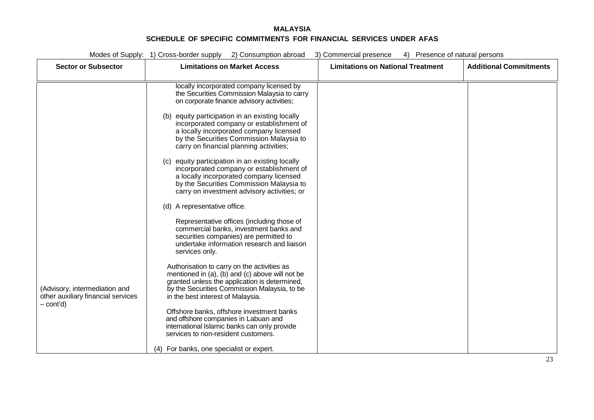| Modes of Supply: 1) Cross-border supply 2) Consumption abroad<br>4) Presence of natural persons<br>3) Commercial presence |                                                                                                  |                                          |                               |  |
|---------------------------------------------------------------------------------------------------------------------------|--------------------------------------------------------------------------------------------------|------------------------------------------|-------------------------------|--|
| <b>Sector or Subsector</b>                                                                                                | <b>Limitations on Market Access</b>                                                              | <b>Limitations on National Treatment</b> | <b>Additional Commitments</b> |  |
|                                                                                                                           |                                                                                                  |                                          |                               |  |
|                                                                                                                           | locally incorporated company licensed by                                                         |                                          |                               |  |
|                                                                                                                           | the Securities Commission Malaysia to carry<br>on corporate finance advisory activities;         |                                          |                               |  |
|                                                                                                                           |                                                                                                  |                                          |                               |  |
|                                                                                                                           | (b) equity participation in an existing locally<br>incorporated company or establishment of      |                                          |                               |  |
|                                                                                                                           | a locally incorporated company licensed                                                          |                                          |                               |  |
|                                                                                                                           | by the Securities Commission Malaysia to                                                         |                                          |                               |  |
|                                                                                                                           | carry on financial planning activities;                                                          |                                          |                               |  |
|                                                                                                                           | (c) equity participation in an existing locally                                                  |                                          |                               |  |
|                                                                                                                           | incorporated company or establishment of<br>a locally incorporated company licensed              |                                          |                               |  |
|                                                                                                                           | by the Securities Commission Malaysia to                                                         |                                          |                               |  |
|                                                                                                                           | carry on investment advisory activities; or                                                      |                                          |                               |  |
|                                                                                                                           | (d) A representative office.                                                                     |                                          |                               |  |
|                                                                                                                           | Representative offices (including those of                                                       |                                          |                               |  |
|                                                                                                                           | commercial banks, investment banks and<br>securities companies) are permitted to                 |                                          |                               |  |
|                                                                                                                           | undertake information research and liaison                                                       |                                          |                               |  |
|                                                                                                                           | services only.                                                                                   |                                          |                               |  |
|                                                                                                                           | Authorisation to carry on the activities as                                                      |                                          |                               |  |
|                                                                                                                           | mentioned in (a), (b) and (c) above will not be<br>granted unless the application is determined, |                                          |                               |  |
| (Advisory, intermediation and                                                                                             | by the Securities Commission Malaysia, to be                                                     |                                          |                               |  |
| other auxiliary financial services                                                                                        | in the best interest of Malaysia.                                                                |                                          |                               |  |
| - cont'd)                                                                                                                 | Offshore banks, offshore investment banks                                                        |                                          |                               |  |
|                                                                                                                           | and offshore companies in Labuan and                                                             |                                          |                               |  |
|                                                                                                                           | international Islamic banks can only provide<br>services to non-resident customers.              |                                          |                               |  |
|                                                                                                                           |                                                                                                  |                                          |                               |  |
|                                                                                                                           | (4) For banks, one specialist or expert.                                                         |                                          |                               |  |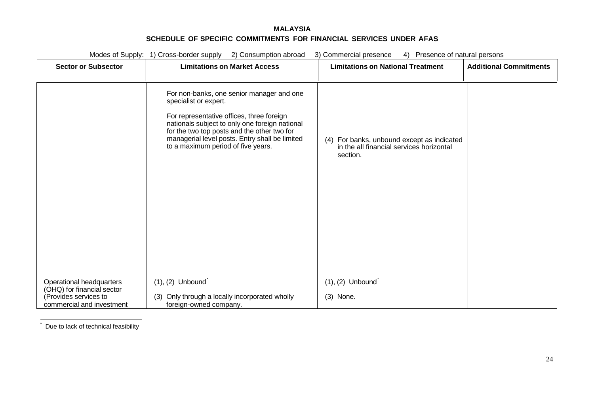<span id="page-85-1"></span><span id="page-85-0"></span>

|                                                                                                              | Modes of Supply: 1) Cross-border supply<br>2) Consumption abroad                                                                                                                                                                                                                                         | 3) Commercial presence<br>4) Presence of natural persons                                           |                               |
|--------------------------------------------------------------------------------------------------------------|----------------------------------------------------------------------------------------------------------------------------------------------------------------------------------------------------------------------------------------------------------------------------------------------------------|----------------------------------------------------------------------------------------------------|-------------------------------|
| <b>Sector or Subsector</b>                                                                                   | <b>Limitations on Market Access</b>                                                                                                                                                                                                                                                                      | <b>Limitations on National Treatment</b>                                                           | <b>Additional Commitments</b> |
|                                                                                                              | For non-banks, one senior manager and one<br>specialist or expert.<br>For representative offices, three foreign<br>nationals subject to only one foreign national<br>for the two top posts and the other two for<br>managerial level posts. Entry shall be limited<br>to a maximum period of five years. | (4) For banks, unbound except as indicated<br>in the all financial services horizontal<br>section. |                               |
| Operational headquarters<br>(OHQ) for financial sector<br>(Provides services to<br>commercial and investment | $(1), (2)$ Unbound<br>(3) Only through a locally incorporated wholly<br>foreign-owned company.                                                                                                                                                                                                           | $(1), (2)$ Unbound<br>(3) None.                                                                    |                               |

 $\dot{\phantom{a}}$  Due to lack of technical feasibility

\*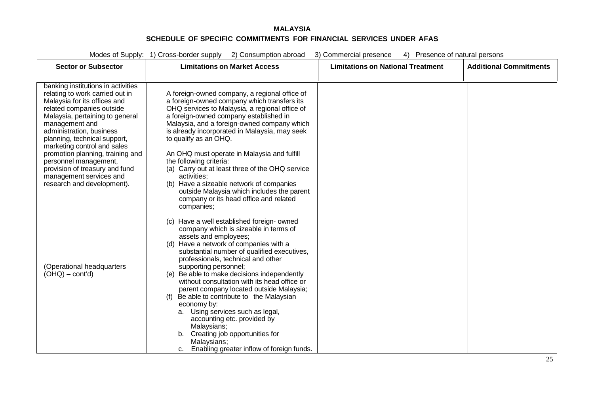| Modes of Supply: 1) Cross-border supply<br>2) Consumption abroad<br>3) Commercial presence<br>4) Presence of natural persons                                                                                                                    |                                                                                                                                                                                                                                                                                                                                                                                                                                                                                                                                                                                                                                                                                                                                                                     |                                          |                               |  |
|-------------------------------------------------------------------------------------------------------------------------------------------------------------------------------------------------------------------------------------------------|---------------------------------------------------------------------------------------------------------------------------------------------------------------------------------------------------------------------------------------------------------------------------------------------------------------------------------------------------------------------------------------------------------------------------------------------------------------------------------------------------------------------------------------------------------------------------------------------------------------------------------------------------------------------------------------------------------------------------------------------------------------------|------------------------------------------|-------------------------------|--|
| <b>Sector or Subsector</b>                                                                                                                                                                                                                      | <b>Limitations on Market Access</b>                                                                                                                                                                                                                                                                                                                                                                                                                                                                                                                                                                                                                                                                                                                                 | <b>Limitations on National Treatment</b> | <b>Additional Commitments</b> |  |
| banking institutions in activities<br>relating to work carried out in<br>Malaysia for its offices and<br>related companies outside<br>Malaysia, pertaining to general<br>management and                                                         | A foreign-owned company, a regional office of<br>a foreign-owned company which transfers its<br>OHQ services to Malaysia, a regional office of<br>a foreign-owned company established in<br>Malaysia, and a foreign-owned company which                                                                                                                                                                                                                                                                                                                                                                                                                                                                                                                             |                                          |                               |  |
| administration, business<br>planning, technical support,<br>marketing control and sales<br>promotion planning, training and<br>personnel management,<br>provision of treasury and fund<br>management services and<br>research and development). | is already incorporated in Malaysia, may seek<br>to qualify as an OHQ.<br>An OHQ must operate in Malaysia and fulfill<br>the following criteria:<br>(a) Carry out at least three of the OHQ service<br>activities;<br>(b) Have a sizeable network of companies                                                                                                                                                                                                                                                                                                                                                                                                                                                                                                      |                                          |                               |  |
| (Operational headquarters<br>$(OHQ) - cont'd)$                                                                                                                                                                                                  | outside Malaysia which includes the parent<br>company or its head office and related<br>companies;<br>(c) Have a well established foreign-owned<br>company which is sizeable in terms of<br>assets and employees;<br>(d) Have a network of companies with a<br>substantial number of qualified executives,<br>professionals, technical and other<br>supporting personnel;<br>(e) Be able to make decisions independently<br>without consultation with its head office or<br>parent company located outside Malaysia;<br>Be able to contribute to the Malaysian<br>economy by:<br>a. Using services such as legal,<br>accounting etc. provided by<br>Malaysians;<br>b. Creating job opportunities for<br>Malaysians;<br>c. Enabling greater inflow of foreign funds. |                                          |                               |  |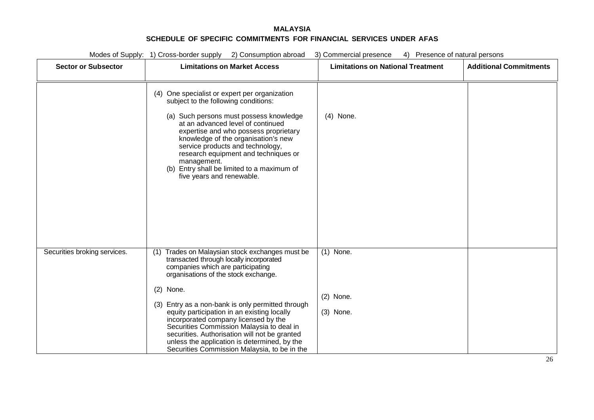|                              | Modes of Supply: 1) Cross-border supply<br>2) Consumption abroad<br>3) Commercial presence<br>4) Presence of natural persons                                                                                                                                                                                                                                                                                                        |                                          |                               |  |  |
|------------------------------|-------------------------------------------------------------------------------------------------------------------------------------------------------------------------------------------------------------------------------------------------------------------------------------------------------------------------------------------------------------------------------------------------------------------------------------|------------------------------------------|-------------------------------|--|--|
| <b>Sector or Subsector</b>   | <b>Limitations on Market Access</b>                                                                                                                                                                                                                                                                                                                                                                                                 | <b>Limitations on National Treatment</b> | <b>Additional Commitments</b> |  |  |
|                              | (4) One specialist or expert per organization<br>subject to the following conditions:<br>(a) Such persons must possess knowledge<br>at an advanced level of continued<br>expertise and who possess proprietary<br>knowledge of the organisation's new<br>service products and technology,<br>research equipment and techniques or<br>management.<br>(b) Entry shall be limited to a maximum of<br>five years and renewable.         | $(4)$ None.                              |                               |  |  |
| Securities broking services. | Trades on Malaysian stock exchanges must be<br>(1)<br>transacted through locally incorporated<br>companies which are participating<br>organisations of the stock exchange.<br>$(2)$ None.<br>(3) Entry as a non-bank is only permitted through<br>equity participation in an existing locally<br>incorporated company licensed by the<br>Securities Commission Malaysia to deal in<br>securities. Authorisation will not be granted | $(1)$ None.<br>$(2)$ None.<br>(3) None.  |                               |  |  |
|                              | unless the application is determined, by the<br>Securities Commission Malaysia, to be in the                                                                                                                                                                                                                                                                                                                                        |                                          |                               |  |  |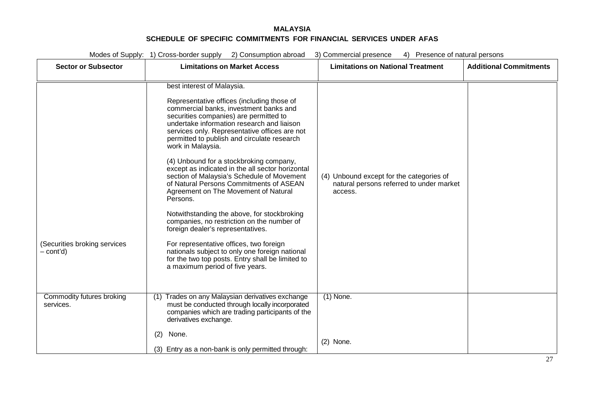Modes of Supply: 1) Cross-border supply 2) Consumption abroad 3) Commercial presence 4) Presence of natural persons

| <b>Sector or Subsector</b>                | $27$ Outbuilly tion abroad<br><b>Limitations on Market Access</b>                                                                                                                                                                                                                                                                                                                                                                                                                                                                                                                                                                                                                                                                                                                                                                                                                                 | <b>Limitations on National Treatment</b>                                                        | <b>Additional Commitments</b> |
|-------------------------------------------|---------------------------------------------------------------------------------------------------------------------------------------------------------------------------------------------------------------------------------------------------------------------------------------------------------------------------------------------------------------------------------------------------------------------------------------------------------------------------------------------------------------------------------------------------------------------------------------------------------------------------------------------------------------------------------------------------------------------------------------------------------------------------------------------------------------------------------------------------------------------------------------------------|-------------------------------------------------------------------------------------------------|-------------------------------|
| (Securities broking services<br>– cont'd) | best interest of Malaysia.<br>Representative offices (including those of<br>commercial banks, investment banks and<br>securities companies) are permitted to<br>undertake information research and liaison<br>services only. Representative offices are not<br>permitted to publish and circulate research<br>work in Malaysia.<br>(4) Unbound for a stockbroking company,<br>except as indicated in the all sector horizontal<br>section of Malaysia's Schedule of Movement<br>of Natural Persons Commitments of ASEAN<br>Agreement on The Movement of Natural<br>Persons.<br>Notwithstanding the above, for stockbroking<br>companies, no restriction on the number of<br>foreign dealer's representatives.<br>For representative offices, two foreign<br>nationals subject to only one foreign national<br>for the two top posts. Entry shall be limited to<br>a maximum period of five years. | (4) Unbound except for the categories of<br>natural persons referred to under market<br>access. |                               |
| Commodity futures broking<br>services.    | Trades on any Malaysian derivatives exchange<br>(1)<br>must be conducted through locally incorporated<br>companies which are trading participants of the<br>derivatives exchange.                                                                                                                                                                                                                                                                                                                                                                                                                                                                                                                                                                                                                                                                                                                 | $(1)$ None.                                                                                     |                               |
|                                           | None.<br>(2)<br>(3) Entry as a non-bank is only permitted through:                                                                                                                                                                                                                                                                                                                                                                                                                                                                                                                                                                                                                                                                                                                                                                                                                                | $(2)$ None.                                                                                     |                               |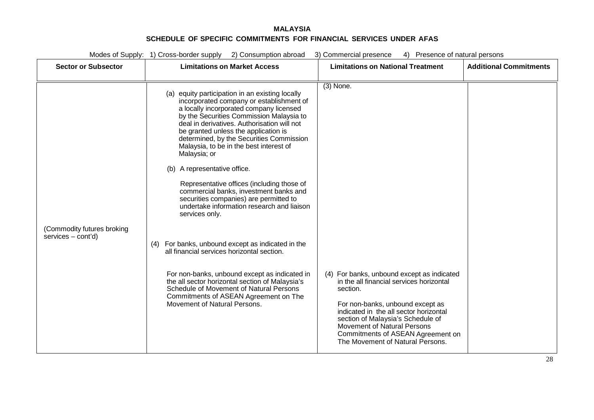|                                                  | Modes of Supply: 1) Cross-border supply 2) Consumption abroad<br>3) Commercial presence<br>4) Presence of natural persons                                                                                                                                                                                                                                                                                                                                                                                                                                                                                                                                                                                                                                                                                                                                                                                                                     |                                                                                                                                                                                                                                                                                                                                              |                               |  |  |
|--------------------------------------------------|-----------------------------------------------------------------------------------------------------------------------------------------------------------------------------------------------------------------------------------------------------------------------------------------------------------------------------------------------------------------------------------------------------------------------------------------------------------------------------------------------------------------------------------------------------------------------------------------------------------------------------------------------------------------------------------------------------------------------------------------------------------------------------------------------------------------------------------------------------------------------------------------------------------------------------------------------|----------------------------------------------------------------------------------------------------------------------------------------------------------------------------------------------------------------------------------------------------------------------------------------------------------------------------------------------|-------------------------------|--|--|
| <b>Sector or Subsector</b>                       | <b>Limitations on Market Access</b>                                                                                                                                                                                                                                                                                                                                                                                                                                                                                                                                                                                                                                                                                                                                                                                                                                                                                                           | <b>Limitations on National Treatment</b>                                                                                                                                                                                                                                                                                                     | <b>Additional Commitments</b> |  |  |
| (Commodity futures broking<br>services - cont'd) | (a) equity participation in an existing locally<br>incorporated company or establishment of<br>a locally incorporated company licensed<br>by the Securities Commission Malaysia to<br>deal in derivatives. Authorisation will not<br>be granted unless the application is<br>determined, by the Securities Commission<br>Malaysia, to be in the best interest of<br>Malaysia; or<br>(b) A representative office.<br>Representative offices (including those of<br>commercial banks, investment banks and<br>securities companies) are permitted to<br>undertake information research and liaison<br>services only.<br>(4) For banks, unbound except as indicated in the<br>all financial services horizontal section.<br>For non-banks, unbound except as indicated in<br>the all sector horizontal section of Malaysia's<br>Schedule of Movement of Natural Persons<br>Commitments of ASEAN Agreement on The<br>Movement of Natural Persons. | $(3)$ None.<br>(4) For banks, unbound except as indicated<br>in the all financial services horizontal<br>section.<br>For non-banks, unbound except as<br>indicated in the all sector horizontal<br>section of Malaysia's Schedule of<br>Movement of Natural Persons<br>Commitments of ASEAN Agreement on<br>The Movement of Natural Persons. |                               |  |  |
|                                                  |                                                                                                                                                                                                                                                                                                                                                                                                                                                                                                                                                                                                                                                                                                                                                                                                                                                                                                                                               |                                                                                                                                                                                                                                                                                                                                              |                               |  |  |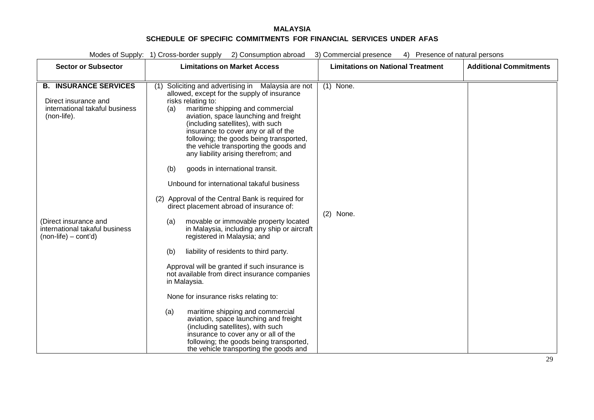| Modes of Supply: 1) Cross-border supply<br>2) Consumption abroad<br>3) Commercial presence<br>4) Presence of natural persons |                                                                                                                                                                                                                                                                                                                                                                                                                                                                                                                                                                                                                  |                                          |                               |  |
|------------------------------------------------------------------------------------------------------------------------------|------------------------------------------------------------------------------------------------------------------------------------------------------------------------------------------------------------------------------------------------------------------------------------------------------------------------------------------------------------------------------------------------------------------------------------------------------------------------------------------------------------------------------------------------------------------------------------------------------------------|------------------------------------------|-------------------------------|--|
| <b>Sector or Subsector</b>                                                                                                   | <b>Limitations on Market Access</b>                                                                                                                                                                                                                                                                                                                                                                                                                                                                                                                                                                              | <b>Limitations on National Treatment</b> | <b>Additional Commitments</b> |  |
|                                                                                                                              |                                                                                                                                                                                                                                                                                                                                                                                                                                                                                                                                                                                                                  |                                          |                               |  |
| <b>B. INSURANCE SERVICES</b><br>Direct insurance and<br>international takaful business<br>(non-life).                        | Soliciting and advertising in Malaysia are not<br>(1)<br>allowed, except for the supply of insurance<br>risks relating to:<br>maritime shipping and commercial<br>(a)<br>aviation, space launching and freight<br>(including satellites), with such<br>insurance to cover any or all of the<br>following; the goods being transported,<br>the vehicle transporting the goods and<br>any liability arising therefrom; and<br>goods in international transit.<br>(b)<br>Unbound for international takaful business<br>(2) Approval of the Central Bank is required for<br>direct placement abroad of insurance of: | $(1)$ None.                              |                               |  |
| (Direct insurance and<br>international takaful business<br>(non-life) – cont'd)                                              | movable or immovable property located<br>(a)<br>in Malaysia, including any ship or aircraft<br>registered in Malaysia; and<br>liability of residents to third party.<br>(b)<br>Approval will be granted if such insurance is<br>not available from direct insurance companies<br>in Malaysia.<br>None for insurance risks relating to:<br>maritime shipping and commercial<br>(a)<br>aviation, space launching and freight<br>(including satellites), with such<br>insurance to cover any or all of the<br>following; the goods being transported,<br>the vehicle transporting the goods and                     | None.<br>(2)                             |                               |  |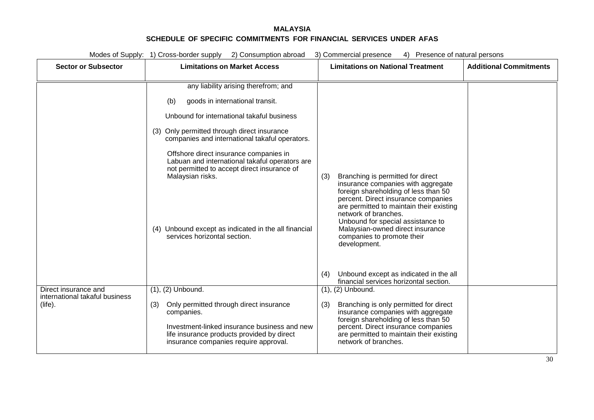|                                              | Modes of Supply: 1) Cross-border supply 2) Consumption abroad                                                                                                                                                                                                                                                                                                                                                                                                                        | 3) Commercial presence<br>4) Presence of natural persons                                                                                                                                                                                                                                                                                                                                                  |                               |
|----------------------------------------------|--------------------------------------------------------------------------------------------------------------------------------------------------------------------------------------------------------------------------------------------------------------------------------------------------------------------------------------------------------------------------------------------------------------------------------------------------------------------------------------|-----------------------------------------------------------------------------------------------------------------------------------------------------------------------------------------------------------------------------------------------------------------------------------------------------------------------------------------------------------------------------------------------------------|-------------------------------|
| <b>Sector or Subsector</b>                   | <b>Limitations on Market Access</b>                                                                                                                                                                                                                                                                                                                                                                                                                                                  | <b>Limitations on National Treatment</b>                                                                                                                                                                                                                                                                                                                                                                  | <b>Additional Commitments</b> |
|                                              | any liability arising therefrom; and<br>goods in international transit.<br>(b)<br>Unbound for international takaful business<br>(3) Only permitted through direct insurance<br>companies and international takaful operators.<br>Offshore direct insurance companies in<br>Labuan and international takaful operators are<br>not permitted to accept direct insurance of<br>Malaysian risks.<br>(4) Unbound except as indicated in the all financial<br>services horizontal section. | Branching is permitted for direct<br>(3)<br>insurance companies with aggregate<br>foreign shareholding of less than 50<br>percent. Direct insurance companies<br>are permitted to maintain their existing<br>network of branches.<br>Unbound for special assistance to<br>Malaysian-owned direct insurance<br>companies to promote their<br>development.<br>Unbound except as indicated in the all<br>(4) |                               |
| Direct insurance and                         | $(1), (2)$ Unbound.                                                                                                                                                                                                                                                                                                                                                                                                                                                                  | financial services horizontal section.<br>$(1), (2)$ Unbound.                                                                                                                                                                                                                                                                                                                                             |                               |
| international takaful business<br>$(life)$ . | Only permitted through direct insurance<br>(3)<br>companies.<br>Investment-linked insurance business and new<br>life insurance products provided by direct<br>insurance companies require approval.                                                                                                                                                                                                                                                                                  | Branching is only permitted for direct<br>(3)<br>insurance companies with aggregate<br>foreign shareholding of less than 50<br>percent. Direct insurance companies<br>are permitted to maintain their existing<br>network of branches.                                                                                                                                                                    |                               |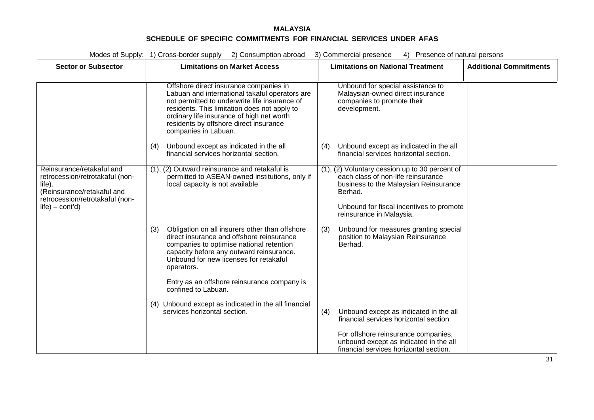|                                                                                                                                                             | Modes of Supply: 1) Cross-border supply 2) Consumption abroad                                                                                                                                                                                                                    | 3) Commercial presence<br>4) Presence of natural persons                                                                                                                                                         |                               |
|-------------------------------------------------------------------------------------------------------------------------------------------------------------|----------------------------------------------------------------------------------------------------------------------------------------------------------------------------------------------------------------------------------------------------------------------------------|------------------------------------------------------------------------------------------------------------------------------------------------------------------------------------------------------------------|-------------------------------|
| <b>Sector or Subsector</b>                                                                                                                                  | <b>Limitations on Market Access</b>                                                                                                                                                                                                                                              | <b>Limitations on National Treatment</b>                                                                                                                                                                         | <b>Additional Commitments</b> |
|                                                                                                                                                             | Offshore direct insurance companies in<br>Labuan and international takaful operators are<br>not permitted to underwrite life insurance of<br>residents. This limitation does not apply to<br>ordinary life insurance of high net worth<br>residents by offshore direct insurance | Unbound for special assistance to<br>Malaysian-owned direct insurance<br>companies to promote their<br>development.                                                                                              |                               |
|                                                                                                                                                             | companies in Labuan.<br>Unbound except as indicated in the all<br>(4)<br>financial services horizontal section.                                                                                                                                                                  | Unbound except as indicated in the all<br>(4)<br>financial services horizontal section.                                                                                                                          |                               |
| Reinsurance/retakaful and<br>retrocession/retrotakaful (non-<br>life).<br>(Reinsurance/retakaful and<br>retrocession/retrotakaful (non-<br>$life$ – cont'd) | (1), (2) Outward reinsurance and retakaful is<br>permitted to ASEAN-owned institutions, only if<br>local capacity is not available.                                                                                                                                              | (1), (2) Voluntary cession up to 30 percent of<br>each class of non-life reinsurance<br>business to the Malaysian Reinsurance<br>Berhad.<br>Unbound for fiscal incentives to promote<br>reinsurance in Malaysia. |                               |
|                                                                                                                                                             | Obligation on all insurers other than offshore<br>(3)<br>direct insurance and offshore reinsurance<br>companies to optimise national retention<br>capacity before any outward reinsurance.<br>Unbound for new licenses for retakaful<br>operators.                               | Unbound for measures granting special<br>(3)<br>position to Malaysian Reinsurance<br>Berhad.                                                                                                                     |                               |
|                                                                                                                                                             | Entry as an offshore reinsurance company is<br>confined to Labuan.<br>(4) Unbound except as indicated in the all financial<br>services horizontal section.                                                                                                                       | Unbound except as indicated in the all<br>(4)<br>financial services horizontal section.<br>For offshore reinsurance companies,<br>unbound except as indicated in the all                                         |                               |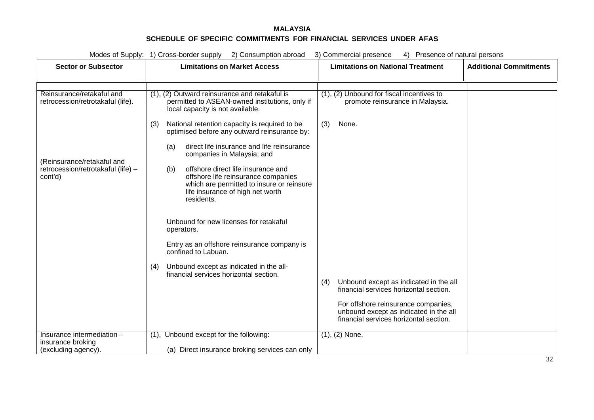| Modes of Supply: 1) Cross-border supply 2) Consumption abroad<br>3) Commercial presence<br>4) Presence of natural persons |                                                                                                                                                                                 |                                                                                                                         |                               |  |
|---------------------------------------------------------------------------------------------------------------------------|---------------------------------------------------------------------------------------------------------------------------------------------------------------------------------|-------------------------------------------------------------------------------------------------------------------------|-------------------------------|--|
| <b>Sector or Subsector</b>                                                                                                | <b>Limitations on Market Access</b>                                                                                                                                             | <b>Limitations on National Treatment</b>                                                                                | <b>Additional Commitments</b> |  |
|                                                                                                                           |                                                                                                                                                                                 |                                                                                                                         |                               |  |
| Reinsurance/retakaful and<br>retrocession/retrotakaful (life).                                                            | (1), (2) Outward reinsurance and retakaful is<br>permitted to ASEAN-owned institutions, only if<br>local capacity is not available.                                             | (1), (2) Unbound for fiscal incentives to<br>promote reinsurance in Malaysia.                                           |                               |  |
|                                                                                                                           | National retention capacity is required to be<br>(3)<br>optimised before any outward reinsurance by:                                                                            | (3)<br>None.                                                                                                            |                               |  |
|                                                                                                                           | direct life insurance and life reinsurance<br>(a)<br>companies in Malaysia; and                                                                                                 |                                                                                                                         |                               |  |
| (Reinsurance/retakaful and<br>retrocession/retrotakaful (life) -<br>cont'd)                                               | offshore direct life insurance and<br>(b)<br>offshore life reinsurance companies<br>which are permitted to insure or reinsure<br>life insurance of high net worth<br>residents. |                                                                                                                         |                               |  |
|                                                                                                                           | Unbound for new licenses for retakaful<br>operators.                                                                                                                            |                                                                                                                         |                               |  |
|                                                                                                                           | Entry as an offshore reinsurance company is<br>confined to Labuan.                                                                                                              |                                                                                                                         |                               |  |
|                                                                                                                           | Unbound except as indicated in the all-<br>(4)<br>financial services horizontal section.                                                                                        | Unbound except as indicated in the all<br>(4)                                                                           |                               |  |
|                                                                                                                           |                                                                                                                                                                                 | financial services horizontal section.                                                                                  |                               |  |
|                                                                                                                           |                                                                                                                                                                                 | For offshore reinsurance companies,<br>unbound except as indicated in the all<br>financial services horizontal section. |                               |  |
| Insurance intermediation -                                                                                                | (1), Unbound except for the following:                                                                                                                                          | $(1), (2)$ None.                                                                                                        |                               |  |
| insurance broking<br>(excluding agency).                                                                                  | (a) Direct insurance broking services can only                                                                                                                                  |                                                                                                                         |                               |  |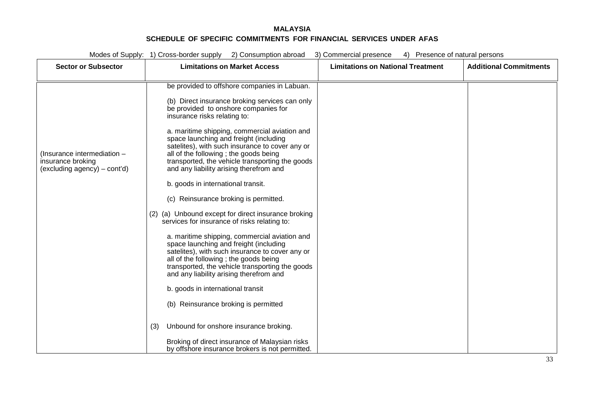|                                                                                    | Modes of Supply: 1) Cross-border supply 2) Consumption abroad<br>3) Commercial presence<br>4) Presence of natural persons                                                                                                                                                          |                                          |                               |  |  |
|------------------------------------------------------------------------------------|------------------------------------------------------------------------------------------------------------------------------------------------------------------------------------------------------------------------------------------------------------------------------------|------------------------------------------|-------------------------------|--|--|
| <b>Sector or Subsector</b>                                                         | <b>Limitations on Market Access</b>                                                                                                                                                                                                                                                | <b>Limitations on National Treatment</b> | <b>Additional Commitments</b> |  |  |
|                                                                                    |                                                                                                                                                                                                                                                                                    |                                          |                               |  |  |
|                                                                                    | be provided to offshore companies in Labuan.                                                                                                                                                                                                                                       |                                          |                               |  |  |
|                                                                                    | (b) Direct insurance broking services can only<br>be provided to onshore companies for<br>insurance risks relating to:                                                                                                                                                             |                                          |                               |  |  |
| (Insurance intermediation $-$<br>insurance broking<br>(excluding agency) – cont'd) | a. maritime shipping, commercial aviation and<br>space launching and freight (including<br>satelites), with such insurance to cover any or<br>all of the following ; the goods being<br>transported, the vehicle transporting the goods<br>and any liability arising therefrom and |                                          |                               |  |  |
|                                                                                    | b. goods in international transit.                                                                                                                                                                                                                                                 |                                          |                               |  |  |
|                                                                                    | (c) Reinsurance broking is permitted.                                                                                                                                                                                                                                              |                                          |                               |  |  |
|                                                                                    | (2) (a) Unbound except for direct insurance broking<br>services for insurance of risks relating to:                                                                                                                                                                                |                                          |                               |  |  |
|                                                                                    | a. maritime shipping, commercial aviation and<br>space launching and freight (including<br>satelites), with such insurance to cover any or<br>all of the following; the goods being<br>transported, the vehicle transporting the goods<br>and any liability arising therefrom and  |                                          |                               |  |  |
|                                                                                    | b. goods in international transit                                                                                                                                                                                                                                                  |                                          |                               |  |  |
|                                                                                    | (b) Reinsurance broking is permitted                                                                                                                                                                                                                                               |                                          |                               |  |  |
|                                                                                    | Unbound for onshore insurance broking.<br>(3)                                                                                                                                                                                                                                      |                                          |                               |  |  |
|                                                                                    | Broking of direct insurance of Malaysian risks<br>by offshore insurance brokers is not permitted.                                                                                                                                                                                  |                                          |                               |  |  |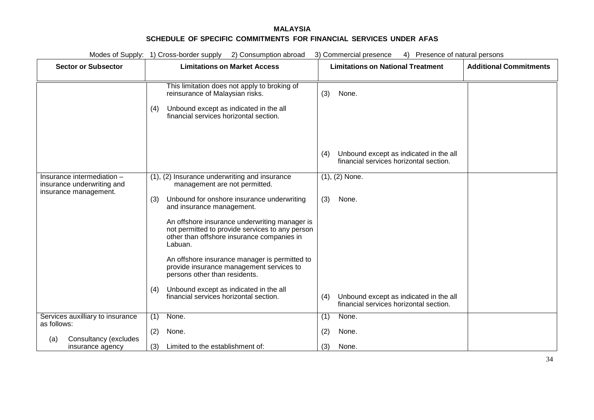|             |                                                                                   | Modes of Supply: 1) Cross-border supply 2) Consumption abroad<br>3) Commercial presence<br>4) Presence of natural persons                                                          |  |
|-------------|-----------------------------------------------------------------------------------|------------------------------------------------------------------------------------------------------------------------------------------------------------------------------------|--|
|             | <b>Sector or Subsector</b>                                                        | <b>Additional Commitments</b><br><b>Limitations on Market Access</b><br><b>Limitations on National Treatment</b>                                                                   |  |
|             |                                                                                   |                                                                                                                                                                                    |  |
|             |                                                                                   | This limitation does not apply to broking of<br>reinsurance of Malaysian risks.<br>None.<br>(3)                                                                                    |  |
|             |                                                                                   | Unbound except as indicated in the all<br>(4)<br>financial services horizontal section.                                                                                            |  |
|             |                                                                                   |                                                                                                                                                                                    |  |
|             |                                                                                   | Unbound except as indicated in the all<br>(4)<br>financial services horizontal section.                                                                                            |  |
|             | Insurance intermediation -<br>insurance underwriting and<br>insurance management. | $(1), (2)$ None.<br>(1), (2) Insurance underwriting and insurance<br>management are not permitted.                                                                                 |  |
|             |                                                                                   | Unbound for onshore insurance underwriting<br>(3)<br>None.<br>(3)<br>and insurance management.                                                                                     |  |
|             |                                                                                   | An offshore insurance underwriting manager is<br>not permitted to provide services to any person<br>other than offshore insurance companies in<br>Labuan.                          |  |
|             |                                                                                   | An offshore insurance manager is permitted to<br>provide insurance management services to<br>persons other than residents.                                                         |  |
|             |                                                                                   | Unbound except as indicated in the all<br>(4)<br>financial services horizontal section.<br>Unbound except as indicated in the all<br>(4)<br>financial services horizontal section. |  |
| as follows: | Services auxilliary to insurance                                                  | None.<br>None.<br>(1)<br>(1)                                                                                                                                                       |  |
| (a)         | Consultancy (excludes                                                             | (2)<br>None.<br>None.<br>(2)                                                                                                                                                       |  |
|             | insurance agency                                                                  | Limited to the establishment of:<br>(3)<br>(3)<br>None.                                                                                                                            |  |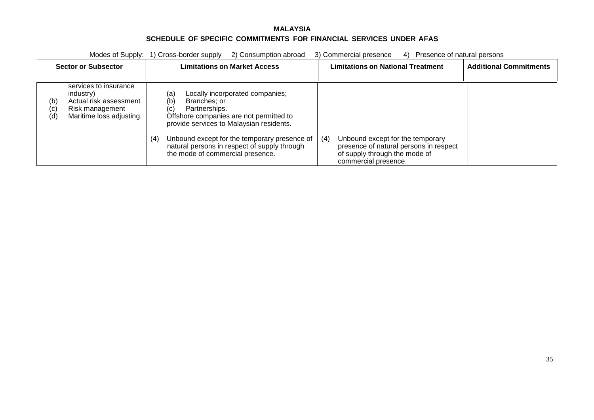| 2) Consumption abroad<br>Modes of Supply: 1) Cross-border supply |                                                                                                             |                                                                                                                                                                                                                                                                                                                         | 3) Commercial presence<br>4) Presence of natural persons                                                                                   |
|------------------------------------------------------------------|-------------------------------------------------------------------------------------------------------------|-------------------------------------------------------------------------------------------------------------------------------------------------------------------------------------------------------------------------------------------------------------------------------------------------------------------------|--------------------------------------------------------------------------------------------------------------------------------------------|
| <b>Sector or Subsector</b>                                       |                                                                                                             | <b>Limitations on Market Access</b>                                                                                                                                                                                                                                                                                     | <b>Limitations on National Treatment</b><br><b>Additional Commitments</b>                                                                  |
| (b)<br>(c)<br>(d)                                                | services to insurance<br>industry)<br>Actual risk assessment<br>Risk management<br>Maritime loss adjusting. | Locally incorporated companies;<br>(a)<br>(b)<br>Branches: or<br>Partnerships.<br>(C)<br>Offshore companies are not permitted to<br>provide services to Malaysian residents.<br>Unbound except for the temporary presence of<br>(4)<br>natural persons in respect of supply through<br>the mode of commercial presence. | Unbound except for the temporary<br>(4)<br>presence of natural persons in respect<br>of supply through the mode of<br>commercial presence. |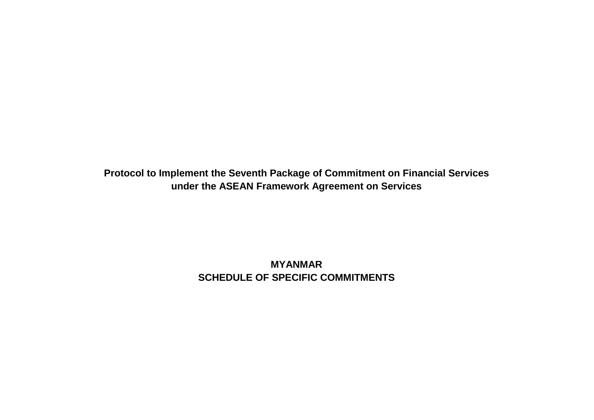**Protocol to Implement the Seventh Package of Commitment on Financial Services under the ASEAN Framework Agreement on Services**

> **MYANMAR SCHEDULE OF SPECIFIC COMMITMENTS**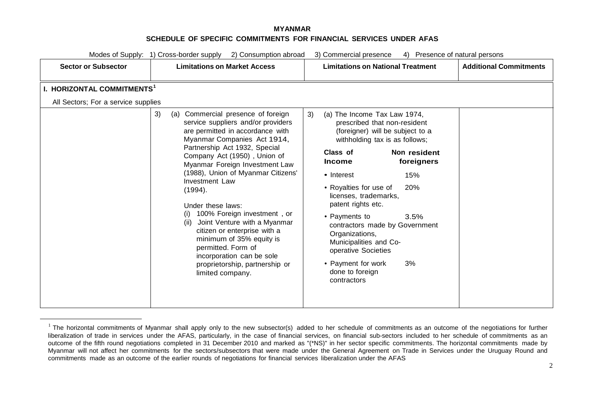<span id="page-98-0"></span>

|                                                                               | Modes of Supply: 1) Cross-border supply<br>2) Consumption abroad                                                                                                                                                                                                                                                                                                                                                                                                                                                                                                                                       | 3) Commercial presence<br>4) Presence of natural persons                                                                                                                                                                                                                                                                                                                                                                                                                                             |                               |
|-------------------------------------------------------------------------------|--------------------------------------------------------------------------------------------------------------------------------------------------------------------------------------------------------------------------------------------------------------------------------------------------------------------------------------------------------------------------------------------------------------------------------------------------------------------------------------------------------------------------------------------------------------------------------------------------------|------------------------------------------------------------------------------------------------------------------------------------------------------------------------------------------------------------------------------------------------------------------------------------------------------------------------------------------------------------------------------------------------------------------------------------------------------------------------------------------------------|-------------------------------|
| <b>Sector or Subsector</b>                                                    | <b>Limitations on Market Access</b>                                                                                                                                                                                                                                                                                                                                                                                                                                                                                                                                                                    | <b>Limitations on National Treatment</b>                                                                                                                                                                                                                                                                                                                                                                                                                                                             | <b>Additional Commitments</b> |
| I. HORIZONTAL COMMITMENTS <sup>1</sup><br>All Sectors; For a service supplies |                                                                                                                                                                                                                                                                                                                                                                                                                                                                                                                                                                                                        |                                                                                                                                                                                                                                                                                                                                                                                                                                                                                                      |                               |
|                                                                               | 3)<br>(a) Commercial presence of foreign<br>service suppliers and/or providers<br>are permitted in accordance with<br>Myanmar Companies Act 1914,<br>Partnership Act 1932, Special<br>Company Act (1950), Union of<br>Myanmar Foreign Investment Law<br>(1988), Union of Myanmar Citizens'<br><b>Investment Law</b><br>(1994).<br>Under these laws:<br>100% Foreign investment, or<br>(i)<br>Joint Venture with a Myanmar<br>(ii)<br>citizen or enterprise with a<br>minimum of 35% equity is<br>permitted. Form of<br>incorporation can be sole<br>proprietorship, partnership or<br>limited company. | 3)<br>(a) The Income Tax Law 1974,<br>prescribed that non-resident<br>(foreigner) will be subject to a<br>withholding tax is as follows;<br>Class of<br>Non resident<br>foreigners<br><b>Income</b><br>• Interest<br>15%<br>20%<br>• Royalties for use of<br>licenses, trademarks,<br>patent rights etc.<br>• Payments to<br>3.5%<br>contractors made by Government<br>Organizations,<br>Municipalities and Co-<br>operative Societies<br>• Payment for work<br>3%<br>done to foreign<br>contractors |                               |

 $1$  The horizontal commitments of Myanmar shall apply only to the new subsector(s) added to her schedule of commitments as an outcome of the negotiations for further liberalization of trade in services under the AFAS, particularly, in the case of financial services, on financial sub-sectors included to her schedule of commitments as an outcome of the fifth round negotiations completed in 31 December 2010 and marked as "(\*NS)" in her sector specific commitments. The horizontal commitments made by Myanmar will not affect her commitments for the sectors/subsectors that were made under the General Agreement on Trade in Services under the Uruguay Round and commitments made as an outcome of the earlier rounds of negotiations for financial services liberalization under the AFAS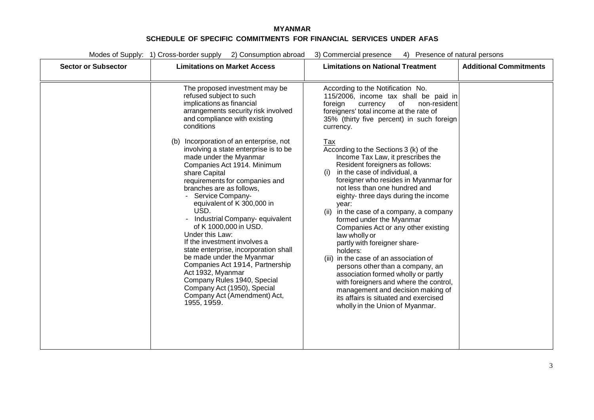Modes of Supply: 1) Cross-border supply 2) Consumption abroad 3) Commercial presence 4) Presence of natural persons **Sector or Subsector Limitations on Market Access Limitations on National Treatment Additional Commitments**

| Sector or Supsector | Liniitations on Market Access                                                                                                                                                                                                                                                                                                                                                                                                                                                                                                                                                                                                               | Limitations on National Treatment                                                                                                                                                                                                                                                                                                                                                                                                                                                                                                                                                                                                                                                                                                                    | Additional Communications |
|---------------------|---------------------------------------------------------------------------------------------------------------------------------------------------------------------------------------------------------------------------------------------------------------------------------------------------------------------------------------------------------------------------------------------------------------------------------------------------------------------------------------------------------------------------------------------------------------------------------------------------------------------------------------------|------------------------------------------------------------------------------------------------------------------------------------------------------------------------------------------------------------------------------------------------------------------------------------------------------------------------------------------------------------------------------------------------------------------------------------------------------------------------------------------------------------------------------------------------------------------------------------------------------------------------------------------------------------------------------------------------------------------------------------------------------|---------------------------|
|                     | The proposed investment may be<br>refused subject to such<br>implications as financial<br>arrangements security risk involved<br>and compliance with existing<br>conditions                                                                                                                                                                                                                                                                                                                                                                                                                                                                 | According to the Notification No.<br>115/2006, income tax shall be paid in<br>foreign<br>of<br>currency<br>non-resident<br>foreigners' total income at the rate of<br>35% (thirty five percent) in such foreign<br>currency.                                                                                                                                                                                                                                                                                                                                                                                                                                                                                                                         |                           |
|                     | (b) Incorporation of an enterprise, not<br>involving a state enterprise is to be<br>made under the Myanmar<br>Companies Act 1914. Minimum<br>share Capital<br>requirements for companies and<br>branches are as follows.<br>Service Company-<br>equivalent of K 300,000 in<br>USD.<br>Industrial Company- equivalent<br>of K 1000,000 in USD.<br>Under this Law:<br>If the investment involves a<br>state enterprise, incorporation shall<br>be made under the Myanmar<br>Companies Act 1914, Partnership<br>Act 1932, Myanmar<br>Company Rules 1940, Special<br>Company Act (1950), Special<br>Company Act (Amendment) Act,<br>1955, 1959. | Tax<br>According to the Sections 3 (k) of the<br>Income Tax Law, it prescribes the<br>Resident foreigners as follows:<br>in the case of individual, a<br>(i)<br>foreigner who resides in Myanmar for<br>not less than one hundred and<br>eighty-three days during the income<br>year:<br>in the case of a company, a company<br>(ii)<br>formed under the Myanmar<br>Companies Act or any other existing<br>law wholly or<br>partly with foreigner share-<br>holders:<br>(iii) in the case of an association of<br>persons other than a company, an<br>association formed wholly or partly<br>with foreigners and where the control,<br>management and decision making of<br>its affairs is situated and exercised<br>wholly in the Union of Myanmar. |                           |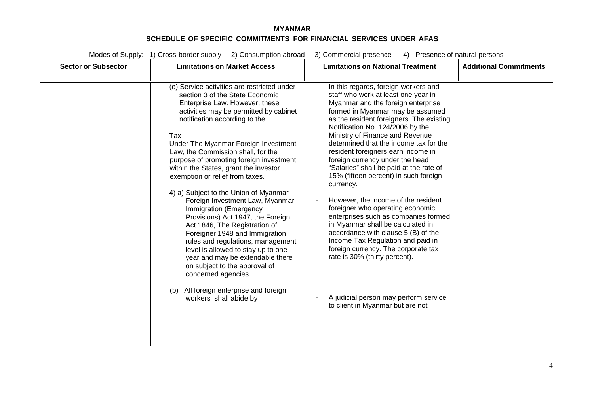| Modes of Supply: 1) Cross-border supply<br>2) Consumption abroad |                                                                                                                                                                                                                                                                                                                                                                                                                                                                                                                                                                                                                                                                                                                                                                                                                                                                     | 3) Commercial presence<br>4) Presence of natural persons                                                                                                                                                                                                                                                                                                                                                                                                                                                                                                                                                                                                                                                                                                                                                                                                                              |                               |  |
|------------------------------------------------------------------|---------------------------------------------------------------------------------------------------------------------------------------------------------------------------------------------------------------------------------------------------------------------------------------------------------------------------------------------------------------------------------------------------------------------------------------------------------------------------------------------------------------------------------------------------------------------------------------------------------------------------------------------------------------------------------------------------------------------------------------------------------------------------------------------------------------------------------------------------------------------|---------------------------------------------------------------------------------------------------------------------------------------------------------------------------------------------------------------------------------------------------------------------------------------------------------------------------------------------------------------------------------------------------------------------------------------------------------------------------------------------------------------------------------------------------------------------------------------------------------------------------------------------------------------------------------------------------------------------------------------------------------------------------------------------------------------------------------------------------------------------------------------|-------------------------------|--|
| <b>Sector or Subsector</b>                                       | <b>Limitations on Market Access</b>                                                                                                                                                                                                                                                                                                                                                                                                                                                                                                                                                                                                                                                                                                                                                                                                                                 | <b>Limitations on National Treatment</b>                                                                                                                                                                                                                                                                                                                                                                                                                                                                                                                                                                                                                                                                                                                                                                                                                                              | <b>Additional Commitments</b> |  |
|                                                                  | (e) Service activities are restricted under<br>section 3 of the State Economic<br>Enterprise Law. However, these<br>activities may be permitted by cabinet<br>notification according to the<br>Tax<br>Under The Myanmar Foreign Investment<br>Law, the Commission shall, for the<br>purpose of promoting foreign investment<br>within the States, grant the investor<br>exemption or relief from taxes.<br>4) a) Subject to the Union of Myanmar<br>Foreign Investment Law, Myanmar<br>Immigration (Emergency<br>Provisions) Act 1947, the Foreign<br>Act 1846, The Registration of<br>Foreigner 1948 and Immigration<br>rules and regulations, management<br>level is allowed to stay up to one<br>year and may be extendable there<br>on subject to the approval of<br>concerned agencies.<br>All foreign enterprise and foreign<br>(b)<br>workers shall abide by | In this regards, foreign workers and<br>staff who work at least one year in<br>Myanmar and the foreign enterprise<br>formed in Myanmar may be assumed<br>as the resident foreigners. The existing<br>Notification No. 124/2006 by the<br>Ministry of Finance and Revenue<br>determined that the income tax for the<br>resident foreigners earn income in<br>foreign currency under the head<br>"Salaries" shall be paid at the rate of<br>15% (fifteen percent) in such foreign<br>currency.<br>However, the income of the resident<br>foreigner who operating economic<br>enterprises such as companies formed<br>in Myanmar shall be calculated in<br>accordance with clause 5 (B) of the<br>Income Tax Regulation and paid in<br>foreign currency. The corporate tax<br>rate is 30% (thirty percent).<br>A judicial person may perform service<br>to client in Myanmar but are not |                               |  |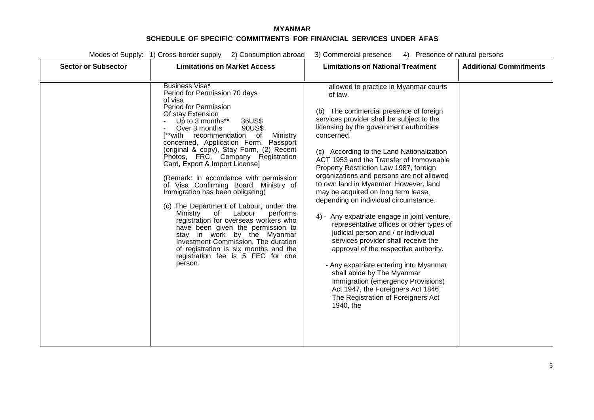Modes of Supply: 1) Cross-border supply 2) Consumption abroad 3) Commercial presence 4) Presence of natural persons

| <b>Sector or Subsector</b> | <b>Limitations on Market Access</b>                                                                                                                                                                                                                                                                                                                                                                                                                                                                                                                                                                                                                                                                                                                                                                                                     | <b>Limitations on National Treatment</b>                                                                                                                                                                                                                                                                                                                                                                                                                                                                                                                                                                                                                                                                                                                                                                                                                                                                                           | <b>Additional Commitments</b> |
|----------------------------|-----------------------------------------------------------------------------------------------------------------------------------------------------------------------------------------------------------------------------------------------------------------------------------------------------------------------------------------------------------------------------------------------------------------------------------------------------------------------------------------------------------------------------------------------------------------------------------------------------------------------------------------------------------------------------------------------------------------------------------------------------------------------------------------------------------------------------------------|------------------------------------------------------------------------------------------------------------------------------------------------------------------------------------------------------------------------------------------------------------------------------------------------------------------------------------------------------------------------------------------------------------------------------------------------------------------------------------------------------------------------------------------------------------------------------------------------------------------------------------------------------------------------------------------------------------------------------------------------------------------------------------------------------------------------------------------------------------------------------------------------------------------------------------|-------------------------------|
|                            | <b>Business Visa*</b><br>Period for Permission 70 days<br>of visa<br>Period for Permission<br>Of stay Extension<br>Up to 3 months**<br>36US\$<br>90US\$<br>Over 3 months<br>[**with recommendation<br>Ministry<br>of<br>concerned, Application Form, Passport<br>(original & copy), Stay Form, (2) Recent<br>Photos, FRC, Company Registration<br>Card, Export & Import License]<br>(Remark: in accordance with permission<br>of Visa Confirming Board, Ministry of<br>Immigration has been obligating)<br>(c) The Department of Labour, under the<br>Labour<br>Ministry<br>0f<br>performs<br>registration for overseas workers who<br>have been given the permission to<br>stay in work by the Myanmar<br>Investment Commission. The duration<br>of registration is six months and the<br>registration fee is 5 FEC for one<br>person. | allowed to practice in Myanmar courts<br>of law.<br>(b) The commercial presence of foreign<br>services provider shall be subject to the<br>licensing by the government authorities<br>concerned.<br>(c) According to the Land Nationalization<br>ACT 1953 and the Transfer of Immoveable<br>Property Restriction Law 1987, foreign<br>organizations and persons are not allowed<br>to own land in Myanmar. However, land<br>may be acquired on long term lease,<br>depending on individual circumstance.<br>4) - Any expatriate engage in joint venture,<br>representative offices or other types of<br>judicial person and / or individual<br>services provider shall receive the<br>approval of the respective authority.<br>- Any expatriate entering into Myanmar<br>shall abide by The Myanmar<br>Immigration (emergency Provisions)<br>Act 1947, the Foreigners Act 1846,<br>The Registration of Foreigners Act<br>1940, the |                               |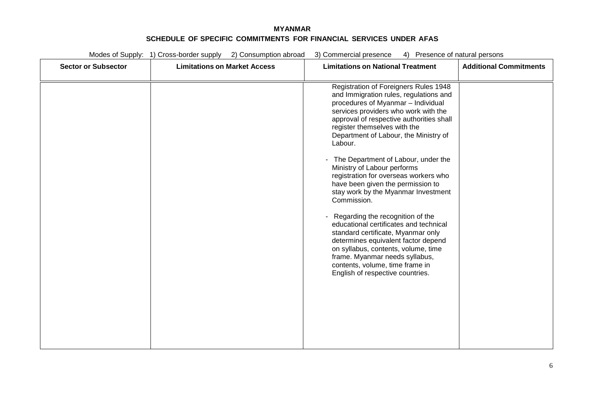| Modes of Supply: 1) Cross-border supply<br>2) Consumption abroad |                                     | 3) Commercial presence<br>4) Presence of natural persons                                                                                                                                                                                                                                                                                                                                                                                                                                                                                                                                                                                                                                                                                                                                                           |                               |  |
|------------------------------------------------------------------|-------------------------------------|--------------------------------------------------------------------------------------------------------------------------------------------------------------------------------------------------------------------------------------------------------------------------------------------------------------------------------------------------------------------------------------------------------------------------------------------------------------------------------------------------------------------------------------------------------------------------------------------------------------------------------------------------------------------------------------------------------------------------------------------------------------------------------------------------------------------|-------------------------------|--|
| <b>Sector or Subsector</b>                                       | <b>Limitations on Market Access</b> | <b>Limitations on National Treatment</b>                                                                                                                                                                                                                                                                                                                                                                                                                                                                                                                                                                                                                                                                                                                                                                           | <b>Additional Commitments</b> |  |
|                                                                  |                                     | Registration of Foreigners Rules 1948<br>and Immigration rules, regulations and<br>procedures of Myanmar - Individual<br>services providers who work with the<br>approval of respective authorities shall<br>register themselves with the<br>Department of Labour, the Ministry of<br>Labour.<br>The Department of Labour, under the<br>Ministry of Labour performs<br>registration for overseas workers who<br>have been given the permission to<br>stay work by the Myanmar Investment<br>Commission.<br>Regarding the recognition of the<br>educational certificates and technical<br>standard certificate, Myanmar only<br>determines equivalent factor depend<br>on syllabus, contents, volume, time<br>frame. Myanmar needs syllabus,<br>contents, volume, time frame in<br>English of respective countries. |                               |  |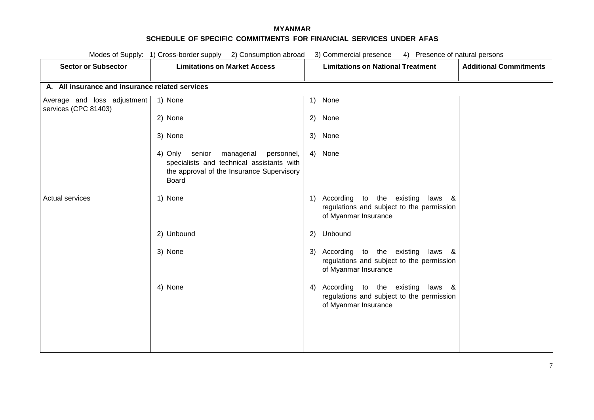| Modes of Supply: 1) Cross-border supply 2) Consumption abroad<br>3) Commercial presence 4) Presence of natural persons |                                                                                                                                                   |                                                                                                                                                            |  |
|------------------------------------------------------------------------------------------------------------------------|---------------------------------------------------------------------------------------------------------------------------------------------------|------------------------------------------------------------------------------------------------------------------------------------------------------------|--|
| <b>Sector or Subsector</b>                                                                                             | <b>Limitations on Market Access</b>                                                                                                               | <b>Limitations on National Treatment</b><br><b>Additional Commitments</b>                                                                                  |  |
| A. All insurance and insurance related services                                                                        |                                                                                                                                                   |                                                                                                                                                            |  |
| Average and loss adjustment<br>services (CPC 81403)                                                                    | 1) None                                                                                                                                           | None<br>1)                                                                                                                                                 |  |
|                                                                                                                        | 2) None                                                                                                                                           | 2) None                                                                                                                                                    |  |
|                                                                                                                        | 3) None                                                                                                                                           | 3) None                                                                                                                                                    |  |
|                                                                                                                        | senior managerial personnel,<br>4) Only<br>specialists and technical assistants with<br>the approval of the Insurance Supervisory<br><b>Board</b> | 4) None                                                                                                                                                    |  |
| <b>Actual services</b>                                                                                                 | 1) None                                                                                                                                           | According to the existing<br>laws &<br>$\left( \begin{matrix} 1 \end{matrix} \right)$<br>regulations and subject to the permission<br>of Myanmar Insurance |  |
|                                                                                                                        | 2) Unbound                                                                                                                                        | 2) Unbound                                                                                                                                                 |  |
|                                                                                                                        | 3) None                                                                                                                                           | 3) According to the existing<br>laws &<br>regulations and subject to the permission<br>of Myanmar Insurance                                                |  |
|                                                                                                                        | 4) None                                                                                                                                           | 4) According to the existing laws &<br>regulations and subject to the permission<br>of Myanmar Insurance                                                   |  |
|                                                                                                                        |                                                                                                                                                   |                                                                                                                                                            |  |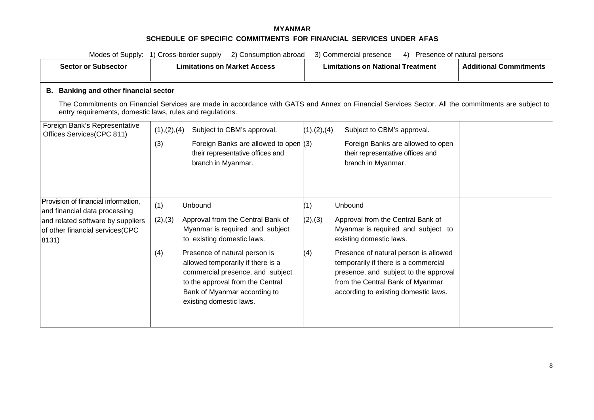| 2) Consumption abroad<br>3) Commercial presence<br>Modes of Supply: 1) Cross-border supply<br>Presence of natural persons<br>4)                       |                                                                                                                                                                                                                                                                                                                                                  |                                                                                                                                                                                                                                                                                                                                               |                               |  |
|-------------------------------------------------------------------------------------------------------------------------------------------------------|--------------------------------------------------------------------------------------------------------------------------------------------------------------------------------------------------------------------------------------------------------------------------------------------------------------------------------------------------|-----------------------------------------------------------------------------------------------------------------------------------------------------------------------------------------------------------------------------------------------------------------------------------------------------------------------------------------------|-------------------------------|--|
| <b>Sector or Subsector</b>                                                                                                                            | <b>Limitations on Market Access</b>                                                                                                                                                                                                                                                                                                              |                                                                                                                                                                                                                                                                                                                                               | <b>Additional Commitments</b> |  |
| B. Banking and other financial sector<br>entry requirements, domestic laws, rules and regulations.                                                    |                                                                                                                                                                                                                                                                                                                                                  | The Commitments on Financial Services are made in accordance with GATS and Annex on Financial Services Sector. All the commitments are subject to                                                                                                                                                                                             |                               |  |
| Foreign Bank's Representative<br>Offices Services(CPC 811)                                                                                            | (1), (2), (4)<br>Subject to CBM's approval.<br>Foreign Banks are allowed to open (3)<br>(3)<br>their representative offices and<br>branch in Myanmar.                                                                                                                                                                                            | (1), (2), (4)<br>Subject to CBM's approval.<br>Foreign Banks are allowed to open<br>their representative offices and<br>branch in Myanmar.                                                                                                                                                                                                    |                               |  |
| Provision of financial information,<br>and financial data processing<br>and related software by suppliers<br>of other financial services(CPC<br>8131) | (1)<br>Unbound<br>Approval from the Central Bank of<br>(2), (3)<br>Myanmar is required and subject<br>to existing domestic laws.<br>Presence of natural person is<br>(4)<br>allowed temporarily if there is a<br>commercial presence, and subject<br>to the approval from the Central<br>Bank of Myanmar according to<br>existing domestic laws. | (1)<br>Unbound<br>(2), (3)<br>Approval from the Central Bank of<br>Myanmar is required and subject to<br>existing domestic laws.<br>Presence of natural person is allowed<br>(4)<br>temporarily if there is a commercial<br>presence, and subject to the approval<br>from the Central Bank of Myanmar<br>according to existing domestic laws. |                               |  |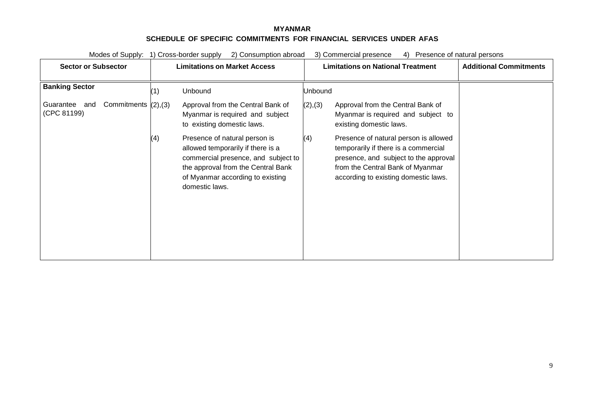Modes of Supply: 1) Cross-border supply 2) Consumption abroad 3) Commercial presence 4) Presence of natural persons

| <b>Sector or Subsector</b>                                | <b>Limitations on Market Access</b>                                                                                                                                                                          | <b>Limitations on National Treatment</b>                                                                                                                                                                  | <b>Additional Commitments</b> |
|-----------------------------------------------------------|--------------------------------------------------------------------------------------------------------------------------------------------------------------------------------------------------------------|-----------------------------------------------------------------------------------------------------------------------------------------------------------------------------------------------------------|-------------------------------|
| <b>Banking Sector</b>                                     | Unbound<br>(1)                                                                                                                                                                                               | Unbound                                                                                                                                                                                                   |                               |
| Commitments $(2), (3)$<br>Guarantee<br>and<br>(CPC 81199) | Approval from the Central Bank of<br>Myanmar is required and subject<br>to existing domestic laws.                                                                                                           | (2), (3)<br>Approval from the Central Bank of<br>Myanmar is required and subject to<br>existing domestic laws.                                                                                            |                               |
|                                                           | Presence of natural person is<br>(4)<br>allowed temporarily if there is a<br>commercial presence, and subject to<br>the approval from the Central Bank<br>of Myanmar according to existing<br>domestic laws. | (4)<br>Presence of natural person is allowed<br>temporarily if there is a commercial<br>presence, and subject to the approval<br>from the Central Bank of Myanmar<br>according to existing domestic laws. |                               |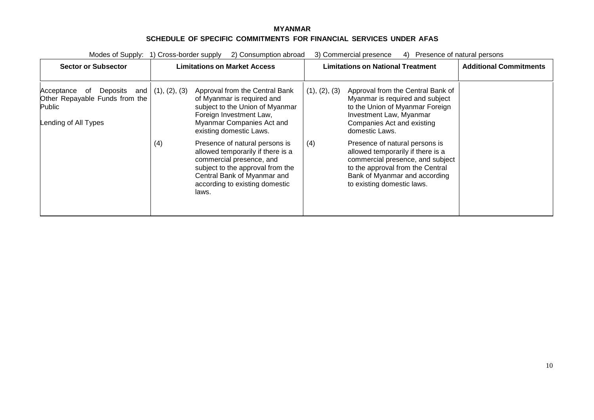| Modes of Supply:                                                                                        | 1) Cross-border supply | 2) Consumption abroad                                                                                                                                                                                                                                                                                                                                    |                      | 3) Commercial presence<br>Presence of natural persons<br>4)                                                                                                                                                                                                                                                                                                        |                               |
|---------------------------------------------------------------------------------------------------------|------------------------|----------------------------------------------------------------------------------------------------------------------------------------------------------------------------------------------------------------------------------------------------------------------------------------------------------------------------------------------------------|----------------------|--------------------------------------------------------------------------------------------------------------------------------------------------------------------------------------------------------------------------------------------------------------------------------------------------------------------------------------------------------------------|-------------------------------|
| <b>Sector or Subsector</b>                                                                              |                        | Limitations on Market Access                                                                                                                                                                                                                                                                                                                             |                      | <b>Limitations on National Treatment</b>                                                                                                                                                                                                                                                                                                                           | <b>Additional Commitments</b> |
| Acceptance<br>Deposits<br>and<br>ot<br>Other Repayable Funds from the<br>Public<br>Lending of All Types | (1), (2), (3)<br>(4)   | Approval from the Central Bank<br>of Myanmar is required and<br>subject to the Union of Myanmar<br>Foreign Investment Law,<br>Myanmar Companies Act and<br>existing domestic Laws.<br>Presence of natural persons is<br>allowed temporarily if there is a<br>commercial presence, and<br>subject to the approval from the<br>Central Bank of Myanmar and | (1), (2), (3)<br>(4) | Approval from the Central Bank of<br>Myanmar is required and subject<br>to the Union of Myanmar Foreign<br>Investment Law, Myanmar<br>Companies Act and existing<br>domestic Laws.<br>Presence of natural persons is<br>allowed temporarily if there is a<br>commercial presence, and subject<br>to the approval from the Central<br>Bank of Myanmar and according |                               |
|                                                                                                         |                        | according to existing domestic<br>laws.                                                                                                                                                                                                                                                                                                                  |                      | to existing domestic laws.                                                                                                                                                                                                                                                                                                                                         |                               |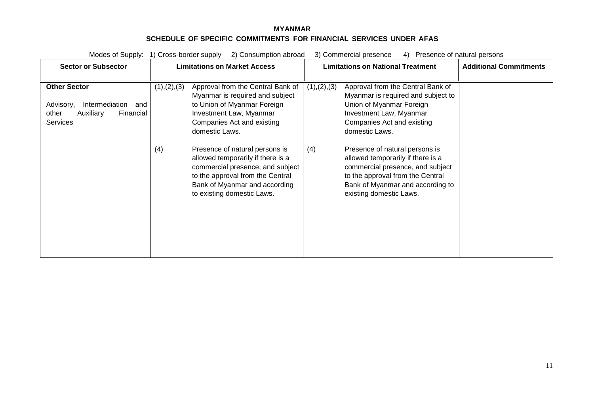| Modes of Supply:                                                                                         | 2) Consumption abroad<br>1) Cross-border supply                                                                                                                                                                   | 3) Commercial presence<br>Presence of natural persons<br>4)                                                                                                                                                       |                               |
|----------------------------------------------------------------------------------------------------------|-------------------------------------------------------------------------------------------------------------------------------------------------------------------------------------------------------------------|-------------------------------------------------------------------------------------------------------------------------------------------------------------------------------------------------------------------|-------------------------------|
| <b>Sector or Subsector</b>                                                                               | <b>Limitations on Market Access</b>                                                                                                                                                                               | <b>Limitations on National Treatment</b>                                                                                                                                                                          | <b>Additional Commitments</b> |
| <b>Other Sector</b><br>Intermediation<br>Advisory,<br>and<br>Auxiliary<br>Financial<br>other<br>Services | (1), (2), (3)<br>Approval from the Central Bank of<br>Myanmar is required and subject<br>to Union of Myanmar Foreign<br>Investment Law, Myanmar<br>Companies Act and existing<br>domestic Laws.                   | Approval from the Central Bank of<br>(1), (2), (3)<br>Myanmar is required and subject to<br>Union of Myanmar Foreign<br>Investment Law, Myanmar<br>Companies Act and existing<br>domestic Laws.                   |                               |
|                                                                                                          | Presence of natural persons is<br>(4)<br>allowed temporarily if there is a<br>commercial presence, and subject<br>to the approval from the Central<br>Bank of Myanmar and according<br>to existing domestic Laws. | Presence of natural persons is<br>(4)<br>allowed temporarily if there is a<br>commercial presence, and subject<br>to the approval from the Central<br>Bank of Myanmar and according to<br>existing domestic Laws. |                               |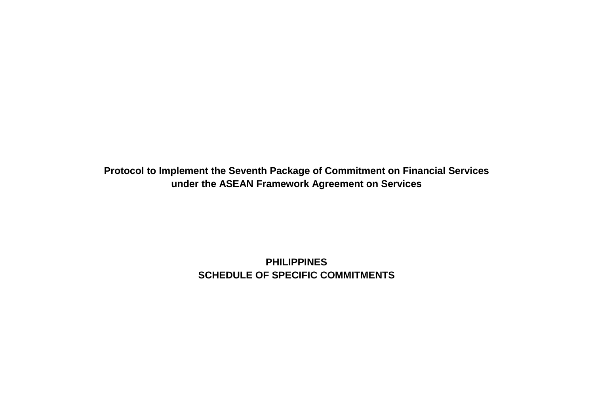**Protocol to Implement the Seventh Package of Commitment on Financial Services under the ASEAN Framework Agreement on Services**

> **PHILIPPINES SCHEDULE OF SPECIFIC COMMITMENTS**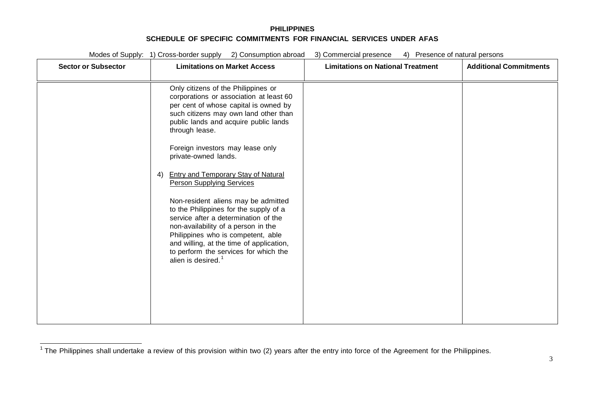<span id="page-110-0"></span>

| <b>Sector or Subsector</b> | <b>Limitations on Market Access</b>                                                                                                                                                                                                                                                                                                                                                                                                                                                                                                                                                                                                                                                                          | <b>Limitations on National Treatment</b> | <b>Additional Commitments</b> |
|----------------------------|--------------------------------------------------------------------------------------------------------------------------------------------------------------------------------------------------------------------------------------------------------------------------------------------------------------------------------------------------------------------------------------------------------------------------------------------------------------------------------------------------------------------------------------------------------------------------------------------------------------------------------------------------------------------------------------------------------------|------------------------------------------|-------------------------------|
|                            | Only citizens of the Philippines or<br>corporations or association at least 60<br>per cent of whose capital is owned by<br>such citizens may own land other than<br>public lands and acquire public lands<br>through lease.<br>Foreign investors may lease only<br>private-owned lands.<br><b>Entry and Temporary Stay of Natural</b><br>4)<br><b>Person Supplying Services</b><br>Non-resident aliens may be admitted<br>to the Philippines for the supply of a<br>service after a determination of the<br>non-availability of a person in the<br>Philippines who is competent, able<br>and willing, at the time of application,<br>to perform the services for which the<br>alien is desired. <sup>1</sup> |                                          |                               |

<sup>&</sup>lt;sup>1</sup> The Philippines shall undertake a review of this provision within two (2) years after the entry into force of the Agreement for the Philippines.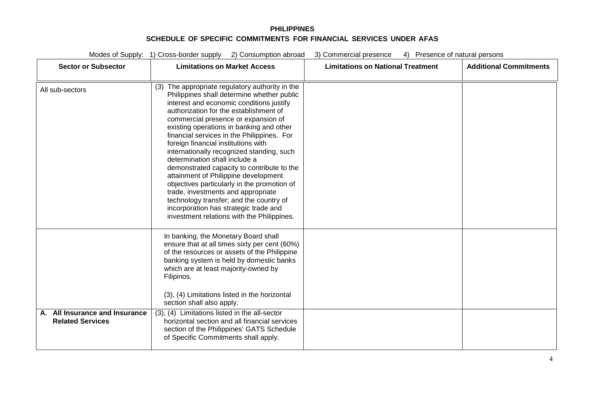| <b>Sector or Subsector</b>                                | <b>Limitations on Market Access</b>                                                                                                                                                                                                                                                                                                                                                                                                                                                                                                                                                                                                                                                                                                                    | <b>Limitations on National Treatment</b> | <b>Additional Commitments</b> |
|-----------------------------------------------------------|--------------------------------------------------------------------------------------------------------------------------------------------------------------------------------------------------------------------------------------------------------------------------------------------------------------------------------------------------------------------------------------------------------------------------------------------------------------------------------------------------------------------------------------------------------------------------------------------------------------------------------------------------------------------------------------------------------------------------------------------------------|------------------------------------------|-------------------------------|
| All sub-sectors                                           | (3) The appropriate regulatory authority in the<br>Philippines shall determine whether public<br>interest and economic conditions justify<br>authorization for the establishment of<br>commercial presence or expansion of<br>existing operations in banking and other<br>financial services in the Philippines. For<br>foreign financial institutions with<br>internationally recognized standing, such<br>determination shall include a<br>demonstrated capacity to contribute to the<br>attainment of Philippine development<br>objectives particularly in the promotion of<br>trade, investments and appropriate<br>technology transfer; and the country of<br>incorporation has strategic trade and<br>investment relations with the Philippines. |                                          |                               |
|                                                           | In banking, the Monetary Board shall<br>ensure that at all times sixty per cent (60%)<br>of the resources or assets of the Philippine<br>banking system is held by domestic banks<br>which are at least majority-owned by<br>Filipinos.<br>(3), (4) Limitations listed in the horizontal<br>section shall also apply.                                                                                                                                                                                                                                                                                                                                                                                                                                  |                                          |                               |
| A. All Insurance and Insurance<br><b>Related Services</b> | (3), (4) Limitations listed in the all-sector<br>horizontal section and all financial services<br>section of the Philippines' GATS Schedule<br>of Specific Commitments shall apply.                                                                                                                                                                                                                                                                                                                                                                                                                                                                                                                                                                    |                                          |                               |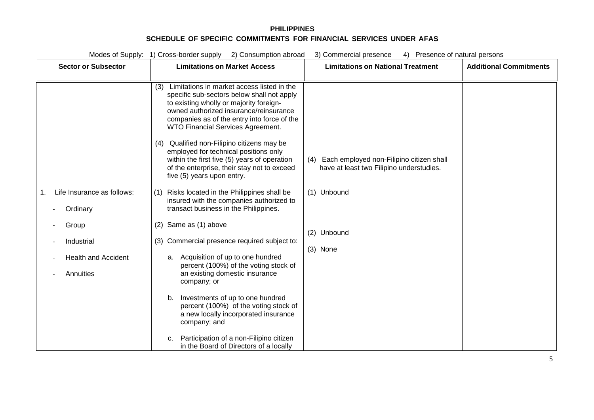| Modes of Supply: 1) Cross-border supply 2) Consumption abroad<br>3) Commercial presence<br>4) Presence of natural persons |                                                                                                                                                                                                                                                                                                                                                                                                                                                                                                 |                                                                                             |                               |  |
|---------------------------------------------------------------------------------------------------------------------------|-------------------------------------------------------------------------------------------------------------------------------------------------------------------------------------------------------------------------------------------------------------------------------------------------------------------------------------------------------------------------------------------------------------------------------------------------------------------------------------------------|---------------------------------------------------------------------------------------------|-------------------------------|--|
| <b>Sector or Subsector</b>                                                                                                | <b>Limitations on Market Access</b>                                                                                                                                                                                                                                                                                                                                                                                                                                                             | <b>Limitations on National Treatment</b>                                                    | <b>Additional Commitments</b> |  |
| Life Insurance as follows:                                                                                                | Limitations in market access listed in the<br>(3)<br>specific sub-sectors below shall not apply<br>to existing wholly or majority foreign-<br>owned authorized insurance/reinsurance<br>companies as of the entry into force of the<br>WTO Financial Services Agreement.<br>Qualified non-Filipino citizens may be<br>(4)<br>employed for technical positions only<br>within the first five (5) years of operation<br>of the enterprise, their stay not to exceed<br>five (5) years upon entry. | Each employed non-Filipino citizen shall<br>(4)<br>have at least two Filipino understudies. |                               |  |
| Ordinary                                                                                                                  | Risks located in the Philippines shall be<br>(1)<br>insured with the companies authorized to<br>transact business in the Philippines.                                                                                                                                                                                                                                                                                                                                                           | (1) Unbound                                                                                 |                               |  |
| Group                                                                                                                     | (2) Same as (1) above                                                                                                                                                                                                                                                                                                                                                                                                                                                                           | (2) Unbound                                                                                 |                               |  |
| Industrial                                                                                                                | (3) Commercial presence required subject to:                                                                                                                                                                                                                                                                                                                                                                                                                                                    | (3) None                                                                                    |                               |  |
| <b>Health and Accident</b>                                                                                                | Acquisition of up to one hundred<br>a.<br>percent (100%) of the voting stock of                                                                                                                                                                                                                                                                                                                                                                                                                 |                                                                                             |                               |  |
| Annuities                                                                                                                 | an existing domestic insurance<br>company; or                                                                                                                                                                                                                                                                                                                                                                                                                                                   |                                                                                             |                               |  |
|                                                                                                                           | Investments of up to one hundred<br>b.<br>percent (100%) of the voting stock of<br>a new locally incorporated insurance<br>company; and                                                                                                                                                                                                                                                                                                                                                         |                                                                                             |                               |  |
|                                                                                                                           | Participation of a non-Filipino citizen<br>c.<br>in the Board of Directors of a locally                                                                                                                                                                                                                                                                                                                                                                                                         |                                                                                             |                               |  |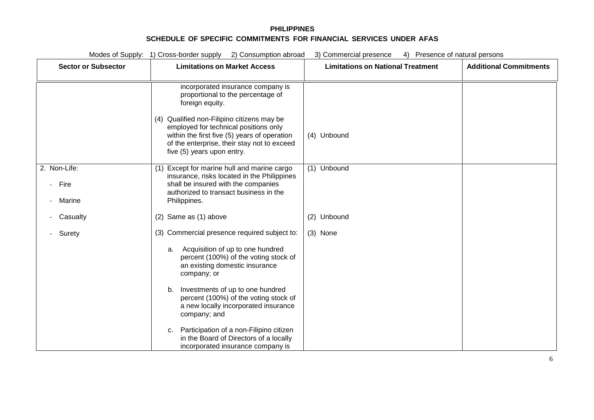| Modes of Supply: 1) Cross-border supply 2) Consumption abroad<br>3) Commercial presence<br>4) Presence of natural persons |                                                                                                                                                                                                                                                                                                                                                                                                                                                             |                                          |                               |
|---------------------------------------------------------------------------------------------------------------------------|-------------------------------------------------------------------------------------------------------------------------------------------------------------------------------------------------------------------------------------------------------------------------------------------------------------------------------------------------------------------------------------------------------------------------------------------------------------|------------------------------------------|-------------------------------|
| <b>Sector or Subsector</b>                                                                                                | <b>Limitations on Market Access</b>                                                                                                                                                                                                                                                                                                                                                                                                                         | <b>Limitations on National Treatment</b> | <b>Additional Commitments</b> |
|                                                                                                                           | incorporated insurance company is<br>proportional to the percentage of<br>foreign equity.<br>(4) Qualified non-Filipino citizens may be<br>employed for technical positions only<br>within the first five (5) years of operation<br>of the enterprise, their stay not to exceed<br>five (5) years upon entry.                                                                                                                                               | (4) Unbound                              |                               |
| 2. Non-Life:<br>Fire<br>Marine                                                                                            | Except for marine hull and marine cargo<br>(1)<br>insurance, risks located in the Philippines<br>shall be insured with the companies<br>authorized to transact business in the<br>Philippines.                                                                                                                                                                                                                                                              | (1) Unbound                              |                               |
| Casualty                                                                                                                  | (2) Same as (1) above                                                                                                                                                                                                                                                                                                                                                                                                                                       | (2) Unbound                              |                               |
| Surety                                                                                                                    | (3) Commercial presence required subject to:<br>Acquisition of up to one hundred<br>a.<br>percent (100%) of the voting stock of<br>an existing domestic insurance<br>company; or<br>Investments of up to one hundred<br>b.<br>percent (100%) of the voting stock of<br>a new locally incorporated insurance<br>company; and<br>Participation of a non-Filipino citizen<br>C.<br>in the Board of Directors of a locally<br>incorporated insurance company is | (3) None                                 |                               |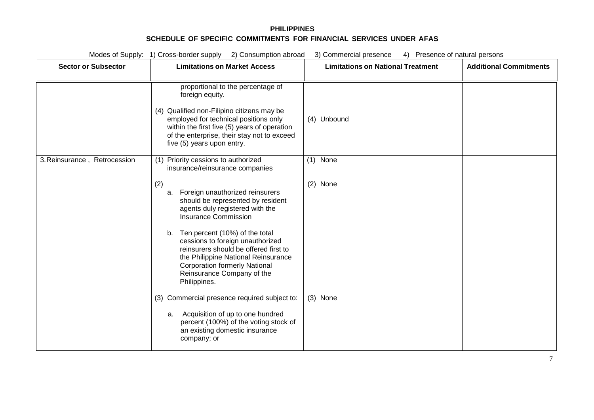| Modes of Supply: 1) Cross-border supply 2) Consumption abroad<br>3) Commercial presence<br>4) Presence of natural persons |                                                                                                                                                                                                                                                                          |                                          |                               |
|---------------------------------------------------------------------------------------------------------------------------|--------------------------------------------------------------------------------------------------------------------------------------------------------------------------------------------------------------------------------------------------------------------------|------------------------------------------|-------------------------------|
| <b>Sector or Subsector</b>                                                                                                | <b>Limitations on Market Access</b>                                                                                                                                                                                                                                      | <b>Limitations on National Treatment</b> | <b>Additional Commitments</b> |
|                                                                                                                           | proportional to the percentage of<br>foreign equity.<br>(4) Qualified non-Filipino citizens may be<br>employed for technical positions only<br>within the first five (5) years of operation<br>of the enterprise, their stay not to exceed<br>five (5) years upon entry. | (4) Unbound                              |                               |
| 3. Reinsurance, Retrocession                                                                                              | Priority cessions to authorized<br>(1)<br>insurance/reinsurance companies<br>(2)                                                                                                                                                                                         | $(1)$ None<br>(2) None                   |                               |
|                                                                                                                           | Foreign unauthorized reinsurers<br>a.<br>should be represented by resident<br>agents duly registered with the<br><b>Insurance Commission</b>                                                                                                                             |                                          |                               |
|                                                                                                                           | Ten percent (10%) of the total<br>b.<br>cessions to foreign unauthorized<br>reinsurers should be offered first to<br>the Philippine National Reinsurance<br><b>Corporation formerly National</b><br>Reinsurance Company of the<br>Philippines.                           |                                          |                               |
|                                                                                                                           | (3) Commercial presence required subject to:<br>a. Acquisition of up to one hundred<br>percent (100%) of the voting stock of<br>an existing domestic insurance<br>company; or                                                                                            | (3) None                                 |                               |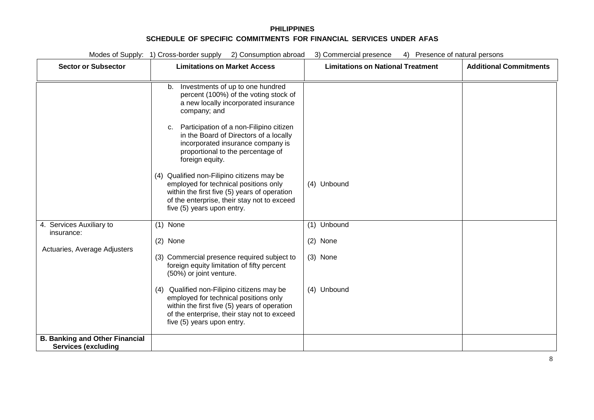| Modes of Supply: 1) Cross-border supply 2) Consumption abroad<br>3) Commercial presence<br>4) Presence of natural persons |                                                                                                                                                                                                                                                                                                                                                                                                                                                                                                                                                     |                                                    |                               |  |
|---------------------------------------------------------------------------------------------------------------------------|-----------------------------------------------------------------------------------------------------------------------------------------------------------------------------------------------------------------------------------------------------------------------------------------------------------------------------------------------------------------------------------------------------------------------------------------------------------------------------------------------------------------------------------------------------|----------------------------------------------------|-------------------------------|--|
| <b>Sector or Subsector</b>                                                                                                | <b>Limitations on Market Access</b>                                                                                                                                                                                                                                                                                                                                                                                                                                                                                                                 | <b>Limitations on National Treatment</b>           | <b>Additional Commitments</b> |  |
|                                                                                                                           | Investments of up to one hundred<br>b.<br>percent (100%) of the voting stock of<br>a new locally incorporated insurance<br>company; and<br>Participation of a non-Filipino citizen<br>c.<br>in the Board of Directors of a locally<br>incorporated insurance company is<br>proportional to the percentage of<br>foreign equity.<br>(4) Qualified non-Filipino citizens may be<br>employed for technical positions only<br>within the first five (5) years of operation<br>of the enterprise, their stay not to exceed<br>five (5) years upon entry. | (4) Unbound                                        |                               |  |
| 4. Services Auxiliary to<br>insurance:<br>Actuaries, Average Adjusters                                                    | $(1)$ None<br>(2) None<br>(3) Commercial presence required subject to<br>foreign equity limitation of fifty percent<br>(50%) or joint venture.<br>(4) Qualified non-Filipino citizens may be<br>employed for technical positions only<br>within the first five (5) years of operation<br>of the enterprise, their stay not to exceed<br>five (5) years upon entry.                                                                                                                                                                                  | (1) Unbound<br>(2) None<br>(3) None<br>(4) Unbound |                               |  |
| <b>B. Banking and Other Financial</b><br><b>Services (excluding</b>                                                       |                                                                                                                                                                                                                                                                                                                                                                                                                                                                                                                                                     |                                                    |                               |  |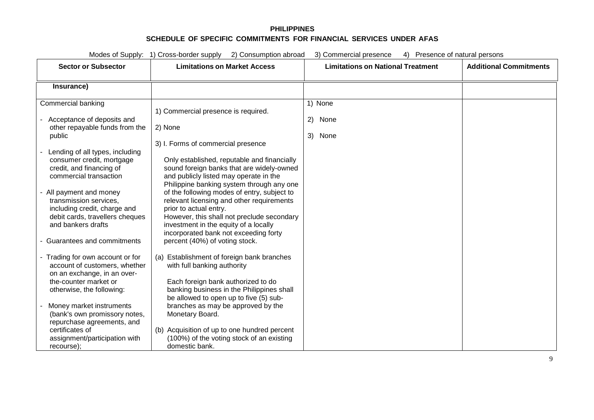| Modes of Supply: 1) Cross-border supply<br>2) Consumption abroad<br>3) Commercial presence<br>4) Presence of natural persons                                                                                                                                                                                                                                                                                                                                                                                                                                                                                                                                                                                            |                                                                                                                                                                                                                                                                                                                                                                                                                                                                                                                                                                                                                                                                                                                                                                                                                                                                                                                                                   |                                          |                               |
|-------------------------------------------------------------------------------------------------------------------------------------------------------------------------------------------------------------------------------------------------------------------------------------------------------------------------------------------------------------------------------------------------------------------------------------------------------------------------------------------------------------------------------------------------------------------------------------------------------------------------------------------------------------------------------------------------------------------------|---------------------------------------------------------------------------------------------------------------------------------------------------------------------------------------------------------------------------------------------------------------------------------------------------------------------------------------------------------------------------------------------------------------------------------------------------------------------------------------------------------------------------------------------------------------------------------------------------------------------------------------------------------------------------------------------------------------------------------------------------------------------------------------------------------------------------------------------------------------------------------------------------------------------------------------------------|------------------------------------------|-------------------------------|
| <b>Sector or Subsector</b>                                                                                                                                                                                                                                                                                                                                                                                                                                                                                                                                                                                                                                                                                              | <b>Limitations on Market Access</b>                                                                                                                                                                                                                                                                                                                                                                                                                                                                                                                                                                                                                                                                                                                                                                                                                                                                                                               | <b>Limitations on National Treatment</b> | <b>Additional Commitments</b> |
| Insurance)                                                                                                                                                                                                                                                                                                                                                                                                                                                                                                                                                                                                                                                                                                              |                                                                                                                                                                                                                                                                                                                                                                                                                                                                                                                                                                                                                                                                                                                                                                                                                                                                                                                                                   |                                          |                               |
| Commercial banking<br>Acceptance of deposits and<br>other repayable funds from the<br>public<br>Lending of all types, including<br>consumer credit, mortgage<br>credit, and financing of<br>commercial transaction<br>- All payment and money<br>transmission services.<br>including credit, charge and<br>debit cards, travellers cheques<br>and bankers drafts<br>- Guarantees and commitments<br>- Trading for own account or for<br>account of customers, whether<br>on an exchange, in an over-<br>the-counter market or<br>otherwise, the following:<br>Money market instruments<br>(bank's own promissory notes,<br>repurchase agreements, and<br>certificates of<br>assignment/participation with<br>recourse); | 1) Commercial presence is required.<br>2) None<br>3) I. Forms of commercial presence<br>Only established, reputable and financially<br>sound foreign banks that are widely-owned<br>and publicly listed may operate in the<br>Philippine banking system through any one<br>of the following modes of entry, subject to<br>relevant licensing and other requirements<br>prior to actual entry.<br>However, this shall not preclude secondary<br>investment in the equity of a locally<br>incorporated bank not exceeding forty<br>percent (40%) of voting stock.<br>(a) Establishment of foreign bank branches<br>with full banking authority<br>Each foreign bank authorized to do<br>banking business in the Philippines shall<br>be allowed to open up to five (5) sub-<br>branches as may be approved by the<br>Monetary Board.<br>(b) Acquisition of up to one hundred percent<br>(100%) of the voting stock of an existing<br>domestic bank. | 1) None<br>(2)<br>None<br>3)<br>None     |                               |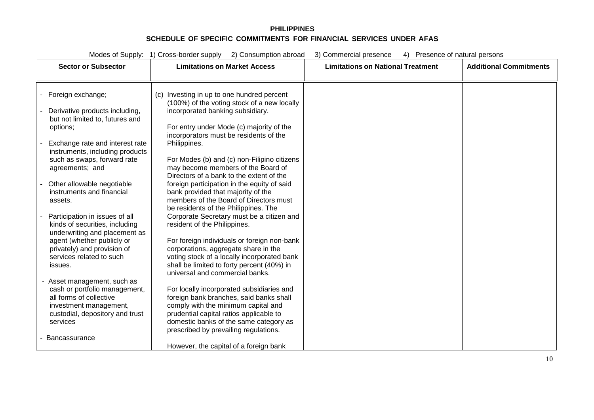| Modes of Supply: 1) Cross-border supply<br>2) Consumption abroad<br>3) Commercial presence<br>Presence of natural persons<br>4) |                                                                                           |                                          |                               |
|---------------------------------------------------------------------------------------------------------------------------------|-------------------------------------------------------------------------------------------|------------------------------------------|-------------------------------|
| <b>Sector or Subsector</b>                                                                                                      | <b>Limitations on Market Access</b>                                                       | <b>Limitations on National Treatment</b> | <b>Additional Commitments</b> |
|                                                                                                                                 |                                                                                           |                                          |                               |
|                                                                                                                                 |                                                                                           |                                          |                               |
| - Foreign exchange;                                                                                                             | (c) Investing in up to one hundred percent<br>(100%) of the voting stock of a new locally |                                          |                               |
| Derivative products including,                                                                                                  | incorporated banking subsidiary.                                                          |                                          |                               |
| but not limited to, futures and                                                                                                 |                                                                                           |                                          |                               |
| options;                                                                                                                        | For entry under Mode (c) majority of the                                                  |                                          |                               |
|                                                                                                                                 | incorporators must be residents of the                                                    |                                          |                               |
| Exchange rate and interest rate<br>instruments, including products                                                              | Philippines.                                                                              |                                          |                               |
| such as swaps, forward rate                                                                                                     | For Modes (b) and (c) non-Filipino citizens                                               |                                          |                               |
| agreements; and                                                                                                                 | may become members of the Board of                                                        |                                          |                               |
|                                                                                                                                 | Directors of a bank to the extent of the                                                  |                                          |                               |
| Other allowable negotiable<br>instruments and financial                                                                         | foreign participation in the equity of said<br>bank provided that majority of the         |                                          |                               |
| assets.                                                                                                                         | members of the Board of Directors must                                                    |                                          |                               |
|                                                                                                                                 | be residents of the Philippines. The                                                      |                                          |                               |
| Participation in issues of all                                                                                                  | Corporate Secretary must be a citizen and                                                 |                                          |                               |
| kinds of securities, including                                                                                                  | resident of the Philippines.                                                              |                                          |                               |
| underwriting and placement as<br>agent (whether publicly or                                                                     | For foreign individuals or foreign non-bank                                               |                                          |                               |
| privately) and provision of                                                                                                     | corporations, aggregate share in the                                                      |                                          |                               |
| services related to such                                                                                                        | voting stock of a locally incorporated bank                                               |                                          |                               |
| issues.                                                                                                                         | shall be limited to forty percent (40%) in                                                |                                          |                               |
| - Asset management, such as                                                                                                     | universal and commercial banks.                                                           |                                          |                               |
| cash or portfolio management,                                                                                                   | For locally incorporated subsidiaries and                                                 |                                          |                               |
| all forms of collective                                                                                                         | foreign bank branches, said banks shall                                                   |                                          |                               |
| investment management,                                                                                                          | comply with the minimum capital and                                                       |                                          |                               |
| custodial, depository and trust                                                                                                 | prudential capital ratios applicable to                                                   |                                          |                               |
| services                                                                                                                        | domestic banks of the same category as<br>prescribed by prevailing regulations.           |                                          |                               |
| Bancassurance                                                                                                                   |                                                                                           |                                          |                               |
|                                                                                                                                 | However, the capital of a foreign bank                                                    |                                          |                               |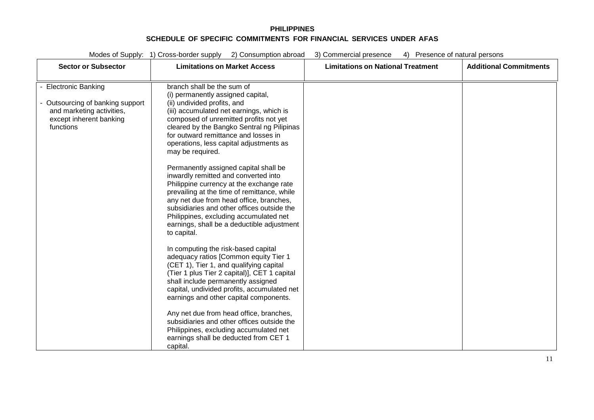| <b>Sector or Subsector</b>                                                                                                    | <b>Limitations on Market Access</b>                                                                                                                                                                                                                                                                                                                                                                                                                                                                                                                                                                                                                                                                                                                                                                                                                                                                                                                                                                                                                                                                                                                                | <b>Limitations on National Treatment</b> | <b>Additional Commitments</b> |
|-------------------------------------------------------------------------------------------------------------------------------|--------------------------------------------------------------------------------------------------------------------------------------------------------------------------------------------------------------------------------------------------------------------------------------------------------------------------------------------------------------------------------------------------------------------------------------------------------------------------------------------------------------------------------------------------------------------------------------------------------------------------------------------------------------------------------------------------------------------------------------------------------------------------------------------------------------------------------------------------------------------------------------------------------------------------------------------------------------------------------------------------------------------------------------------------------------------------------------------------------------------------------------------------------------------|------------------------------------------|-------------------------------|
| - Electronic Banking<br>- Outsourcing of banking support<br>and marketing activities,<br>except inherent banking<br>functions | branch shall be the sum of<br>(i) permanently assigned capital,<br>(ii) undivided profits, and<br>(iii) accumulated net earnings, which is<br>composed of unremitted profits not yet<br>cleared by the Bangko Sentral ng Pilipinas<br>for outward remittance and losses in<br>operations, less capital adjustments as<br>may be required.<br>Permanently assigned capital shall be<br>inwardly remitted and converted into<br>Philippine currency at the exchange rate<br>prevailing at the time of remittance, while<br>any net due from head office, branches,<br>subsidiaries and other offices outside the<br>Philippines, excluding accumulated net<br>earnings, shall be a deductible adjustment<br>to capital.<br>In computing the risk-based capital<br>adequacy ratios [Common equity Tier 1<br>(CET 1), Tier 1, and qualifying capital<br>(Tier 1 plus Tier 2 capital)], CET 1 capital<br>shall include permanently assigned<br>capital, undivided profits, accumulated net<br>earnings and other capital components.<br>Any net due from head office, branches,<br>subsidiaries and other offices outside the<br>Philippines, excluding accumulated net |                                          |                               |
|                                                                                                                               | earnings shall be deducted from CET 1<br>capital.                                                                                                                                                                                                                                                                                                                                                                                                                                                                                                                                                                                                                                                                                                                                                                                                                                                                                                                                                                                                                                                                                                                  |                                          |                               |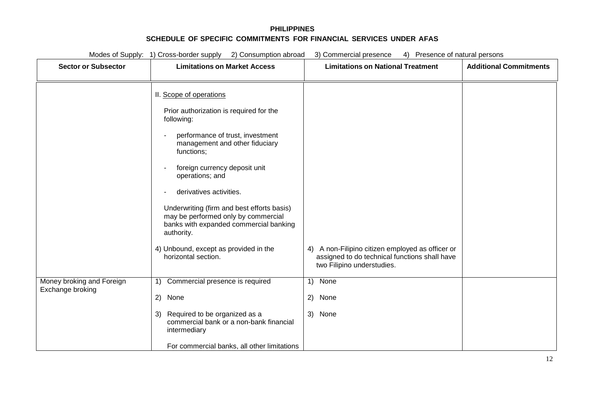| <b>Sector or Subsector</b>                    | <b>Limitations on Market Access</b><br>II. Scope of operations                                                                                                                                                                                                                                                                                                                                                                                                                                                     | <b>Limitations on National Treatment</b>                                                                                                                    | <b>Additional Commitments</b> |
|-----------------------------------------------|--------------------------------------------------------------------------------------------------------------------------------------------------------------------------------------------------------------------------------------------------------------------------------------------------------------------------------------------------------------------------------------------------------------------------------------------------------------------------------------------------------------------|-------------------------------------------------------------------------------------------------------------------------------------------------------------|-------------------------------|
|                                               |                                                                                                                                                                                                                                                                                                                                                                                                                                                                                                                    |                                                                                                                                                             |                               |
| Money broking and Foreign<br>Exchange broking | Prior authorization is required for the<br>following:<br>performance of trust, investment<br>$\overline{\phantom{a}}$<br>management and other fiduciary<br>functions;<br>foreign currency deposit unit<br>operations; and<br>derivatives activities.<br>Underwriting (firm and best efforts basis)<br>may be performed only by commercial<br>banks with expanded commercial banking<br>authority.<br>4) Unbound, except as provided in the<br>horizontal section.<br>1) Commercial presence is required<br>2) None | A non-Filipino citizen employed as officer or<br>4)<br>assigned to do technical functions shall have<br>two Filipino understudies.<br>1) None<br>None<br>2) |                               |
|                                               | Required to be organized as a<br>3)<br>commercial bank or a non-bank financial<br>intermediary<br>For commercial banks, all other limitations                                                                                                                                                                                                                                                                                                                                                                      | 3) None                                                                                                                                                     |                               |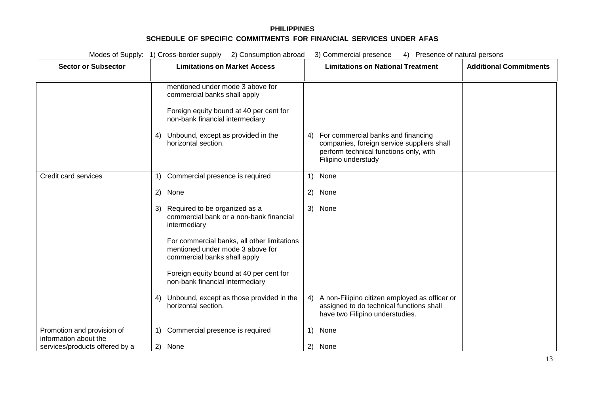| Modes of Supply: 1) Cross-border supply 2) Consumption abroad<br>3) Commercial presence<br>4) Presence of natural persons |                                                                                                                                                                                                                   |                                                                                                                                                         |                               |
|---------------------------------------------------------------------------------------------------------------------------|-------------------------------------------------------------------------------------------------------------------------------------------------------------------------------------------------------------------|---------------------------------------------------------------------------------------------------------------------------------------------------------|-------------------------------|
| <b>Sector or Subsector</b>                                                                                                | <b>Limitations on Market Access</b>                                                                                                                                                                               | <b>Limitations on National Treatment</b>                                                                                                                | <b>Additional Commitments</b> |
|                                                                                                                           | mentioned under mode 3 above for<br>commercial banks shall apply<br>Foreign equity bound at 40 per cent for<br>non-bank financial intermediary<br>Unbound, except as provided in the<br>4)<br>horizontal section. | For commercial banks and financing<br>4)<br>companies, foreign service suppliers shall<br>perform technical functions only, with<br>Filipino understudy |                               |
| Credit card services                                                                                                      | 1) Commercial presence is required                                                                                                                                                                                | None<br>$\left( \begin{matrix} 1 \end{matrix} \right)$                                                                                                  |                               |
|                                                                                                                           | 2) None                                                                                                                                                                                                           | 2)<br>None                                                                                                                                              |                               |
|                                                                                                                           | Required to be organized as a<br>3)<br>commercial bank or a non-bank financial<br>intermediary                                                                                                                    | 3) None                                                                                                                                                 |                               |
|                                                                                                                           | For commercial banks, all other limitations<br>mentioned under mode 3 above for<br>commercial banks shall apply                                                                                                   |                                                                                                                                                         |                               |
|                                                                                                                           | Foreign equity bound at 40 per cent for<br>non-bank financial intermediary                                                                                                                                        |                                                                                                                                                         |                               |
|                                                                                                                           | Unbound, except as those provided in the<br>4)<br>horizontal section.                                                                                                                                             | A non-Filipino citizen employed as officer or<br>4)<br>assigned to do technical functions shall<br>have two Filipino understudies.                      |                               |
| Promotion and provision of<br>information about the                                                                       | 1) Commercial presence is required                                                                                                                                                                                | None<br>1)                                                                                                                                              |                               |
| services/products offered by a                                                                                            | 2)<br>None                                                                                                                                                                                                        | 2) None                                                                                                                                                 |                               |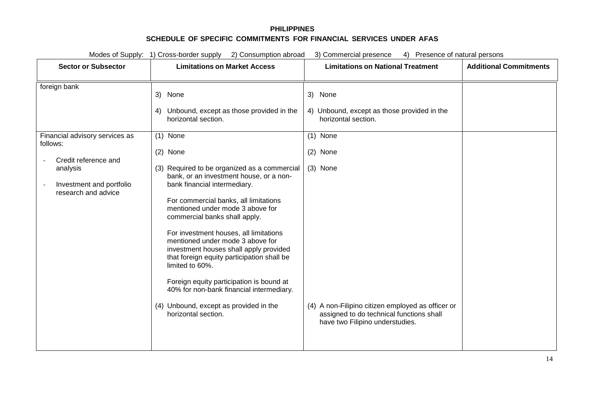| Modes of Supply: 1) Cross-border supply<br>2) Consumption abroad<br>3) Commercial presence<br>4) Presence of natural persons                      |                                                                                                                                                                                                                                                                                                                                                                                                                                   |                                                                                                                                  |                               |
|---------------------------------------------------------------------------------------------------------------------------------------------------|-----------------------------------------------------------------------------------------------------------------------------------------------------------------------------------------------------------------------------------------------------------------------------------------------------------------------------------------------------------------------------------------------------------------------------------|----------------------------------------------------------------------------------------------------------------------------------|-------------------------------|
| <b>Sector or Subsector</b>                                                                                                                        | <b>Limitations on Market Access</b>                                                                                                                                                                                                                                                                                                                                                                                               | <b>Limitations on National Treatment</b>                                                                                         | <b>Additional Commitments</b> |
| foreign bank<br>Financial advisory services as<br>follows:<br>Credit reference and<br>analysis<br>Investment and portfolio<br>research and advice | 3) None<br>Unbound, except as those provided in the<br>4)<br>horizontal section.<br>$(1)$ None<br>(2) None<br>(3) Required to be organized as a commercial<br>bank, or an investment house, or a non-<br>bank financial intermediary.<br>For commercial banks, all limitations<br>mentioned under mode 3 above for<br>commercial banks shall apply.<br>For investment houses, all limitations<br>mentioned under mode 3 above for | 3) None<br>4) Unbound, except as those provided in the<br>horizontal section.<br>$(1)$ None<br>$(2)$ None<br>(3) None            |                               |
|                                                                                                                                                   | investment houses shall apply provided<br>that foreign equity participation shall be<br>limited to 60%.<br>Foreign equity participation is bound at<br>40% for non-bank financial intermediary.<br>(4) Unbound, except as provided in the<br>horizontal section.                                                                                                                                                                  | (4) A non-Filipino citizen employed as officer or<br>assigned to do technical functions shall<br>have two Filipino understudies. |                               |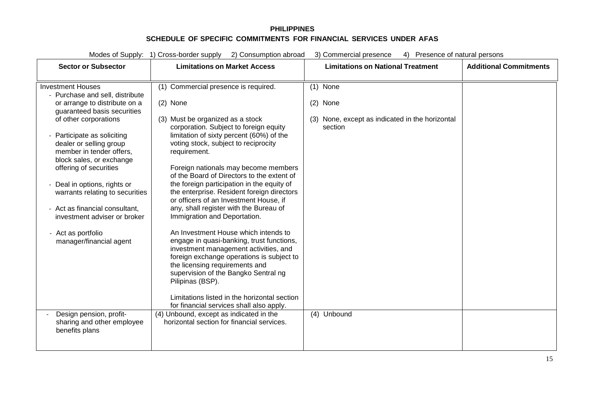| Modes of Supply:<br>1) Cross-border supply<br>2) Consumption abroad<br>3) Commercial presence<br>Presence of natural persons<br>4) |                                                                                          |                                                 |                               |
|------------------------------------------------------------------------------------------------------------------------------------|------------------------------------------------------------------------------------------|-------------------------------------------------|-------------------------------|
| <b>Sector or Subsector</b>                                                                                                         | <b>Limitations on Market Access</b>                                                      | <b>Limitations on National Treatment</b>        | <b>Additional Commitments</b> |
|                                                                                                                                    |                                                                                          |                                                 |                               |
| <b>Investment Houses</b>                                                                                                           | (1) Commercial presence is required.                                                     | $(1)$ None                                      |                               |
| - Purchase and sell, distribute<br>or arrange to distribute on a                                                                   | $(2)$ None                                                                               | $(2)$ None                                      |                               |
| guaranteed basis securities                                                                                                        |                                                                                          |                                                 |                               |
| of other corporations                                                                                                              | (3) Must be organized as a stock                                                         | (3) None, except as indicated in the horizontal |                               |
|                                                                                                                                    | corporation. Subject to foreign equity                                                   | section                                         |                               |
| Participate as soliciting<br>dealer or selling group                                                                               | limitation of sixty percent (60%) of the<br>voting stock, subject to reciprocity         |                                                 |                               |
| member in tender offers,                                                                                                           | requirement.                                                                             |                                                 |                               |
| block sales, or exchange                                                                                                           |                                                                                          |                                                 |                               |
| offering of securities                                                                                                             | Foreign nationals may become members                                                     |                                                 |                               |
| Deal in options, rights or                                                                                                         | of the Board of Directors to the extent of<br>the foreign participation in the equity of |                                                 |                               |
| warrants relating to securities                                                                                                    | the enterprise. Resident foreign directors                                               |                                                 |                               |
|                                                                                                                                    | or officers of an Investment House, if                                                   |                                                 |                               |
| - Act as financial consultant,                                                                                                     | any, shall register with the Bureau of                                                   |                                                 |                               |
| investment adviser or broker                                                                                                       | Immigration and Deportation.                                                             |                                                 |                               |
| - Act as portfolio                                                                                                                 | An Investment House which intends to                                                     |                                                 |                               |
| manager/financial agent                                                                                                            | engage in quasi-banking, trust functions,                                                |                                                 |                               |
|                                                                                                                                    | investment management activities, and<br>foreign exchange operations is subject to       |                                                 |                               |
|                                                                                                                                    | the licensing requirements and                                                           |                                                 |                               |
|                                                                                                                                    | supervision of the Bangko Sentral ng                                                     |                                                 |                               |
|                                                                                                                                    | Pilipinas (BSP).                                                                         |                                                 |                               |
|                                                                                                                                    | Limitations listed in the horizontal section                                             |                                                 |                               |
|                                                                                                                                    | for financial services shall also apply.                                                 |                                                 |                               |
| Design pension, profit-                                                                                                            | (4) Unbound, except as indicated in the                                                  | Unbound<br>(4)                                  |                               |
| sharing and other employee<br>benefits plans                                                                                       | horizontal section for financial services.                                               |                                                 |                               |
|                                                                                                                                    |                                                                                          |                                                 |                               |
|                                                                                                                                    |                                                                                          |                                                 |                               |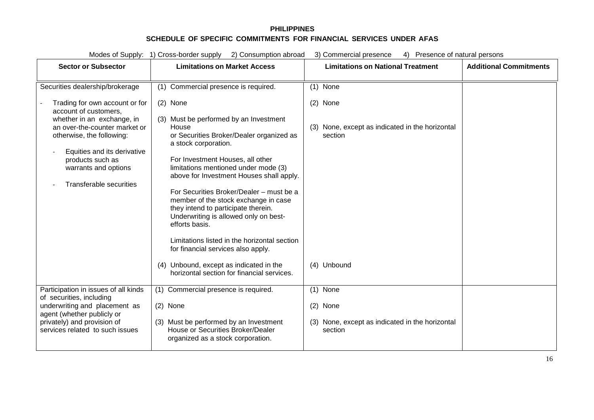| Modes of Supply: 1) Cross-border supply<br>2) Consumption abroad<br>3) Commercial presence<br>4) Presence of natural persons                                                                                                                                     |                                                                                                                                                                                                                                                                                                                                                                                                                                                                                                                                                                                |                                                                                         |                               |
|------------------------------------------------------------------------------------------------------------------------------------------------------------------------------------------------------------------------------------------------------------------|--------------------------------------------------------------------------------------------------------------------------------------------------------------------------------------------------------------------------------------------------------------------------------------------------------------------------------------------------------------------------------------------------------------------------------------------------------------------------------------------------------------------------------------------------------------------------------|-----------------------------------------------------------------------------------------|-------------------------------|
| <b>Sector or Subsector</b>                                                                                                                                                                                                                                       | <b>Limitations on Market Access</b>                                                                                                                                                                                                                                                                                                                                                                                                                                                                                                                                            | <b>Limitations on National Treatment</b>                                                | <b>Additional Commitments</b> |
| Securities dealership/brokerage                                                                                                                                                                                                                                  | (1) Commercial presence is required.                                                                                                                                                                                                                                                                                                                                                                                                                                                                                                                                           | $(1)$ None                                                                              |                               |
| Trading for own account or for<br>account of customers,<br>whether in an exchange, in<br>an over-the-counter market or<br>otherwise, the following:<br>Equities and its derivative<br>products such as<br>warrants and options<br><b>Transferable securities</b> | (2) None<br>(3) Must be performed by an Investment<br>House<br>or Securities Broker/Dealer organized as<br>a stock corporation.<br>For Investment Houses, all other<br>limitations mentioned under mode (3)<br>above for Investment Houses shall apply.<br>For Securities Broker/Dealer - must be a<br>member of the stock exchange in case<br>they intend to participate therein.<br>Underwriting is allowed only on best-<br>efforts basis.<br>Limitations listed in the horizontal section<br>for financial services also apply.<br>(4) Unbound, except as indicated in the | $(2)$ None<br>(3) None, except as indicated in the horizontal<br>section<br>(4) Unbound |                               |
| Participation in issues of all kinds                                                                                                                                                                                                                             | horizontal section for financial services.<br>(1) Commercial presence is required.                                                                                                                                                                                                                                                                                                                                                                                                                                                                                             | $(1)$ None                                                                              |                               |
| of securities, including                                                                                                                                                                                                                                         |                                                                                                                                                                                                                                                                                                                                                                                                                                                                                                                                                                                |                                                                                         |                               |
| underwriting and placement as<br>agent (whether publicly or                                                                                                                                                                                                      | (2) None                                                                                                                                                                                                                                                                                                                                                                                                                                                                                                                                                                       | (2) None                                                                                |                               |
| privately) and provision of<br>services related to such issues                                                                                                                                                                                                   | (3) Must be performed by an Investment<br>House or Securities Broker/Dealer<br>organized as a stock corporation.                                                                                                                                                                                                                                                                                                                                                                                                                                                               | (3) None, except as indicated in the horizontal<br>section                              |                               |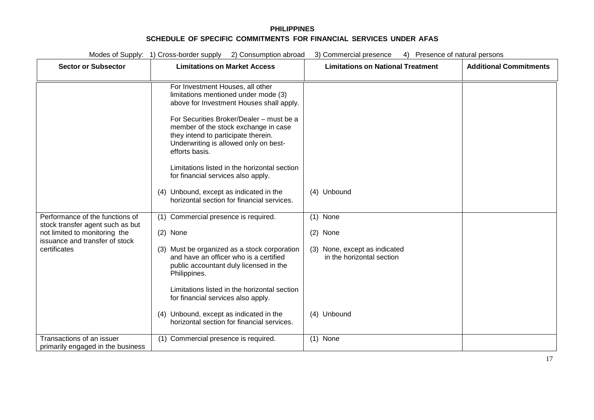|                                                                                                                                                        | Modes of Supply: 1) Cross-border supply 2) Consumption abroad<br>3) Commercial presence<br>4) Presence of natural persons                                                                                                                                                                                                                                                                                                                                                                                                                                                                                                                                                                                                                                                                                                                                                          |                                                                                                                    |                               |  |
|--------------------------------------------------------------------------------------------------------------------------------------------------------|------------------------------------------------------------------------------------------------------------------------------------------------------------------------------------------------------------------------------------------------------------------------------------------------------------------------------------------------------------------------------------------------------------------------------------------------------------------------------------------------------------------------------------------------------------------------------------------------------------------------------------------------------------------------------------------------------------------------------------------------------------------------------------------------------------------------------------------------------------------------------------|--------------------------------------------------------------------------------------------------------------------|-------------------------------|--|
| <b>Sector or Subsector</b>                                                                                                                             | <b>Limitations on Market Access</b>                                                                                                                                                                                                                                                                                                                                                                                                                                                                                                                                                                                                                                                                                                                                                                                                                                                | <b>Limitations on National Treatment</b>                                                                           | <b>Additional Commitments</b> |  |
| Performance of the functions of<br>stock transfer agent such as but<br>not limited to monitoring the<br>issuance and transfer of stock<br>certificates | For Investment Houses, all other<br>limitations mentioned under mode (3)<br>above for Investment Houses shall apply.<br>For Securities Broker/Dealer - must be a<br>member of the stock exchange in case<br>they intend to participate therein.<br>Underwriting is allowed only on best-<br>efforts basis.<br>Limitations listed in the horizontal section<br>for financial services also apply.<br>(4) Unbound, except as indicated in the<br>horizontal section for financial services.<br>(1) Commercial presence is required.<br>$(2)$ None<br>(3) Must be organized as a stock corporation<br>and have an officer who is a certified<br>public accountant duly licensed in the<br>Philippines.<br>Limitations listed in the horizontal section<br>for financial services also apply.<br>(4) Unbound, except as indicated in the<br>horizontal section for financial services. | (4) Unbound<br>$(1)$ None<br>(2) None<br>(3) None, except as indicated<br>in the horizontal section<br>(4) Unbound |                               |  |
| Transactions of an issuer                                                                                                                              | (1) Commercial presence is required.                                                                                                                                                                                                                                                                                                                                                                                                                                                                                                                                                                                                                                                                                                                                                                                                                                               | $(1)$ None                                                                                                         |                               |  |
| primarily engaged in the business                                                                                                                      |                                                                                                                                                                                                                                                                                                                                                                                                                                                                                                                                                                                                                                                                                                                                                                                                                                                                                    |                                                                                                                    |                               |  |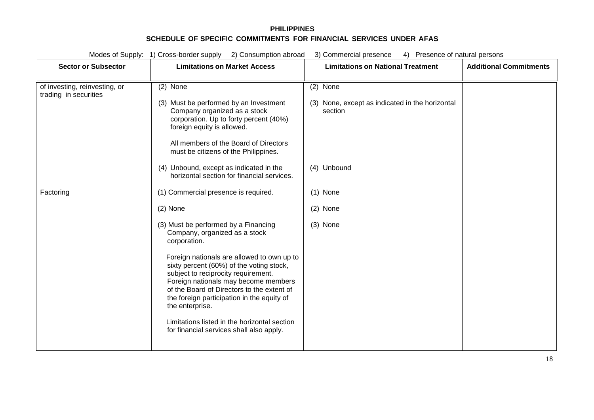| Modes of Supply: 1) Cross-border supply 2) Consumption abroad<br>3) Commercial presence<br>4) Presence of natural persons |                                                                                                                                                                                                                                                                                                                                                                                                                                                                                                                                 |                                                                                       |                               |
|---------------------------------------------------------------------------------------------------------------------------|---------------------------------------------------------------------------------------------------------------------------------------------------------------------------------------------------------------------------------------------------------------------------------------------------------------------------------------------------------------------------------------------------------------------------------------------------------------------------------------------------------------------------------|---------------------------------------------------------------------------------------|-------------------------------|
| <b>Sector or Subsector</b>                                                                                                | <b>Limitations on Market Access</b>                                                                                                                                                                                                                                                                                                                                                                                                                                                                                             | <b>Limitations on National Treatment</b>                                              | <b>Additional Commitments</b> |
| of investing, reinvesting, or<br>trading in securities                                                                    | (2) None<br>(3) Must be performed by an Investment<br>Company organized as a stock<br>corporation. Up to forty percent (40%)<br>foreign equity is allowed.<br>All members of the Board of Directors<br>must be citizens of the Philippines.<br>(4) Unbound, except as indicated in the<br>horizontal section for financial services.                                                                                                                                                                                            | (2) None<br>(3) None, except as indicated in the horizontal<br>section<br>(4) Unbound |                               |
| Factoring                                                                                                                 | (1) Commercial presence is required.<br>$(2)$ None<br>(3) Must be performed by a Financing<br>Company, organized as a stock<br>corporation.<br>Foreign nationals are allowed to own up to<br>sixty percent (60%) of the voting stock,<br>subject to reciprocity requirement.<br>Foreign nationals may become members<br>of the Board of Directors to the extent of<br>the foreign participation in the equity of<br>the enterprise.<br>Limitations listed in the horizontal section<br>for financial services shall also apply. | $(1)$ None<br>$(2)$ None<br>$(3)$ None                                                |                               |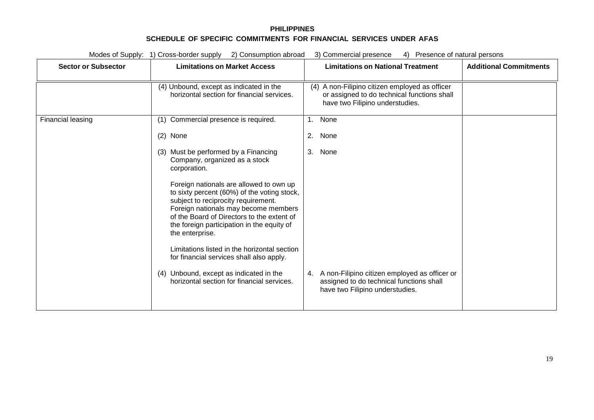| Modes of Supply: 1) Cross-border supply<br>2) Consumption abroad<br>3) Commercial presence<br>4) Presence of natural persons |                                                                                                                                                                                                                                                                                      |                                                                                                                                  |                               |
|------------------------------------------------------------------------------------------------------------------------------|--------------------------------------------------------------------------------------------------------------------------------------------------------------------------------------------------------------------------------------------------------------------------------------|----------------------------------------------------------------------------------------------------------------------------------|-------------------------------|
| <b>Sector or Subsector</b>                                                                                                   | <b>Limitations on Market Access</b>                                                                                                                                                                                                                                                  | <b>Limitations on National Treatment</b>                                                                                         | <b>Additional Commitments</b> |
|                                                                                                                              | (4) Unbound, except as indicated in the<br>horizontal section for financial services.                                                                                                                                                                                                | (4) A non-Filipino citizen employed as officer<br>or assigned to do technical functions shall<br>have two Filipino understudies. |                               |
| Financial leasing                                                                                                            | (1) Commercial presence is required.                                                                                                                                                                                                                                                 | None<br>1.                                                                                                                       |                               |
|                                                                                                                              | (2) None                                                                                                                                                                                                                                                                             | 2. None                                                                                                                          |                               |
|                                                                                                                              | (3) Must be performed by a Financing<br>Company, organized as a stock<br>corporation.                                                                                                                                                                                                | 3. None                                                                                                                          |                               |
|                                                                                                                              | Foreign nationals are allowed to own up<br>to sixty percent (60%) of the voting stock,<br>subject to reciprocity requirement.<br>Foreign nationals may become members<br>of the Board of Directors to the extent of<br>the foreign participation in the equity of<br>the enterprise. |                                                                                                                                  |                               |
|                                                                                                                              | Limitations listed in the horizontal section<br>for financial services shall also apply.                                                                                                                                                                                             |                                                                                                                                  |                               |
|                                                                                                                              | (4) Unbound, except as indicated in the<br>horizontal section for financial services.                                                                                                                                                                                                | 4. A non-Filipino citizen employed as officer or<br>assigned to do technical functions shall<br>have two Filipino understudies.  |                               |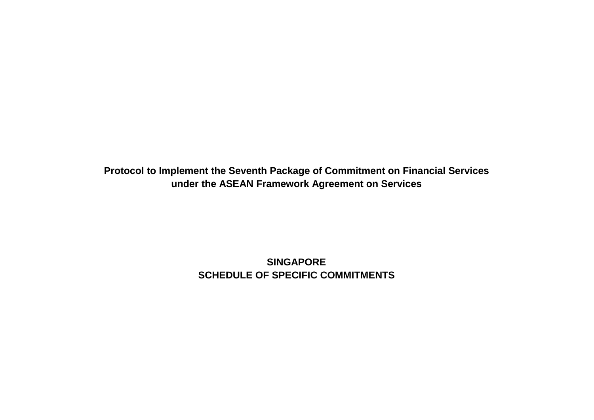**Protocol to Implement the Seventh Package of Commitment on Financial Services under the ASEAN Framework Agreement on Services**

> **SINGAPORE SCHEDULE OF SPECIFIC COMMITMENTS**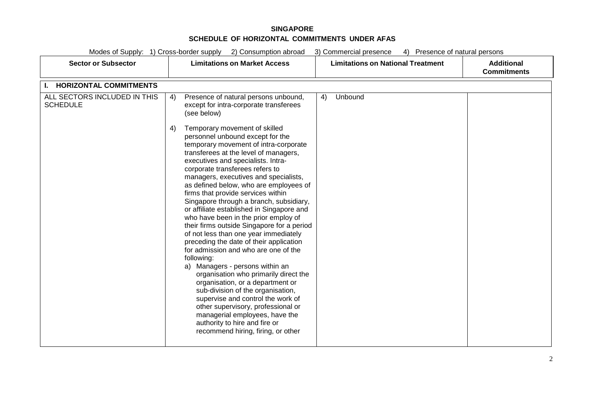| Modes of Supply: 1) Cross-border supply<br>2) Consumption abroad<br>3) Commercial presence<br>Presence of natural persons<br>4) |                                                                                                                                                                                                                                                                                                                                                                                                                                                                                                                                                                                                                                                                                                                                                                                                                                                                                                                                                                                                                               |                                          |                                         |  |
|---------------------------------------------------------------------------------------------------------------------------------|-------------------------------------------------------------------------------------------------------------------------------------------------------------------------------------------------------------------------------------------------------------------------------------------------------------------------------------------------------------------------------------------------------------------------------------------------------------------------------------------------------------------------------------------------------------------------------------------------------------------------------------------------------------------------------------------------------------------------------------------------------------------------------------------------------------------------------------------------------------------------------------------------------------------------------------------------------------------------------------------------------------------------------|------------------------------------------|-----------------------------------------|--|
| <b>Sector or Subsector</b>                                                                                                      | <b>Limitations on Market Access</b>                                                                                                                                                                                                                                                                                                                                                                                                                                                                                                                                                                                                                                                                                                                                                                                                                                                                                                                                                                                           | <b>Limitations on National Treatment</b> | <b>Additional</b><br><b>Commitments</b> |  |
| <b>HORIZONTAL COMMITMENTS</b><br>Ъ.                                                                                             |                                                                                                                                                                                                                                                                                                                                                                                                                                                                                                                                                                                                                                                                                                                                                                                                                                                                                                                                                                                                                               |                                          |                                         |  |
| ALL SECTORS INCLUDED IN THIS<br><b>SCHEDULE</b>                                                                                 | Presence of natural persons unbound,<br>4)<br>except for intra-corporate transferees<br>(see below)<br>Temporary movement of skilled<br>4)<br>personnel unbound except for the<br>temporary movement of intra-corporate<br>transferees at the level of managers,<br>executives and specialists. Intra-<br>corporate transferees refers to<br>managers, executives and specialists,<br>as defined below, who are employees of<br>firms that provide services within<br>Singapore through a branch, subsidiary,<br>or affiliate established in Singapore and<br>who have been in the prior employ of<br>their firms outside Singapore for a period<br>of not less than one year immediately<br>preceding the date of their application<br>for admission and who are one of the<br>following:<br>Managers - persons within an<br>a)<br>organisation who primarily direct the<br>organisation, or a department or<br>sub-division of the organisation,<br>supervise and control the work of<br>other supervisory, professional or | Unbound<br>4)                            |                                         |  |
|                                                                                                                                 | managerial employees, have the<br>authority to hire and fire or<br>recommend hiring, firing, or other                                                                                                                                                                                                                                                                                                                                                                                                                                                                                                                                                                                                                                                                                                                                                                                                                                                                                                                         |                                          |                                         |  |
|                                                                                                                                 |                                                                                                                                                                                                                                                                                                                                                                                                                                                                                                                                                                                                                                                                                                                                                                                                                                                                                                                                                                                                                               |                                          |                                         |  |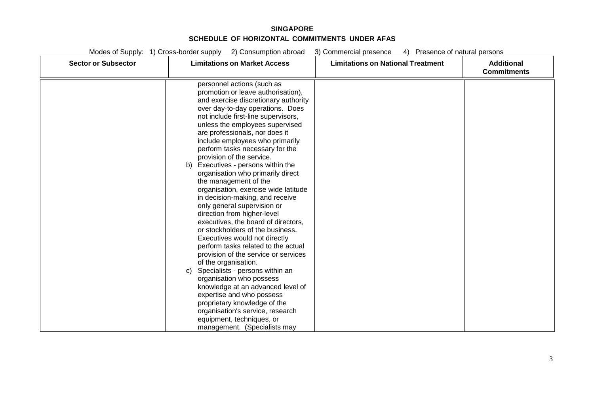| <b>Sector or Subsector</b> | <b>Limitations on Market Access</b>                                                                                                                                                                                                                                                                                                                                                                                                                                                                                                                                                                                                                                                                                                                                                                                                                                                                                                                                                                | <b>Limitations on National Treatment</b> | <b>Additional</b><br><b>Commitments</b> |
|----------------------------|----------------------------------------------------------------------------------------------------------------------------------------------------------------------------------------------------------------------------------------------------------------------------------------------------------------------------------------------------------------------------------------------------------------------------------------------------------------------------------------------------------------------------------------------------------------------------------------------------------------------------------------------------------------------------------------------------------------------------------------------------------------------------------------------------------------------------------------------------------------------------------------------------------------------------------------------------------------------------------------------------|------------------------------------------|-----------------------------------------|
|                            | personnel actions (such as<br>promotion or leave authorisation),<br>and exercise discretionary authority<br>over day-to-day operations. Does<br>not include first-line supervisors,<br>unless the employees supervised<br>are professionals, nor does it<br>include employees who primarily<br>perform tasks necessary for the<br>provision of the service.<br>b) Executives - persons within the<br>organisation who primarily direct<br>the management of the<br>organisation, exercise wide latitude<br>in decision-making, and receive<br>only general supervision or<br>direction from higher-level<br>executives, the board of directors,<br>or stockholders of the business.<br>Executives would not directly<br>perform tasks related to the actual<br>provision of the service or services<br>of the organisation.<br>Specialists - persons within an<br>C)<br>organisation who possess<br>knowledge at an advanced level of<br>expertise and who possess<br>proprietary knowledge of the |                                          |                                         |
|                            | organisation's service, research<br>equipment, techniques, or<br>management. (Specialists may                                                                                                                                                                                                                                                                                                                                                                                                                                                                                                                                                                                                                                                                                                                                                                                                                                                                                                      |                                          |                                         |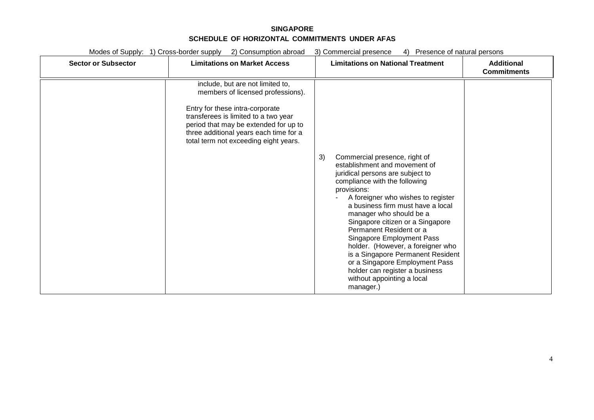| <b>Sector or Subsector</b> | <b>Limitations on Market Access</b>                                                                                                                                                                                                                                          | <b>Limitations on National Treatment</b>                                                                                                                                                                                                                                                                                                                                                                                                                                                                                               | <b>Additional</b><br><b>Commitments</b> |
|----------------------------|------------------------------------------------------------------------------------------------------------------------------------------------------------------------------------------------------------------------------------------------------------------------------|----------------------------------------------------------------------------------------------------------------------------------------------------------------------------------------------------------------------------------------------------------------------------------------------------------------------------------------------------------------------------------------------------------------------------------------------------------------------------------------------------------------------------------------|-----------------------------------------|
|                            | include, but are not limited to,<br>members of licensed professions).<br>Entry for these intra-corporate<br>transferees is limited to a two year<br>period that may be extended for up to<br>three additional years each time for a<br>total term not exceeding eight years. | Commercial presence, right of<br>3)<br>establishment and movement of<br>juridical persons are subject to<br>compliance with the following<br>provisions:<br>A foreigner who wishes to register<br>a business firm must have a local<br>manager who should be a<br>Singapore citizen or a Singapore<br>Permanent Resident or a<br>Singapore Employment Pass<br>holder. (However, a foreigner who<br>is a Singapore Permanent Resident<br>or a Singapore Employment Pass<br>holder can register a business<br>without appointing a local |                                         |
|                            |                                                                                                                                                                                                                                                                              | manager.)                                                                                                                                                                                                                                                                                                                                                                                                                                                                                                                              |                                         |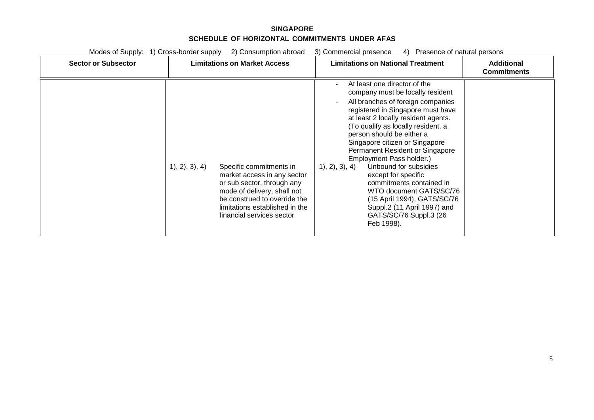| <b>Sector or Subsector</b> | <b>Limitations on Market Access</b>                                                                                                                                                                                              | <b>Limitations on National Treatment</b>                                                                                                                                                                                                                                                                                                                                                                                                                                                                                                                                              | <b>Additional</b><br><b>Commitments</b> |
|----------------------------|----------------------------------------------------------------------------------------------------------------------------------------------------------------------------------------------------------------------------------|---------------------------------------------------------------------------------------------------------------------------------------------------------------------------------------------------------------------------------------------------------------------------------------------------------------------------------------------------------------------------------------------------------------------------------------------------------------------------------------------------------------------------------------------------------------------------------------|-----------------------------------------|
|                            | 1, 2, 3, 4<br>Specific commitments in<br>market access in any sector<br>or sub sector, through any<br>mode of delivery, shall not<br>be construed to override the<br>limitations established in the<br>financial services sector | At least one director of the<br>company must be locally resident<br>All branches of foreign companies<br>registered in Singapore must have<br>at least 2 locally resident agents.<br>(To qualify as locally resident, a<br>person should be either a<br>Singapore citizen or Singapore<br>Permanent Resident or Singapore<br>Employment Pass holder.)<br>1), 2), 3), 4)<br>Unbound for subsidies<br>except for specific<br>commitments contained in<br>WTO document GATS/SC/76<br>(15 April 1994), GATS/SC/76<br>Suppl.2 (11 April 1997) and<br>GATS/SC/76 Suppl.3 (26)<br>Feb 1998). |                                         |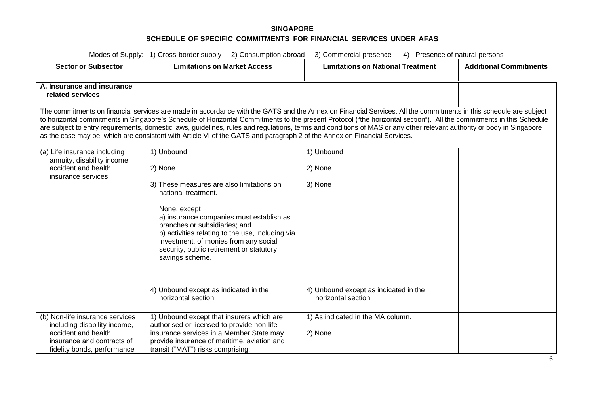| Modes of Supply: 1) Cross-border supply 2) Consumption abroad<br>3) Commercial presence<br>4) Presence of natural persons |                                                                                                                                                                                                                                                                                                                                                                                                                                                                                                                                                                                                                                                |                                                             |                               |  |
|---------------------------------------------------------------------------------------------------------------------------|------------------------------------------------------------------------------------------------------------------------------------------------------------------------------------------------------------------------------------------------------------------------------------------------------------------------------------------------------------------------------------------------------------------------------------------------------------------------------------------------------------------------------------------------------------------------------------------------------------------------------------------------|-------------------------------------------------------------|-------------------------------|--|
| <b>Sector or Subsector</b>                                                                                                | <b>Limitations on Market Access</b>                                                                                                                                                                                                                                                                                                                                                                                                                                                                                                                                                                                                            | <b>Limitations on National Treatment</b>                    | <b>Additional Commitments</b> |  |
| A. Insurance and insurance<br>related services                                                                            |                                                                                                                                                                                                                                                                                                                                                                                                                                                                                                                                                                                                                                                |                                                             |                               |  |
|                                                                                                                           | The commitments on financial services are made in accordance with the GATS and the Annex on Financial Services. All the commitments in this schedule are subject<br>to horizontal commitments in Singapore's Schedule of Horizontal Commitments to the present Protocol ("the horizontal section"). All the commitments in this Schedule<br>are subject to entry requirements, domestic laws, guidelines, rules and regulations, terms and conditions of MAS or any other relevant authority or body in Singapore,<br>as the case may be, which are consistent with Article VI of the GATS and paragraph 2 of the Annex on Financial Services. |                                                             |                               |  |
| (a) Life insurance including<br>annuity, disability income,                                                               | 1) Unbound                                                                                                                                                                                                                                                                                                                                                                                                                                                                                                                                                                                                                                     | 1) Unbound                                                  |                               |  |
| accident and health<br>insurance services                                                                                 | 2) None                                                                                                                                                                                                                                                                                                                                                                                                                                                                                                                                                                                                                                        | 2) None                                                     |                               |  |
|                                                                                                                           | 3) These measures are also limitations on<br>national treatment.<br>None, except<br>a) insurance companies must establish as<br>branches or subsidiaries; and<br>b) activities relating to the use, including via<br>investment, of monies from any social<br>security, public retirement or statutory<br>savings scheme.                                                                                                                                                                                                                                                                                                                      | 3) None                                                     |                               |  |
|                                                                                                                           | 4) Unbound except as indicated in the<br>horizontal section                                                                                                                                                                                                                                                                                                                                                                                                                                                                                                                                                                                    | 4) Unbound except as indicated in the<br>horizontal section |                               |  |
| (b) Non-life insurance services<br>including disability income,                                                           | 1) Unbound except that insurers which are<br>authorised or licensed to provide non-life                                                                                                                                                                                                                                                                                                                                                                                                                                                                                                                                                        | 1) As indicated in the MA column.                           |                               |  |
| accident and health                                                                                                       | insurance services in a Member State may                                                                                                                                                                                                                                                                                                                                                                                                                                                                                                                                                                                                       | 2) None                                                     |                               |  |
| insurance and contracts of<br>fidelity bonds, performance                                                                 | provide insurance of maritime, aviation and<br>transit ("MAT") risks comprising:                                                                                                                                                                                                                                                                                                                                                                                                                                                                                                                                                               |                                                             |                               |  |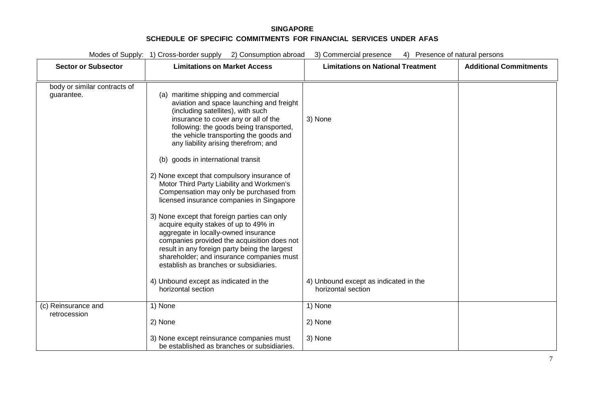| Modes of Supply: 1) Cross-border supply<br>2) Consumption abroad<br>3) Commercial presence<br>4) Presence of natural persons |                                                                                                                                                                                                                                                                                                                                                                                                                                                                                                          |                                                             |                               |
|------------------------------------------------------------------------------------------------------------------------------|----------------------------------------------------------------------------------------------------------------------------------------------------------------------------------------------------------------------------------------------------------------------------------------------------------------------------------------------------------------------------------------------------------------------------------------------------------------------------------------------------------|-------------------------------------------------------------|-------------------------------|
| <b>Sector or Subsector</b>                                                                                                   | <b>Limitations on Market Access</b>                                                                                                                                                                                                                                                                                                                                                                                                                                                                      | <b>Limitations on National Treatment</b>                    | <b>Additional Commitments</b> |
| body or similar contracts of<br>guarantee.                                                                                   | (a) maritime shipping and commercial<br>aviation and space launching and freight<br>(including satellites), with such<br>insurance to cover any or all of the<br>following: the goods being transported,<br>the vehicle transporting the goods and<br>any liability arising therefrom; and<br>goods in international transit<br>(b)                                                                                                                                                                      | 3) None                                                     |                               |
|                                                                                                                              | 2) None except that compulsory insurance of<br>Motor Third Party Liability and Workmen's<br>Compensation may only be purchased from<br>licensed insurance companies in Singapore<br>3) None except that foreign parties can only<br>acquire equity stakes of up to 49% in<br>aggregate in locally-owned insurance<br>companies provided the acquisition does not<br>result in any foreign party being the largest<br>shareholder; and insurance companies must<br>establish as branches or subsidiaries. |                                                             |                               |
|                                                                                                                              | 4) Unbound except as indicated in the<br>horizontal section                                                                                                                                                                                                                                                                                                                                                                                                                                              | 4) Unbound except as indicated in the<br>horizontal section |                               |
| (c) Reinsurance and<br>retrocession                                                                                          | 1) None<br>2) None                                                                                                                                                                                                                                                                                                                                                                                                                                                                                       | 1) None<br>2) None                                          |                               |
|                                                                                                                              | 3) None except reinsurance companies must                                                                                                                                                                                                                                                                                                                                                                                                                                                                | 3) None                                                     |                               |

be established as branches or subsidiaries.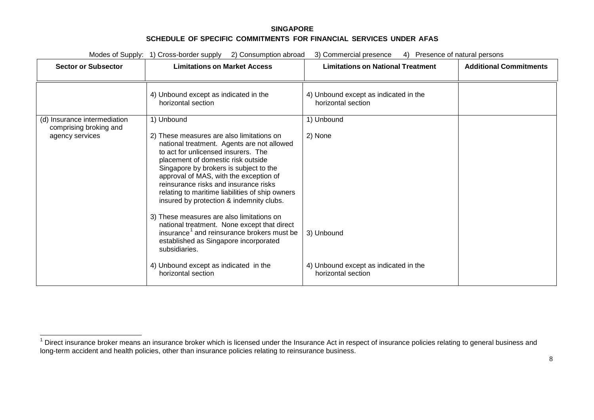<span id="page-134-0"></span>

| Modes of Supply: 1) Cross-border supply 2) Consumption abroad<br>3) Commercial presence<br>4) Presence of natural persons |                                                                                                                                                                                                                                                                                                                                                                                                  |                                                             |                               |
|---------------------------------------------------------------------------------------------------------------------------|--------------------------------------------------------------------------------------------------------------------------------------------------------------------------------------------------------------------------------------------------------------------------------------------------------------------------------------------------------------------------------------------------|-------------------------------------------------------------|-------------------------------|
| <b>Sector or Subsector</b>                                                                                                | <b>Limitations on Market Access</b>                                                                                                                                                                                                                                                                                                                                                              | <b>Limitations on National Treatment</b>                    | <b>Additional Commitments</b> |
|                                                                                                                           | 4) Unbound except as indicated in the<br>horizontal section                                                                                                                                                                                                                                                                                                                                      | 4) Unbound except as indicated in the<br>horizontal section |                               |
| (d) Insurance intermediation<br>comprising broking and                                                                    | 1) Unbound                                                                                                                                                                                                                                                                                                                                                                                       | 1) Unbound                                                  |                               |
| agency services                                                                                                           | 2) These measures are also limitations on<br>national treatment. Agents are not allowed<br>to act for unlicensed insurers. The<br>placement of domestic risk outside<br>Singapore by brokers is subject to the<br>approval of MAS, with the exception of<br>reinsurance risks and insurance risks<br>relating to maritime liabilities of ship owners<br>insured by protection & indemnity clubs. | 2) None                                                     |                               |
|                                                                                                                           | 3) These measures are also limitations on<br>national treatment. None except that direct<br>insurance <sup>1</sup> and reinsurance brokers must be<br>established as Singapore incorporated<br>subsidiaries.                                                                                                                                                                                     | 3) Unbound                                                  |                               |
|                                                                                                                           | 4) Unbound except as indicated in the<br>horizontal section                                                                                                                                                                                                                                                                                                                                      | 4) Unbound except as indicated in the<br>horizontal section |                               |

<sup>1</sup> Direct insurance broker means an insurance broker which is licensed under the Insurance Act in respect of insurance policies relating to general business and <br><sup>1</sup> Direct insurance broker means an insurance broker which i long-term accident and health policies, other than insurance policies relating to reinsurance business.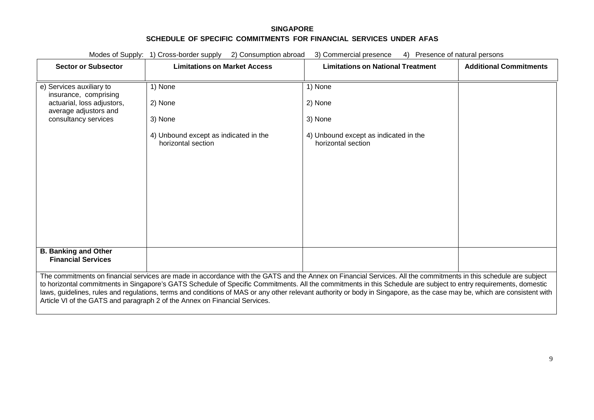| Modes of Supply:<br>1) Cross-border supply 2) Consumption abroad<br>3) Commercial presence<br>4) Presence of natural persons                                                                                                                                                                                                                                                                                               |                                                             |                                                             |                               |
|----------------------------------------------------------------------------------------------------------------------------------------------------------------------------------------------------------------------------------------------------------------------------------------------------------------------------------------------------------------------------------------------------------------------------|-------------------------------------------------------------|-------------------------------------------------------------|-------------------------------|
| <b>Sector or Subsector</b>                                                                                                                                                                                                                                                                                                                                                                                                 | <b>Limitations on Market Access</b>                         | <b>Limitations on National Treatment</b>                    | <b>Additional Commitments</b> |
| e) Services auxiliary to<br>insurance, comprising                                                                                                                                                                                                                                                                                                                                                                          | 1) None                                                     | 1) None                                                     |                               |
| actuarial, loss adjustors,<br>average adjustors and                                                                                                                                                                                                                                                                                                                                                                        | 2) None                                                     | 2) None                                                     |                               |
| consultancy services                                                                                                                                                                                                                                                                                                                                                                                                       | 3) None                                                     | 3) None                                                     |                               |
|                                                                                                                                                                                                                                                                                                                                                                                                                            | 4) Unbound except as indicated in the<br>horizontal section | 4) Unbound except as indicated in the<br>horizontal section |                               |
|                                                                                                                                                                                                                                                                                                                                                                                                                            |                                                             |                                                             |                               |
|                                                                                                                                                                                                                                                                                                                                                                                                                            |                                                             |                                                             |                               |
|                                                                                                                                                                                                                                                                                                                                                                                                                            |                                                             |                                                             |                               |
|                                                                                                                                                                                                                                                                                                                                                                                                                            |                                                             |                                                             |                               |
|                                                                                                                                                                                                                                                                                                                                                                                                                            |                                                             |                                                             |                               |
|                                                                                                                                                                                                                                                                                                                                                                                                                            |                                                             |                                                             |                               |
| <b>B. Banking and Other</b><br><b>Financial Services</b>                                                                                                                                                                                                                                                                                                                                                                   |                                                             |                                                             |                               |
| The commitments on financial services are made in accordance with the GATS and the Annex on Financial Services. All the commitments in this schedule are subject                                                                                                                                                                                                                                                           |                                                             |                                                             |                               |
| to horizontal commitments in Singapore's GATS Schedule of Specific Commitments. All the commitments in this Schedule are subject to entry requirements, domestic<br>laws, guidelines, rules and regulations, terms and conditions of MAS or any other relevant authority or body in Singapore, as the case may be, which are consistent with<br>Article VI of the GATS and paragraph 2 of the Annex on Financial Services. |                                                             |                                                             |                               |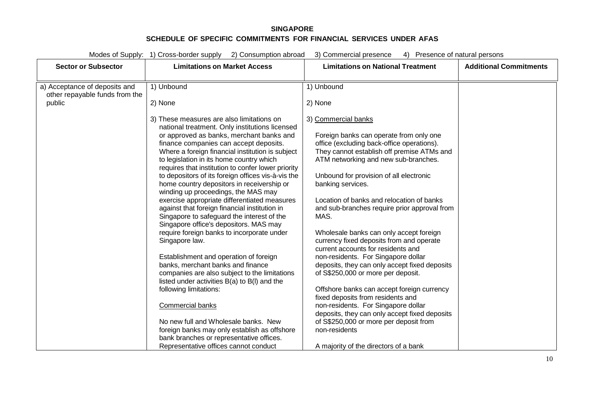| Modes of Supply: 1) Cross-border supply<br>2) Consumption abroad<br>4) Presence of natural persons<br>3) Commercial presence |                                                                                                                                                                                                                                                                                                                                                                                                                                                                                                                                                                                                                                                                                                                                                                                                                                                                                                                                                                                                                                                                                                                                                        |                                                                                                                                                                                                                                                                                                                                                                                                                                                                                                                                                                                                                                                                                                                                                                                                                                                                                                                   |                               |  |
|------------------------------------------------------------------------------------------------------------------------------|--------------------------------------------------------------------------------------------------------------------------------------------------------------------------------------------------------------------------------------------------------------------------------------------------------------------------------------------------------------------------------------------------------------------------------------------------------------------------------------------------------------------------------------------------------------------------------------------------------------------------------------------------------------------------------------------------------------------------------------------------------------------------------------------------------------------------------------------------------------------------------------------------------------------------------------------------------------------------------------------------------------------------------------------------------------------------------------------------------------------------------------------------------|-------------------------------------------------------------------------------------------------------------------------------------------------------------------------------------------------------------------------------------------------------------------------------------------------------------------------------------------------------------------------------------------------------------------------------------------------------------------------------------------------------------------------------------------------------------------------------------------------------------------------------------------------------------------------------------------------------------------------------------------------------------------------------------------------------------------------------------------------------------------------------------------------------------------|-------------------------------|--|
| <b>Sector or Subsector</b>                                                                                                   | <b>Limitations on Market Access</b>                                                                                                                                                                                                                                                                                                                                                                                                                                                                                                                                                                                                                                                                                                                                                                                                                                                                                                                                                                                                                                                                                                                    | <b>Limitations on National Treatment</b>                                                                                                                                                                                                                                                                                                                                                                                                                                                                                                                                                                                                                                                                                                                                                                                                                                                                          | <b>Additional Commitments</b> |  |
| a) Acceptance of deposits and<br>other repayable funds from the<br>public                                                    | 1) Unbound<br>2) None                                                                                                                                                                                                                                                                                                                                                                                                                                                                                                                                                                                                                                                                                                                                                                                                                                                                                                                                                                                                                                                                                                                                  | 1) Unbound<br>2) None                                                                                                                                                                                                                                                                                                                                                                                                                                                                                                                                                                                                                                                                                                                                                                                                                                                                                             |                               |  |
|                                                                                                                              | 3) These measures are also limitations on<br>national treatment. Only institutions licensed<br>or approved as banks, merchant banks and<br>finance companies can accept deposits.<br>Where a foreign financial institution is subject<br>to legislation in its home country which<br>requires that institution to confer lower priority<br>to depositors of its foreign offices vis-à-vis the<br>home country depositors in receivership or<br>winding up proceedings, the MAS may<br>exercise appropriate differentiated measures<br>against that foreign financial institution in<br>Singapore to safeguard the interest of the<br>Singapore office's depositors. MAS may<br>require foreign banks to incorporate under<br>Singapore law.<br>Establishment and operation of foreign<br>banks, merchant banks and finance<br>companies are also subject to the limitations<br>listed under activities B(a) to B(l) and the<br>following limitations:<br>Commercial banks<br>No new full and Wholesale banks. New<br>foreign banks may only establish as offshore<br>bank branches or representative offices.<br>Representative offices cannot conduct | 3) Commercial banks<br>Foreign banks can operate from only one<br>office (excluding back-office operations).<br>They cannot establish off premise ATMs and<br>ATM networking and new sub-branches.<br>Unbound for provision of all electronic<br>banking services.<br>Location of banks and relocation of banks<br>and sub-branches require prior approval from<br>MAS.<br>Wholesale banks can only accept foreign<br>currency fixed deposits from and operate<br>current accounts for residents and<br>non-residents. For Singapore dollar<br>deposits, they can only accept fixed deposits<br>of S\$250,000 or more per deposit.<br>Offshore banks can accept foreign currency<br>fixed deposits from residents and<br>non-residents. For Singapore dollar<br>deposits, they can only accept fixed deposits<br>of S\$250,000 or more per deposit from<br>non-residents<br>A majority of the directors of a bank |                               |  |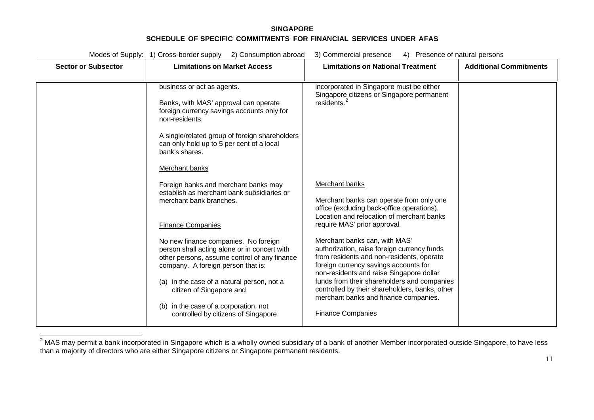<span id="page-137-0"></span>

| <b>Sector or Subsector</b> | <b>Limitations on Market Access</b>                                                                                                                                                                                                                                                                                                   | <b>Limitations on National Treatment</b>                                                                                                                                                                                                                                                                                                                                             | <b>Additional Commitments</b> |
|----------------------------|---------------------------------------------------------------------------------------------------------------------------------------------------------------------------------------------------------------------------------------------------------------------------------------------------------------------------------------|--------------------------------------------------------------------------------------------------------------------------------------------------------------------------------------------------------------------------------------------------------------------------------------------------------------------------------------------------------------------------------------|-------------------------------|
|                            | business or act as agents.<br>Banks, with MAS' approval can operate<br>foreign currency savings accounts only for<br>non-residents.<br>A single/related group of foreign shareholders<br>can only hold up to 5 per cent of a local<br>bank's shares.<br>Merchant banks                                                                | incorporated in Singapore must be either<br>Singapore citizens or Singapore permanent<br>residents. <sup>2</sup>                                                                                                                                                                                                                                                                     |                               |
|                            | Foreign banks and merchant banks may<br>establish as merchant bank subsidiaries or<br>merchant bank branches.<br><b>Finance Companies</b>                                                                                                                                                                                             | Merchant banks<br>Merchant banks can operate from only one<br>office (excluding back-office operations).<br>Location and relocation of merchant banks<br>require MAS' prior approval.                                                                                                                                                                                                |                               |
|                            | No new finance companies. No foreign<br>person shall acting alone or in concert with<br>other persons, assume control of any finance<br>company. A foreign person that is:<br>(a) in the case of a natural person, not a<br>citizen of Singapore and<br>(b) in the case of a corporation, not<br>controlled by citizens of Singapore. | Merchant banks can, with MAS'<br>authorization, raise foreign currency funds<br>from residents and non-residents, operate<br>foreign currency savings accounts for<br>non-residents and raise Singapore dollar<br>funds from their shareholders and companies<br>controlled by their shareholders, banks, other<br>merchant banks and finance companies.<br><b>Finance Companies</b> |                               |

 $^2$ MAS may permit a bank incorporated in Singapore which is a wholly owned subsidiary of a bank of another Member incorporated outside Singapore, to have less than a majority of directors who are either Singapore citizens or Singapore permanent residents.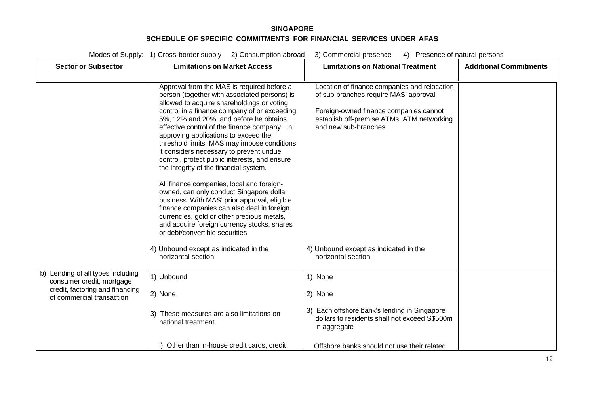| <b>Sector or Subsector</b>                                                                                                     | <b>Limitations on Market Access</b>                                                                                                                                                                                                                                                                                                                                                                                                                                                                                                                                                                                                                                                                                                                                                                                                    | <b>Limitations on National Treatment</b>                                                                                                                                                                | <b>Additional Commitments</b> |
|--------------------------------------------------------------------------------------------------------------------------------|----------------------------------------------------------------------------------------------------------------------------------------------------------------------------------------------------------------------------------------------------------------------------------------------------------------------------------------------------------------------------------------------------------------------------------------------------------------------------------------------------------------------------------------------------------------------------------------------------------------------------------------------------------------------------------------------------------------------------------------------------------------------------------------------------------------------------------------|---------------------------------------------------------------------------------------------------------------------------------------------------------------------------------------------------------|-------------------------------|
|                                                                                                                                | Approval from the MAS is required before a<br>person (together with associated persons) is<br>allowed to acquire shareholdings or voting<br>control in a finance company of or exceeding<br>5%, 12% and 20%, and before he obtains<br>effective control of the finance company. In<br>approving applications to exceed the<br>threshold limits, MAS may impose conditions<br>it considers necessary to prevent undue<br>control, protect public interests, and ensure<br>the integrity of the financial system.<br>All finance companies, local and foreign-<br>owned, can only conduct Singapore dollar<br>business. With MAS' prior approval, eligible<br>finance companies can also deal in foreign<br>currencies, gold or other precious metals,<br>and acquire foreign currency stocks, shares<br>or debt/convertible securities. | Location of finance companies and relocation<br>of sub-branches require MAS' approval.<br>Foreign-owned finance companies cannot<br>establish off-premise ATMs, ATM networking<br>and new sub-branches. |                               |
|                                                                                                                                | 4) Unbound except as indicated in the<br>horizontal section                                                                                                                                                                                                                                                                                                                                                                                                                                                                                                                                                                                                                                                                                                                                                                            | 4) Unbound except as indicated in the<br>horizontal section                                                                                                                                             |                               |
| b) Lending of all types including<br>consumer credit, mortgage<br>credit, factoring and financing<br>of commercial transaction | 1) Unbound<br>2) None<br>3) These measures are also limitations on<br>national treatment.                                                                                                                                                                                                                                                                                                                                                                                                                                                                                                                                                                                                                                                                                                                                              | 1) None<br>2) None<br>3) Each offshore bank's lending in Singapore<br>dollars to residents shall not exceed S\$500m<br>in aggregate                                                                     |                               |
|                                                                                                                                | i) Other than in-house credit cards, credit                                                                                                                                                                                                                                                                                                                                                                                                                                                                                                                                                                                                                                                                                                                                                                                            | Offshore banks should not use their related                                                                                                                                                             |                               |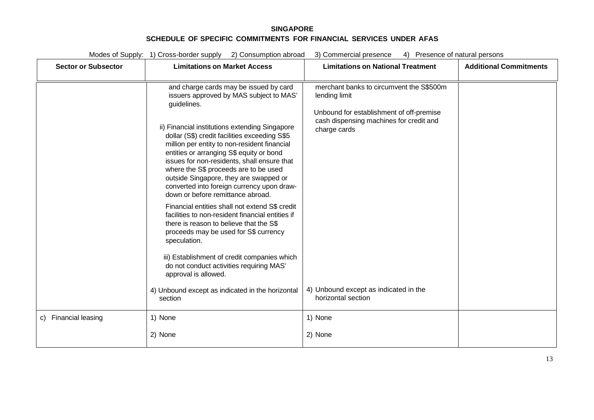| Modes of Supply: 1) Cross-border supply 2) Consumption abroad<br>3) Commercial presence<br>4) Presence of natural persons |                                                                                                                                                                                                                                                                                                                                                                                                                                                                                                                                                                                                                                                                                                                                                                                                                                                    |                                                                                                                                                                  |                               |
|---------------------------------------------------------------------------------------------------------------------------|----------------------------------------------------------------------------------------------------------------------------------------------------------------------------------------------------------------------------------------------------------------------------------------------------------------------------------------------------------------------------------------------------------------------------------------------------------------------------------------------------------------------------------------------------------------------------------------------------------------------------------------------------------------------------------------------------------------------------------------------------------------------------------------------------------------------------------------------------|------------------------------------------------------------------------------------------------------------------------------------------------------------------|-------------------------------|
| <b>Sector or Subsector</b>                                                                                                | <b>Limitations on Market Access</b>                                                                                                                                                                                                                                                                                                                                                                                                                                                                                                                                                                                                                                                                                                                                                                                                                | <b>Limitations on National Treatment</b>                                                                                                                         | <b>Additional Commitments</b> |
|                                                                                                                           | and charge cards may be issued by card<br>issuers approved by MAS subject to MAS'<br>guidelines.<br>ii) Financial institutions extending Singapore<br>dollar (S\$) credit facilities exceeding S\$5<br>million per entity to non-resident financial<br>entities or arranging S\$ equity or bond<br>issues for non-residents, shall ensure that<br>where the S\$ proceeds are to be used<br>outside Singapore, they are swapped or<br>converted into foreign currency upon draw-<br>down or before remittance abroad.<br>Financial entities shall not extend S\$ credit<br>facilities to non-resident financial entities if<br>there is reason to believe that the S\$<br>proceeds may be used for S\$ currency<br>speculation.<br>iii) Establishment of credit companies which<br>do not conduct activities requiring MAS'<br>approval is allowed. | merchant banks to circumvent the S\$500m<br>lending limit<br>Unbound for establishment of off-premise<br>cash dispensing machines for credit and<br>charge cards |                               |
|                                                                                                                           | 4) Unbound except as indicated in the horizontal<br>section                                                                                                                                                                                                                                                                                                                                                                                                                                                                                                                                                                                                                                                                                                                                                                                        | 4) Unbound except as indicated in the<br>horizontal section                                                                                                      |                               |
| c) Financial leasing                                                                                                      | 1) None<br>2) None                                                                                                                                                                                                                                                                                                                                                                                                                                                                                                                                                                                                                                                                                                                                                                                                                                 | 1) None<br>2) None                                                                                                                                               |                               |
|                                                                                                                           |                                                                                                                                                                                                                                                                                                                                                                                                                                                                                                                                                                                                                                                                                                                                                                                                                                                    |                                                                                                                                                                  |                               |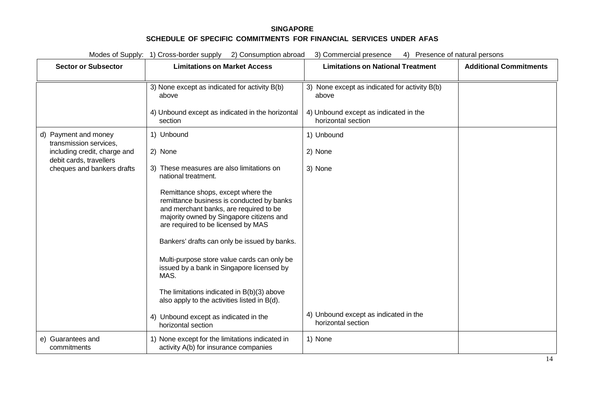| Modes of Supply: 1) Cross-border supply 2) Consumption abroad<br>3) Commercial presence<br>4) Presence of natural persons |                                                                                                                                                                                                             |                                                             |                               |
|---------------------------------------------------------------------------------------------------------------------------|-------------------------------------------------------------------------------------------------------------------------------------------------------------------------------------------------------------|-------------------------------------------------------------|-------------------------------|
| <b>Sector or Subsector</b>                                                                                                | <b>Limitations on Market Access</b>                                                                                                                                                                         | <b>Limitations on National Treatment</b>                    | <b>Additional Commitments</b> |
|                                                                                                                           | 3) None except as indicated for activity B(b)<br>above                                                                                                                                                      | 3) None except as indicated for activity B(b)<br>above      |                               |
|                                                                                                                           | 4) Unbound except as indicated in the horizontal<br>section                                                                                                                                                 | 4) Unbound except as indicated in the<br>horizontal section |                               |
| d) Payment and money<br>transmission services,                                                                            | 1) Unbound                                                                                                                                                                                                  | 1) Unbound                                                  |                               |
| including credit, charge and<br>debit cards, travellers                                                                   | 2) None                                                                                                                                                                                                     | 2) None                                                     |                               |
| cheques and bankers drafts                                                                                                | 3) These measures are also limitations on<br>national treatment.                                                                                                                                            | 3) None                                                     |                               |
|                                                                                                                           | Remittance shops, except where the<br>remittance business is conducted by banks<br>and merchant banks, are required to be<br>majority owned by Singapore citizens and<br>are required to be licensed by MAS |                                                             |                               |
|                                                                                                                           | Bankers' drafts can only be issued by banks.                                                                                                                                                                |                                                             |                               |
|                                                                                                                           | Multi-purpose store value cards can only be<br>issued by a bank in Singapore licensed by<br>MAS.                                                                                                            |                                                             |                               |
|                                                                                                                           | The limitations indicated in B(b)(3) above<br>also apply to the activities listed in B(d).                                                                                                                  |                                                             |                               |
|                                                                                                                           | 4) Unbound except as indicated in the<br>horizontal section                                                                                                                                                 | 4) Unbound except as indicated in the<br>horizontal section |                               |
| e) Guarantees and<br>commitments                                                                                          | 1) None except for the limitations indicated in<br>activity A(b) for insurance companies                                                                                                                    | 1) None                                                     |                               |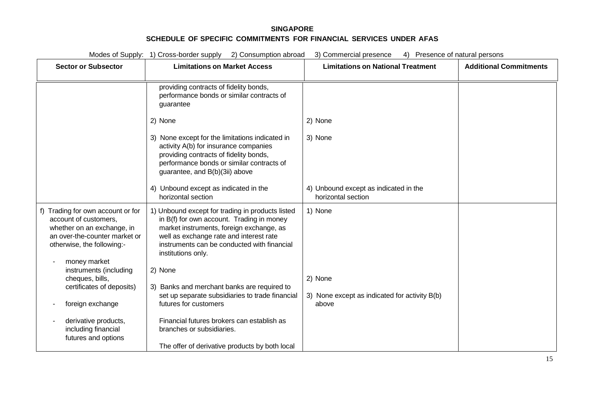| Modes of Supply: 1) Cross-border supply 2) Consumption abroad<br>4) Presence of natural persons<br>3) Commercial presence                                               |                                                                                                                                                                                                                                                           |                                                             |                               |
|-------------------------------------------------------------------------------------------------------------------------------------------------------------------------|-----------------------------------------------------------------------------------------------------------------------------------------------------------------------------------------------------------------------------------------------------------|-------------------------------------------------------------|-------------------------------|
| <b>Sector or Subsector</b>                                                                                                                                              | <b>Limitations on Market Access</b>                                                                                                                                                                                                                       | <b>Limitations on National Treatment</b>                    | <b>Additional Commitments</b> |
|                                                                                                                                                                         |                                                                                                                                                                                                                                                           |                                                             |                               |
|                                                                                                                                                                         | providing contracts of fidelity bonds,<br>performance bonds or similar contracts of<br>guarantee                                                                                                                                                          |                                                             |                               |
|                                                                                                                                                                         | 2) None                                                                                                                                                                                                                                                   | 2) None                                                     |                               |
|                                                                                                                                                                         | 3) None except for the limitations indicated in<br>activity A(b) for insurance companies<br>providing contracts of fidelity bonds,<br>performance bonds or similar contracts of<br>guarantee, and B(b)(3ii) above                                         | 3) None                                                     |                               |
|                                                                                                                                                                         | 4) Unbound except as indicated in the<br>horizontal section                                                                                                                                                                                               | 4) Unbound except as indicated in the<br>horizontal section |                               |
| f) Trading for own account or for<br>account of customers,<br>whether on an exchange, in<br>an over-the-counter market or<br>otherwise, the following:-<br>money market | 1) Unbound except for trading in products listed<br>in B(f) for own account. Trading in money<br>market instruments, foreign exchange, as<br>well as exchange rate and interest rate<br>instruments can be conducted with financial<br>institutions only. | 1) None                                                     |                               |
| instruments (including<br>cheques, bills,                                                                                                                               | 2) None                                                                                                                                                                                                                                                   | 2) None                                                     |                               |
| certificates of deposits)                                                                                                                                               | 3) Banks and merchant banks are required to<br>set up separate subsidiaries to trade financial<br>futures for customers                                                                                                                                   | 3) None except as indicated for activity B(b)               |                               |
| foreign exchange                                                                                                                                                        |                                                                                                                                                                                                                                                           | above                                                       |                               |
| derivative products,<br>including financial<br>futures and options                                                                                                      | Financial futures brokers can establish as<br>branches or subsidiaries.                                                                                                                                                                                   |                                                             |                               |
|                                                                                                                                                                         | The offer of derivative products by both local                                                                                                                                                                                                            |                                                             |                               |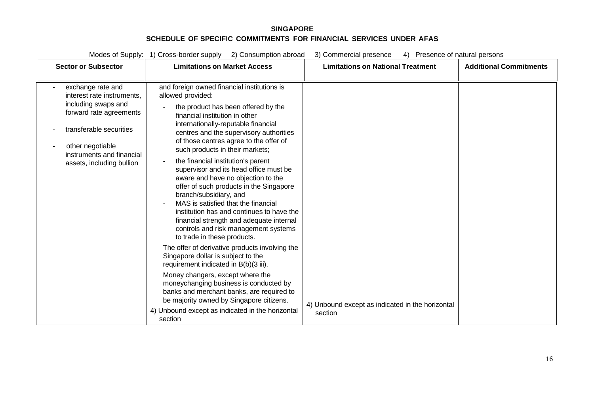| <b>Sector or Subsector</b>                                                                                                                                                                                 | <b>Limitations on Market Access</b>                                                                                                                                                                                                                                                                                                                                                                                                                                                                                                                                                                                                                                                                                                                                                                                                                                                                                                                                                                                                                                               | <b>Limitations on National Treatment</b>                    | <b>Additional Commitments</b> |
|------------------------------------------------------------------------------------------------------------------------------------------------------------------------------------------------------------|-----------------------------------------------------------------------------------------------------------------------------------------------------------------------------------------------------------------------------------------------------------------------------------------------------------------------------------------------------------------------------------------------------------------------------------------------------------------------------------------------------------------------------------------------------------------------------------------------------------------------------------------------------------------------------------------------------------------------------------------------------------------------------------------------------------------------------------------------------------------------------------------------------------------------------------------------------------------------------------------------------------------------------------------------------------------------------------|-------------------------------------------------------------|-------------------------------|
| exchange rate and<br>interest rate instruments,<br>including swaps and<br>forward rate agreements<br>transferable securities<br>other negotiable<br>instruments and financial<br>assets, including bullion | and foreign owned financial institutions is<br>allowed provided:<br>the product has been offered by the<br>financial institution in other<br>internationally-reputable financial<br>centres and the supervisory authorities<br>of those centres agree to the offer of<br>such products in their markets;<br>the financial institution's parent<br>supervisor and its head office must be<br>aware and have no objection to the<br>offer of such products in the Singapore<br>branch/subsidiary, and<br>MAS is satisfied that the financial<br>institution has and continues to have the<br>financial strength and adequate internal<br>controls and risk management systems<br>to trade in these products.<br>The offer of derivative products involving the<br>Singapore dollar is subject to the<br>requirement indicated in B(b)(3 iii).<br>Money changers, except where the<br>moneychanging business is conducted by<br>banks and merchant banks, are required to<br>be majority owned by Singapore citizens.<br>4) Unbound except as indicated in the horizontal<br>section | 4) Unbound except as indicated in the horizontal<br>section |                               |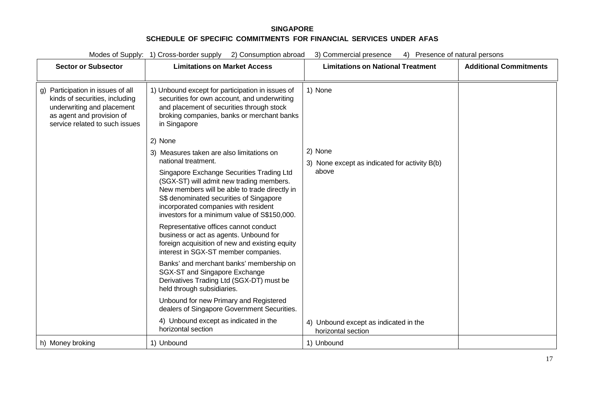| Modes of Supply: 1) Cross-border supply<br>2) Consumption abroad<br>3) Commercial presence<br>Presence of natural persons<br>4)                                  |                                                                                                                                                                                                                                                                                                                                                                                                                                             |                                                                   |                               |
|------------------------------------------------------------------------------------------------------------------------------------------------------------------|---------------------------------------------------------------------------------------------------------------------------------------------------------------------------------------------------------------------------------------------------------------------------------------------------------------------------------------------------------------------------------------------------------------------------------------------|-------------------------------------------------------------------|-------------------------------|
| <b>Sector or Subsector</b>                                                                                                                                       | <b>Limitations on Market Access</b>                                                                                                                                                                                                                                                                                                                                                                                                         | <b>Limitations on National Treatment</b>                          | <b>Additional Commitments</b> |
| g) Participation in issues of all<br>kinds of securities, including<br>underwriting and placement<br>as agent and provision of<br>service related to such issues | 1) Unbound except for participation in issues of<br>securities for own account, and underwriting<br>and placement of securities through stock<br>broking companies, banks or merchant banks<br>in Singapore                                                                                                                                                                                                                                 | 1) None                                                           |                               |
|                                                                                                                                                                  | 2) None<br>3) Measures taken are also limitations on<br>national treatment.<br>Singapore Exchange Securities Trading Ltd<br>(SGX-ST) will admit new trading members.<br>New members will be able to trade directly in<br>S\$ denominated securities of Singapore<br>incorporated companies with resident<br>investors for a minimum value of S\$150,000.<br>Representative offices cannot conduct<br>business or act as agents. Unbound for | 2) None<br>3) None except as indicated for activity B(b)<br>above |                               |
|                                                                                                                                                                  | foreign acquisition of new and existing equity<br>interest in SGX-ST member companies.<br>Banks' and merchant banks' membership on<br>SGX-ST and Singapore Exchange<br>Derivatives Trading Ltd (SGX-DT) must be<br>held through subsidiaries.<br>Unbound for new Primary and Registered<br>dealers of Singapore Government Securities.<br>4) Unbound except as indicated in the<br>horizontal section                                       | 4) Unbound except as indicated in the<br>horizontal section       |                               |
| h) Money broking                                                                                                                                                 | 1) Unbound                                                                                                                                                                                                                                                                                                                                                                                                                                  | 1) Unbound                                                        |                               |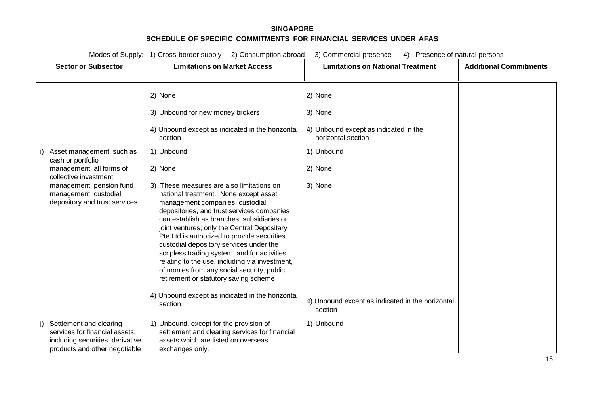| Modes of Supply: 1) Cross-border supply 2) Consumption abroad<br>3) Commercial presence<br>4) Presence of natural persons                                                                 |                                                                                                                                                                                                                                                                                                                                                                                                                                                                                                                                                                                                                                                                                                                                                           |                                                                                                                                                                                      |                               |  |
|-------------------------------------------------------------------------------------------------------------------------------------------------------------------------------------------|-----------------------------------------------------------------------------------------------------------------------------------------------------------------------------------------------------------------------------------------------------------------------------------------------------------------------------------------------------------------------------------------------------------------------------------------------------------------------------------------------------------------------------------------------------------------------------------------------------------------------------------------------------------------------------------------------------------------------------------------------------------|--------------------------------------------------------------------------------------------------------------------------------------------------------------------------------------|-------------------------------|--|
| <b>Sector or Subsector</b>                                                                                                                                                                | <b>Limitations on Market Access</b>                                                                                                                                                                                                                                                                                                                                                                                                                                                                                                                                                                                                                                                                                                                       | <b>Limitations on National Treatment</b>                                                                                                                                             | <b>Additional Commitments</b> |  |
| Asset management, such as<br>cash or portfolio<br>management, all forms of<br>collective investment<br>management, pension fund<br>management, custodial<br>depository and trust services | 2) None<br>3) Unbound for new money brokers<br>4) Unbound except as indicated in the horizontal<br>section<br>1) Unbound<br>2) None<br>3) These measures are also limitations on<br>national treatment. None except asset<br>management companies, custodial<br>depositories, and trust services companies<br>can establish as branches, subsidiaries or<br>joint ventures; only the Central Depositary<br>Pte Ltd is authorized to provide securities<br>custodial depository services under the<br>scripless trading system; and for activities<br>relating to the use, including via investment,<br>of monies from any social security, public<br>retirement or statutory saving scheme<br>4) Unbound except as indicated in the horizontal<br>section | 2) None<br>3) None<br>4) Unbound except as indicated in the<br>horizontal section<br>1) Unbound<br>2) None<br>3) None<br>4) Unbound except as indicated in the horizontal<br>section |                               |  |
| Settlement and clearing<br>services for financial assets,<br>including securities, derivative<br>products and other negotiable                                                            | 1) Unbound, except for the provision of<br>settlement and clearing services for financial<br>assets which are listed on overseas<br>exchanges only.                                                                                                                                                                                                                                                                                                                                                                                                                                                                                                                                                                                                       | 1) Unbound                                                                                                                                                                           |                               |  |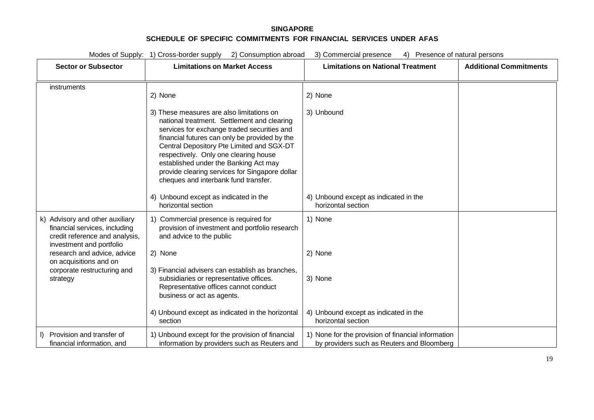| <b>Sector or Subsector</b>                                                                                                     | <b>Limitations on Market Access</b>                                                                                                                                                                                                                                                                                                                                                                               | <b>Limitations on National Treatment</b>                                                         | <b>Additional Commitments</b> |
|--------------------------------------------------------------------------------------------------------------------------------|-------------------------------------------------------------------------------------------------------------------------------------------------------------------------------------------------------------------------------------------------------------------------------------------------------------------------------------------------------------------------------------------------------------------|--------------------------------------------------------------------------------------------------|-------------------------------|
| instruments                                                                                                                    | 2) None                                                                                                                                                                                                                                                                                                                                                                                                           | 2) None                                                                                          |                               |
|                                                                                                                                | 3) These measures are also limitations on<br>national treatment. Settlement and clearing<br>services for exchange traded securities and<br>financial futures can only be provided by the<br>Central Depository Pte Limited and SGX-DT<br>respectively. Only one clearing house<br>established under the Banking Act may<br>provide clearing services for Singapore dollar<br>cheques and interbank fund transfer. | 3) Unbound                                                                                       |                               |
|                                                                                                                                | 4) Unbound except as indicated in the<br>horizontal section                                                                                                                                                                                                                                                                                                                                                       | 4) Unbound except as indicated in the<br>horizontal section                                      |                               |
| k) Advisory and other auxiliary<br>financial services, including<br>credit reference and analysis,<br>investment and portfolio | 1) Commercial presence is required for<br>provision of investment and portfolio research<br>and advice to the public                                                                                                                                                                                                                                                                                              | 1) None                                                                                          |                               |
| research and advice, advice<br>on acquisitions and on                                                                          | 2) None                                                                                                                                                                                                                                                                                                                                                                                                           | 2) None                                                                                          |                               |
| corporate restructuring and<br>strategy                                                                                        | 3) Financial advisers can establish as branches,<br>subsidiaries or representative offices.<br>Representative offices cannot conduct<br>business or act as agents.                                                                                                                                                                                                                                                | 3) None                                                                                          |                               |
|                                                                                                                                | 4) Unbound except as indicated in the horizontal<br>section                                                                                                                                                                                                                                                                                                                                                       | 4) Unbound except as indicated in the<br>horizontal section                                      |                               |
| Provision and transfer of<br>$\mathbf{D}$<br>financial information, and                                                        | 1) Unbound except for the provision of financial<br>information by providers such as Reuters and                                                                                                                                                                                                                                                                                                                  | 1) None for the provision of financial information<br>by providers such as Reuters and Bloomberg |                               |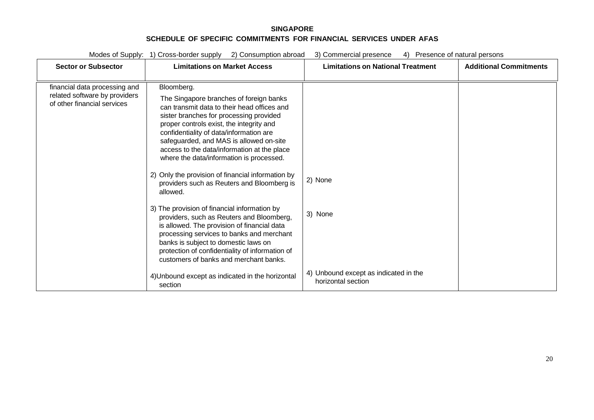| <b>Sector or Subsector</b>                                                                    | $\epsilon$ , sono anipuoni abisaa<br><b>Limitations on Market Access</b>                                                                                                                                                                                                                                                                                                                                                          | <b>Limitations on National Treatment</b>                    | <b>Additional Commitments</b> |
|-----------------------------------------------------------------------------------------------|-----------------------------------------------------------------------------------------------------------------------------------------------------------------------------------------------------------------------------------------------------------------------------------------------------------------------------------------------------------------------------------------------------------------------------------|-------------------------------------------------------------|-------------------------------|
| financial data processing and<br>related software by providers<br>of other financial services | Bloomberg.<br>The Singapore branches of foreign banks<br>can transmit data to their head offices and<br>sister branches for processing provided<br>proper controls exist, the integrity and<br>confidentiality of data/information are<br>safeguarded, and MAS is allowed on-site<br>access to the data/information at the place<br>where the data/information is processed.<br>2) Only the provision of financial information by |                                                             |                               |
|                                                                                               | providers such as Reuters and Bloomberg is<br>allowed.                                                                                                                                                                                                                                                                                                                                                                            | 2) None                                                     |                               |
|                                                                                               | 3) The provision of financial information by<br>providers, such as Reuters and Bloomberg,<br>is allowed. The provision of financial data<br>processing services to banks and merchant<br>banks is subject to domestic laws on<br>protection of confidentiality of information of<br>customers of banks and merchant banks.                                                                                                        | 3) None                                                     |                               |
|                                                                                               | 4) Unbound except as indicated in the horizontal<br>section                                                                                                                                                                                                                                                                                                                                                                       | 4) Unbound except as indicated in the<br>horizontal section |                               |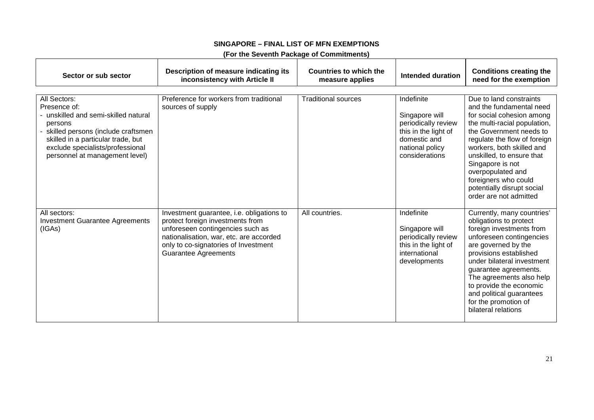| (For the Seventh Package of Commitments) |  |
|------------------------------------------|--|
|------------------------------------------|--|

| Sector or sub sector                                                                                                                                                                                                              | Description of measure indicating its<br>inconsistency with Article II                                                                                                                                                              | Countries to which the<br>measure applies | Intended duration                                                                                                                | <b>Conditions creating the</b><br>need for the exemption                                                                                                                                                                                                                                                                                                       |
|-----------------------------------------------------------------------------------------------------------------------------------------------------------------------------------------------------------------------------------|-------------------------------------------------------------------------------------------------------------------------------------------------------------------------------------------------------------------------------------|-------------------------------------------|----------------------------------------------------------------------------------------------------------------------------------|----------------------------------------------------------------------------------------------------------------------------------------------------------------------------------------------------------------------------------------------------------------------------------------------------------------------------------------------------------------|
| All Sectors:<br>Presence of:<br>- unskilled and semi-skilled natural<br>persons<br>skilled persons (include craftsmen<br>skilled in a particular trade, but<br>exclude specialists/professional<br>personnel at management level) | Preference for workers from traditional<br>sources of supply                                                                                                                                                                        | <b>Traditional sources</b>                | Indefinite<br>Singapore will<br>periodically review<br>this in the light of<br>domestic and<br>national policy<br>considerations | Due to land constraints<br>and the fundamental need<br>for social cohesion among<br>the multi-racial population,<br>the Government needs to<br>regulate the flow of foreign<br>workers, both skilled and<br>unskilled, to ensure that<br>Singapore is not<br>overpopulated and<br>foreigners who could<br>potentially disrupt social<br>order are not admitted |
| All sectors:<br><b>Investment Guarantee Agreements</b><br>(IGAs)                                                                                                                                                                  | Investment guarantee, i.e. obligations to<br>protect foreign investments from<br>unforeseen contingencies such as<br>nationalisation, war, etc. are accorded<br>only to co-signatories of Investment<br><b>Guarantee Agreements</b> | All countries.                            | Indefinite<br>Singapore will<br>periodically review<br>this in the light of<br>international<br>developments                     | Currently, many countries'<br>obligations to protect<br>foreign investments from<br>unforeseen contingencies<br>are governed by the<br>provisions established<br>under bilateral investment<br>guarantee agreements.<br>The agreements also help<br>to provide the economic<br>and political guarantees<br>for the promotion of<br>bilateral relations         |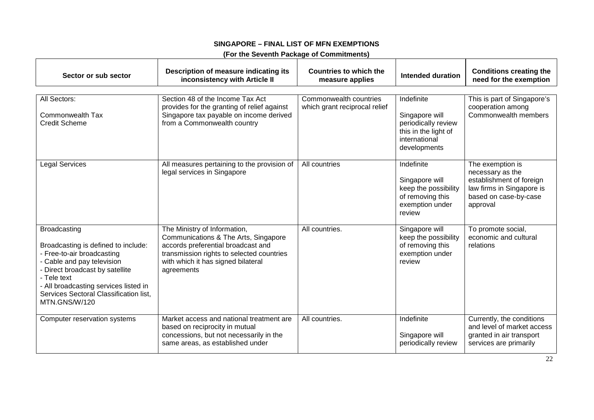## **(For the Seventh Package of Commitments)**

| Sector or sub sector                                                                                                                                                                                                                                                         | Description of measure indicating its<br>inconsistency with Article II                                                                                                                                      | <b>Countries to which the</b><br>measure applies        | <b>Intended duration</b>                                                                                     | <b>Conditions creating the</b><br>need for the exemption                                                                           |
|------------------------------------------------------------------------------------------------------------------------------------------------------------------------------------------------------------------------------------------------------------------------------|-------------------------------------------------------------------------------------------------------------------------------------------------------------------------------------------------------------|---------------------------------------------------------|--------------------------------------------------------------------------------------------------------------|------------------------------------------------------------------------------------------------------------------------------------|
| All Sectors:<br>Commonwealth Tax<br><b>Credit Scheme</b>                                                                                                                                                                                                                     | Section 48 of the Income Tax Act<br>provides for the granting of relief against<br>Singapore tax payable on income derived<br>from a Commonwealth country                                                   | Commonwealth countries<br>which grant reciprocal relief | Indefinite<br>Singapore will<br>periodically review<br>this in the light of<br>international<br>developments | This is part of Singapore's<br>cooperation among<br>Commonwealth members                                                           |
| <b>Legal Services</b>                                                                                                                                                                                                                                                        | All measures pertaining to the provision of<br>legal services in Singapore                                                                                                                                  | All countries                                           | Indefinite<br>Singapore will<br>keep the possibility<br>of removing this<br>exemption under<br>review        | The exemption is<br>necessary as the<br>establishment of foreign<br>law firms in Singapore is<br>based on case-by-case<br>approval |
| <b>Broadcasting</b><br>Broadcasting is defined to include:<br>- Free-to-air broadcasting<br>- Cable and pay television<br>- Direct broadcast by satellite<br>- Tele text<br>- All broadcasting services listed in<br>Services Sectoral Classification list,<br>MTN.GNS/W/120 | The Ministry of Information,<br>Communications & The Arts, Singapore<br>accords preferential broadcast and<br>transmission rights to selected countries<br>with which it has signed bilateral<br>agreements | All countries.                                          | Singapore will<br>keep the possibility<br>of removing this<br>exemption under<br>review                      | To promote social,<br>economic and cultural<br>relations                                                                           |
| Computer reservation systems                                                                                                                                                                                                                                                 | Market access and national treatment are<br>based on reciprocity in mutual<br>concessions, but not necessarily in the<br>same areas, as established under                                                   | All countries.                                          | Indefinite<br>Singapore will<br>periodically review                                                          | Currently, the conditions<br>and level of market access<br>granted in air transport<br>services are primarily                      |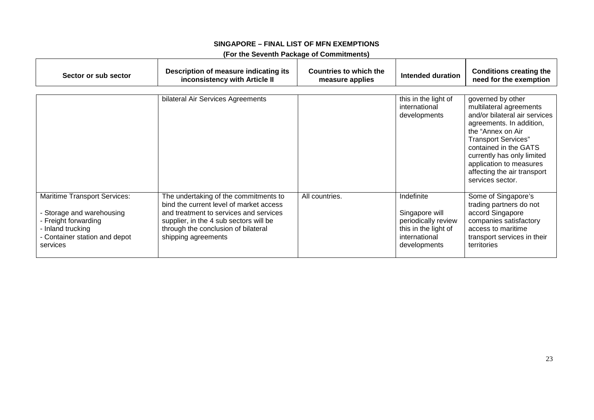## **(For the Seventh Package of Commitments)**

| Sector or sub sector                                                                                                                                     | Description of measure indicating its<br>inconsistency with Article II                                                                                                                                                             | Countries to which the<br>measure applies | Intended duration                                                                                            | <b>Conditions creating the</b><br>need for the exemption                                                                                                                                                                                                                                          |
|----------------------------------------------------------------------------------------------------------------------------------------------------------|------------------------------------------------------------------------------------------------------------------------------------------------------------------------------------------------------------------------------------|-------------------------------------------|--------------------------------------------------------------------------------------------------------------|---------------------------------------------------------------------------------------------------------------------------------------------------------------------------------------------------------------------------------------------------------------------------------------------------|
|                                                                                                                                                          | bilateral Air Services Agreements                                                                                                                                                                                                  |                                           | this in the light of<br>international<br>developments                                                        | governed by other<br>multilateral agreements<br>and/or bilateral air services<br>agreements. In addition,<br>the "Annex on Air<br><b>Transport Services"</b><br>contained in the GATS<br>currently has only limited<br>application to measures<br>affecting the air transport<br>services sector. |
| <b>Maritime Transport Services:</b><br>Storage and warehousing<br>- Freight forwarding<br>- Inland trucking<br>- Container station and depot<br>services | The undertaking of the commitments to<br>bind the current level of market access<br>and treatment to services and services<br>supplier, in the 4 sub sectors will be<br>through the conclusion of bilateral<br>shipping agreements | All countries.                            | Indefinite<br>Singapore will<br>periodically review<br>this in the light of<br>international<br>developments | Some of Singapore's<br>trading partners do not<br>accord Singapore<br>companies satisfactory<br>access to maritime<br>transport services in their<br>territories                                                                                                                                  |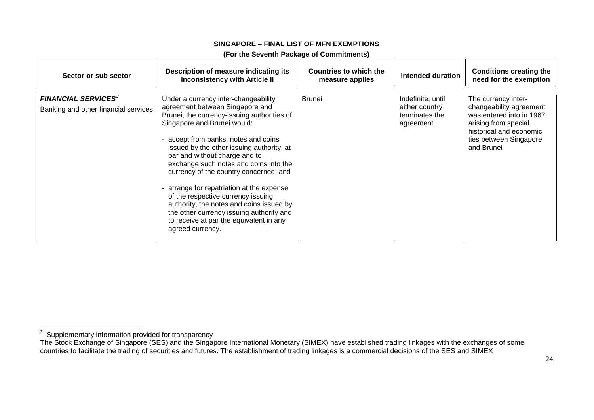<span id="page-150-0"></span>

| (For the Seventh Package of Commitments) |  |
|------------------------------------------|--|
|------------------------------------------|--|

| Sector or sub sector                                                          | Description of measure indicating its<br>inconsistency with Article II                                                                                                                                                                                                                                                                                                                                                                                                                                                                                                                                  | Countries to which the<br>measure applies | Intended duration                                                  | <b>Conditions creating the</b><br>need for the exemption                                                                                                              |
|-------------------------------------------------------------------------------|---------------------------------------------------------------------------------------------------------------------------------------------------------------------------------------------------------------------------------------------------------------------------------------------------------------------------------------------------------------------------------------------------------------------------------------------------------------------------------------------------------------------------------------------------------------------------------------------------------|-------------------------------------------|--------------------------------------------------------------------|-----------------------------------------------------------------------------------------------------------------------------------------------------------------------|
| <b>FINANCIAL SERVICES<sup>3</sup></b><br>Banking and other financial services | Under a currency inter-changeability<br>agreement between Singapore and<br>Brunei, the currency-issuing authorities of<br>Singapore and Brunei would:<br>- accept from banks, notes and coins<br>issued by the other issuing authority, at<br>par and without charge and to<br>exchange such notes and coins into the<br>currency of the country concerned; and<br>arrange for repatriation at the expense<br>of the respective currency issuing<br>authority, the notes and coins issued by<br>the other currency issuing authority and<br>to receive at par the equivalent in any<br>agreed currency. | <b>Brunei</b>                             | Indefinite, until<br>either country<br>terminates the<br>agreement | The currency inter-<br>changeability agreement<br>was entered into in 1967<br>arising from special<br>historical and economic<br>ties between Singapore<br>and Brunei |

3 Supplementary information provided for transparency

The Stock Exchange of Singapore (SES) and the Singapore International Monetary (SIMEX) have established trading linkages with the exchanges of some countries to facilitate the trading of securities and futures. The establishment of trading linkages is a commercial decisions of the SES and SIMEX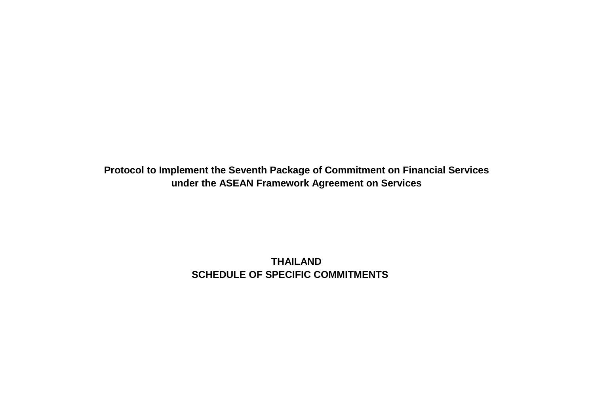**Protocol to Implement the Seventh Package of Commitment on Financial Services under the ASEAN Framework Agreement on Services**

> **THAILAND SCHEDULE OF SPECIFIC COMMITMENTS**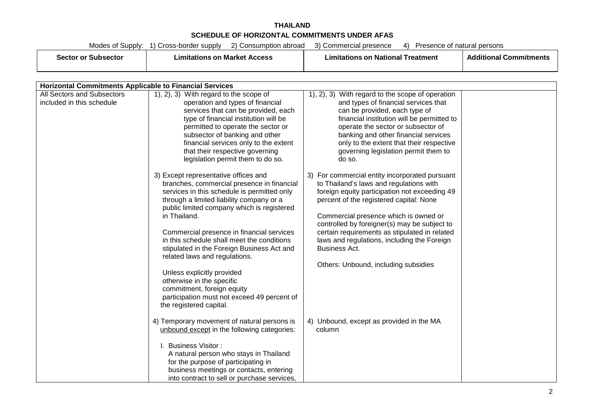# **THAILAND SCHEDULE OF HORIZONTAL COMMITMENTS UNDER AFAS**

| sector or <b>m</b><br>subsectoi | Limitations on Market Access | I Treatment<br>ı National<br>_ımıtatıons<br>is on | пог |
|---------------------------------|------------------------------|---------------------------------------------------|-----|
|                                 |                              |                                                   |     |

|                                                         | <b>Horizontal Commitments Applicable to Financial Services</b>                                                                                                                                                                                                                                                                                                                                                                                                                                                                                                                                                                                                                                                                                                                                                                                                                                                                                |                                                                                                                                                                                                                                                                                                                                                                                                                                                                                                                                                                                                                                                                                                                                                                                                |  |  |  |
|---------------------------------------------------------|-----------------------------------------------------------------------------------------------------------------------------------------------------------------------------------------------------------------------------------------------------------------------------------------------------------------------------------------------------------------------------------------------------------------------------------------------------------------------------------------------------------------------------------------------------------------------------------------------------------------------------------------------------------------------------------------------------------------------------------------------------------------------------------------------------------------------------------------------------------------------------------------------------------------------------------------------|------------------------------------------------------------------------------------------------------------------------------------------------------------------------------------------------------------------------------------------------------------------------------------------------------------------------------------------------------------------------------------------------------------------------------------------------------------------------------------------------------------------------------------------------------------------------------------------------------------------------------------------------------------------------------------------------------------------------------------------------------------------------------------------------|--|--|--|
| All Sectors and Subsectors<br>included in this schedule | 1, 2, 3) With regard to the scope of<br>operation and types of financial<br>services that can be provided, each<br>type of financial institution will be<br>permitted to operate the sector or<br>subsector of banking and other<br>financial services only to the extent<br>that their respective governing<br>legislation permit them to do so.<br>3) Except representative offices and<br>branches, commercial presence in financial<br>services in this schedule is permitted only<br>through a limited liability company or a<br>public limited company which is registered<br>in Thailand.<br>Commercial presence in financial services<br>in this schedule shall meet the conditions<br>stipulated in the Foreign Business Act and<br>related laws and regulations.<br>Unless explicitly provided<br>otherwise in the specific<br>commitment, foreign equity<br>participation must not exceed 49 percent of<br>the registered capital. | 1), 2), 3) With regard to the scope of operation<br>and types of financial services that<br>can be provided, each type of<br>financial institution will be permitted to<br>operate the sector or subsector of<br>banking and other financial services<br>only to the extent that their respective<br>governing legislation permit them to<br>do so.<br>3) For commercial entity incorporated pursuant<br>to Thailand's laws and regulations with<br>foreign equity participation not exceeding 49<br>percent of the registered capital: None<br>Commercial presence which is owned or<br>controlled by foreigner(s) may be subject to<br>certain requirements as stipulated in related<br>laws and regulations, including the Foreign<br>Business Act.<br>Others: Unbound, including subsidies |  |  |  |
|                                                         | 4) Temporary movement of natural persons is<br>unbound except in the following categories:<br>I. Business Visitor:<br>A natural person who stays in Thailand<br>for the purpose of participating in<br>business meetings or contacts, entering<br>into contract to sell or purchase services,                                                                                                                                                                                                                                                                                                                                                                                                                                                                                                                                                                                                                                                 | 4) Unbound, except as provided in the MA<br>column                                                                                                                                                                                                                                                                                                                                                                                                                                                                                                                                                                                                                                                                                                                                             |  |  |  |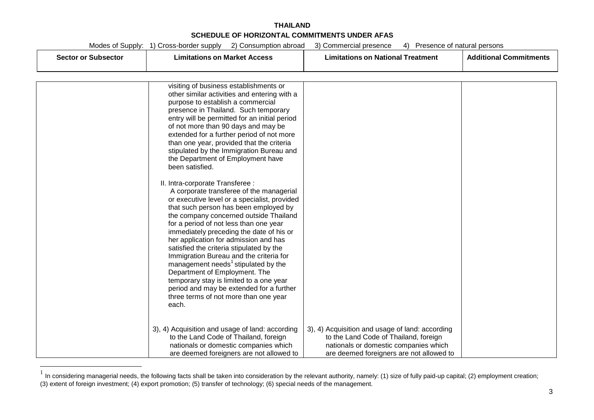# **THAILAND SCHEDULE OF HORIZONTAL COMMITMENTS UNDER AFAS**

| Sector or Subsector | Limitations on Market Access | Limitations on National Treatment | Additional<br>' Commitman |
|---------------------|------------------------------|-----------------------------------|---------------------------|
|                     |                              |                                   |                           |

| visiting of business establishments or<br>other similar activities and entering with a<br>purpose to establish a commercial<br>presence in Thailand. Such temporary<br>entry will be permitted for an initial period<br>of not more than 90 days and may be<br>extended for a further period of not more<br>than one year, provided that the criteria                                                                                                                                                                                                                                                                                                              |                                                                                                                                                                               |  |
|--------------------------------------------------------------------------------------------------------------------------------------------------------------------------------------------------------------------------------------------------------------------------------------------------------------------------------------------------------------------------------------------------------------------------------------------------------------------------------------------------------------------------------------------------------------------------------------------------------------------------------------------------------------------|-------------------------------------------------------------------------------------------------------------------------------------------------------------------------------|--|
| stipulated by the Immigration Bureau and<br>the Department of Employment have<br>been satisfied.                                                                                                                                                                                                                                                                                                                                                                                                                                                                                                                                                                   |                                                                                                                                                                               |  |
| II. Intra-corporate Transferee :<br>A corporate transferee of the managerial<br>or executive level or a specialist, provided<br>that such person has been employed by<br>the company concerned outside Thailand<br>for a period of not less than one year<br>immediately preceding the date of his or<br>her application for admission and has<br>satisfied the criteria stipulated by the<br>Immigration Bureau and the criteria for<br>management needs <sup>1</sup> stipulated by the<br>Department of Employment. The<br>temporary stay is limited to a one year<br>period and may be extended for a further<br>three terms of not more than one year<br>each. |                                                                                                                                                                               |  |
| 3), 4) Acquisition and usage of land: according<br>to the Land Code of Thailand, foreign<br>nationals or domestic companies which<br>are deemed foreigners are not allowed to                                                                                                                                                                                                                                                                                                                                                                                                                                                                                      | 3), 4) Acquisition and usage of land: according<br>to the Land Code of Thailand, foreign<br>nationals or domestic companies which<br>are deemed foreigners are not allowed to |  |

 $1$  In considering managerial needs, the following facts shall be taken into consideration by the relevant authority, namely: (1) size of fully paid-up capital; (2) employment creation; (3) extent of foreign investment; (4) export promotion; (5) transfer of technology; (6) special needs of the management.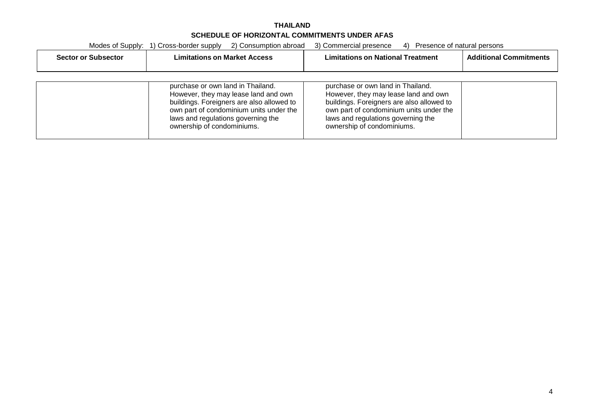# **THAILAND SCHEDULE OF HORIZONTAL COMMITMENTS UNDER AFAS**

|                            | 2) Consumption abroad<br>Modes of Supply: 1) Cross-border supply                                                                                                                                 | 3) Commercial presence<br>Presence of natural persons<br>4)                                                                                                                                      |                               |
|----------------------------|--------------------------------------------------------------------------------------------------------------------------------------------------------------------------------------------------|--------------------------------------------------------------------------------------------------------------------------------------------------------------------------------------------------|-------------------------------|
| <b>Sector or Subsector</b> | <b>Limitations on Market Access</b>                                                                                                                                                              | <b>Limitations on National Treatment</b>                                                                                                                                                         | <b>Additional Commitments</b> |
|                            | purchase or own land in Thailand.                                                                                                                                                                | purchase or own land in Thailand.                                                                                                                                                                |                               |
|                            | However, they may lease land and own<br>buildings. Foreigners are also allowed to<br>own part of condominium units under the<br>laws and regulations governing the<br>ownership of condominiums. | However, they may lease land and own<br>buildings. Foreigners are also allowed to<br>own part of condominium units under the<br>laws and regulations governing the<br>ownership of condominiums. |                               |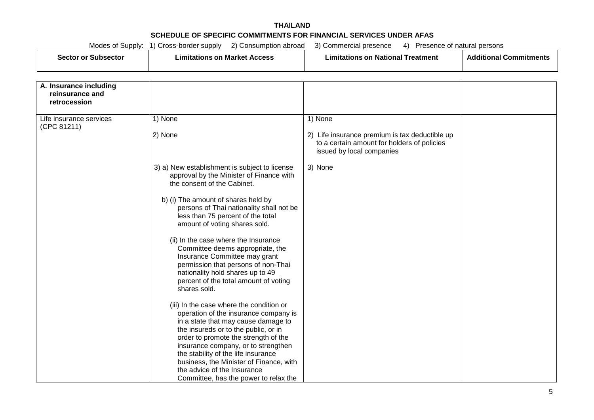| このへもと | ım<br>en compo<br>ша<br>. | .<br>im.<br>men <sup>.</sup> | . |
|-------|---------------------------|------------------------------|---|
|-------|---------------------------|------------------------------|---|

| A. Insurance including  |                                                                             |                                                |  |
|-------------------------|-----------------------------------------------------------------------------|------------------------------------------------|--|
| reinsurance and         |                                                                             |                                                |  |
| retrocession            |                                                                             |                                                |  |
|                         |                                                                             |                                                |  |
| Life insurance services | 1) None                                                                     | 1) None                                        |  |
| (CPC 81211)             |                                                                             |                                                |  |
|                         | 2) None                                                                     | 2) Life insurance premium is tax deductible up |  |
|                         |                                                                             | to a certain amount for holders of policies    |  |
|                         |                                                                             | issued by local companies                      |  |
|                         | 3) a) New establishment is subject to license                               | 3) None                                        |  |
|                         | approval by the Minister of Finance with                                    |                                                |  |
|                         | the consent of the Cabinet.                                                 |                                                |  |
|                         |                                                                             |                                                |  |
|                         | b) (i) The amount of shares held by                                         |                                                |  |
|                         | persons of Thai nationality shall not be                                    |                                                |  |
|                         | less than 75 percent of the total                                           |                                                |  |
|                         | amount of voting shares sold.                                               |                                                |  |
|                         | (ii) In the case where the Insurance                                        |                                                |  |
|                         | Committee deems appropriate, the                                            |                                                |  |
|                         | Insurance Committee may grant                                               |                                                |  |
|                         | permission that persons of non-Thai                                         |                                                |  |
|                         | nationality hold shares up to 49                                            |                                                |  |
|                         | percent of the total amount of voting                                       |                                                |  |
|                         | shares sold.                                                                |                                                |  |
|                         |                                                                             |                                                |  |
|                         | (iii) In the case where the condition or                                    |                                                |  |
|                         | operation of the insurance company is                                       |                                                |  |
|                         | in a state that may cause damage to                                         |                                                |  |
|                         | the insureds or to the public, or in                                        |                                                |  |
|                         | order to promote the strength of the<br>insurance company, or to strengthen |                                                |  |
|                         | the stability of the life insurance                                         |                                                |  |
|                         | business, the Minister of Finance, with                                     |                                                |  |
|                         | the advice of the Insurance                                                 |                                                |  |
|                         | Committee, has the power to relax the                                       |                                                |  |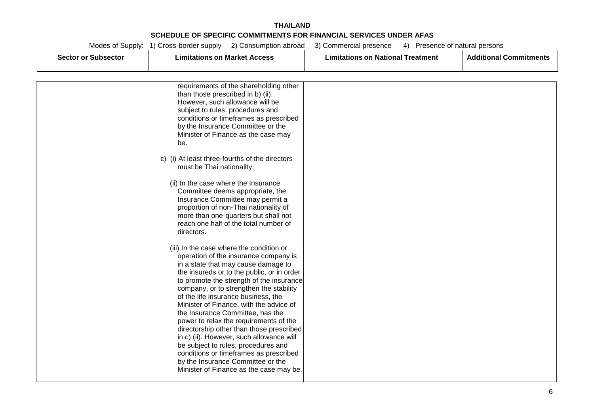|  | Modes of Supply: 1) Cross-border supply | 2) Consumption abroad | 3) Commercial presence | 4) Presence of natural persons |  |
|--|-----------------------------------------|-----------------------|------------------------|--------------------------------|--|
|  |                                         |                       |                        |                                |  |

| <b>Sector or Subsector</b> | <b>Limitations on Market Access</b>                                                                                                                                                                                                                                                                                                                                                                                           | <b>Limitations on National Treatment</b> | <b>Additional Commitments</b> |
|----------------------------|-------------------------------------------------------------------------------------------------------------------------------------------------------------------------------------------------------------------------------------------------------------------------------------------------------------------------------------------------------------------------------------------------------------------------------|------------------------------------------|-------------------------------|
|                            |                                                                                                                                                                                                                                                                                                                                                                                                                               |                                          |                               |
|                            | requirements of the shareholding other<br>than those prescribed in b) (ii).<br>However, such allowance will be<br>subject to rules, procedures and<br>conditions or timeframes as prescribed<br>by the Insurance Committee or the<br>Minister of Finance as the case may                                                                                                                                                      |                                          |                               |
|                            | be.                                                                                                                                                                                                                                                                                                                                                                                                                           |                                          |                               |
|                            | c) (i) At least three-fourths of the directors<br>must be Thai nationality.                                                                                                                                                                                                                                                                                                                                                   |                                          |                               |
|                            | (ii) In the case where the Insurance<br>Committee deems appropriate, the<br>Insurance Committee may permit a<br>proportion of non-Thai nationality of<br>more than one-quarters but shall not<br>reach one half of the total number of<br>directors.                                                                                                                                                                          |                                          |                               |
|                            | (iii) In the case where the condition or<br>operation of the insurance company is<br>in a state that may cause damage to<br>the insureds or to the public, or in order<br>to promote the strength of the insurance<br>company, or to strengthen the stability<br>of the life insurance business, the<br>Minister of Finance, with the advice of<br>the Insurance Committee, has the<br>power to relax the requirements of the |                                          |                               |
|                            | directorship other than those prescribed<br>in c) (ii). However, such allowance will<br>be subject to rules, procedures and<br>conditions or timeframes as prescribed<br>by the Insurance Committee or the<br>Minister of Finance as the case may be.                                                                                                                                                                         |                                          |                               |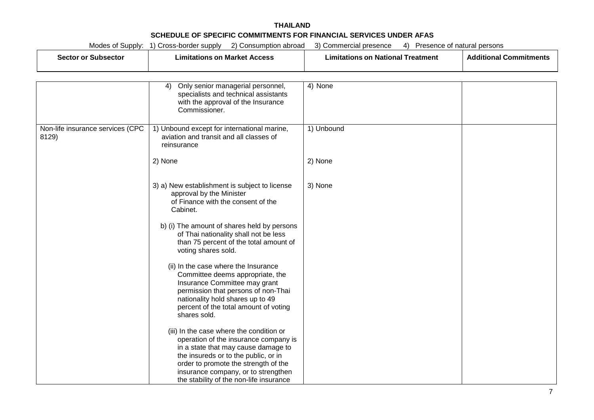#### **THAILAND SCHEDULE OF SPECIFIC COMMITMENTS FOR FINANCIAL SERVICES UNDER AFAS**<br>Martin of Curation 4) Cases bastic surable (2) Consumption stated (2) Communities and account (2) Consumption  $M_{\rm tot}$  Supply 2) Consumption abroad  $3/2$  Consumption abroad 3) Presence 4) Presence  $4/2$

|                                           | Modes of Supply: 1) Cross-border supply<br>2) Consumption abroad                                                                                                                                                                                                                           | 3) Commercial presence                   | 4) Presence of natural persons |  |
|-------------------------------------------|--------------------------------------------------------------------------------------------------------------------------------------------------------------------------------------------------------------------------------------------------------------------------------------------|------------------------------------------|--------------------------------|--|
| <b>Sector or Subsector</b>                | <b>Limitations on Market Access</b>                                                                                                                                                                                                                                                        | <b>Limitations on National Treatment</b> | <b>Additional Commitments</b>  |  |
|                                           |                                                                                                                                                                                                                                                                                            |                                          |                                |  |
|                                           | Only senior managerial personnel,<br>4)<br>specialists and technical assistants<br>with the approval of the Insurance<br>Commissioner.                                                                                                                                                     | 4) None                                  |                                |  |
| Non-life insurance services (CPC<br>8129) | 1) Unbound except for international marine,<br>aviation and transit and all classes of<br>reinsurance                                                                                                                                                                                      | 1) Unbound                               |                                |  |
|                                           | 2) None                                                                                                                                                                                                                                                                                    | 2) None                                  |                                |  |
|                                           | 3) a) New establishment is subject to license<br>approval by the Minister<br>of Finance with the consent of the<br>Cabinet.                                                                                                                                                                | 3) None                                  |                                |  |
|                                           | b) (i) The amount of shares held by persons<br>of Thai nationality shall not be less<br>than 75 percent of the total amount of<br>voting shares sold.                                                                                                                                      |                                          |                                |  |
|                                           | (ii) In the case where the Insurance<br>Committee deems appropriate, the<br>Insurance Committee may grant<br>permission that persons of non-Thai<br>nationality hold shares up to 49<br>percent of the total amount of voting<br>shares sold.                                              |                                          |                                |  |
|                                           | (iii) In the case where the condition or<br>operation of the insurance company is<br>in a state that may cause damage to<br>the insureds or to the public, or in<br>order to promote the strength of the<br>insurance company, or to strengthen<br>the stability of the non-life insurance |                                          |                                |  |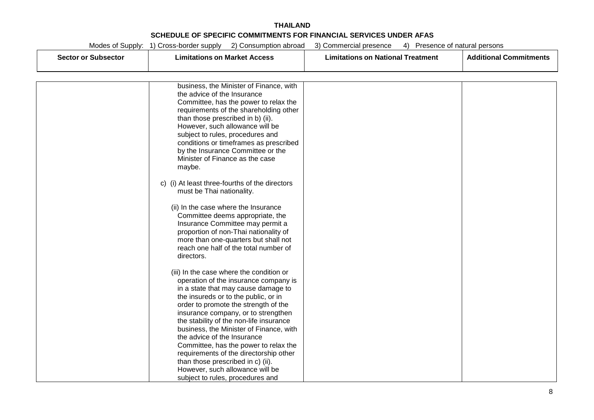|                            | Modes of Supply: 1) Cross-border supply<br>2) Consumption abroad            | 3) Commercial presence<br>4) Presence of natural persons |                               |
|----------------------------|-----------------------------------------------------------------------------|----------------------------------------------------------|-------------------------------|
| <b>Sector or Subsector</b> | <b>Limitations on Market Access</b>                                         | <b>Limitations on National Treatment</b>                 | <b>Additional Commitments</b> |
|                            |                                                                             |                                                          |                               |
|                            |                                                                             |                                                          |                               |
|                            | business, the Minister of Finance, with                                     |                                                          |                               |
|                            | the advice of the Insurance                                                 |                                                          |                               |
|                            | Committee, has the power to relax the                                       |                                                          |                               |
|                            | requirements of the shareholding other                                      |                                                          |                               |
|                            | than those prescribed in b) (ii).                                           |                                                          |                               |
|                            | However, such allowance will be                                             |                                                          |                               |
|                            |                                                                             |                                                          |                               |
|                            | subject to rules, procedures and                                            |                                                          |                               |
|                            | conditions or timeframes as prescribed<br>by the Insurance Committee or the |                                                          |                               |
|                            | Minister of Finance as the case                                             |                                                          |                               |
|                            |                                                                             |                                                          |                               |
|                            | maybe.                                                                      |                                                          |                               |
|                            | c) (i) At least three-fourths of the directors                              |                                                          |                               |
|                            | must be Thai nationality.                                                   |                                                          |                               |
|                            |                                                                             |                                                          |                               |
|                            | (ii) In the case where the Insurance                                        |                                                          |                               |
|                            | Committee deems appropriate, the                                            |                                                          |                               |
|                            | Insurance Committee may permit a                                            |                                                          |                               |
|                            | proportion of non-Thai nationality of                                       |                                                          |                               |
|                            | more than one-quarters but shall not                                        |                                                          |                               |
|                            | reach one half of the total number of                                       |                                                          |                               |
|                            | directors.                                                                  |                                                          |                               |
|                            |                                                                             |                                                          |                               |
|                            | (iii) In the case where the condition or                                    |                                                          |                               |
|                            | operation of the insurance company is                                       |                                                          |                               |
|                            | in a state that may cause damage to                                         |                                                          |                               |
|                            | the insureds or to the public, or in                                        |                                                          |                               |
|                            | order to promote the strength of the                                        |                                                          |                               |
|                            | insurance company, or to strengthen                                         |                                                          |                               |
|                            | the stability of the non-life insurance                                     |                                                          |                               |
|                            | business, the Minister of Finance, with                                     |                                                          |                               |
|                            | the advice of the Insurance                                                 |                                                          |                               |
|                            | Committee, has the power to relax the                                       |                                                          |                               |
|                            | requirements of the directorship other                                      |                                                          |                               |
|                            | than those prescribed in c) (ii).                                           |                                                          |                               |
|                            | However, such allowance will be                                             |                                                          |                               |
|                            | subject to rules, procedures and                                            |                                                          |                               |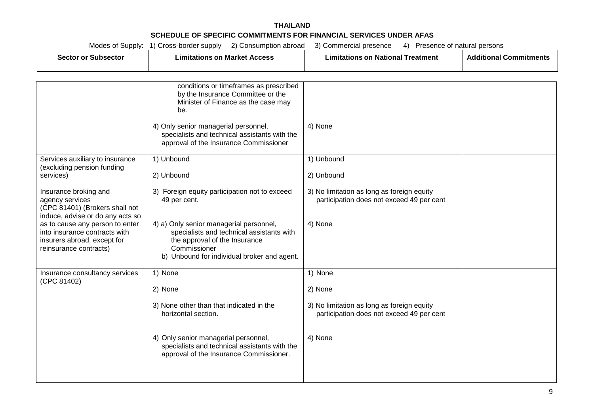#### **THAILAND SCHEDULE OF SPECIFIC COMMITMENTS FOR FINANCIAL SERVICES UNDER AFAS** Modes of Supply: 1) Cross-border supply 2) Consumption abroad 3) Commercial presence 4) Presence of natural persons

|                                                                                                                           | MODES OF Supply: 1) Cross-border supply<br>z) Consumption aproad                                                                                                                     | 3) Commercial presence<br>4) Presence of natural persons                                |                               |
|---------------------------------------------------------------------------------------------------------------------------|--------------------------------------------------------------------------------------------------------------------------------------------------------------------------------------|-----------------------------------------------------------------------------------------|-------------------------------|
| <b>Sector or Subsector</b>                                                                                                | <b>Limitations on Market Access</b>                                                                                                                                                  | <b>Limitations on National Treatment</b>                                                | <b>Additional Commitments</b> |
|                                                                                                                           |                                                                                                                                                                                      |                                                                                         |                               |
|                                                                                                                           | conditions or timeframes as prescribed<br>by the Insurance Committee or the<br>Minister of Finance as the case may<br>be.                                                            |                                                                                         |                               |
|                                                                                                                           | 4) Only senior managerial personnel,<br>specialists and technical assistants with the<br>approval of the Insurance Commissioner                                                      | 4) None                                                                                 |                               |
| Services auxiliary to insurance<br>(excluding pension funding                                                             | 1) Unbound                                                                                                                                                                           | 1) Unbound                                                                              |                               |
| services)                                                                                                                 | 2) Unbound                                                                                                                                                                           | 2) Unbound                                                                              |                               |
| Insurance broking and<br>agency services<br>(CPC 81401) (Brokers shall not<br>induce, advise or do any acts so            | 3) Foreign equity participation not to exceed<br>49 per cent.                                                                                                                        | 3) No limitation as long as foreign equity<br>participation does not exceed 49 per cent |                               |
| as to cause any person to enter<br>into insurance contracts with<br>insurers abroad, except for<br>reinsurance contracts) | 4) a) Only senior managerial personnel,<br>specialists and technical assistants with<br>the approval of the Insurance<br>Commissioner<br>b) Unbound for individual broker and agent. | 4) None                                                                                 |                               |
| Insurance consultancy services<br>(CPC 81402)                                                                             | 1) None                                                                                                                                                                              | 1) None                                                                                 |                               |
|                                                                                                                           | 2) None                                                                                                                                                                              | 2) None                                                                                 |                               |
|                                                                                                                           | 3) None other than that indicated in the<br>horizontal section.                                                                                                                      | 3) No limitation as long as foreign equity<br>participation does not exceed 49 per cent |                               |
|                                                                                                                           | 4) Only senior managerial personnel,<br>specialists and technical assistants with the<br>approval of the Insurance Commissioner.                                                     | 4) None                                                                                 |                               |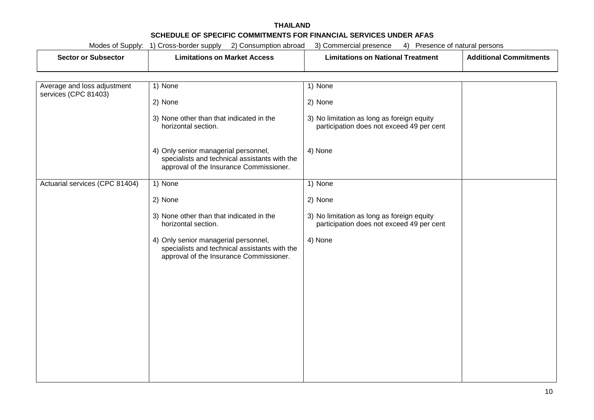| Sector or Subsector         | <b>Limitations on Market Access</b> | <b>Limitations on National Treatment</b> | <b>Additional Commitments</b> |
|-----------------------------|-------------------------------------|------------------------------------------|-------------------------------|
| Average and loss adjustment | None                                | None                                     |                               |

| Average and idea adjustment.<br>services (CPC 81403) | סווטויו <i>(</i> ו                                                                                                               | $1)$ ייטויו $\sigma$                                                                    |  |
|------------------------------------------------------|----------------------------------------------------------------------------------------------------------------------------------|-----------------------------------------------------------------------------------------|--|
|                                                      | 2) None                                                                                                                          | 2) None                                                                                 |  |
|                                                      | 3) None other than that indicated in the<br>horizontal section.                                                                  | 3) No limitation as long as foreign equity<br>participation does not exceed 49 per cent |  |
|                                                      | 4) Only senior managerial personnel,<br>specialists and technical assistants with the<br>approval of the Insurance Commissioner. | 4) None                                                                                 |  |
| Actuarial services (CPC 81404)                       | 1) None                                                                                                                          | 1) None                                                                                 |  |
|                                                      | 2) None                                                                                                                          | 2) None                                                                                 |  |
|                                                      | 3) None other than that indicated in the<br>horizontal section.                                                                  | 3) No limitation as long as foreign equity<br>participation does not exceed 49 per cent |  |
|                                                      | 4) Only senior managerial personnel,<br>specialists and technical assistants with the<br>approval of the Insurance Commissioner. | 4) None                                                                                 |  |
|                                                      |                                                                                                                                  |                                                                                         |  |
|                                                      |                                                                                                                                  |                                                                                         |  |
|                                                      |                                                                                                                                  |                                                                                         |  |
|                                                      |                                                                                                                                  |                                                                                         |  |
|                                                      |                                                                                                                                  |                                                                                         |  |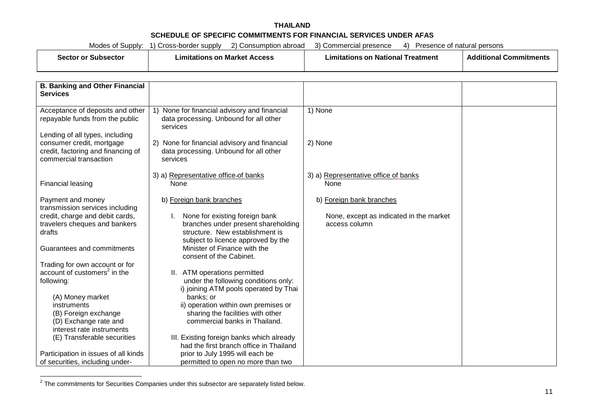| Subsector<br>sector or | Limitations on Market Access | ∣ National<br>Treatment<br>-imitations on | <b>Additional Commitments</b> |
|------------------------|------------------------------|-------------------------------------------|-------------------------------|
|------------------------|------------------------------|-------------------------------------------|-------------------------------|

| <b>B. Banking and Other Financial</b><br><b>Services</b>                                                                            |                                                                                                                                                                            |                                                                                      |  |
|-------------------------------------------------------------------------------------------------------------------------------------|----------------------------------------------------------------------------------------------------------------------------------------------------------------------------|--------------------------------------------------------------------------------------|--|
| Acceptance of deposits and other<br>repayable funds from the public<br>Lending of all types, including<br>consumer credit, mortgage | 1) None for financial advisory and financial<br>data processing. Unbound for all other<br>services<br>2) None for financial advisory and financial                         | 1) None<br>2) None                                                                   |  |
| credit, factoring and financing of<br>commercial transaction                                                                        | data processing. Unbound for all other<br>services                                                                                                                         |                                                                                      |  |
| Financial leasing                                                                                                                   | 3) a) Representative office-of banks<br>None                                                                                                                               | 3) a) Representative office of banks<br>None                                         |  |
| Payment and money<br>transmission services including<br>credit, charge and debit cards,<br>travelers cheques and bankers<br>drafts  | b) Foreign bank branches<br>None for existing foreign bank<br>branches under present shareholding<br>structure. New establishment is<br>subject to licence approved by the | b) Foreign bank branches<br>None, except as indicated in the market<br>access column |  |
| Guarantees and commitments<br>Trading for own account or for                                                                        | Minister of Finance with the<br>consent of the Cabinet.                                                                                                                    |                                                                                      |  |
| account of customers <sup>2</sup> in the<br>following:                                                                              | II. ATM operations permitted<br>under the following conditions only:<br>i) joining ATM pools operated by Thai                                                              |                                                                                      |  |
| (A) Money market<br>instruments<br>(B) Foreign exchange<br>(D) Exchange rate and<br>interest rate instruments                       | banks; or<br>ii) operation within own premises or<br>sharing the facilities with other<br>commercial banks in Thailand.                                                    |                                                                                      |  |
| (E) Transferable securities                                                                                                         | III. Existing foreign banks which already<br>had the first branch office in Thailand                                                                                       |                                                                                      |  |
| Participation in issues of all kinds<br>of securities, including under-                                                             | prior to July 1995 will each be<br>permitted to open no more than two                                                                                                      |                                                                                      |  |

 $2$  The commitments for Securities Companies under this subsector are separately listed below.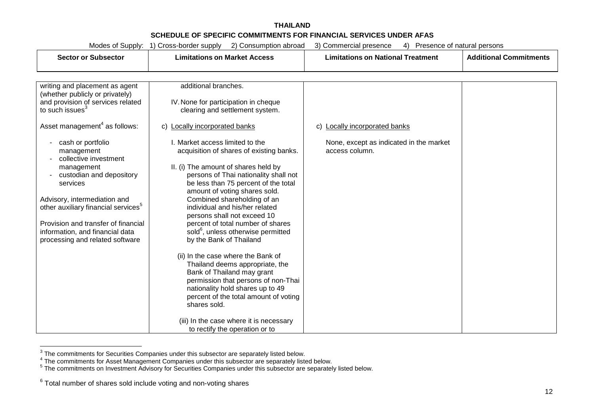| Modes of Supply:<br>2) Consumption abroad<br>1) Cross-border supply<br>3) Commercial presence<br>Presence of natural persons<br>4)                                                                                                                                                                   |                                                                                                                                                                                                                                                                                                                                                                              |                                                                                               |                               |
|------------------------------------------------------------------------------------------------------------------------------------------------------------------------------------------------------------------------------------------------------------------------------------------------------|------------------------------------------------------------------------------------------------------------------------------------------------------------------------------------------------------------------------------------------------------------------------------------------------------------------------------------------------------------------------------|-----------------------------------------------------------------------------------------------|-------------------------------|
| <b>Sector or Subsector</b>                                                                                                                                                                                                                                                                           | <b>Limitations on Market Access</b>                                                                                                                                                                                                                                                                                                                                          | <b>Limitations on National Treatment</b>                                                      | <b>Additional Commitments</b> |
| writing and placement as agent<br>(whether publicly or privately)<br>and provision of services related<br>to such issues <sup>3</sup><br>Asset management <sup>4</sup> as follows:<br>cash or portfolio<br>management<br>collective investment<br>management<br>custodian and depository<br>services | additional branches.<br>IV. None for participation in cheque<br>clearing and settlement system.<br>Locally incorporated banks<br>C)<br>I. Market access limited to the<br>acquisition of shares of existing banks.<br>II. (i) The amount of shares held by<br>persons of Thai nationality shall not<br>be less than 75 percent of the total<br>amount of voting shares sold. | Locally incorporated banks<br>C)<br>None, except as indicated in the market<br>access column. |                               |
| Advisory, intermediation and<br>other auxiliary financial services <sup>5</sup><br>Provision and transfer of financial<br>information, and financial data                                                                                                                                            | Combined shareholding of an<br>individual and his/her related<br>persons shall not exceed 10<br>percent of total number of shares<br>sold <sup>6</sup> , unless otherwise permitted                                                                                                                                                                                          |                                                                                               |                               |
| processing and related software                                                                                                                                                                                                                                                                      | by the Bank of Thailand<br>(ii) In the case where the Bank of<br>Thailand deems appropriate, the<br>Bank of Thailand may grant<br>permission that persons of non-Thai<br>nationality hold shares up to 49<br>percent of the total amount of voting<br>shares sold.                                                                                                           |                                                                                               |                               |
|                                                                                                                                                                                                                                                                                                      | (iii) In the case where it is necessary<br>to rectify the operation or to                                                                                                                                                                                                                                                                                                    |                                                                                               |                               |

The commitments for Securities Companies under this subsector are separately listed below.<br>
<sup>4</sup> The commitments for Asset Management Companies under this subsector are separately listed below.<br>
<sup>5</sup> The commitments on Inves

 $6$  Total number of shares sold include voting and non-voting shares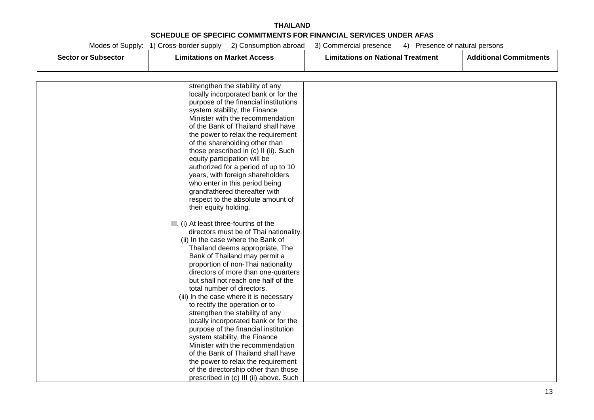| Modes of Supply: | 1) Cross-border supply | 211<br>Consumption abroad | 3) Commercial presence | 41 | Presence of natural persons |
|------------------|------------------------|---------------------------|------------------------|----|-----------------------------|
|                  |                        |                           |                        |    |                             |

| <b>Sector or Subsector</b> | <b>Limitations on Market Access</b>                                        | <b>Limitations on National Treatment</b> | <b>Additional Commitments</b> |
|----------------------------|----------------------------------------------------------------------------|------------------------------------------|-------------------------------|
|                            |                                                                            |                                          |                               |
|                            | strengthen the stability of any                                            |                                          |                               |
|                            | locally incorporated bank or for the                                       |                                          |                               |
|                            | purpose of the financial institutions                                      |                                          |                               |
|                            | system stability, the Finance                                              |                                          |                               |
|                            | Minister with the recommendation                                           |                                          |                               |
|                            | of the Bank of Thailand shall have                                         |                                          |                               |
|                            | the power to relax the requirement                                         |                                          |                               |
|                            | of the shareholding other than                                             |                                          |                               |
|                            | those prescribed in (c) II (ii). Such                                      |                                          |                               |
|                            | equity participation will be                                               |                                          |                               |
|                            | authorized for a period of up to 10                                        |                                          |                               |
|                            | years, with foreign shareholders                                           |                                          |                               |
|                            | who enter in this period being                                             |                                          |                               |
|                            | grandfathered thereafter with<br>respect to the absolute amount of         |                                          |                               |
|                            | their equity holding.                                                      |                                          |                               |
|                            |                                                                            |                                          |                               |
|                            | III. (i) At least three-fourths of the                                     |                                          |                               |
|                            | directors must be of Thai nationality.                                     |                                          |                               |
|                            | (ii) In the case where the Bank of                                         |                                          |                               |
|                            | Thailand deems appropriate, The                                            |                                          |                               |
|                            | Bank of Thailand may permit a                                              |                                          |                               |
|                            | proportion of non-Thai nationality                                         |                                          |                               |
|                            | directors of more than one-quarters                                        |                                          |                               |
|                            | but shall not reach one half of the                                        |                                          |                               |
|                            | total number of directors.                                                 |                                          |                               |
|                            | (iii) In the case where it is necessary                                    |                                          |                               |
|                            | to rectify the operation or to                                             |                                          |                               |
|                            | strengthen the stability of any                                            |                                          |                               |
|                            | locally incorporated bank or for the                                       |                                          |                               |
|                            | purpose of the financial institution                                       |                                          |                               |
|                            | system stability, the Finance                                              |                                          |                               |
|                            | Minister with the recommendation                                           |                                          |                               |
|                            | of the Bank of Thailand shall have                                         |                                          |                               |
|                            | the power to relax the requirement<br>of the directorship other than those |                                          |                               |
|                            | prescribed in (c) III (ii) above. Such                                     |                                          |                               |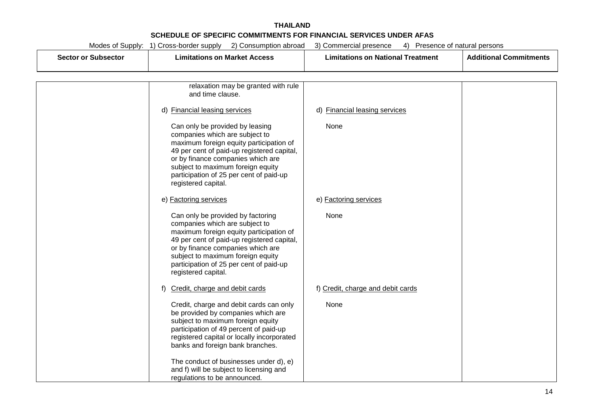| <b>Sector or Subsector</b> | <b>Limitations on Market Access</b>                                                                                                                                                                                                                                                                      | <b>Limitations on National Treatment</b> | <b>Additional Commitments</b> |
|----------------------------|----------------------------------------------------------------------------------------------------------------------------------------------------------------------------------------------------------------------------------------------------------------------------------------------------------|------------------------------------------|-------------------------------|
|                            |                                                                                                                                                                                                                                                                                                          |                                          |                               |
|                            | relaxation may be granted with rule<br>and time clause.                                                                                                                                                                                                                                                  |                                          |                               |
|                            | d) Financial leasing services                                                                                                                                                                                                                                                                            | d) Financial leasing services            |                               |
|                            | Can only be provided by leasing<br>companies which are subject to<br>maximum foreign equity participation of<br>49 per cent of paid-up registered capital,<br>or by finance companies which are<br>subject to maximum foreign equity<br>participation of 25 per cent of paid-up<br>registered capital.   | None                                     |                               |
|                            | e) Factoring services                                                                                                                                                                                                                                                                                    | e) Factoring services                    |                               |
|                            | Can only be provided by factoring<br>companies which are subject to<br>maximum foreign equity participation of<br>49 per cent of paid-up registered capital,<br>or by finance companies which are<br>subject to maximum foreign equity<br>participation of 25 per cent of paid-up<br>registered capital. | None                                     |                               |
|                            | Credit, charge and debit cards<br>f)                                                                                                                                                                                                                                                                     | f) Credit, charge and debit cards        |                               |
|                            | Credit, charge and debit cards can only<br>be provided by companies which are<br>subject to maximum foreign equity<br>participation of 49 percent of paid-up<br>registered capital or locally incorporated<br>banks and foreign bank branches.<br>The conduct of businesses under d), e)                 | None                                     |                               |
|                            | and f) will be subject to licensing and<br>regulations to be announced.                                                                                                                                                                                                                                  |                                          |                               |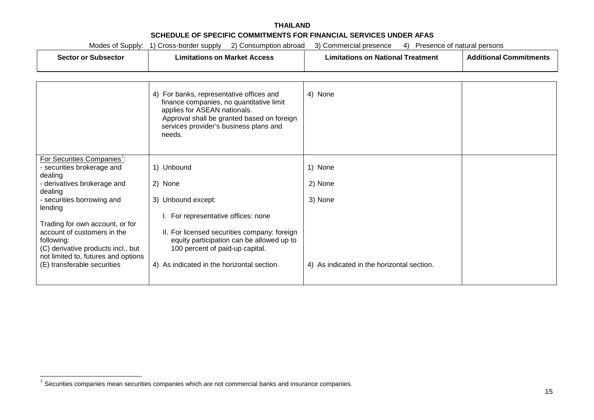| Modes of Supply: 1) Cross-border supply 2) Consumption abroad<br>3) Commercial presence<br>Presence of natural persons<br>4)                                                             |                                                                                                                                                                                                                        |                                            |                               |
|------------------------------------------------------------------------------------------------------------------------------------------------------------------------------------------|------------------------------------------------------------------------------------------------------------------------------------------------------------------------------------------------------------------------|--------------------------------------------|-------------------------------|
| <b>Sector or Subsector</b>                                                                                                                                                               | <b>Limitations on Market Access</b>                                                                                                                                                                                    | <b>Limitations on National Treatment</b>   | <b>Additional Commitments</b> |
|                                                                                                                                                                                          | 4) For banks, representative offices and<br>finance companies, no quantitative limit<br>applies for ASEAN nationals.<br>Approval shall be granted based on foreign<br>services provider's business plans and<br>needs. | 4) None                                    |                               |
| For Securities Companies':<br>- securities brokerage and<br>dealing                                                                                                                      | 1) Unbound                                                                                                                                                                                                             | 1) None                                    |                               |
| - derivatives brokerage and<br>dealing<br>- securities borrowing and<br>lending                                                                                                          | 2) None<br>3) Unbound except:                                                                                                                                                                                          | 2) None<br>3) None                         |                               |
| Trading for own account, or for<br>account of customers in the<br>following:<br>(C) derivative products incl., but<br>not limited to, futures and options<br>(E) transferable securities | I. For representative offices: none<br>II. For licensed securities company: foreign<br>equity participation can be allowed up to<br>100 percent of paid-up capital.<br>4) As indicated in the horizontal section.      | 4) As indicated in the horizontal section. |                               |

 $7$  Securities companies mean securities companies which are not commercial banks and insurance companies.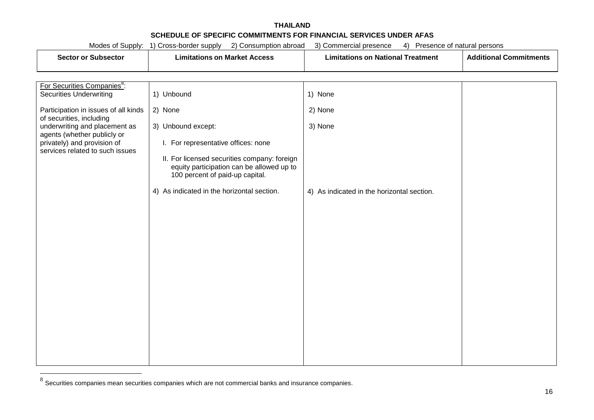|                                                                                               | Modes of Supply: 1) Cross-border supply 2) Consumption abroad                             | 4) Presence of natural persons<br>3) Commercial presence |                               |
|-----------------------------------------------------------------------------------------------|-------------------------------------------------------------------------------------------|----------------------------------------------------------|-------------------------------|
| <b>Sector or Subsector</b>                                                                    | <b>Limitations on Market Access</b>                                                       |                                                          | <b>Additional Commitments</b> |
|                                                                                               |                                                                                           |                                                          |                               |
|                                                                                               |                                                                                           |                                                          |                               |
| For Securities Companies <sup>8</sup> :<br><b>Securities Underwriting</b>                     | 1) Unbound                                                                                | 1) None                                                  |                               |
|                                                                                               |                                                                                           |                                                          |                               |
| Participation in issues of all kinds<br>of securities, including                              | 2) None                                                                                   | 2) None                                                  |                               |
| underwriting and placement as                                                                 | 3) Unbound except:                                                                        | 3) None                                                  |                               |
| agents (whether publicly or<br>privately) and provision of<br>services related to such issues | I. For representative offices: none                                                       |                                                          |                               |
|                                                                                               | II. For licensed securities company: foreign<br>equity participation can be allowed up to |                                                          |                               |
|                                                                                               | 100 percent of paid-up capital.                                                           |                                                          |                               |
|                                                                                               | 4) As indicated in the horizontal section.                                                | 4) As indicated in the horizontal section.               |                               |
|                                                                                               |                                                                                           |                                                          |                               |
|                                                                                               |                                                                                           |                                                          |                               |
|                                                                                               |                                                                                           |                                                          |                               |
|                                                                                               |                                                                                           |                                                          |                               |
|                                                                                               |                                                                                           |                                                          |                               |
|                                                                                               |                                                                                           |                                                          |                               |
|                                                                                               |                                                                                           |                                                          |                               |
|                                                                                               |                                                                                           |                                                          |                               |
|                                                                                               |                                                                                           |                                                          |                               |
|                                                                                               |                                                                                           |                                                          |                               |

 $8$  Securities companies mean securities companies which are not commercial banks and insurance companies.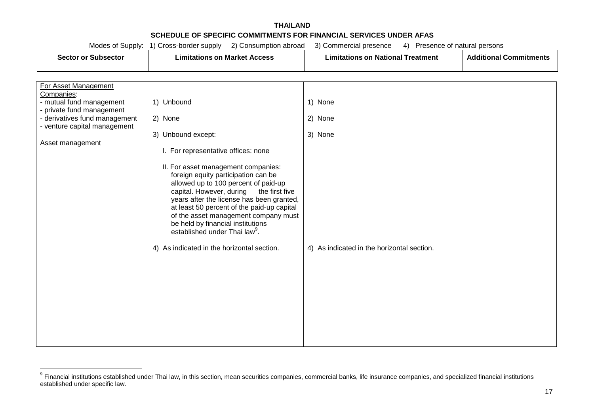|                                                               | Modes of Supply: 1) Cross-border supply<br>2) Consumption abroad                   | 4) Presence of natural persons<br>3) Commercial presence |                               |
|---------------------------------------------------------------|------------------------------------------------------------------------------------|----------------------------------------------------------|-------------------------------|
| <b>Sector or Subsector</b>                                    | <b>Limitations on Market Access</b>                                                | <b>Limitations on National Treatment</b>                 | <b>Additional Commitments</b> |
|                                                               |                                                                                    |                                                          |                               |
|                                                               |                                                                                    |                                                          |                               |
| For Asset Management<br>Companies:                            |                                                                                    |                                                          |                               |
| - mutual fund management                                      | 1) Unbound                                                                         | 1) None                                                  |                               |
| - private fund management                                     |                                                                                    |                                                          |                               |
| - derivatives fund management<br>- venture capital management | 2) None                                                                            | 2) None                                                  |                               |
|                                                               | 3) Unbound except:                                                                 | 3) None                                                  |                               |
| Asset management                                              |                                                                                    |                                                          |                               |
|                                                               | I. For representative offices: none                                                |                                                          |                               |
|                                                               | II. For asset management companies:                                                |                                                          |                               |
|                                                               | foreign equity participation can be<br>allowed up to 100 percent of paid-up        |                                                          |                               |
|                                                               | capital. However, during<br>the first five                                         |                                                          |                               |
|                                                               | years after the license has been granted,                                          |                                                          |                               |
|                                                               | at least 50 percent of the paid-up capital<br>of the asset management company must |                                                          |                               |
|                                                               | be held by financial institutions                                                  |                                                          |                               |
|                                                               | established under Thai law <sup>9</sup> .                                          |                                                          |                               |
|                                                               | 4) As indicated in the horizontal section.                                         | 4) As indicated in the horizontal section.               |                               |
|                                                               |                                                                                    |                                                          |                               |
|                                                               |                                                                                    |                                                          |                               |
|                                                               |                                                                                    |                                                          |                               |
|                                                               |                                                                                    |                                                          |                               |
|                                                               |                                                                                    |                                                          |                               |
|                                                               |                                                                                    |                                                          |                               |
|                                                               |                                                                                    |                                                          |                               |
|                                                               |                                                                                    |                                                          |                               |
|                                                               |                                                                                    |                                                          |                               |

<sup>9</sup> Financial institutions established under Thai law, in this section, mean securities companies, commercial banks, life insurance companies, and specialized financial institutions established under specific law.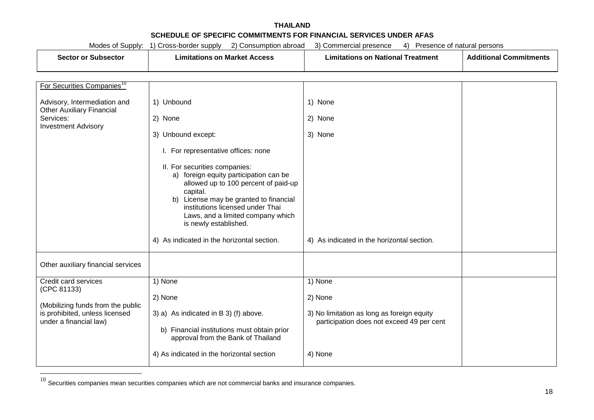|  | Modes of Supply: | 1) Cross-border supply | 2) Consumption abroad | 3) Commercial presence | $\left(4\right)$ . | Presence of natural persons |
|--|------------------|------------------------|-----------------------|------------------------|--------------------|-----------------------------|
|--|------------------|------------------------|-----------------------|------------------------|--------------------|-----------------------------|

|  | Sector or<br><b>Subsector</b> | - -<br>Limitations on Market Access | <b>National</b> ∶<br>Treatment<br><b>Limitations on</b> | .<br><b>Additional Commitments</b> |
|--|-------------------------------|-------------------------------------|---------------------------------------------------------|------------------------------------|
|--|-------------------------------|-------------------------------------|---------------------------------------------------------|------------------------------------|

| For Securities Companies <sup>10</sup>                   |                                                                                                                                                                                                                                                                            |                                                                                         |  |
|----------------------------------------------------------|----------------------------------------------------------------------------------------------------------------------------------------------------------------------------------------------------------------------------------------------------------------------------|-----------------------------------------------------------------------------------------|--|
| Advisory, Intermediation and                             | 1) Unbound                                                                                                                                                                                                                                                                 | 1) None                                                                                 |  |
| <b>Other Auxiliary Financial</b><br>Services:            | 2) None                                                                                                                                                                                                                                                                    | 2) None                                                                                 |  |
| <b>Investment Advisory</b>                               | 3) Unbound except:                                                                                                                                                                                                                                                         | 3) None                                                                                 |  |
|                                                          | I. For representative offices: none                                                                                                                                                                                                                                        |                                                                                         |  |
|                                                          | II. For securities companies:<br>foreign equity participation can be<br>a)<br>allowed up to 100 percent of paid-up<br>capital.<br>b) License may be granted to financial<br>institutions licensed under Thai<br>Laws, and a limited company which<br>is newly established. |                                                                                         |  |
|                                                          | 4) As indicated in the horizontal section.                                                                                                                                                                                                                                 | 4) As indicated in the horizontal section.                                              |  |
| Other auxiliary financial services                       |                                                                                                                                                                                                                                                                            |                                                                                         |  |
| Credit card services<br>(CPC 81133)                      | 1) None                                                                                                                                                                                                                                                                    | 1) None                                                                                 |  |
| (Mobilizing funds from the public                        | 2) None                                                                                                                                                                                                                                                                    | 2) None                                                                                 |  |
| is prohibited, unless licensed<br>under a financial law) | 3) a) As indicated in B 3) (f) above.<br>b) Financial institutions must obtain prior<br>approval from the Bank of Thailand                                                                                                                                                 | 3) No limitation as long as foreign equity<br>participation does not exceed 49 per cent |  |
|                                                          | 4) As indicated in the horizontal section                                                                                                                                                                                                                                  | 4) None                                                                                 |  |

 $10$  Securities companies mean securities companies which are not commercial banks and insurance companies.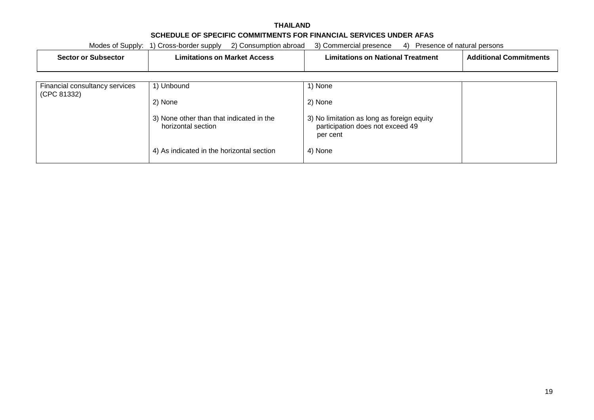#### **THAILAND SCHEDULE OF SPECIFIC COMMITMENTS FOR FINANCIAL SERVICES UNDER AFAS** Modes of Supply: 1) Cross-border supply 2) Consumption abroad 3) Commercial presence 4) Presence of natural persons

|                                               | Modes of Supply: 1) Cross-border supply<br>2) Consumption abroad | 3) Commercial presence<br>Presence of natural persons<br>4)                                |                               |
|-----------------------------------------------|------------------------------------------------------------------|--------------------------------------------------------------------------------------------|-------------------------------|
| <b>Sector or Subsector</b>                    | <b>Limitations on Market Access</b>                              | <b>Limitations on National Treatment</b>                                                   | <b>Additional Commitments</b> |
|                                               |                                                                  |                                                                                            |                               |
| Financial consultancy services<br>(CPC 81332) | 1) Unbound                                                       | 1) None                                                                                    |                               |
|                                               | 2) None                                                          | 2) None                                                                                    |                               |
|                                               | 3) None other than that indicated in the<br>horizontal section   | 3) No limitation as long as foreign equity<br>participation does not exceed 49<br>per cent |                               |
|                                               | 4) As indicated in the horizontal section                        | 4) None                                                                                    |                               |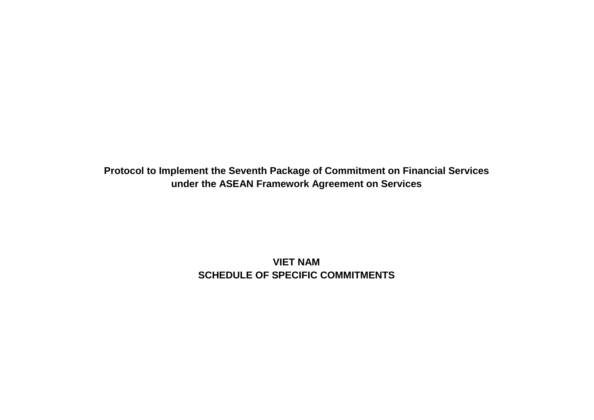**Protocol to Implement the Seventh Package of Commitment on Financial Services under the ASEAN Framework Agreement on Services**

> **VIET NAM SCHEDULE OF SPECIFIC COMMITMENTS**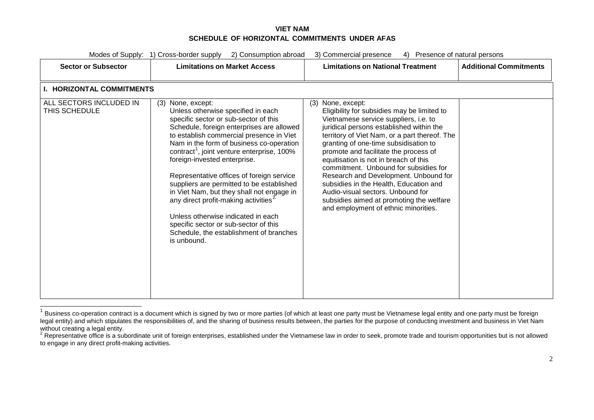<span id="page-171-1"></span><span id="page-171-0"></span>

| Modes of Supply: 1) Cross-border supply<br>2) Consumption abroad<br>3) Commercial presence<br>4) Presence of natural persons |                                                                                                                                                                                                                                                                                                                                                                                                                                                                                                                                                                                                                                                |                                                                                                                                                                                                                                                                                                                                                                                                                                                                                                                                                                   |                               |
|------------------------------------------------------------------------------------------------------------------------------|------------------------------------------------------------------------------------------------------------------------------------------------------------------------------------------------------------------------------------------------------------------------------------------------------------------------------------------------------------------------------------------------------------------------------------------------------------------------------------------------------------------------------------------------------------------------------------------------------------------------------------------------|-------------------------------------------------------------------------------------------------------------------------------------------------------------------------------------------------------------------------------------------------------------------------------------------------------------------------------------------------------------------------------------------------------------------------------------------------------------------------------------------------------------------------------------------------------------------|-------------------------------|
| <b>Sector or Subsector</b>                                                                                                   | <b>Limitations on Market Access</b>                                                                                                                                                                                                                                                                                                                                                                                                                                                                                                                                                                                                            | <b>Limitations on National Treatment</b>                                                                                                                                                                                                                                                                                                                                                                                                                                                                                                                          | <b>Additional Commitments</b> |
| <b>I. HORIZONTAL COMMITMENTS</b><br>ALL SECTORS INCLUDED IN                                                                  | (3) None, except:                                                                                                                                                                                                                                                                                                                                                                                                                                                                                                                                                                                                                              | None, except:<br>(3)                                                                                                                                                                                                                                                                                                                                                                                                                                                                                                                                              |                               |
| THIS SCHEDULE                                                                                                                | Unless otherwise specified in each<br>specific sector or sub-sector of this<br>Schedule, foreign enterprises are allowed<br>to establish commercial presence in Viet<br>Nam in the form of business co-operation<br>contract <sup>1</sup> , joint venture enterprise, 100%<br>foreign-invested enterprise.<br>Representative offices of foreign service<br>suppliers are permitted to be established<br>in Viet Nam, but they shall not engage in<br>any direct profit-making activities <sup>2</sup><br>Unless otherwise indicated in each<br>specific sector or sub-sector of this<br>Schedule, the establishment of branches<br>is unbound. | Eligibility for subsidies may be limited to<br>Vietnamese service suppliers, i.e. to<br>juridical persons established within the<br>territory of Viet Nam, or a part thereof. The<br>granting of one-time subsidisation to<br>promote and facilitate the process of<br>equitisation is not in breach of this<br>commitment. Unbound for subsidies for<br>Research and Development. Unbound for<br>subsidies in the Health, Education and<br>Audio-visual sectors. Unbound for<br>subsidies aimed at promoting the welfare<br>and employment of ethnic minorities. |                               |

<sup>1</sup> Business co-operation contract is a document which is signed by two or more parties (of which at least one party must be Vietnamese legal entity and one party must be foreign legal entity) and which stipulates the responsibilities of, and the sharing of business results between, the parties for the purpose of conducting investment and business in Viet Nam without creating a legal entity.

 $2$  Representative office is a subordinate unit of foreign enterprises, established under the Vietnamese law in order to seek, promote trade and tourism opportunities but is not allowed to engage in any direct profit-making activities.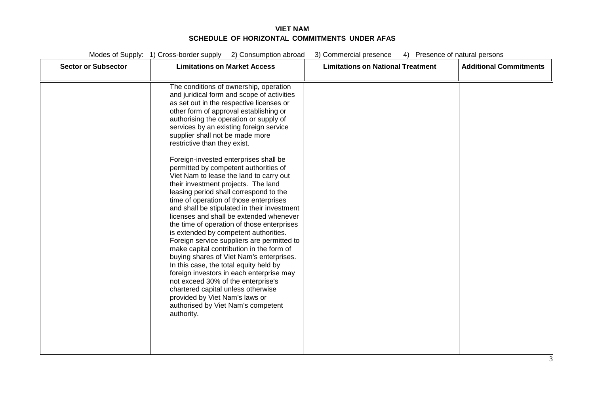| <b>Sector or Subsector</b> | <b>Limitations on Market Access</b>                                                                                                                                                                                                                                                                                                                                                                                                                                                                                                                                                                                                                                                                                                                                                                                                                                                                                                                                                                                                                                                                                                                                       | <b>Limitations on National Treatment</b> | <b>Additional Commitments</b> |
|----------------------------|---------------------------------------------------------------------------------------------------------------------------------------------------------------------------------------------------------------------------------------------------------------------------------------------------------------------------------------------------------------------------------------------------------------------------------------------------------------------------------------------------------------------------------------------------------------------------------------------------------------------------------------------------------------------------------------------------------------------------------------------------------------------------------------------------------------------------------------------------------------------------------------------------------------------------------------------------------------------------------------------------------------------------------------------------------------------------------------------------------------------------------------------------------------------------|------------------------------------------|-------------------------------|
|                            | The conditions of ownership, operation<br>and juridical form and scope of activities<br>as set out in the respective licenses or<br>other form of approval establishing or<br>authorising the operation or supply of<br>services by an existing foreign service<br>supplier shall not be made more<br>restrictive than they exist.<br>Foreign-invested enterprises shall be<br>permitted by competent authorities of<br>Viet Nam to lease the land to carry out<br>their investment projects. The land<br>leasing period shall correspond to the<br>time of operation of those enterprises<br>and shall be stipulated in their investment<br>licenses and shall be extended whenever<br>the time of operation of those enterprises<br>is extended by competent authorities.<br>Foreign service suppliers are permitted to<br>make capital contribution in the form of<br>buying shares of Viet Nam's enterprises.<br>In this case, the total equity held by<br>foreign investors in each enterprise may<br>not exceed 30% of the enterprise's<br>chartered capital unless otherwise<br>provided by Viet Nam's laws or<br>authorised by Viet Nam's competent<br>authority. |                                          |                               |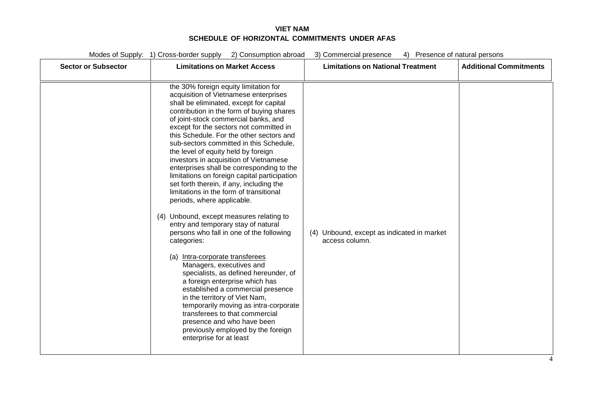| <b>Sector or Subsector</b> | <b>Limitations on Market Access</b>                                                                                                                                                                                                                                                                                                                                                                                                                                                                                                                                                                                                                                                                                                                                                                                                                                                                                                                                                                                                                                                                                                                                                         | <b>Limitations on National Treatment</b>                     | <b>Additional Commitments</b> |
|----------------------------|---------------------------------------------------------------------------------------------------------------------------------------------------------------------------------------------------------------------------------------------------------------------------------------------------------------------------------------------------------------------------------------------------------------------------------------------------------------------------------------------------------------------------------------------------------------------------------------------------------------------------------------------------------------------------------------------------------------------------------------------------------------------------------------------------------------------------------------------------------------------------------------------------------------------------------------------------------------------------------------------------------------------------------------------------------------------------------------------------------------------------------------------------------------------------------------------|--------------------------------------------------------------|-------------------------------|
|                            | the 30% foreign equity limitation for<br>acquisition of Vietnamese enterprises<br>shall be eliminated, except for capital<br>contribution in the form of buying shares<br>of joint-stock commercial banks, and<br>except for the sectors not committed in<br>this Schedule. For the other sectors and<br>sub-sectors committed in this Schedule,<br>the level of equity held by foreign<br>investors in acquisition of Vietnamese<br>enterprises shall be corresponding to the<br>limitations on foreign capital participation<br>set forth therein, if any, including the<br>limitations in the form of transitional<br>periods, where applicable.<br>(4) Unbound, except measures relating to<br>entry and temporary stay of natural<br>persons who fall in one of the following<br>categories:<br>(a) Intra-corporate transferees<br>Managers, executives and<br>specialists, as defined hereunder, of<br>a foreign enterprise which has<br>established a commercial presence<br>in the territory of Viet Nam,<br>temporarily moving as intra-corporate<br>transferees to that commercial<br>presence and who have been<br>previously employed by the foreign<br>enterprise for at least | (4) Unbound, except as indicated in market<br>access column. |                               |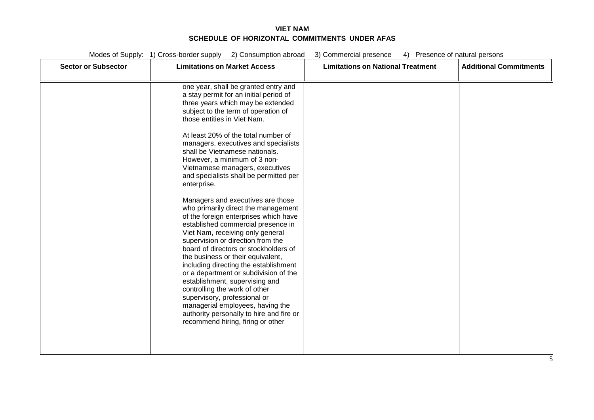| <b>Sector or Subsector</b> | <b>Limitations on Market Access</b>                                                                                                                                                                                                                                                                                                                                                                                                                                                                                                                                                                                      | <b>Limitations on National Treatment</b> | <b>Additional Commitments</b> |
|----------------------------|--------------------------------------------------------------------------------------------------------------------------------------------------------------------------------------------------------------------------------------------------------------------------------------------------------------------------------------------------------------------------------------------------------------------------------------------------------------------------------------------------------------------------------------------------------------------------------------------------------------------------|------------------------------------------|-------------------------------|
|                            | one year, shall be granted entry and<br>a stay permit for an initial period of<br>three years which may be extended<br>subject to the term of operation of<br>those entities in Viet Nam.                                                                                                                                                                                                                                                                                                                                                                                                                                |                                          |                               |
|                            | At least 20% of the total number of<br>managers, executives and specialists<br>shall be Vietnamese nationals.<br>However, a minimum of 3 non-<br>Vietnamese managers, executives<br>and specialists shall be permitted per<br>enterprise.                                                                                                                                                                                                                                                                                                                                                                                |                                          |                               |
|                            | Managers and executives are those<br>who primarily direct the management<br>of the foreign enterprises which have<br>established commercial presence in<br>Viet Nam, receiving only general<br>supervision or direction from the<br>board of directors or stockholders of<br>the business or their equivalent,<br>including directing the establishment<br>or a department or subdivision of the<br>establishment, supervising and<br>controlling the work of other<br>supervisory, professional or<br>managerial employees, having the<br>authority personally to hire and fire or<br>recommend hiring, firing or other |                                          |                               |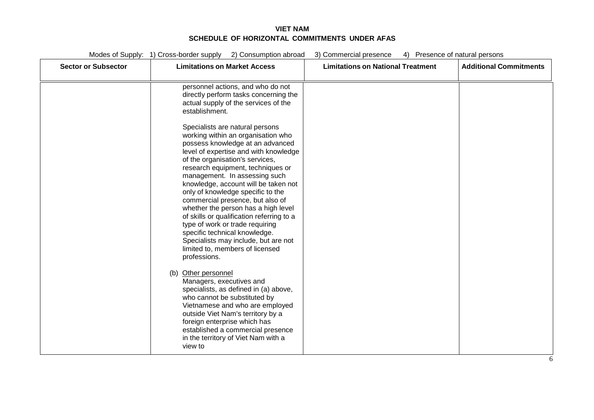| <b>Sector or Subsector</b> | <b>Limitations on Market Access</b>                                                                                                                                                                                                                                                                                                                                                                                                                                                                                                                                                                                             | <b>Limitations on National Treatment</b> | <b>Additional Commitments</b> |
|----------------------------|---------------------------------------------------------------------------------------------------------------------------------------------------------------------------------------------------------------------------------------------------------------------------------------------------------------------------------------------------------------------------------------------------------------------------------------------------------------------------------------------------------------------------------------------------------------------------------------------------------------------------------|------------------------------------------|-------------------------------|
|                            | personnel actions, and who do not<br>directly perform tasks concerning the<br>actual supply of the services of the<br>establishment.                                                                                                                                                                                                                                                                                                                                                                                                                                                                                            |                                          |                               |
|                            | Specialists are natural persons<br>working within an organisation who<br>possess knowledge at an advanced<br>level of expertise and with knowledge<br>of the organisation's services,<br>research equipment, techniques or<br>management. In assessing such<br>knowledge, account will be taken not<br>only of knowledge specific to the<br>commercial presence, but also of<br>whether the person has a high level<br>of skills or qualification referring to a<br>type of work or trade requiring<br>specific technical knowledge.<br>Specialists may include, but are not<br>limited to, members of licensed<br>professions. |                                          |                               |
|                            | Other personnel<br>(b)<br>Managers, executives and<br>specialists, as defined in (a) above,<br>who cannot be substituted by<br>Vietnamese and who are employed<br>outside Viet Nam's territory by a<br>foreign enterprise which has<br>established a commercial presence<br>in the territory of Viet Nam with a<br>view to                                                                                                                                                                                                                                                                                                      |                                          |                               |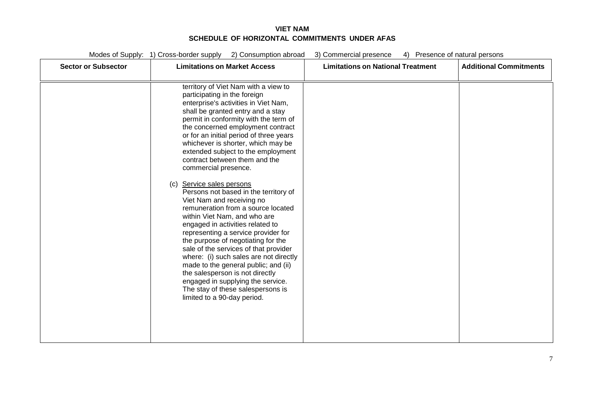| <b>Sector or Subsector</b> | <b>Limitations on Market Access</b>                                                                                                                                                                                                                                                                                                                                                                                                                                                                                                                                                                                                                                                                                                                                                                                                                                                                                                                                          | <b>Limitations on National Treatment</b> | <b>Additional Commitments</b> |
|----------------------------|------------------------------------------------------------------------------------------------------------------------------------------------------------------------------------------------------------------------------------------------------------------------------------------------------------------------------------------------------------------------------------------------------------------------------------------------------------------------------------------------------------------------------------------------------------------------------------------------------------------------------------------------------------------------------------------------------------------------------------------------------------------------------------------------------------------------------------------------------------------------------------------------------------------------------------------------------------------------------|------------------------------------------|-------------------------------|
| (c)                        | territory of Viet Nam with a view to<br>participating in the foreign<br>enterprise's activities in Viet Nam,<br>shall be granted entry and a stay<br>permit in conformity with the term of<br>the concerned employment contract<br>or for an initial period of three years<br>whichever is shorter, which may be<br>extended subject to the employment<br>contract between them and the<br>commercial presence.<br>Service sales persons<br>Persons not based in the territory of<br>Viet Nam and receiving no<br>remuneration from a source located<br>within Viet Nam, and who are<br>engaged in activities related to<br>representing a service provider for<br>the purpose of negotiating for the<br>sale of the services of that provider<br>where: (i) such sales are not directly<br>made to the general public; and (ii)<br>the salesperson is not directly<br>engaged in supplying the service.<br>The stay of these salespersons is<br>limited to a 90-day period. |                                          |                               |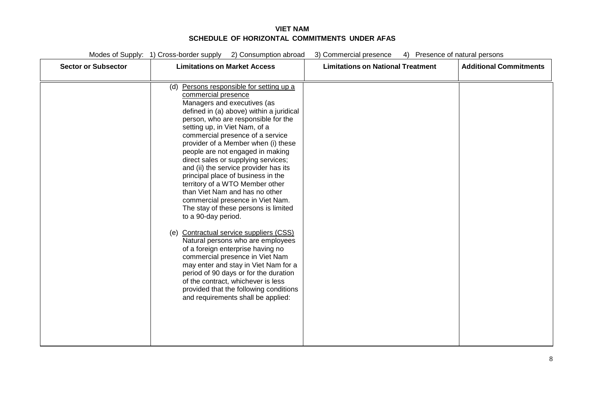| <b>Sector or Subsector</b> | <b>Limitations on Market Access</b>                                                                                                                                                                                                                                                                                                                                                                                                                                                                                                                                                                                                                                                                                                                                                                                                                                                                                                                                                                         | <b>Limitations on National Treatment</b> | <b>Additional Commitments</b> |
|----------------------------|-------------------------------------------------------------------------------------------------------------------------------------------------------------------------------------------------------------------------------------------------------------------------------------------------------------------------------------------------------------------------------------------------------------------------------------------------------------------------------------------------------------------------------------------------------------------------------------------------------------------------------------------------------------------------------------------------------------------------------------------------------------------------------------------------------------------------------------------------------------------------------------------------------------------------------------------------------------------------------------------------------------|------------------------------------------|-------------------------------|
|                            | Persons responsible for setting up a<br>(d)<br>commercial presence<br>Managers and executives (as<br>defined in (a) above) within a juridical<br>person, who are responsible for the<br>setting up, in Viet Nam, of a<br>commercial presence of a service<br>provider of a Member when (i) these<br>people are not engaged in making<br>direct sales or supplying services;<br>and (ii) the service provider has its<br>principal place of business in the<br>territory of a WTO Member other<br>than Viet Nam and has no other<br>commercial presence in Viet Nam.<br>The stay of these persons is limited<br>to a 90-day period.<br><b>Contractual service suppliers (CSS)</b><br>(e)<br>Natural persons who are employees<br>of a foreign enterprise having no<br>commercial presence in Viet Nam<br>may enter and stay in Viet Nam for a<br>period of 90 days or for the duration<br>of the contract, whichever is less<br>provided that the following conditions<br>and requirements shall be applied: |                                          |                               |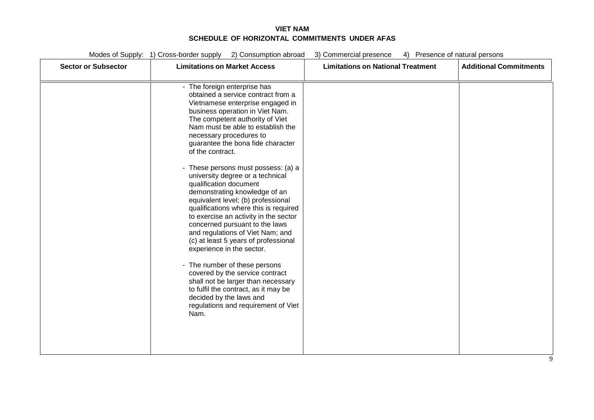| <b>Sector or Subsector</b> | <b>Limitations on Market Access</b>                                                                                                                                                                                                                                                                                                                                                                                                                                                                                                                                                                                                                                                                                                                                                                                                                                                                                                        | <b>Limitations on National Treatment</b> | <b>Additional Commitments</b> |
|----------------------------|--------------------------------------------------------------------------------------------------------------------------------------------------------------------------------------------------------------------------------------------------------------------------------------------------------------------------------------------------------------------------------------------------------------------------------------------------------------------------------------------------------------------------------------------------------------------------------------------------------------------------------------------------------------------------------------------------------------------------------------------------------------------------------------------------------------------------------------------------------------------------------------------------------------------------------------------|------------------------------------------|-------------------------------|
|                            | - The foreign enterprise has<br>obtained a service contract from a<br>Vietnamese enterprise engaged in<br>business operation in Viet Nam.<br>The competent authority of Viet<br>Nam must be able to establish the<br>necessary procedures to<br>guarantee the bona fide character<br>of the contract.<br>- These persons must possess: (a) a<br>university degree or a technical<br>qualification document<br>demonstrating knowledge of an<br>equivalent level; (b) professional<br>qualifications where this is required<br>to exercise an activity in the sector<br>concerned pursuant to the laws<br>and regulations of Viet Nam; and<br>(c) at least 5 years of professional<br>experience in the sector.<br>- The number of these persons<br>covered by the service contract<br>shall not be larger than necessary<br>to fulfil the contract, as it may be<br>decided by the laws and<br>regulations and requirement of Viet<br>Nam. |                                          |                               |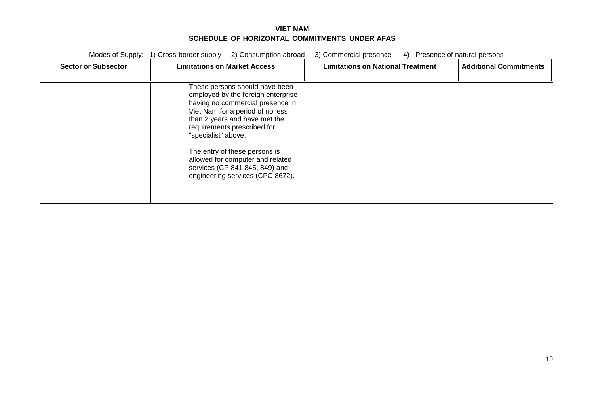Modes of Supply: 1) Cross-border supply 2) Consumption abroad 3) Commercial presence 4) Presence of natural persons **Sector or Subsector Limitations on Market Access Limitations on National Treatment Additional Commitments** - These persons should have been employed by the foreign enterprise having no commercial presence in Viet Nam for a period of no less than 2 years and have met the requirements prescribed for "specialist" above. The entry of these persons is allowed for computer and related services (CP 841 845, 849) and engineering services (CPC 8672).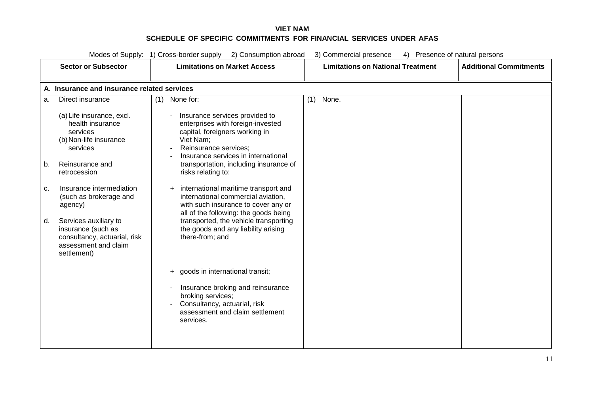| Modes of Supply: 1) Cross-border supply 2) Consumption abroad<br>3) Commercial presence<br>4) Presence of natural persons                                                                                                                                                                                                                   |                                             |                                                                                                                                                                                                                                                                                                                                                                                                                                                                                                                     |                                          |                               |  |  |
|---------------------------------------------------------------------------------------------------------------------------------------------------------------------------------------------------------------------------------------------------------------------------------------------------------------------------------------------|---------------------------------------------|---------------------------------------------------------------------------------------------------------------------------------------------------------------------------------------------------------------------------------------------------------------------------------------------------------------------------------------------------------------------------------------------------------------------------------------------------------------------------------------------------------------------|------------------------------------------|-------------------------------|--|--|
| <b>Sector or Subsector</b>                                                                                                                                                                                                                                                                                                                  |                                             | <b>Limitations on Market Access</b>                                                                                                                                                                                                                                                                                                                                                                                                                                                                                 | <b>Limitations on National Treatment</b> | <b>Additional Commitments</b> |  |  |
|                                                                                                                                                                                                                                                                                                                                             | A. Insurance and insurance related services |                                                                                                                                                                                                                                                                                                                                                                                                                                                                                                                     |                                          |                               |  |  |
| Direct insurance<br>a.                                                                                                                                                                                                                                                                                                                      | $(1)$ None for:                             |                                                                                                                                                                                                                                                                                                                                                                                                                                                                                                                     | None.<br>(1)                             |                               |  |  |
| (a) Life insurance, excl.<br>health insurance<br>services<br>(b) Non-life insurance<br>services<br>Reinsurance and<br>b.<br>retrocession<br>Insurance intermediation<br>c.<br>(such as brokerage and<br>agency)<br>Services auxiliary to<br>d.<br>insurance (such as<br>consultancy, actuarial, risk<br>assessment and claim<br>settlement) | $\ddot{}$                                   | Insurance services provided to<br>enterprises with foreign-invested<br>capital, foreigners working in<br>Viet Nam;<br>Reinsurance services;<br>Insurance services in international<br>transportation, including insurance of<br>risks relating to:<br>international maritime transport and<br>international commercial aviation,<br>with such insurance to cover any or<br>all of the following: the goods being<br>transported, the vehicle transporting<br>the goods and any liability arising<br>there-from; and |                                          |                               |  |  |
|                                                                                                                                                                                                                                                                                                                                             |                                             | + goods in international transit;<br>Insurance broking and reinsurance<br>broking services;<br>Consultancy, actuarial, risk<br>assessment and claim settlement<br>services.                                                                                                                                                                                                                                                                                                                                         |                                          |                               |  |  |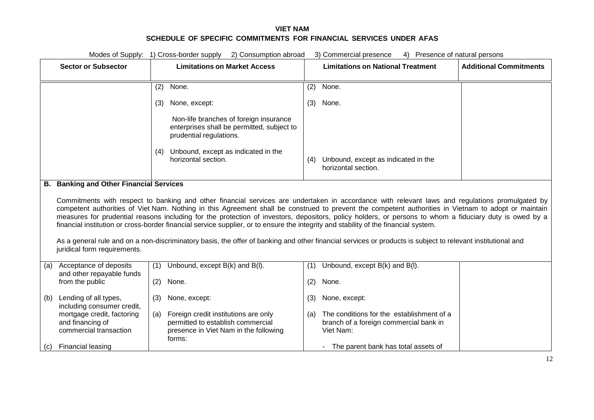|     | Modes of Supply: 1) Cross-border supply 2) Consumption abroad<br>3) Commercial presence<br>4) Presence of natural persons                                                                                                                                                                                                                                                                                                                                                                                                                                                                                 |                                                                                                                                     |                                                                                                      |  |  |
|-----|-----------------------------------------------------------------------------------------------------------------------------------------------------------------------------------------------------------------------------------------------------------------------------------------------------------------------------------------------------------------------------------------------------------------------------------------------------------------------------------------------------------------------------------------------------------------------------------------------------------|-------------------------------------------------------------------------------------------------------------------------------------|------------------------------------------------------------------------------------------------------|--|--|
|     | <b>Sector or Subsector</b>                                                                                                                                                                                                                                                                                                                                                                                                                                                                                                                                                                                | <b>Limitations on Market Access</b>                                                                                                 | <b>Limitations on National Treatment</b><br><b>Additional Commitments</b>                            |  |  |
|     |                                                                                                                                                                                                                                                                                                                                                                                                                                                                                                                                                                                                           | None.<br>(2)                                                                                                                        | None.<br>(2)                                                                                         |  |  |
|     |                                                                                                                                                                                                                                                                                                                                                                                                                                                                                                                                                                                                           | None, except:<br>(3)                                                                                                                | (3)<br>None.                                                                                         |  |  |
|     |                                                                                                                                                                                                                                                                                                                                                                                                                                                                                                                                                                                                           | Non-life branches of foreign insurance<br>enterprises shall be permitted, subject to<br>prudential regulations.                     |                                                                                                      |  |  |
|     |                                                                                                                                                                                                                                                                                                                                                                                                                                                                                                                                                                                                           | (4) Unbound, except as indicated in the<br>horizontal section.                                                                      | (4) Unbound, except as indicated in the<br>horizontal section.                                       |  |  |
|     | <b>B.</b> Banking and Other Financial Services                                                                                                                                                                                                                                                                                                                                                                                                                                                                                                                                                            |                                                                                                                                     |                                                                                                      |  |  |
|     | Commitments with respect to banking and other financial services are undertaken in accordance with relevant laws and regulations promulgated by<br>competent authorities of Viet Nam. Nothing in this Agreement shall be construed to prevent the competent authorities in Vietnam to adopt or maintain<br>measures for prudential reasons including for the protection of investors, depositors, policy holders, or persons to whom a fiduciary duty is owed by a<br>financial institution or cross-border financial service supplier, or to ensure the integrity and stability of the financial system. |                                                                                                                                     |                                                                                                      |  |  |
|     | As a general rule and on a non-discriminatory basis, the offer of banking and other financial services or products is subject to relevant institutional and<br>juridical form requirements.                                                                                                                                                                                                                                                                                                                                                                                                               |                                                                                                                                     |                                                                                                      |  |  |
| (a) | Acceptance of deposits<br>and other repayable funds                                                                                                                                                                                                                                                                                                                                                                                                                                                                                                                                                       | Unbound, except B(k) and B(l).<br>(1)                                                                                               | Unbound, except B(k) and B(l).<br>(1)                                                                |  |  |
|     | from the public                                                                                                                                                                                                                                                                                                                                                                                                                                                                                                                                                                                           | None.<br>(2)                                                                                                                        | (2)<br>None.                                                                                         |  |  |
| (b) | Lending of all types,<br>including consumer credit,                                                                                                                                                                                                                                                                                                                                                                                                                                                                                                                                                       | None, except:<br>(3)                                                                                                                | None, except:<br>(3)                                                                                 |  |  |
|     | mortgage credit, factoring<br>and financing of<br>commercial transaction                                                                                                                                                                                                                                                                                                                                                                                                                                                                                                                                  | Foreign credit institutions are only<br>(a)<br>permitted to establish commercial<br>presence in Viet Nam in the following<br>forms: | (a) The conditions for the establishment of a<br>branch of a foreign commercial bank in<br>Viet Nam: |  |  |
|     | (c) Financial leasing                                                                                                                                                                                                                                                                                                                                                                                                                                                                                                                                                                                     |                                                                                                                                     | - The parent bank has total assets of                                                                |  |  |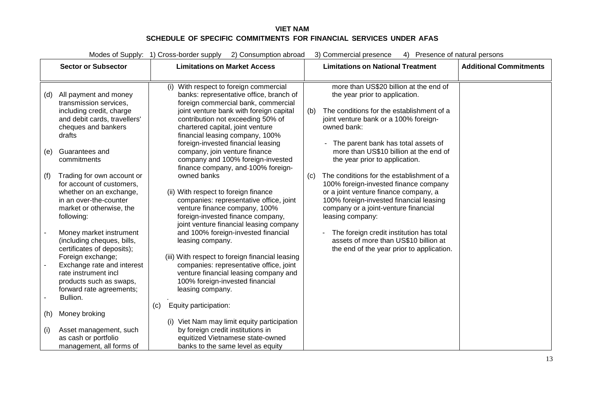|     | Modes of Supply: 1) Cross-border supply 2) Consumption abroad<br>3) Commercial presence<br>4) Presence of natural persons |                                                                                                                                                                                                                                                                                                                                                  |  |  |
|-----|---------------------------------------------------------------------------------------------------------------------------|--------------------------------------------------------------------------------------------------------------------------------------------------------------------------------------------------------------------------------------------------------------------------------------------------------------------------------------------------|--|--|
|     | <b>Sector or Subsector</b>                                                                                                | <b>Limitations on National Treatment</b><br><b>Additional Commitments</b><br><b>Limitations on Market Access</b>                                                                                                                                                                                                                                 |  |  |
|     |                                                                                                                           |                                                                                                                                                                                                                                                                                                                                                  |  |  |
| (d) | All payment and money<br>transmission services,                                                                           | more than US\$20 billion at the end of<br>(i) With respect to foreign commercial<br>banks: representative office, branch of<br>the year prior to application.<br>foreign commercial bank, commercial                                                                                                                                             |  |  |
|     | including credit, charge<br>and debit cards, travellers'<br>cheques and bankers                                           | joint venture bank with foreign capital<br>The conditions for the establishment of a<br>(b)<br>contribution not exceeding 50% of<br>joint venture bank or a 100% foreign-<br>chartered capital, joint venture<br>owned bank:                                                                                                                     |  |  |
|     | drafts                                                                                                                    | financial leasing company, 100%                                                                                                                                                                                                                                                                                                                  |  |  |
| (e) | Guarantees and<br>commitments                                                                                             | foreign-invested financial leasing<br>- The parent bank has total assets of<br>more than US\$10 billion at the end of<br>company, join venture finance<br>company and 100% foreign-invested<br>the year prior to application.                                                                                                                    |  |  |
| (f) | Trading for own account or<br>for account of customers,                                                                   | finance company, and-100% foreign-<br>owned banks<br>The conditions for the establishment of a<br>(c)<br>100% foreign-invested finance company                                                                                                                                                                                                   |  |  |
|     | whether on an exchange,<br>in an over-the-counter<br>market or otherwise, the<br>following:                               | (ii) With respect to foreign finance<br>or a joint venture finance company, a<br>companies: representative office, joint<br>100% foreign-invested financial leasing<br>venture finance company, 100%<br>company or a joint-venture financial<br>foreign-invested finance company,<br>leasing company:<br>joint venture financial leasing company |  |  |
|     | Money market instrument<br>(including cheques, bills,<br>certificates of deposits);                                       | and 100% foreign-invested financial<br>The foreign credit institution has total<br>assets of more than US\$10 billion at<br>leasing company.<br>the end of the year prior to application.                                                                                                                                                        |  |  |
|     | Foreign exchange;<br>Exchange rate and interest<br>rate instrument incl                                                   | (iii) With respect to foreign financial leasing<br>companies: representative office, joint<br>venture financial leasing company and                                                                                                                                                                                                              |  |  |
|     | products such as swaps,<br>forward rate agreements;                                                                       | 100% foreign-invested financial<br>leasing company.                                                                                                                                                                                                                                                                                              |  |  |
|     | Bullion.                                                                                                                  |                                                                                                                                                                                                                                                                                                                                                  |  |  |
| (h) | Money broking                                                                                                             | Equity participation:<br>(c)                                                                                                                                                                                                                                                                                                                     |  |  |
| (i) | Asset management, such<br>as cash or portfolio                                                                            | (i) Viet Nam may limit equity participation<br>by foreign credit institutions in<br>equitized Vietnamese state-owned                                                                                                                                                                                                                             |  |  |
|     | management, all forms of                                                                                                  | banks to the same level as equity                                                                                                                                                                                                                                                                                                                |  |  |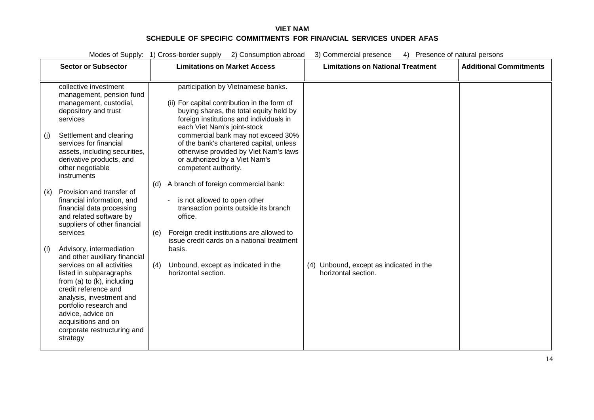Modes of Supply: 1) Cross-border supply 2) Consumption abroad 3) Commercial presence 4) Presence of natural persons

|     | <b>Sector or Subsector</b>                                                                                                                                                                                                                                                                                                 | <b>Limitations on Market Access</b>                                                                                                                                                                     | <b>Limitations on National Treatment</b>                       | <b>Additional Commitments</b> |
|-----|----------------------------------------------------------------------------------------------------------------------------------------------------------------------------------------------------------------------------------------------------------------------------------------------------------------------------|---------------------------------------------------------------------------------------------------------------------------------------------------------------------------------------------------------|----------------------------------------------------------------|-------------------------------|
|     | collective investment<br>management, pension fund<br>management, custodial,<br>depository and trust<br>services                                                                                                                                                                                                            | participation by Vietnamese banks.<br>(ii) For capital contribution in the form of<br>buying shares, the total equity held by<br>foreign institutions and individuals in<br>each Viet Nam's joint-stock |                                                                |                               |
| (j) | Settlement and clearing<br>services for financial<br>assets, including securities,<br>derivative products, and<br>other negotiable<br>instruments                                                                                                                                                                          | commercial bank may not exceed 30%<br>of the bank's chartered capital, unless<br>otherwise provided by Viet Nam's laws<br>or authorized by a Viet Nam's<br>competent authority.                         |                                                                |                               |
| (k) | Provision and transfer of<br>financial information, and<br>financial data processing<br>and related software by<br>suppliers of other financial<br>services                                                                                                                                                                | A branch of foreign commercial bank:<br>(d)<br>is not allowed to open other<br>transaction points outside its branch<br>office.<br>Foreign credit institutions are allowed to<br>(e)                    |                                                                |                               |
| (1) | Advisory, intermediation<br>and other auxiliary financial<br>services on all activities<br>listed in subparagraphs<br>from $(a)$ to $(k)$ , including<br>credit reference and<br>analysis, investment and<br>portfolio research and<br>advice, advice on<br>acquisitions and on<br>corporate restructuring and<br>strategy | issue credit cards on a national treatment<br>basis.<br>Unbound, except as indicated in the<br>(4)<br>horizontal section.                                                                               | (4) Unbound, except as indicated in the<br>horizontal section. |                               |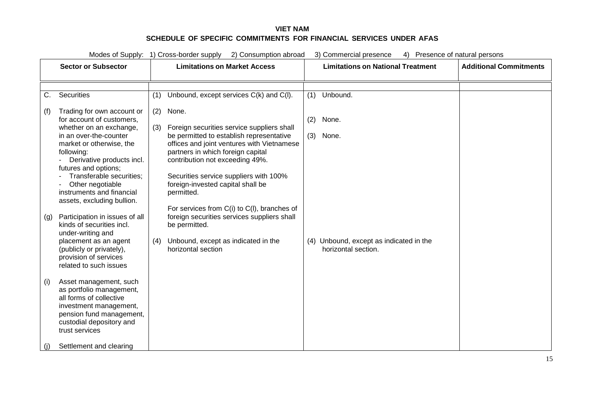| Modes of Supply: 1) Cross-border supply<br>2) Consumption abroad<br>3) Commercial presence<br>Presence of natural persons<br>4) |                                                                                                                                                                                                             |                                                                                                                                                                                                                                    |                                                                |                               |
|---------------------------------------------------------------------------------------------------------------------------------|-------------------------------------------------------------------------------------------------------------------------------------------------------------------------------------------------------------|------------------------------------------------------------------------------------------------------------------------------------------------------------------------------------------------------------------------------------|----------------------------------------------------------------|-------------------------------|
|                                                                                                                                 | <b>Sector or Subsector</b>                                                                                                                                                                                  | <b>Limitations on Market Access</b>                                                                                                                                                                                                | <b>Limitations on National Treatment</b>                       | <b>Additional Commitments</b> |
|                                                                                                                                 |                                                                                                                                                                                                             |                                                                                                                                                                                                                                    |                                                                |                               |
| C.                                                                                                                              | Securities                                                                                                                                                                                                  | Unbound, except services C(k) and C(l).<br>(1)                                                                                                                                                                                     | (1) Unbound.                                                   |                               |
| (f)                                                                                                                             | Trading for own account or<br>for account of customers,<br>whether on an exchange,<br>in an over-the-counter<br>market or otherwise, the<br>following:<br>Derivative products incl.<br>futures and options; | $(2)$ None.<br>Foreign securities service suppliers shall<br>(3)<br>be permitted to establish representative<br>offices and joint ventures with Vietnamese<br>partners in which foreign capital<br>contribution not exceeding 49%. | (2)<br>None.<br>(3) None.                                      |                               |
|                                                                                                                                 | Transferable securities;<br>Other negotiable<br>instruments and financial<br>assets, excluding bullion.                                                                                                     | Securities service suppliers with 100%<br>foreign-invested capital shall be<br>permitted.<br>For services from C(i) to C(I), branches of                                                                                           |                                                                |                               |
| (g)                                                                                                                             | Participation in issues of all<br>kinds of securities incl.<br>under-writing and                                                                                                                            | foreign securities services suppliers shall<br>be permitted.                                                                                                                                                                       |                                                                |                               |
|                                                                                                                                 | placement as an agent<br>(publicly or privately),<br>provision of services<br>related to such issues                                                                                                        | Unbound, except as indicated in the<br>(4)<br>horizontal section                                                                                                                                                                   | (4) Unbound, except as indicated in the<br>horizontal section. |                               |
| (i)                                                                                                                             | Asset management, such<br>as portfolio management,<br>all forms of collective<br>investment management,<br>pension fund management,<br>custodial depository and<br>trust services                           |                                                                                                                                                                                                                                    |                                                                |                               |
| (i)                                                                                                                             | Settlement and clearing                                                                                                                                                                                     |                                                                                                                                                                                                                                    |                                                                |                               |